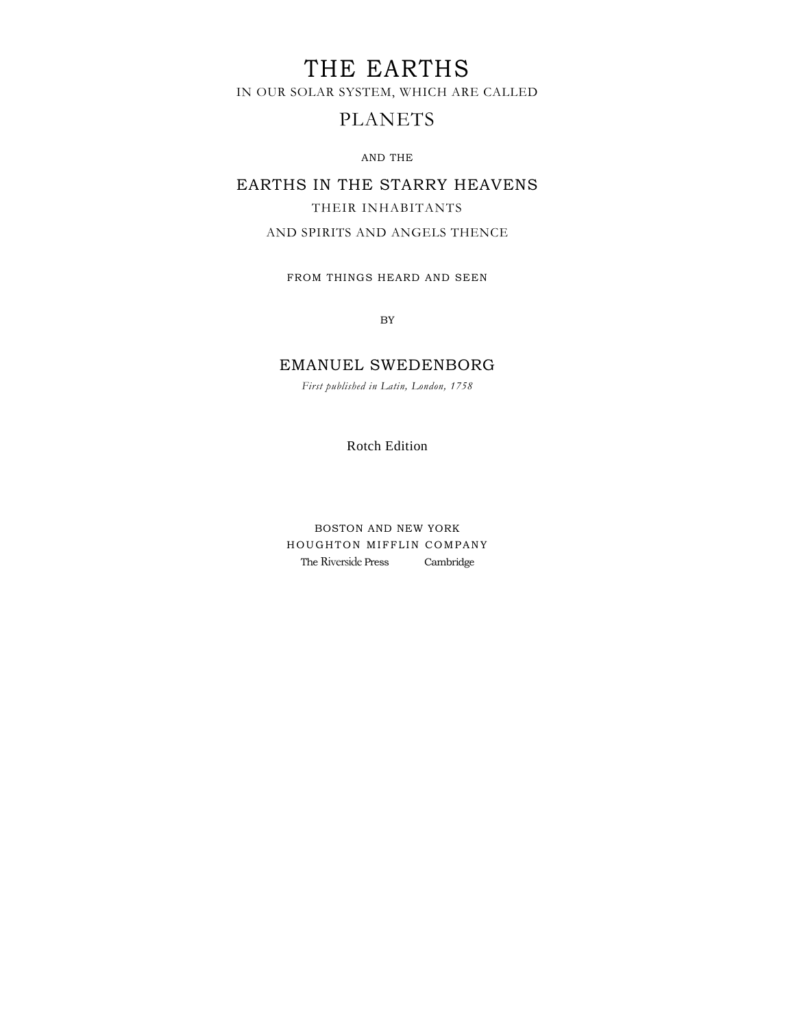# THE EARTHS

IN OUR SOLAR SYSTEM, WHICH ARE CALLED

# PLANETS

## AND THE

## EARTHS IN THE STARRY HEAVENS

THEIR INHABITANTS

## AND SPIRITS AND ANGELS THENCE

### FROM THINGS HEARD AND SEEN

BY

## EMANUEL SWEDENBORG

*First published in Latin, London, 1758* 

Rotch Edition

BOSTON AND NEW YORK HOUGHTON MIFFLIN COMPANY The Riverside Press Cambridge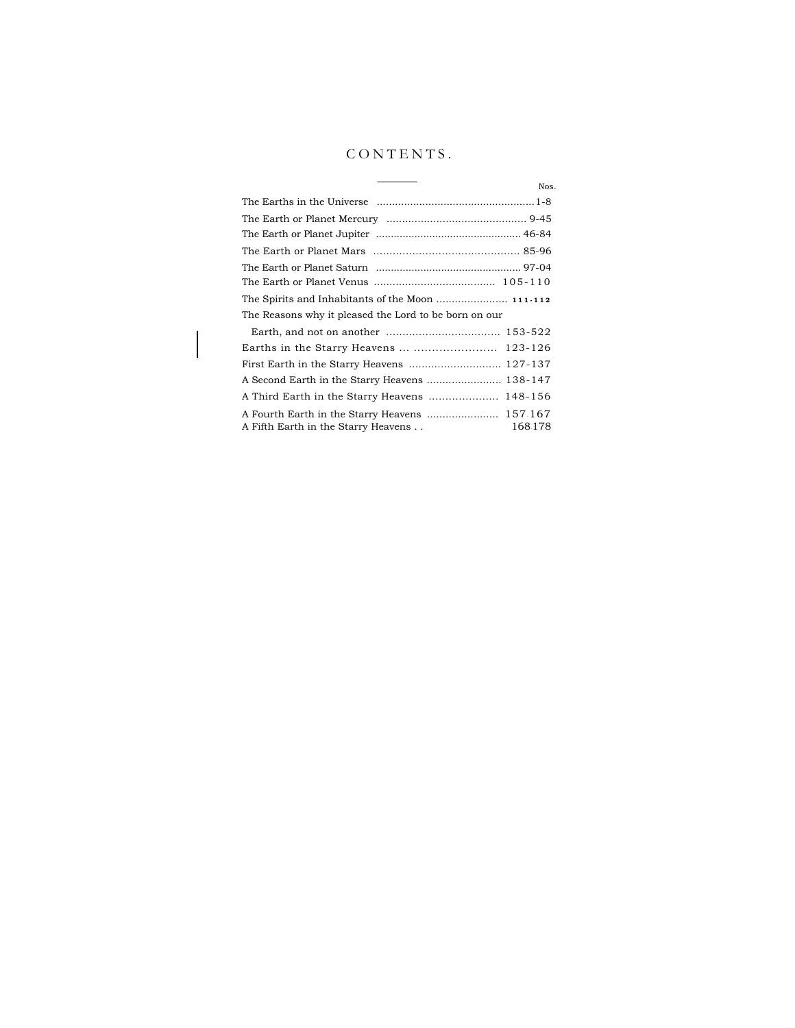# CONTENTS.

|                                                                                      | Nos.    |
|--------------------------------------------------------------------------------------|---------|
|                                                                                      |         |
|                                                                                      |         |
|                                                                                      |         |
|                                                                                      |         |
|                                                                                      |         |
|                                                                                      |         |
|                                                                                      |         |
| The Reasons why it pleased the Lord to be born on our                                |         |
|                                                                                      |         |
| Earths in the Starry Heavens   123-126                                               |         |
| First Earth in the Starry Heavens  127-137                                           |         |
|                                                                                      |         |
| A Third Earth in the Starry Heavens  148-156                                         |         |
| A Fourth Earth in the Starry Heavens  157.167<br>A Fifth Earth in the Starry Heavens | 168.178 |

 $\mathbf{I}$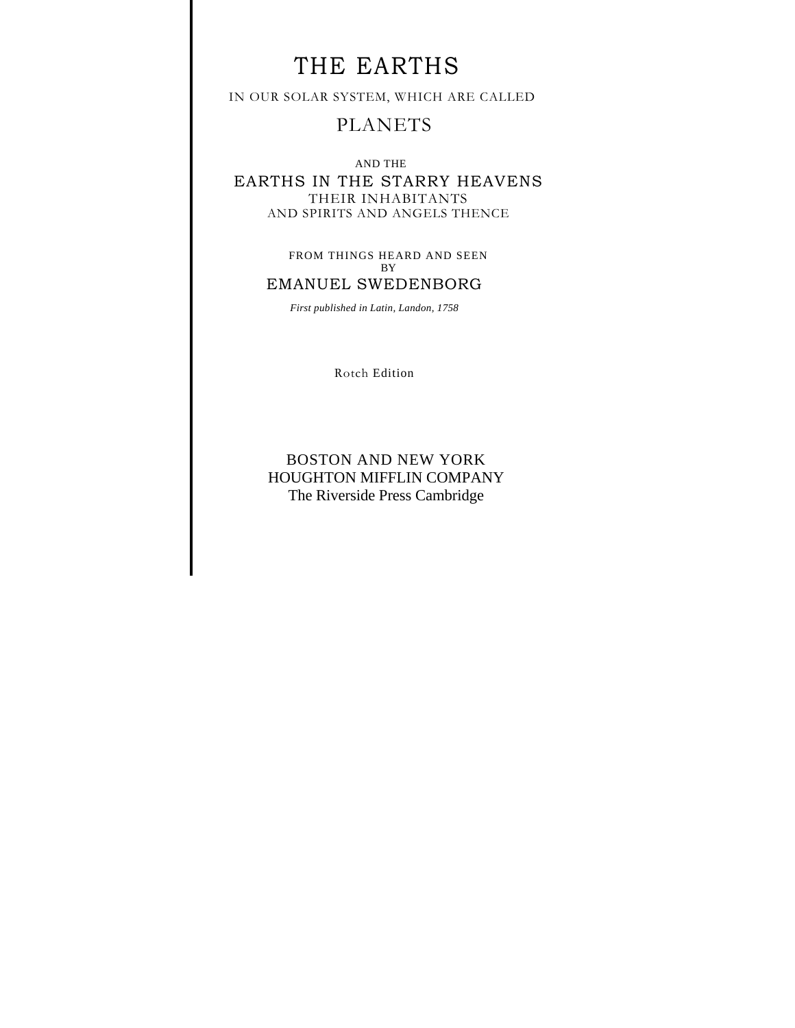# THE EARTHS

IN OUR SOLAR SYSTEM, WHICH ARE CALLED

# PLANETS

AND THE

EARTHS IN THE STARRY HEAVENS THEIR INHABITANTS AND SPIRITS AND ANGELS THENCE

> FROM THINGS HEARD AND SEEN BY EMANUEL SWEDENBORG

> > *First published in Latin, Landon, 1758*

Rotch Edition

# BOSTON AND NEW YORK HOUGHTON MIFFLIN COMPANY The Riverside Press Cambridge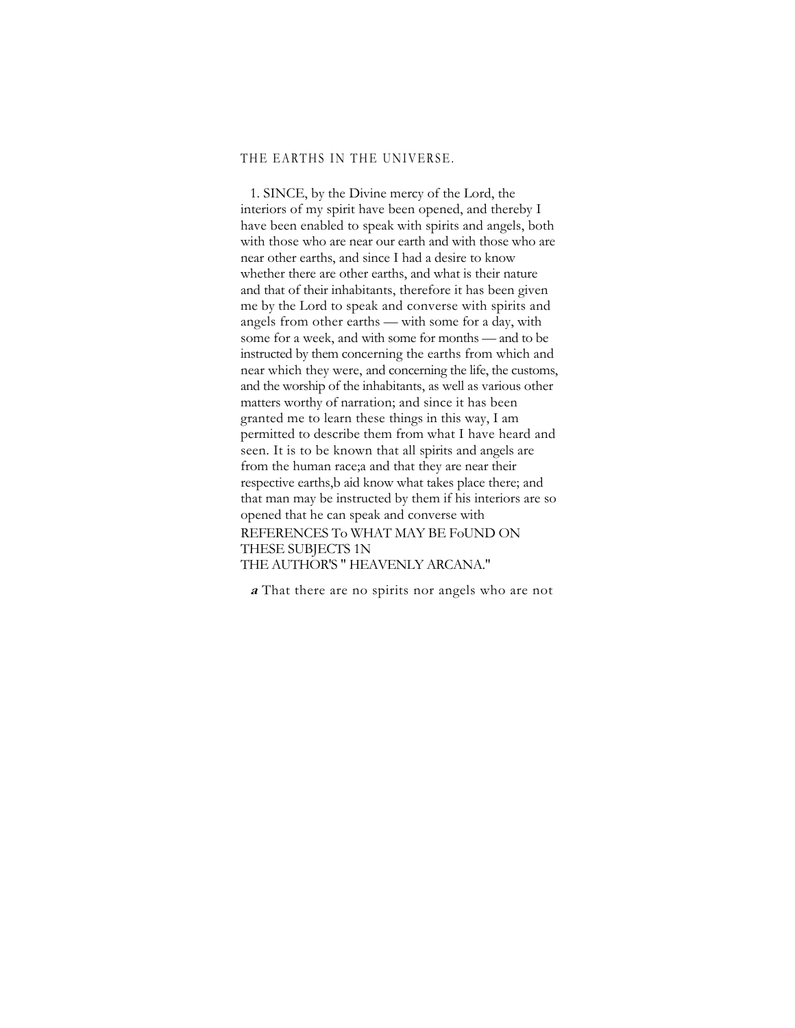## THE EARTHS IN THE UNIVERSE.

1. SINCE, by the Divine mercy of the Lord, the interiors of my spirit have been opened, and thereby I have been enabled to speak with spirits and angels, both with those who are near our earth and with those who are near other earths, and since I had a desire to know whether there are other earths, and what is their nature and that of their inhabitants, therefore it has been given me by the Lord to speak and converse with spirits and angels from other earths — with some for a day, with some for a week, and with some for months — and to be instructed by them concerning the earths from which and near which they were, and concerning the life, the customs, and the worship of the inhabitants, as well as various other matters worthy of narration; and since it has been granted me to learn these things in this way, I am permitted to describe them from what I have heard and seen. It is to be known that all spirits and angels are from the human race;a and that they are near their respective earths,b aid know what takes place there; and that man may be instructed by them if his interiors are so opened that he can speak and converse with REFERENCES To WHAT MAY BE FoUND ON THESE SUBJECTS 1N THE AUTHOR'S " HEAVENLY ARCANA."

**a** That there are no spirits nor angels who are not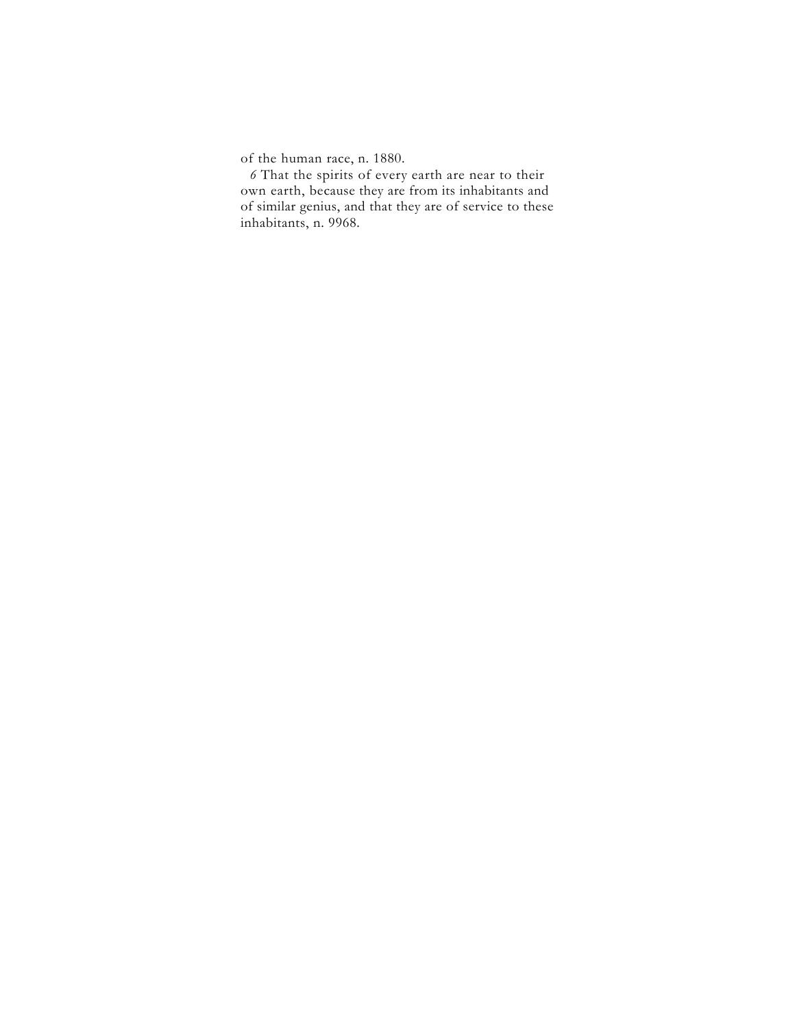of the human race, n. 1880.

*6* That the spirits of every earth are near to their own earth, because they are from its inhabitants and of similar genius, and that they are of service to these inhabitants, n. 9968.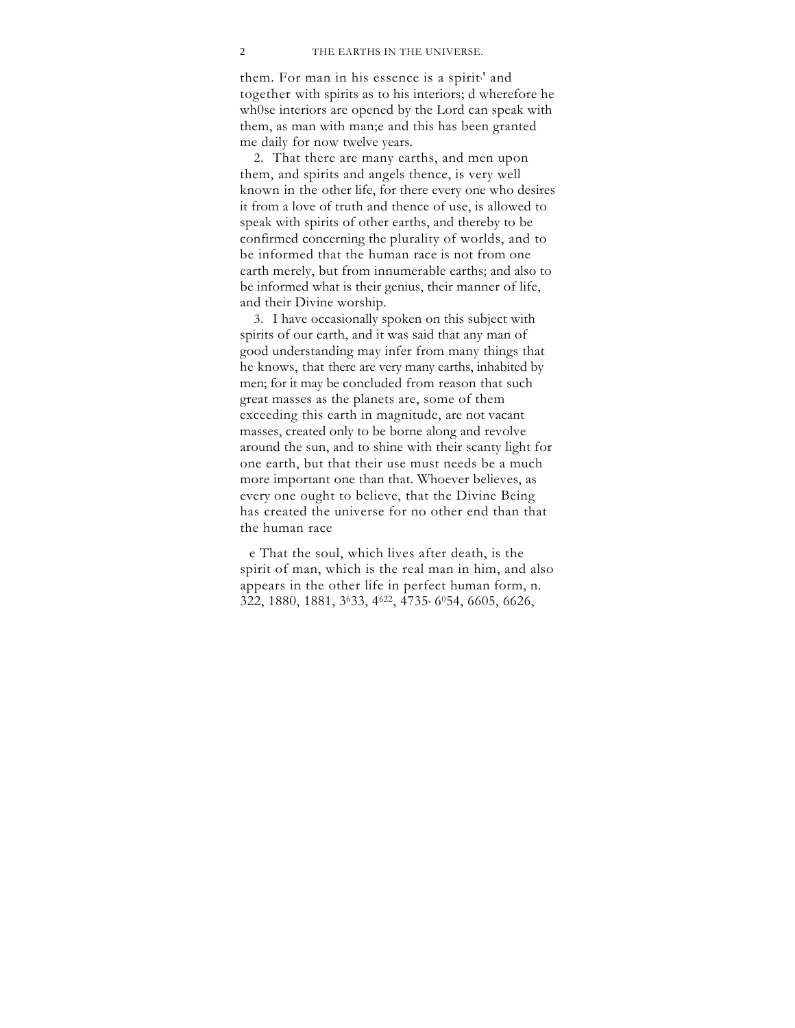#### 2 THE EARTHS IN THE UNIVERSE.

them. For man in his essence is a spirit' and together with spirits as to his interiors; d wherefore he wh0se interiors are opened by the Lord can speak with them, as man with man;e and this has been granted me daily for now twelve years.

2. That there are many earths, and men upon them, and spirits and angels thence, is very well known in the other life, for there every one who desires it from a love of truth and thence of use, is allowed to speak with spirits of other earths, and thereby to be confirmed concerning the plurality of worlds, and to be informed that the human race is not from one earth merely, but from innumerable earths; and also to be informed what is their genius, their manner of life, and their Divine worship.

3. I have occasionally spoken on this subject with spirits of our earth, and it was said that any man of good understanding may infer from many things that he knows, that there are very many earths, inhabited by men; for it may be concluded from reason that such great masses as the planets are, some of them exceeding this earth in magnitude, are not vacant masses, created only to be borne along and revolve around the sun, and to shine with their scanty light for one earth, but that their use must needs be a much more important one than that. Whoever believes, as every one ought to believe, that the Divine Being has created the universe for no other end than that the human race

e That the soul, which lives after death, is the spirit of man, which is the real man in him, and also appears in the other life in perfect human form, n. 322, 1880, 1881, 3633, 4622, 4735, 6054, 6605, 6626,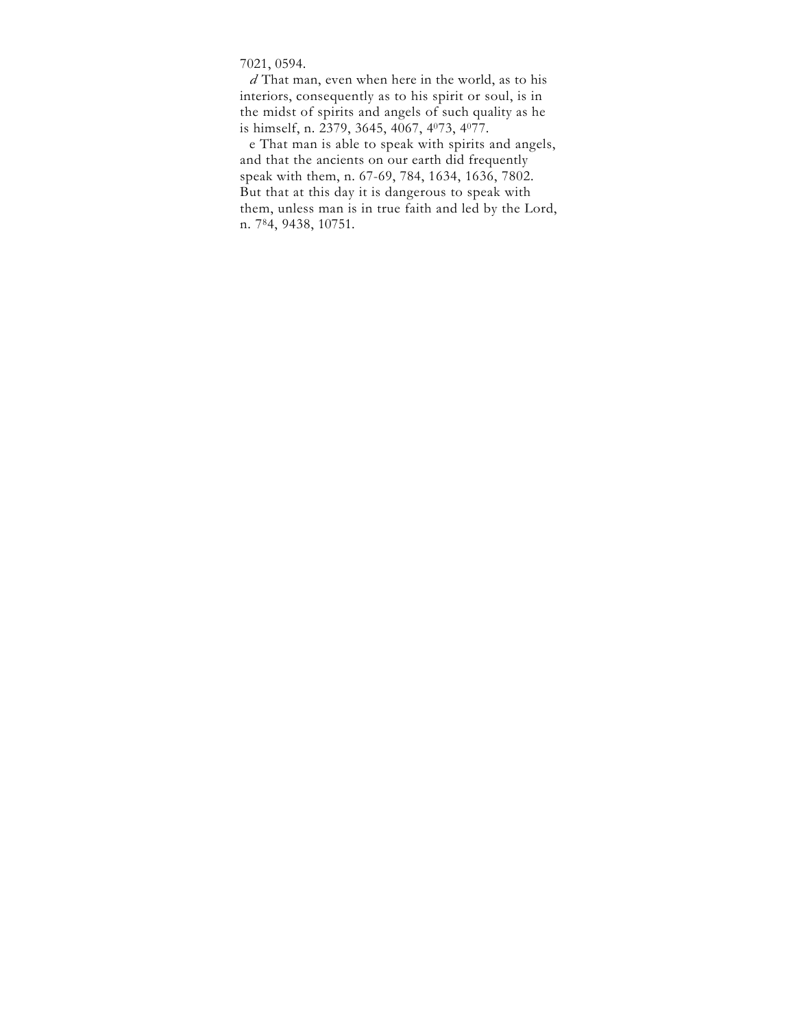7021, 0594.

*d* That man, even when here in the world, as to his interiors, consequently as to his spirit or soul, is in the midst of spirits and angels of such quality as he is himself, n. 2379, 3645, 4067, 4073, 4077.

e That man is able to speak with spirits and angels, and that the ancients on our earth did frequently speak with them, n. 67-69, 784, 1634, 1636, 7802. But that at this day it is dangerous to speak with them, unless man is in true faith and led by the Lord, n. 784, 9438, 10751.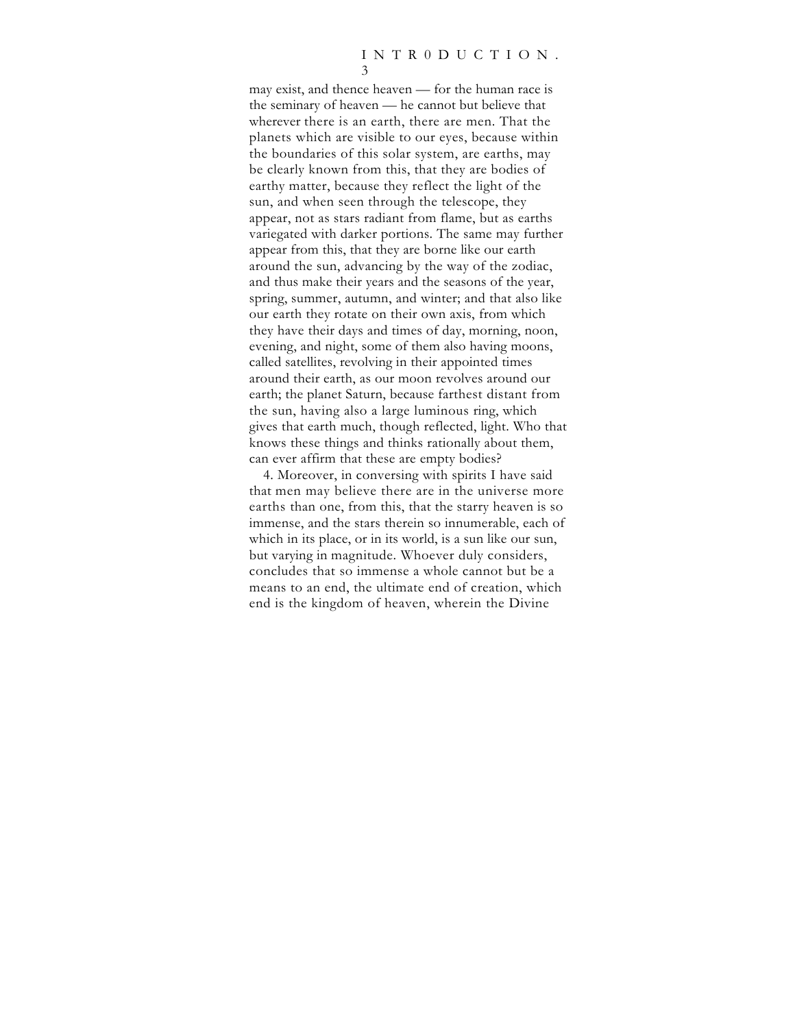#### INTR0DUCTION. 3

may exist, and thence heaven — for the human race is the seminary of heaven — he cannot but believe that wherever there is an earth, there are men. That the planets which are visible to our eyes, because within the boundaries of this solar system, are earths, may be clearly known from this, that they are bodies of earthy matter, because they reflect the light of the sun, and when seen through the telescope, they appear, not as stars radiant from flame, but as earths variegated with darker portions. The same may further appear from this, that they are borne like our earth around the sun, advancing by the way of the zodiac, and thus make their years and the seasons of the year, spring, summer, autumn, and winter; and that also like our earth they rotate on their own axis, from which they have their days and times of day, morning, noon, evening, and night, some of them also having moons, called satellites, revolving in their appointed times around their earth, as our moon revolves around our earth; the planet Saturn, because farthest distant from the sun, having also a large luminous ring, which gives that earth much, though reflected, light. Who that knows these things and thinks rationally about them, can ever affirm that these are empty bodies?

4. Moreover, in conversing with spirits I have said that men may believe there are in the universe more earths than one, from this, that the starry heaven is so immense, and the stars therein so innumerable, each of which in its place, or in its world, is a sun like our sun, but varying in magnitude. Whoever duly considers, concludes that so immense a whole cannot but be a means to an end, the ultimate end of creation, which end is the kingdom of heaven, wherein the Divine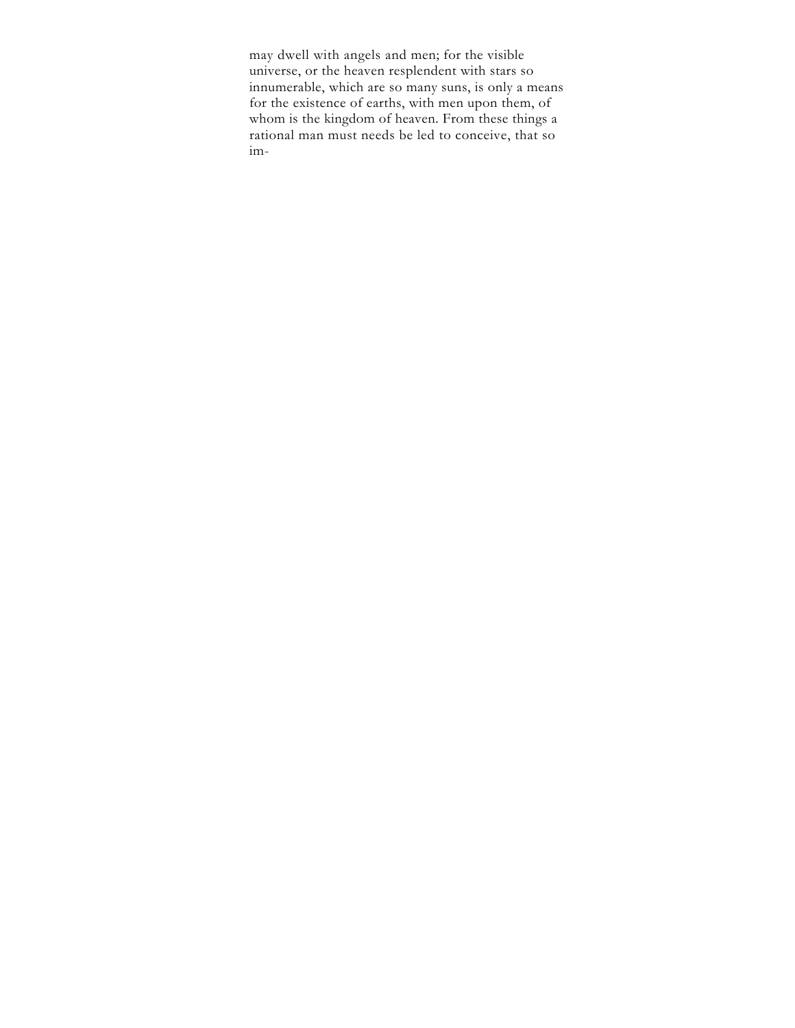may dwell with angels and men; for the visible universe, or the heaven resplendent with stars so innumerable, which are so many suns, is only a means for the existence of earths, with men upon them, of whom is the kingdom of heaven. From these things a rational man must needs be led to conceive, that so im-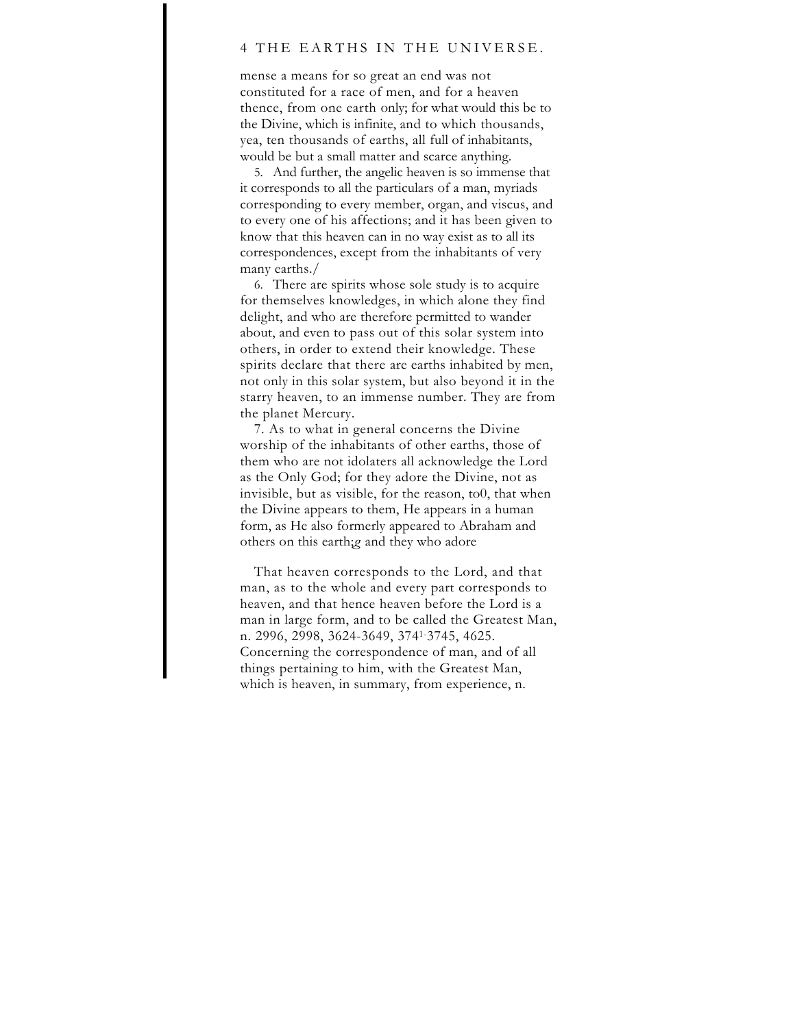#### 4 THE EARTHS IN THE UNIVERSE.

mense a means for so great an end was not constituted for a race of men, and for a heaven thence, from one earth only; for what would this be to the Divine, which is infinite, and to which thousands, yea, ten thousands of earths, all full of inhabitants, would be but a small matter and scarce anything.

5. And further, the angelic heaven is so immense that it corresponds to all the particulars of a man, myriads corresponding to every member, organ, and viscus, and to every one of his affections; and it has been given to know that this heaven can in no way exist as to all its correspondences, except from the inhabitants of very many earths./

6. There are spirits whose sole study is to acquire for themselves knowledges, in which alone they find delight, and who are therefore permitted to wander about, and even to pass out of this solar system into others, in order to extend their knowledge. These spirits declare that there are earths inhabited by men, not only in this solar system, but also beyond it in the starry heaven, to an immense number. They are from the planet Mercury.

7. As to what in general concerns the Divine worship of the inhabitants of other earths, those of them who are not idolaters all acknowledge the Lord as the Only God; for they adore the Divine, not as invisible, but as visible, for the reason, to0, that when the Divine appears to them, He appears in a human form, as He also formerly appeared to Abraham and others on this earth;*g* and they who adore

That heaven corresponds to the Lord, and that man, as to the whole and every part corresponds to heaven, and that hence heaven before the Lord is a man in large form, and to be called the Greatest Man, n. 2996, 2998, 3624-3649, 3741-3745, 4625. Concerning the correspondence of man, and of all things pertaining to him, with the Greatest Man, which is heaven, in summary, from experience, n.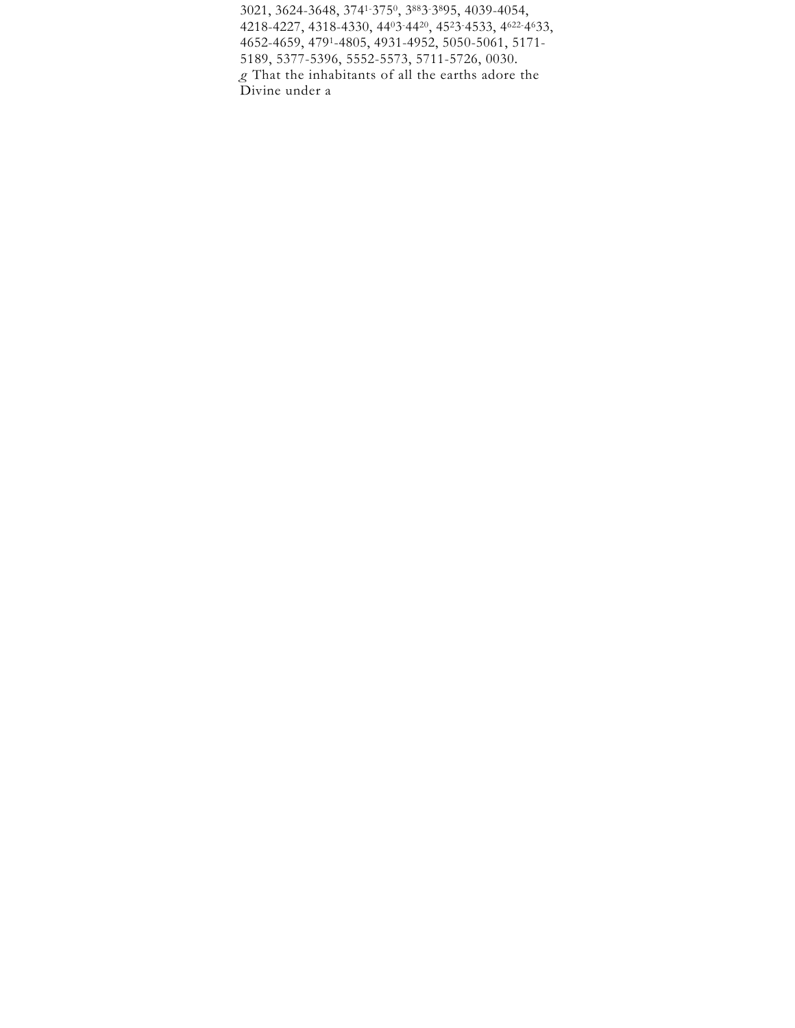3021, 3624-3648, 3741-3750, 3883- 3895, 4039-4054, 4218-4227, 4318-4330, 4403- 4420, 4523- 4533, 4622-4633, 4652-4659, 4791-4805, 4931-4952, 5050-5061, 5171- 5189, 5377-5396, 5552-5573, 5711-5726, 0030. *g* That the inhabitants of all the earths adore the Divine under a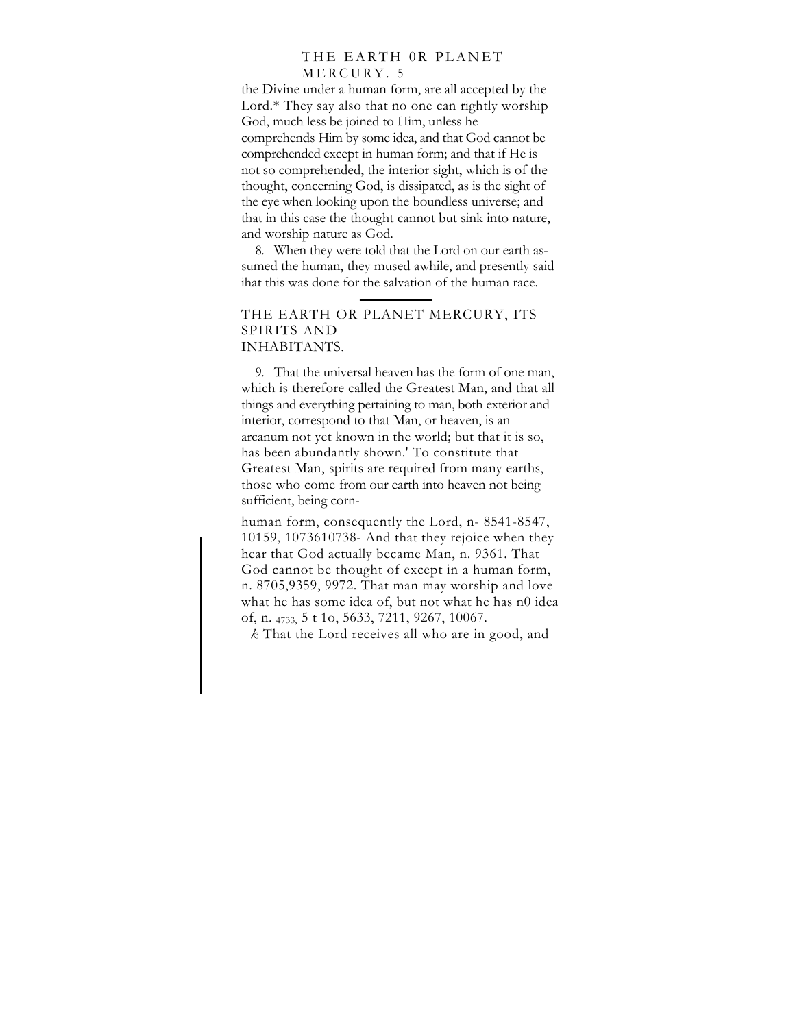### THE EARTH 0R PLANET MERCURY. 5

the Divine under a human form, are all accepted by the Lord.\* They say also that no one can rightly worship God, much less be joined to Him, unless he comprehends Him by some idea, and that God cannot be comprehended except in human form; and that if He is not so comprehended, the interior sight, which is of the thought, concerning God, is dissipated, as is the sight of the eye when looking upon the boundless universe; and that in this case the thought cannot but sink into nature, and worship nature as God.

8. When they were told that the Lord on our earth assumed the human, they mused awhile, and presently said ihat this was done for the salvation of the human race.

## THE EARTH OR PLANET MERCURY, ITS SPIRITS AND INHABITANTS.

9. That the universal heaven has the form of one man, which is therefore called the Greatest Man, and that all things and everything pertaining to man, both exterior and interior, correspond to that Man, or heaven, is an arcanum not yet known in the world; but that it is so, has been abundantly shown.' To constitute that Greatest Man, spirits are required from many earths, those who come from our earth into heaven not being sufficient, being corn-

human form, consequently the Lord, n- 8541-8547, 10159, 1073610738- And that they rejoice when they hear that God actually became Man, n. 9361. That God cannot be thought of except in a human form, n. 8705,9359, 9972. That man may worship and love what he has some idea of, but not what he has n0 idea of, n. 4733, 5 t 1o, 5633, 7211, 9267, 10067.

*k* That the Lord receives all who are in good, and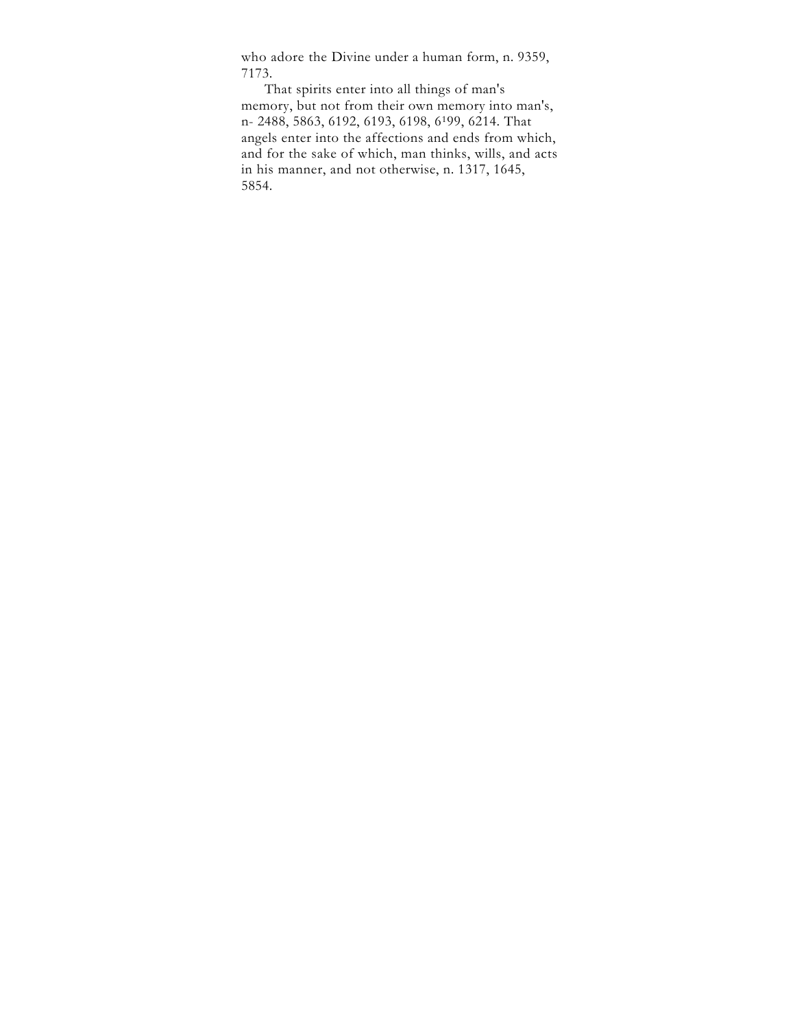who adore the Divine under a human form, n. 9359, 7173.

That spirits enter into all things of man's memory, but not from their own memory into man's, n- 2488, 5863, 6192, 6193, 6198, 6199, 6214. That angels enter into the affections and ends from which, and for the sake of which, man thinks, wills, and acts in his manner, and not otherwise, n. 1317, 1645, 5854.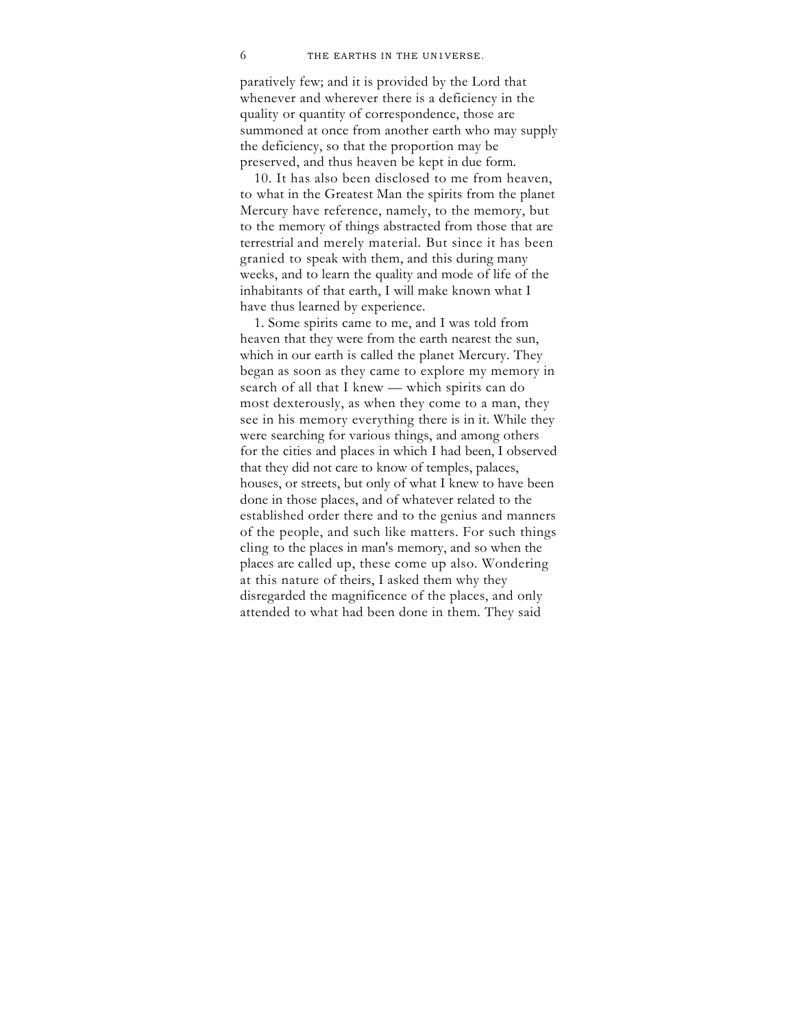paratively few; and it is provided by the Lord that whenever and wherever there is a deficiency in the quality or quantity of correspondence, those are summoned at once from another earth who may supply the deficiency, so that the proportion may be preserved, and thus heaven be kept in due form.

10. It has also been disclosed to me from heaven, to what in the Greatest Man the spirits from the planet Mercury have reference, namely, to the memory, but to the memory of things abstracted from those that are terrestrial and merely material. But since it has been granied to speak with them, and this during many weeks, and to learn the quality and mode of life of the inhabitants of that earth, I will make known what I have thus learned by experience.

1. Some spirits came to me, and I was told from heaven that they were from the earth nearest the sun, which in our earth is called the planet Mercury. They began as soon as they came to explore my memory in search of all that I knew — which spirits can do most dexterously, as when they come to a man, they see in his memory everything there is in it. While they were searching for various things, and among others for the cities and places in which I had been, I observed that they did not care to know of temples, palaces, houses, or streets, but only of what I knew to have been done in those places, and of whatever related to the established order there and to the genius and manners of the people, and such like matters. For such things cling to the places in man's memory, and so when the places are called up, these come up also. Wondering at this nature of theirs, I asked them why they disregarded the magnificence of the places, and only attended to what had been done in them. They said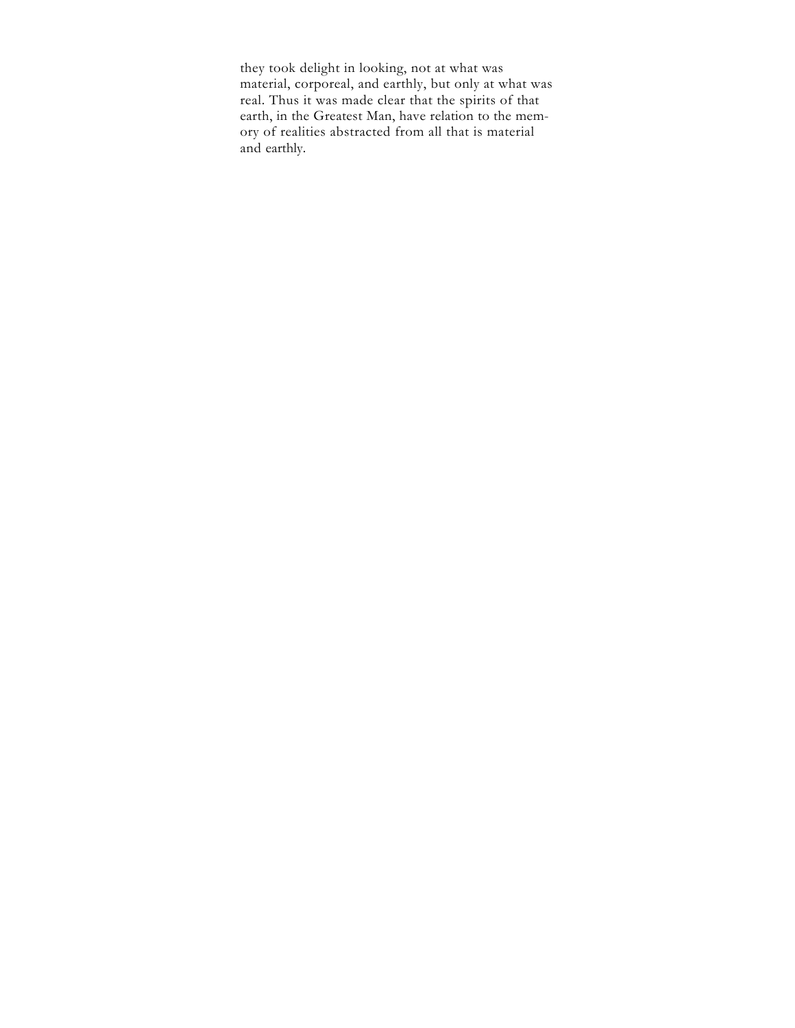they took delight in looking, not at what was material, corporeal, and earthly, but only at what was real. Thus it was made clear that the spirits of that earth, in the Greatest Man, have relation to the memory of realities abstracted from all that is material and earthly.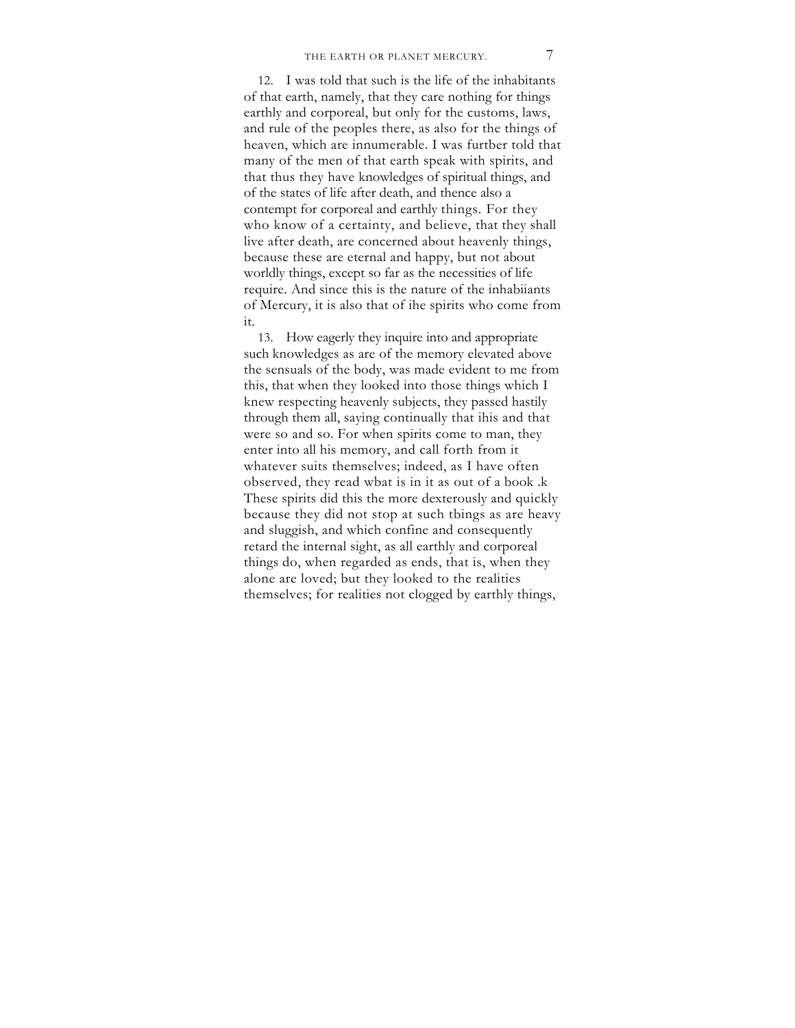12. I was told that such is the life of the inhabitants of that earth, namely, that they care nothing for things earthly and corporeal, but only for the customs, laws, and rule of the peoples there, as also for the things of heaven, which are innumerable. I was furtber told that many of the men of that earth speak with spirits, and that thus they have knowledges of spiritual things, and of the states of life after death, and thence also a contempt for corporeal and earthly things. For they who know of a certainty, and believe, that they shall live after death, are concerned about heavenly things, because these are eternal and happy, but not about worldly things, except so far as the necessities of life require. And since this is the nature of the inhabiiants of Mercury, it is also that of ihe spirits who come from it.

13. How eagerly they inquire into and appropriate such knowledges as are of the memory elevated above the sensuals of the body, was made evident to me from this, that when they looked into those things which I knew respecting heavenly subjects, they passed hastily through them all, saying continually that ihis and that were so and so. For when spirits come to man, they enter into all his memory, and call forth from it whatever suits themselves; indeed, as I have often observed, they read wbat is in it as out of a book .k These spirits did this the more dexterously and quickly because they did not stop at such tbings as are heavy and sluggish, and which confine and consequently retard the internal sight, as all earthly and corporeal things do, when regarded as ends, that is, when they alone are loved; but they looked to the realities themselves; for realities not clogged by earthly things,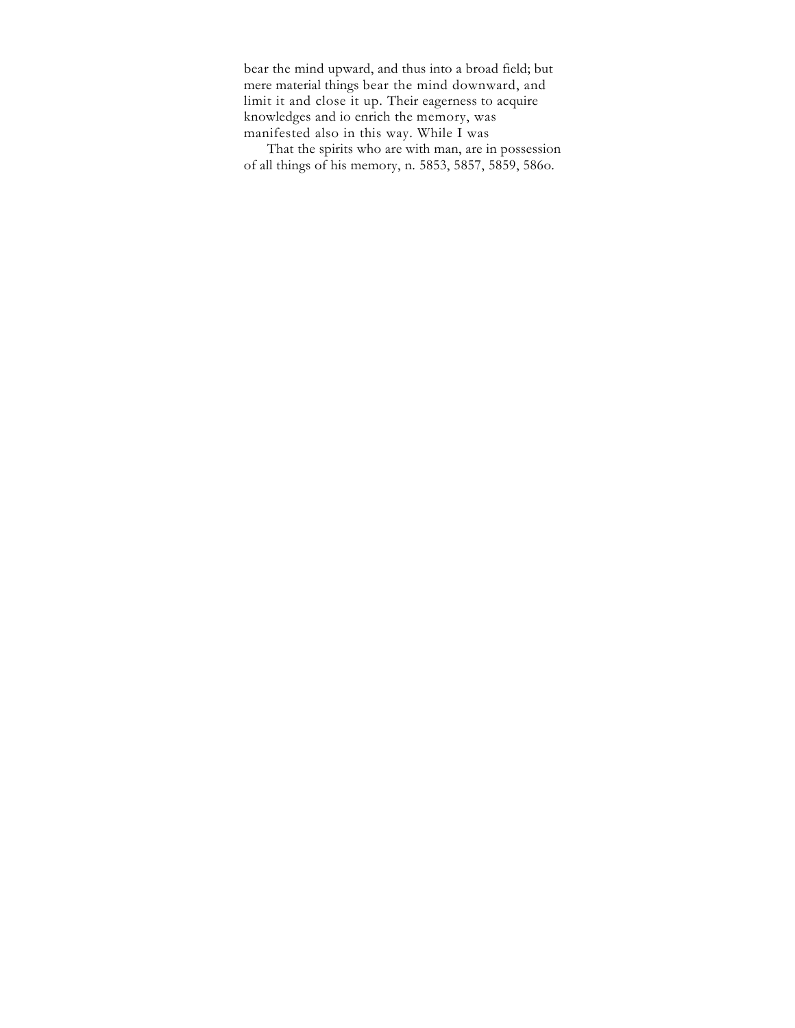bear the mind upward, and thus into a broad field; but mere material things bear the mind downward, and limit it and close it up. Their eagerness to acquire knowledges and io enrich the memory, was manifested also in this way. While I was

That the spirits who are with man, are in possession of all things of his memory, n. 5853, 5857, 5859, 586o.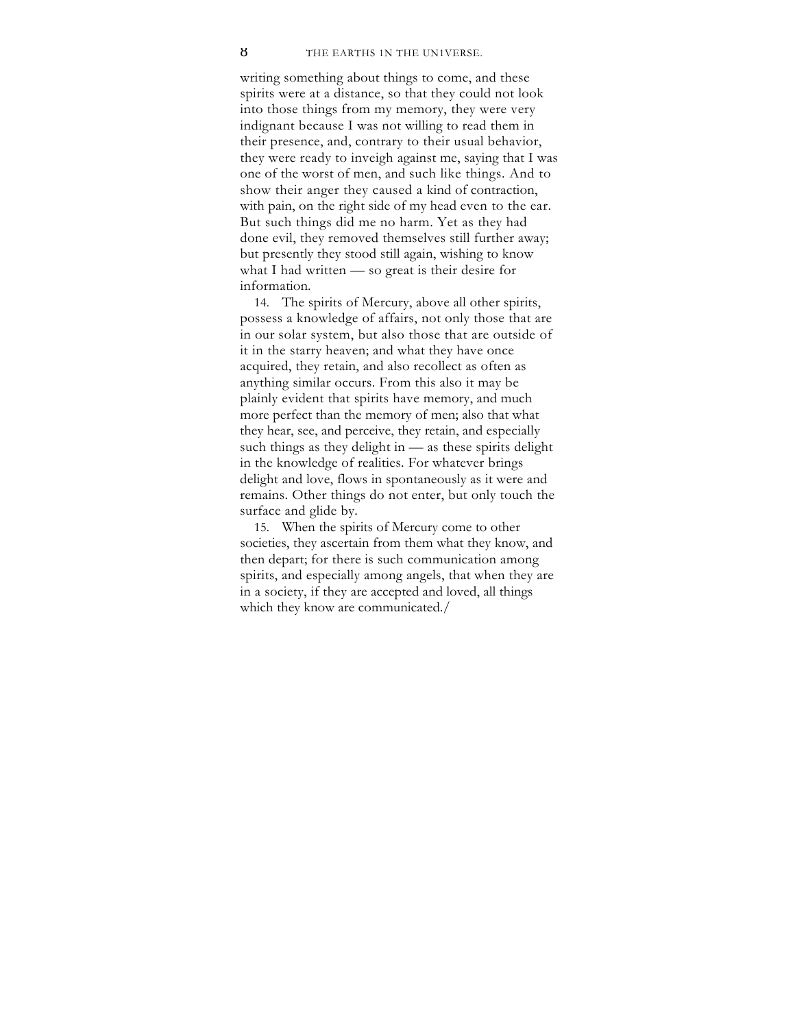### 8 THE EARTHS 1N THE UN1VERSE.

writing something about things to come, and these spirits were at a distance, so that they could not look into those things from my memory, they were very indignant because I was not willing to read them in their presence, and, contrary to their usual behavior, they were ready to inveigh against me, saying that I was one of the worst of men, and such like things. And to show their anger they caused a kind of contraction, with pain, on the right side of my head even to the ear. But such things did me no harm. Yet as they had done evil, they removed themselves still further away; but presently they stood still again, wishing to know what I had written — so great is their desire for information.

14. The spirits of Mercury, above all other spirits, possess a knowledge of affairs, not only those that are in our solar system, but also those that are outside of it in the starry heaven; and what they have once acquired, they retain, and also recollect as often as anything similar occurs. From this also it may be plainly evident that spirits have memory, and much more perfect than the memory of men; also that what they hear, see, and perceive, they retain, and especially such things as they delight in — as these spirits delight in the knowledge of realities. For whatever brings delight and love, flows in spontaneously as it were and remains. Other things do not enter, but only touch the surface and glide by.

15. When the spirits of Mercury come to other societies, they ascertain from them what they know, and then depart; for there is such communication among spirits, and especially among angels, that when they are in a society, if they are accepted and loved, all things which they know are communicated./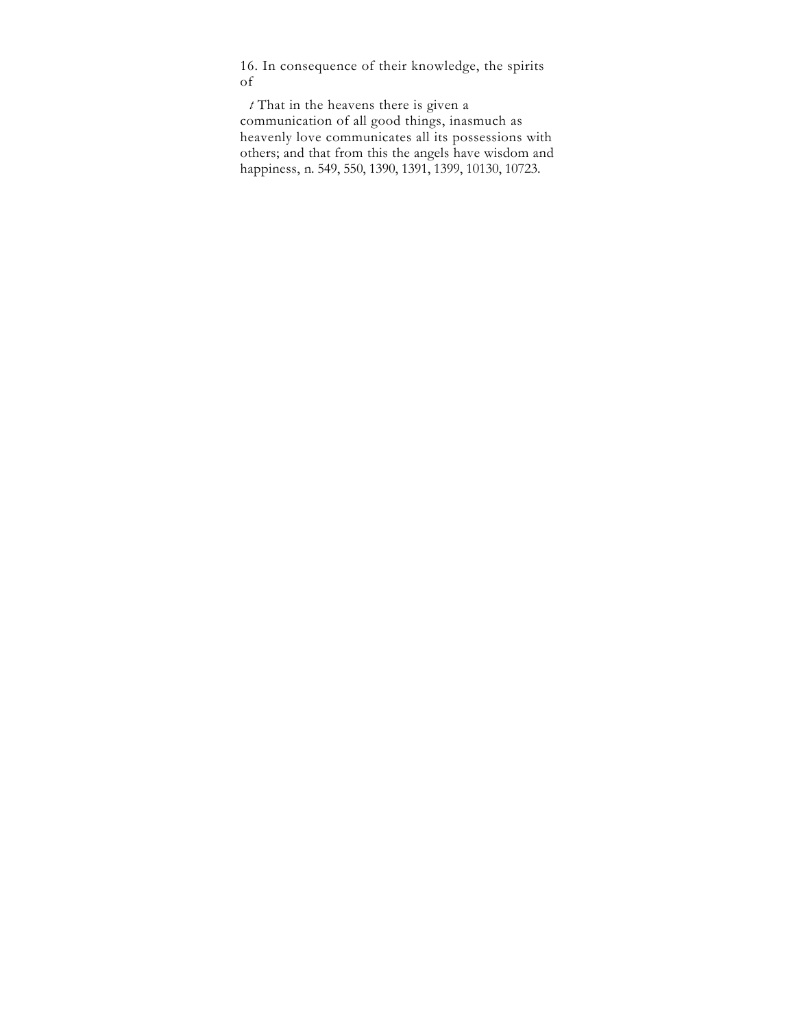16. In consequence of their knowledge, the spirits of

*t* That in the heavens there is given a communication of all good things, inasmuch as heavenly love communicates all its possessions with others; and that from this the angels have wisdom and happiness, n. 549, 550, 1390, 1391, 1399, 10130, 10723.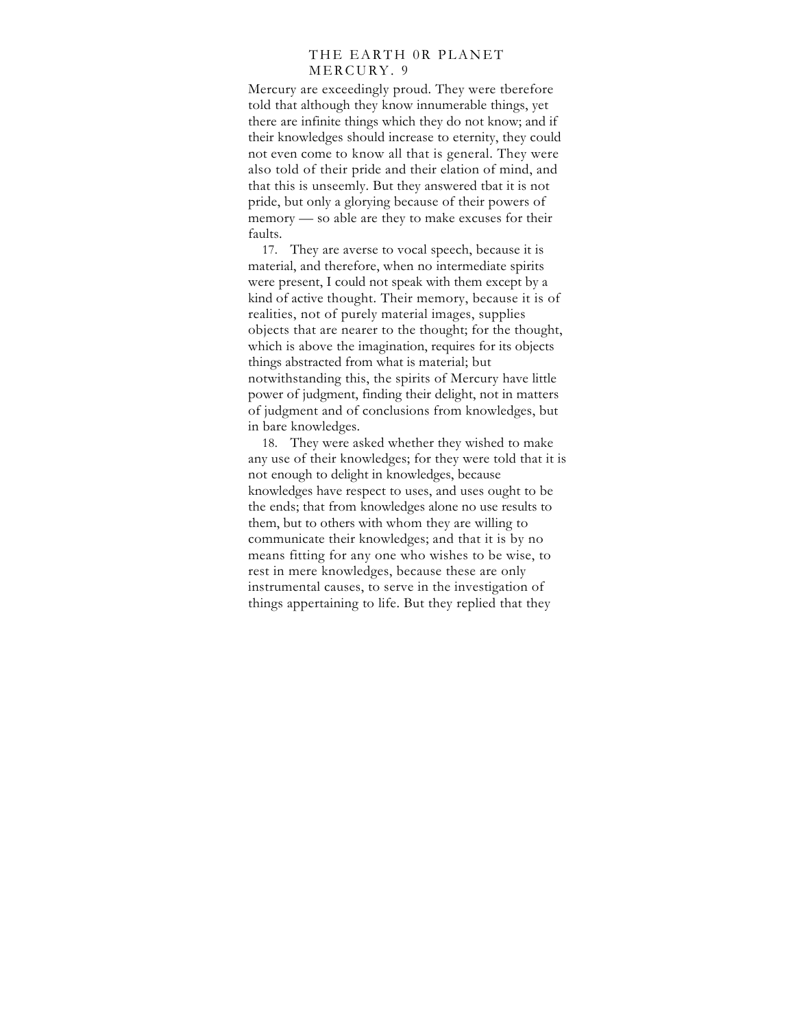#### THE EARTH 0R PLANET MERCURY. 9

Mercury are exceedingly proud. They were tberefore told that although they know innumerable things, yet there are infinite things which they do not know; and if their knowledges should increase to eternity, they could not even come to know all that is general. They were also told of their pride and their elation of mind, and that this is unseemly. But they answered tbat it is not pride, but only a glorying because of their powers of memory — so able are they to make excuses for their faults.

17. They are averse to vocal speech, because it is material, and therefore, when no intermediate spirits were present, I could not speak with them except by a kind of active thought. Their memory, because it is of realities, not of purely material images, supplies objects that are nearer to the thought; for the thought, which is above the imagination, requires for its objects things abstracted from what is material; but notwithstanding this, the spirits of Mercury have little power of judgment, finding their delight, not in matters of judgment and of conclusions from knowledges, but in bare knowledges.

18. They were asked whether they wished to make any use of their knowledges; for they were told that it is not enough to delight in knowledges, because knowledges have respect to uses, and uses ought to be the ends; that from knowledges alone no use results to them, but to others with whom they are willing to communicate their knowledges; and that it is by no means fitting for any one who wishes to be wise, to rest in mere knowledges, because these are only instrumental causes, to serve in the investigation of things appertaining to life. But they replied that they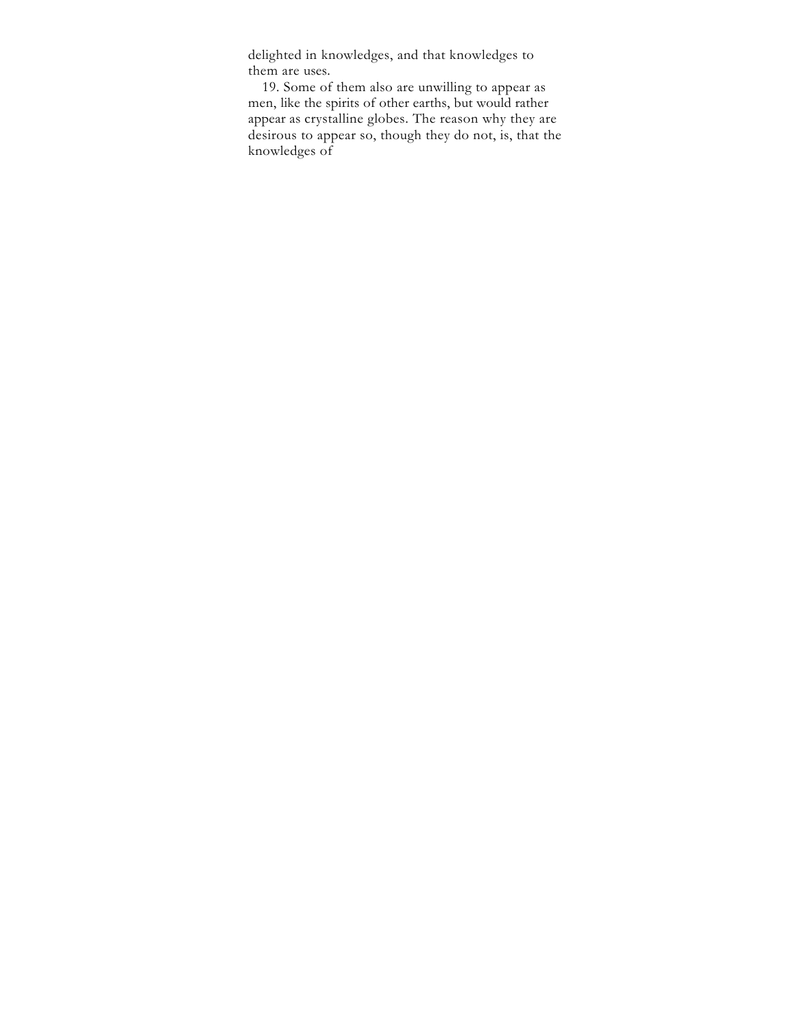delighted in knowledges, and that knowledges to them are uses.

19. Some of them also are unwilling to appear as men, like the spirits of other earths, but would rather appear as crystalline globes. The reason why they are desirous to appear so, though they do not, is, that the knowledges of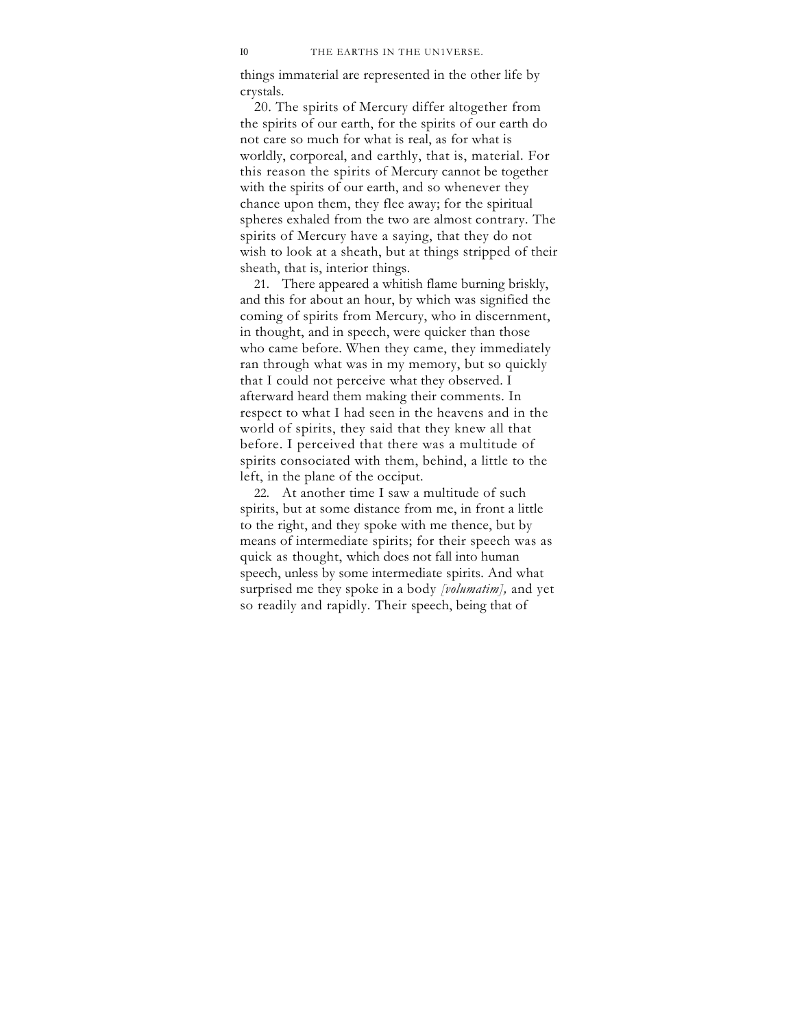things immaterial are represented in the other life by crystals.

20. The spirits of Mercury differ altogether from the spirits of our earth, for the spirits of our earth do not care so much for what is real, as for what is worldly, corporeal, and earthly, that is, material. For this reason the spirits of Mercury cannot be together with the spirits of our earth, and so whenever they chance upon them, they flee away; for the spiritual spheres exhaled from the two are almost contrary. The spirits of Mercury have a saying, that they do not wish to look at a sheath, but at things stripped of their sheath, that is, interior things.

21. There appeared a whitish flame burning briskly, and this for about an hour, by which was signified the coming of spirits from Mercury, who in discernment, in thought, and in speech, were quicker than those who came before. When they came, they immediately ran through what was in my memory, but so quickly that I could not perceive what they observed. I afterward heard them making their comments. In respect to what I had seen in the heavens and in the world of spirits, they said that they knew all that before. I perceived that there was a multitude of spirits consociated with them, behind, a little to the left, in the plane of the occiput.

22. At another time I saw a multitude of such spirits, but at some distance from me, in front a little to the right, and they spoke with me thence, but by means of intermediate spirits; for their speech was as quick as thought, which does not fall into human speech, unless by some intermediate spirits. And what surprised me they spoke in a body *[volumatim],* and yet so readily and rapidly. Their speech, being that of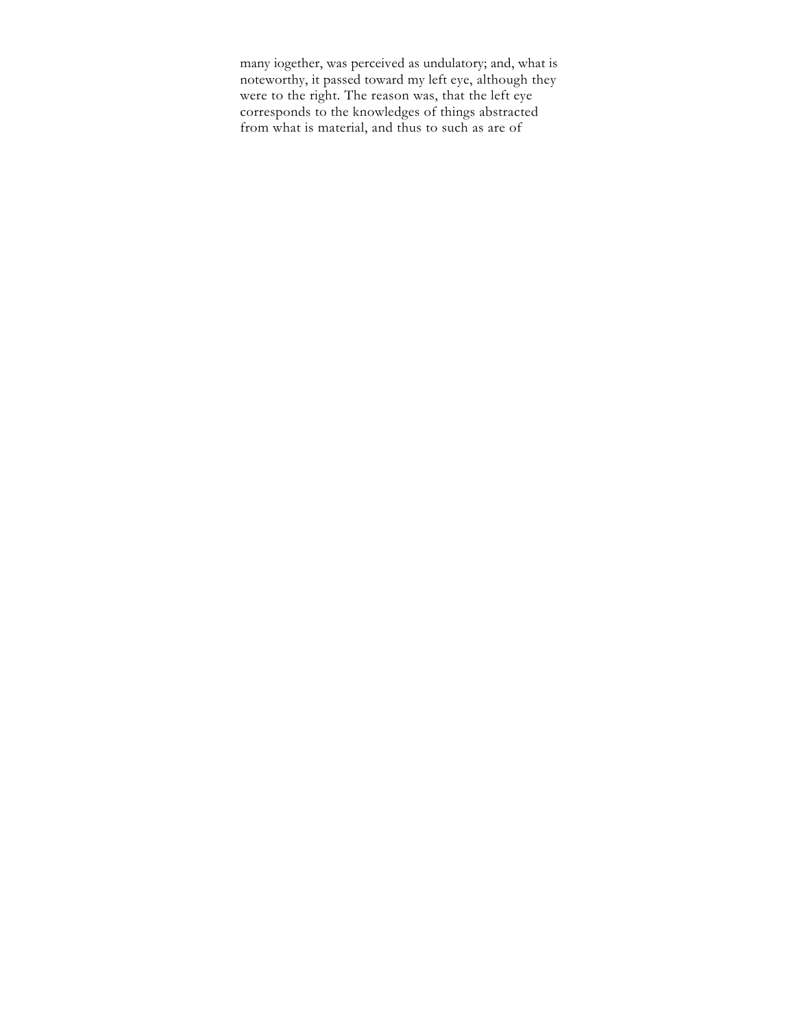many iogether, was perceived as undulatory; and, what is noteworthy, it passed toward my left eye, although they were to the right. The reason was, that the left eye corresponds to the knowledges of things abstracted from what is material, and thus to such as are of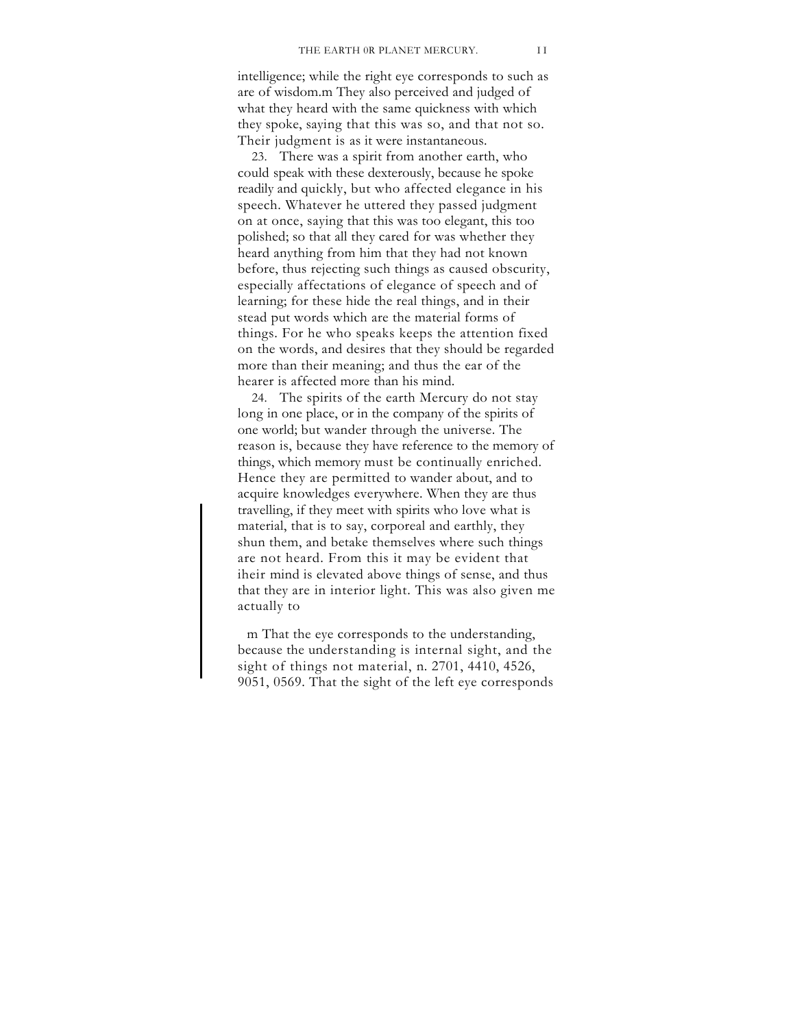intelligence; while the right eye corresponds to such as are of wisdom.m They also perceived and judged of what they heard with the same quickness with which they spoke, saying that this was so, and that not so. Their judgment is as it were instantaneous.

23. There was a spirit from another earth, who could speak with these dexterously, because he spoke readily and quickly, but who affected elegance in his speech. Whatever he uttered they passed judgment on at once, saying that this was too elegant, this too polished; so that all they cared for was whether they heard anything from him that they had not known before, thus rejecting such things as caused obscurity, especially affectations of elegance of speech and of learning; for these hide the real things, and in their stead put words which are the material forms of things. For he who speaks keeps the attention fixed on the words, and desires that they should be regarded more than their meaning; and thus the ear of the hearer is affected more than his mind.

24. The spirits of the earth Mercury do not stay long in one place, or in the company of the spirits of one world; but wander through the universe. The reason is, because they have reference to the memory of things, which memory must be continually enriched. Hence they are permitted to wander about, and to acquire knowledges everywhere. When they are thus travelling, if they meet with spirits who love what is material, that is to say, corporeal and earthly, they shun them, and betake themselves where such things are not heard. From this it may be evident that iheir mind is elevated above things of sense, and thus that they are in interior light. This was also given me actually to

m That the eye corresponds to the understanding, because the understanding is internal sight, and the sight of things not material, n. 2701, 4410, 4526, 9051, 0569. That the sight of the left eye corresponds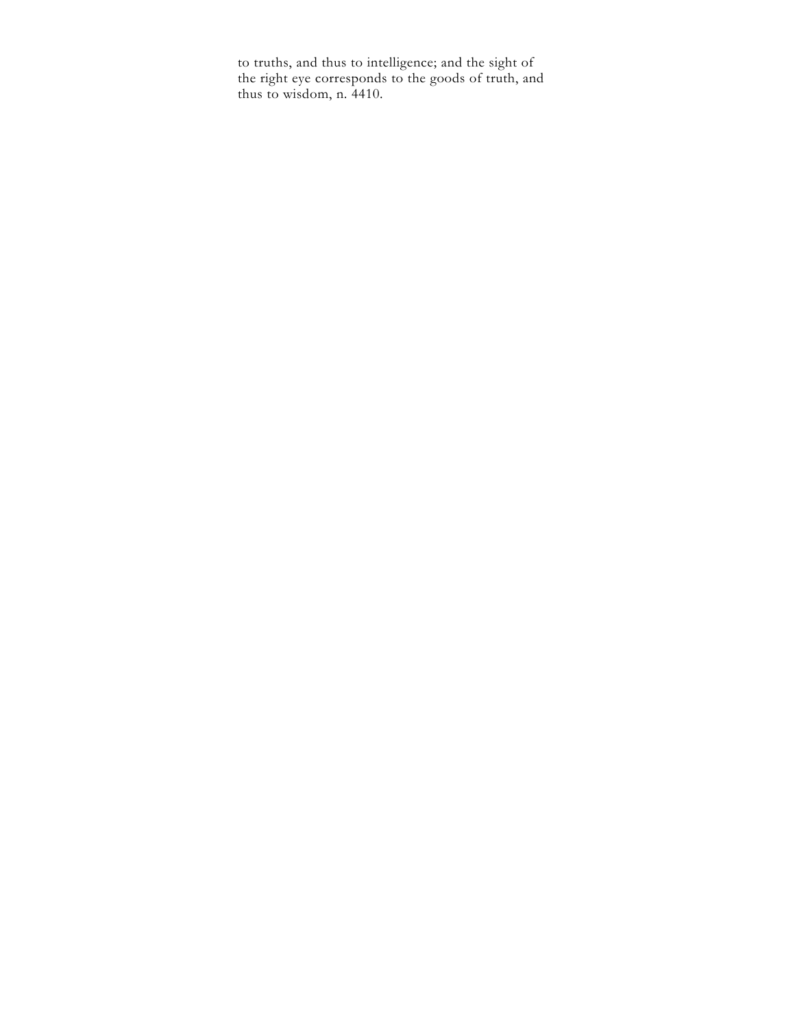to truths, and thus to intelligence; and the sight of the right eye corresponds to the goods of truth, and thus to wisdom, n. 4410.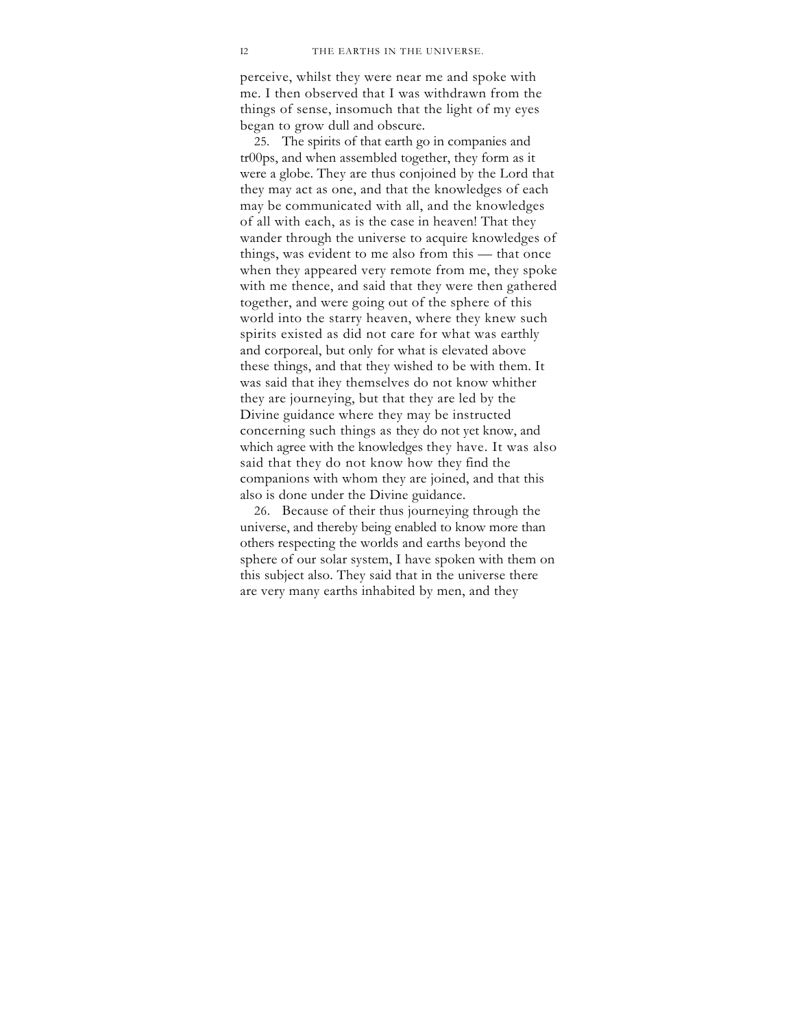perceive, whilst they were near me and spoke with me. I then observed that I was withdrawn from the things of sense, insomuch that the light of my eyes began to grow dull and obscure.

25. The spirits of that earth go in companies and tr00ps, and when assembled together, they form as it were a globe. They are thus conjoined by the Lord that they may act as one, and that the knowledges of each may be communicated with all, and the knowledges of all with each, as is the case in heaven! That they wander through the universe to acquire knowledges of things, was evident to me also from this — that once when they appeared very remote from me, they spoke with me thence, and said that they were then gathered together, and were going out of the sphere of this world into the starry heaven, where they knew such spirits existed as did not care for what was earthly and corporeal, but only for what is elevated above these things, and that they wished to be with them. It was said that ihey themselves do not know whither they are journeying, but that they are led by the Divine guidance where they may be instructed concerning such things as they do not yet know, and which agree with the knowledges they have. It was also said that they do not know how they find the companions with whom they are joined, and that this also is done under the Divine guidance.

26. Because of their thus journeying through the universe, and thereby being enabled to know more than others respecting the worlds and earths beyond the sphere of our solar system, I have spoken with them on this subject also. They said that in the universe there are very many earths inhabited by men, and they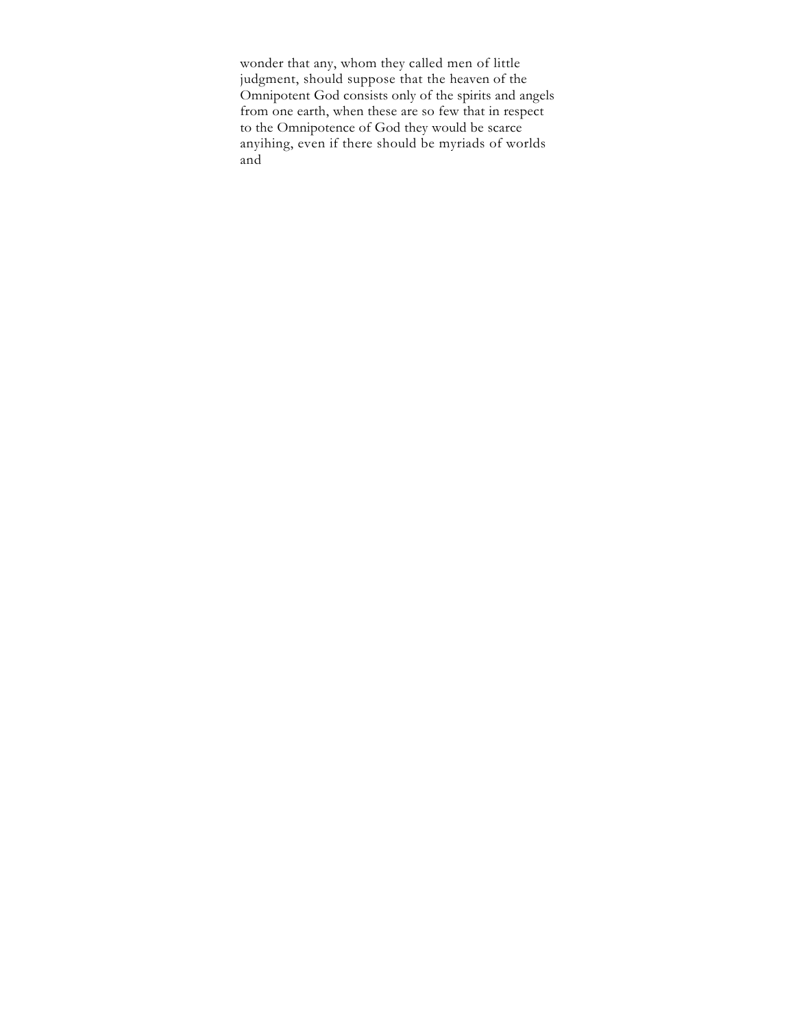wonder that any, whom they called men of little judgment, should suppose that the heaven of the Omnipotent God consists only of the spirits and angels from one earth, when these are so few that in respect to the Omnipotence of God they would be scarce anyihing, even if there should be myriads of worlds and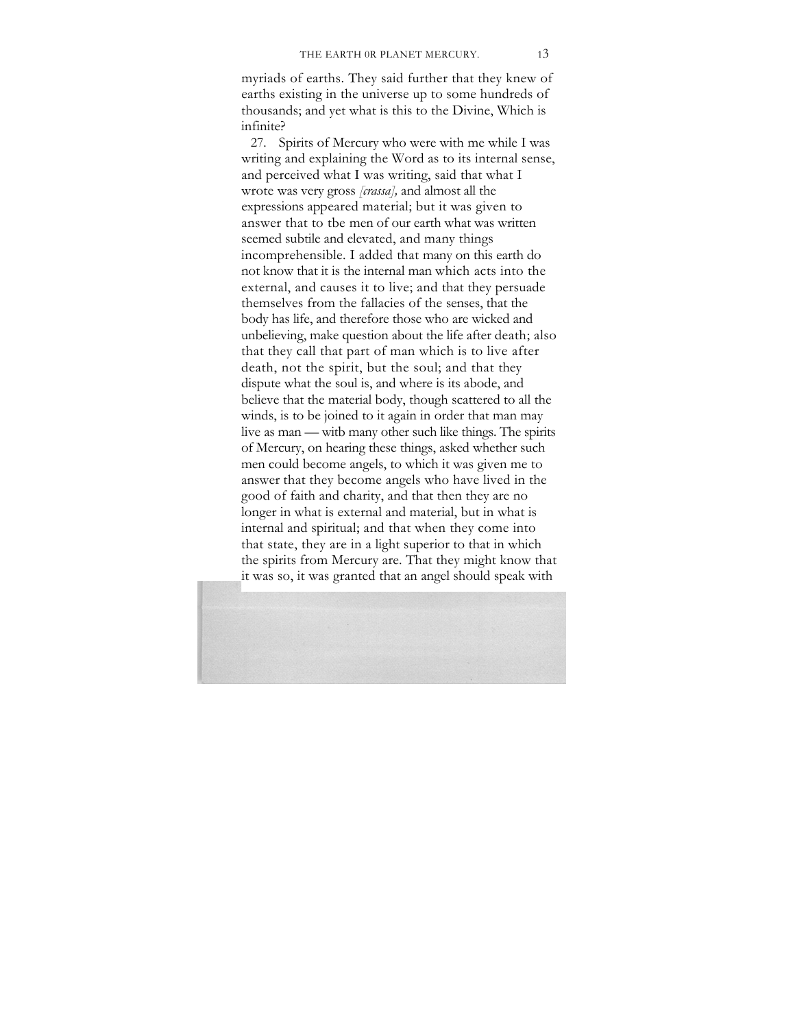myriads of earths. They said further that they knew of earths existing in the universe up to some hundreds of thousands; and yet what is this to the Divine, Which is infinite?

27. Spirits of Mercury who were with me while I was writing and explaining the Word as to its internal sense, and perceived what I was writing, said that what I wrote was very gross *[crassa],* and almost all the expressions appeared material; but it was given to answer that to tbe men of our earth what was written seemed subtile and elevated, and many things incomprehensible. I added that many on this earth do not know that it is the internal man which acts into the external, and causes it to live; and that they persuade themselves from the fallacies of the senses, that the body has life, and therefore those who are wicked and unbelieving, make question about the life after death; also that they call that part of man which is to live after death, not the spirit, but the soul; and that they dispute what the soul is, and where is its abode, and believe that the material body, though scattered to all the winds, is to be joined to it again in order that man may live as man — witb many other such like things. The spirits of Mercury, on hearing these things, asked whether such men could become angels, to which it was given me to answer that they become angels who have lived in the good of faith and charity, and that then they are no longer in what is external and material, but in what is internal and spiritual; and that when they come into that state, they are in a light superior to that in which the spirits from Mercury are. That they might know that it was so, it was granted that an angel should speak with

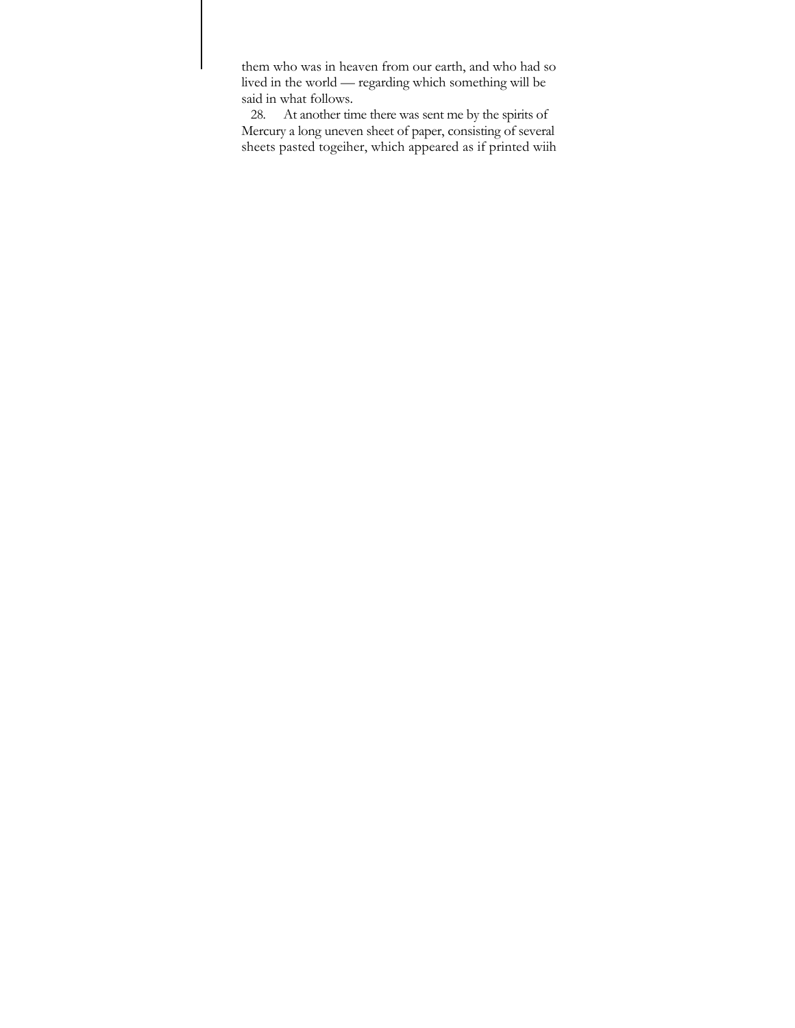them who was in heaven from our earth, and who had so lived in the world — regarding which something will be said in what follows.<br>28. At another tin

At another time there was sent me by the spirits of Mercury a long uneven sheet of paper, consisting of several sheets pasted togeiher, which appeared as if printed wiih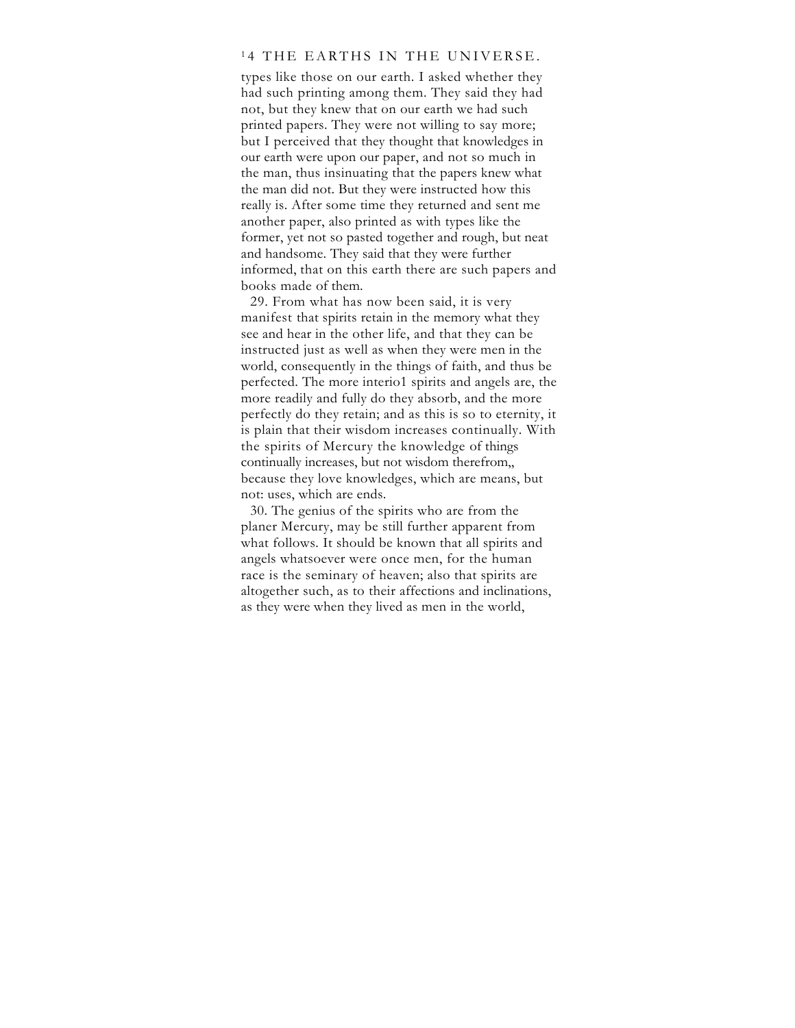#### <sup>14</sup> THE EARTHS IN THE UNIVERSE.

types like those on our earth. I asked whether they had such printing among them. They said they had not, but they knew that on our earth we had such printed papers. They were not willing to say more; but I perceived that they thought that knowledges in our earth were upon our paper, and not so much in the man, thus insinuating that the papers knew what the man did not. But they were instructed how this really is. After some time they returned and sent me another paper, also printed as with types like the former, yet not so pasted together and rough, but neat and handsome. They said that they were further informed, that on this earth there are such papers and books made of them.

29. From what has now been said, it is very manifest that spirits retain in the memory what they see and hear in the other life, and that they can be instructed just as well as when they were men in the world, consequently in the things of faith, and thus be perfected. The more interio1 spirits and angels are, the more readily and fully do they absorb, and the more perfectly do they retain; and as this is so to eternity, it is plain that their wisdom increases continually. With the spirits of Mercury the knowledge of things continually increases, but not wisdom therefrom,, because they love knowledges, which are means, but not: uses, which are ends.

30. The genius of the spirits who are from the planer Mercury, may be still further apparent from what follows. It should be known that all spirits and angels whatsoever were once men, for the human race is the seminary of heaven; also that spirits are altogether such, as to their affections and inclinations, as they were when they lived as men in the world,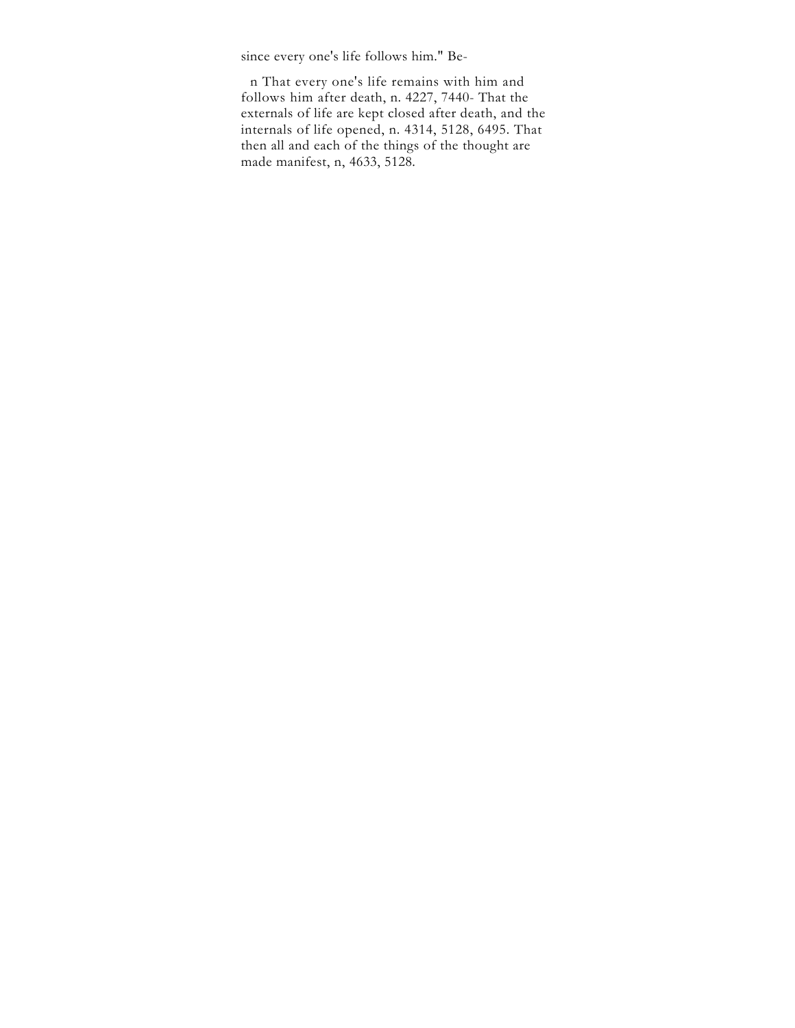since every one's life follows him." Be-

n That every one's life remains with him and follows him after death, n. 4227, 7440- That the externals of life are kept closed after death, and the internals of life opened, n. 4314, 5128, 6495. That then all and each of the things of the thought are made manifest, n, 4633, 5128.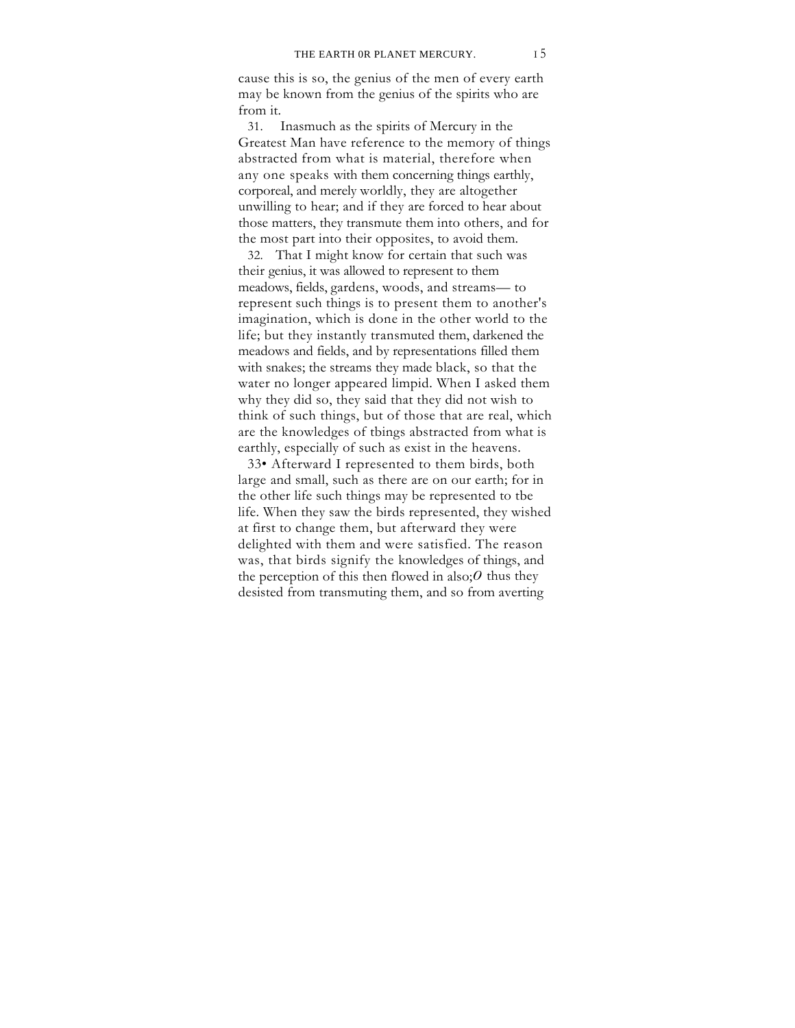cause this is so, the genius of the men of every earth may be known from the genius of the spirits who are from it.

31. Inasmuch as the spirits of Mercury in the Greatest Man have reference to the memory of things abstracted from what is material, therefore when any one speaks with them concerning things earthly, corporeal, and merely worldly, they are altogether unwilling to hear; and if they are forced to hear about those matters, they transmute them into others, and for the most part into their opposites, to avoid them.

32. That I might know for certain that such was their genius, it was allowed to represent to them meadows, fields, gardens, woods, and streams— to represent such things is to present them to another's imagination, which is done in the other world to the life; but they instantly transmuted them, darkened the meadows and fields, and by representations filled them with snakes; the streams they made black, so that the water no longer appeared limpid. When I asked them why they did so, they said that they did not wish to think of such things, but of those that are real, which are the knowledges of tbings abstracted from what is earthly, especially of such as exist in the heavens.

33• Afterward I represented to them birds, both large and small, such as there are on our earth; for in the other life such things may be represented to tbe life. When they saw the birds represented, they wished at first to change them, but afterward they were delighted with them and were satisfied. The reason was, that birds signify the knowledges of things, and the perception of this then flowed in also;*0* thus they desisted from transmuting them, and so from averting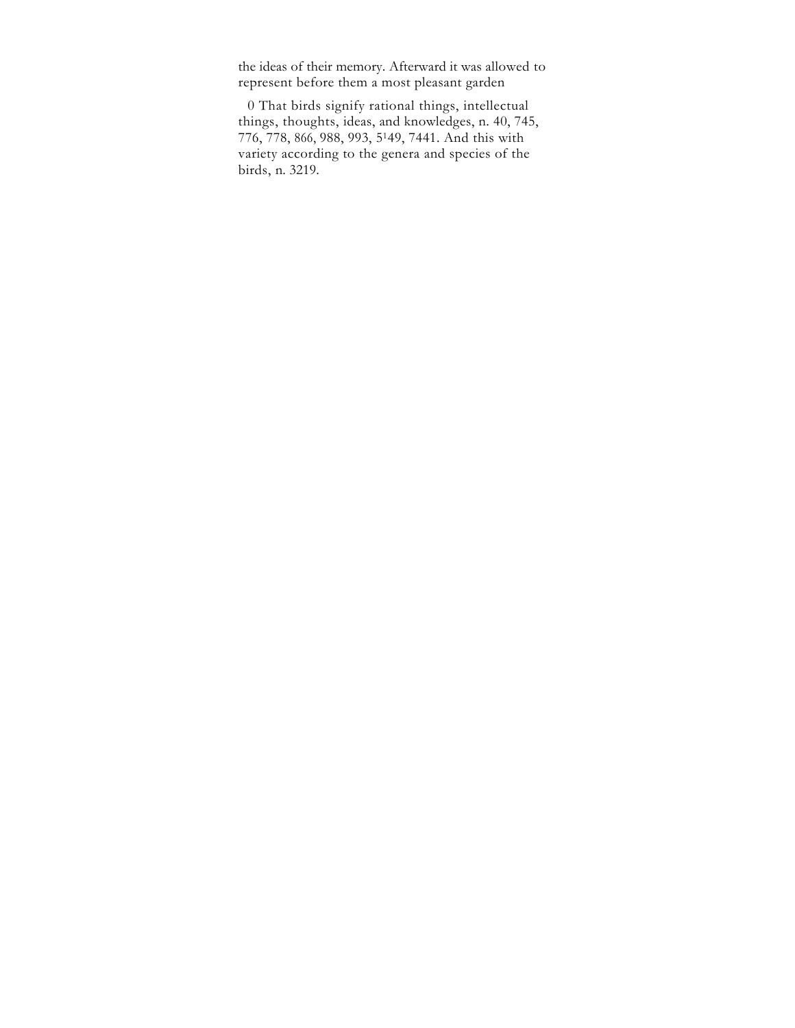the ideas of their memory. Afterward it was allowed to represent before them a most pleasant garden

0 That birds signify rational things, intellectual things, thoughts, ideas, and knowledges, n. 40, 745, 776, 778, 866, 988, 993, 5149, 7441. And this with variety according to the genera and species of the birds, n. 3219.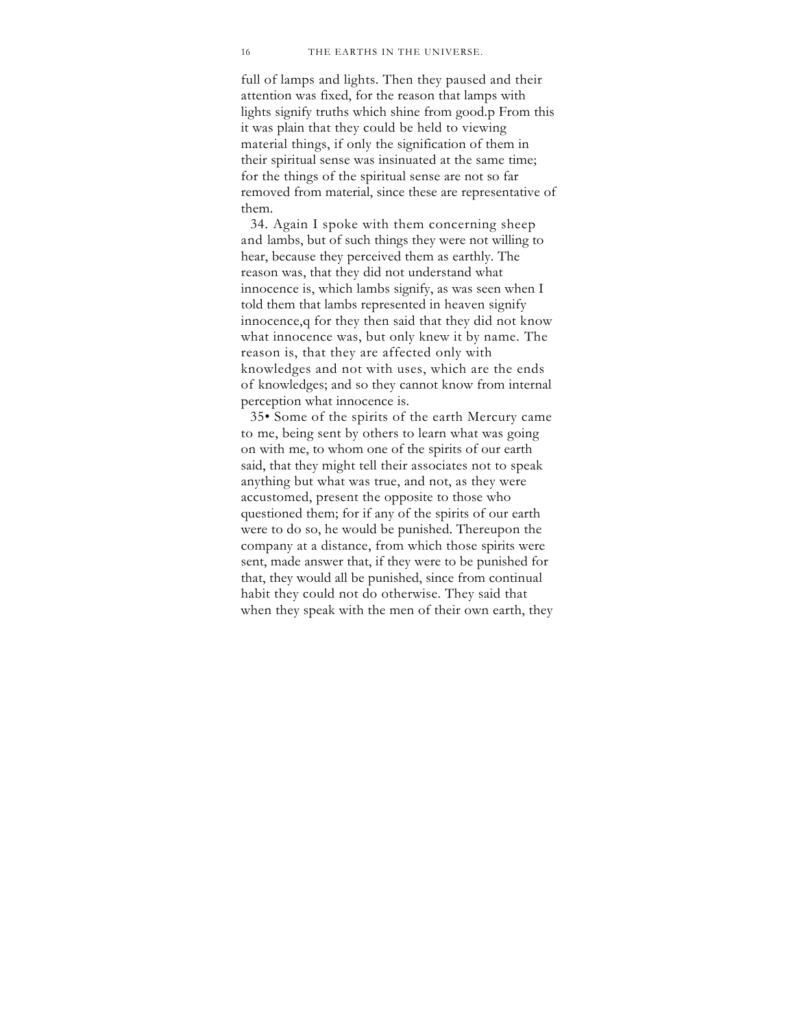full of lamps and lights. Then they paused and their attention was fixed, for the reason that lamps with lights signify truths which shine from good.p From this it was plain that they could be held to viewing material things, if only the signification of them in their spiritual sense was insinuated at the same time; for the things of the spiritual sense are not so far removed from material, since these are representative of them.

34. Again I spoke with them concerning sheep and lambs, but of such things they were not willing to hear, because they perceived them as earthly. The reason was, that they did not understand what innocence is, which lambs signify, as was seen when I told them that lambs represented in heaven signify innocence,q for they then said that they did not know what innocence was, but only knew it by name. The reason is, that they are affected only with knowledges and not with uses, which are the ends of knowledges; and so they cannot know from internal perception what innocence is.

35• Some of the spirits of the earth Mercury came to me, being sent by others to learn what was going on with me, to whom one of the spirits of our earth said, that they might tell their associates not to speak anything but what was true, and not, as they were accustomed, present the opposite to those who questioned them; for if any of the spirits of our earth were to do so, he would be punished. Thereupon the company at a distance, from which those spirits were sent, made answer that, if they were to be punished for that, they would all be punished, since from continual habit they could not do otherwise. They said that when they speak with the men of their own earth, they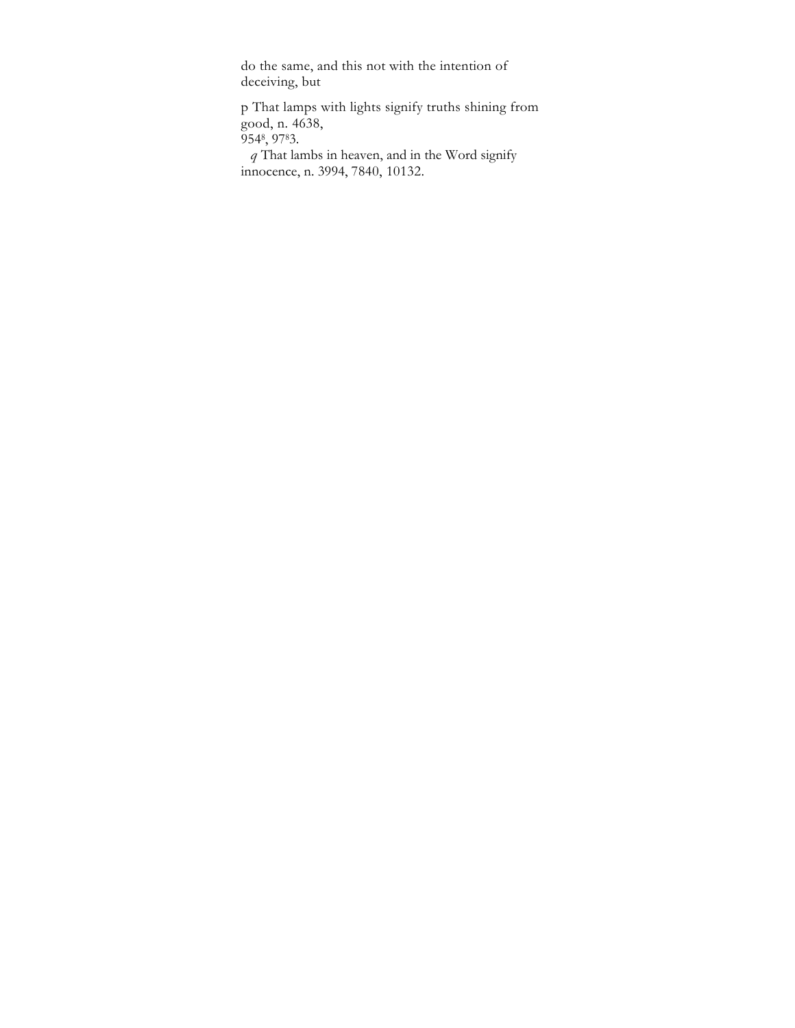do the same, and this not with the intention of deceiving, but

p That lamps with lights signify truths shining from good, n. 4638, 9548, 9783.

*q* That lambs in heaven, and in the Word signify innocence, n. 3994, 7840, 10132.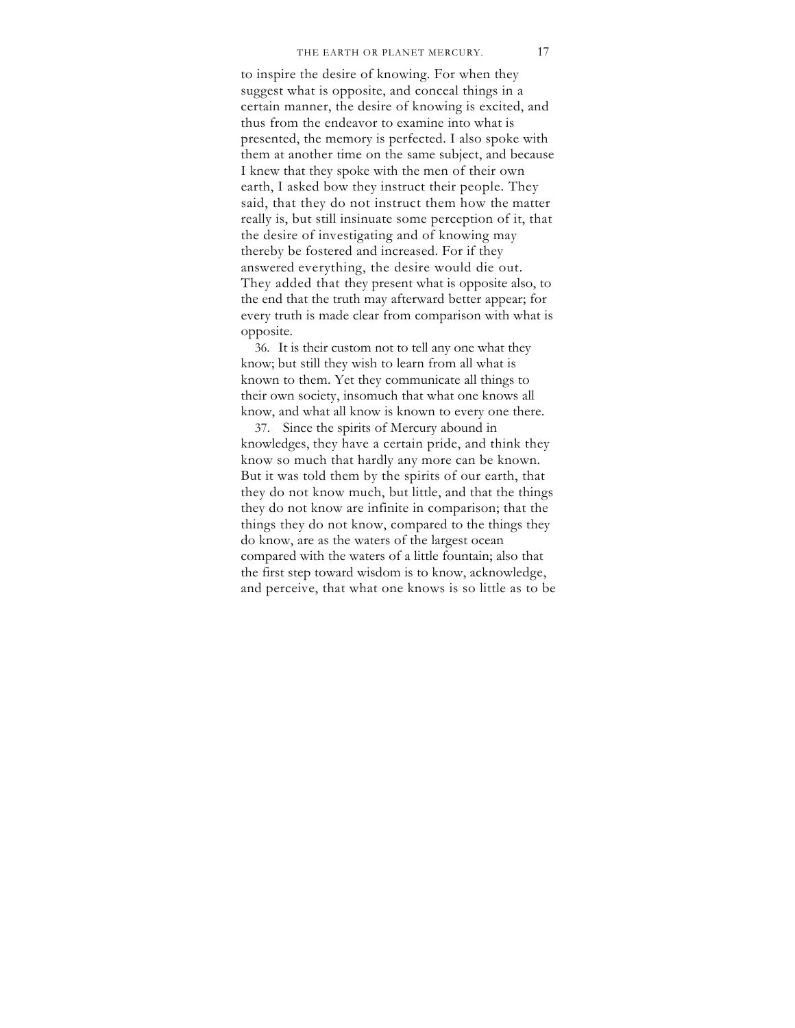to inspire the desire of knowing. For when they suggest what is opposite, and conceal things in a certain manner, the desire of knowing is excited, and thus from the endeavor to examine into what is presented, the memory is perfected. I also spoke with them at another time on the same subject, and because I knew that they spoke with the men of their own earth, I asked bow they instruct their people. They said, that they do not instruct them how the matter really is, but still insinuate some perception of it, that the desire of investigating and of knowing may thereby be fostered and increased. For if they answered everything, the desire would die out. They added that they present what is opposite also, to the end that the truth may afterward better appear; for every truth is made clear from comparison with what is opposite.

36. It is their custom not to tell any one what they know; but still they wish to learn from all what is known to them. Yet they communicate all things to their own society, insomuch that what one knows all know, and what all know is known to every one there.

37. Since the spirits of Mercury abound in knowledges, they have a certain pride, and think they know so much that hardly any more can be known. But it was told them by the spirits of our earth, that they do not know much, but little, and that the things they do not know are infinite in comparison; that the things they do not know, compared to the things they do know, are as the waters of the largest ocean compared with the waters of a little fountain; also that the first step toward wisdom is to know, acknowledge, and perceive, that what one knows is so little as to be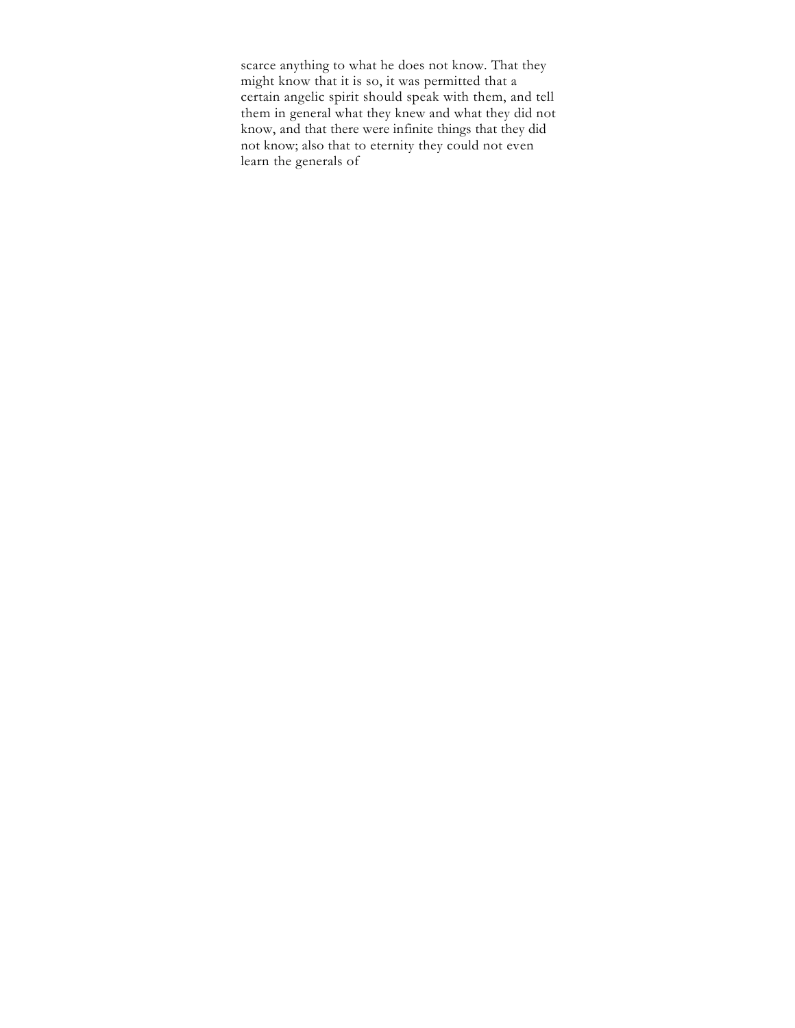scarce anything to what he does not know. That they might know that it is so, it was permitted that a certain angelic spirit should speak with them, and tell them in general what they knew and what they did not know, and that there were infinite things that they did not know; also that to eternity they could not even learn the generals of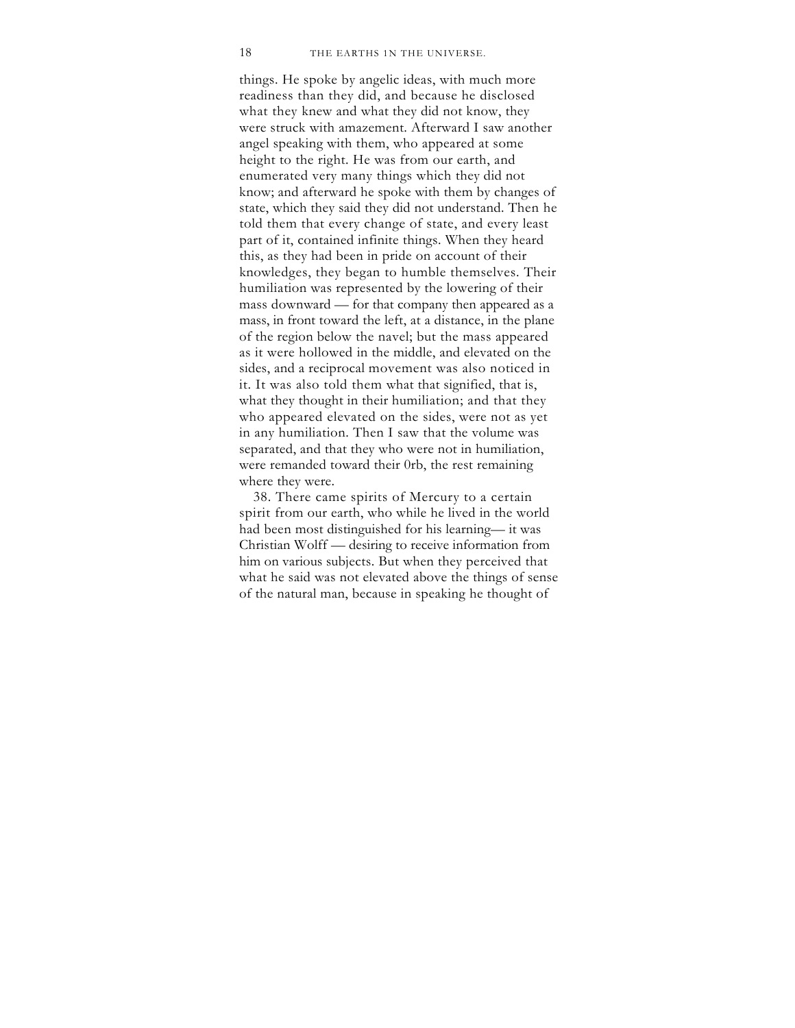things. He spoke by angelic ideas, with much more readiness than they did, and because he disclosed what they knew and what they did not know, they were struck with amazement. Afterward I saw another angel speaking with them, who appeared at some height to the right. He was from our earth, and enumerated very many things which they did not know; and afterward he spoke with them by changes of state, which they said they did not understand. Then he told them that every change of state, and every least part of it, contained infinite things. When they heard this, as they had been in pride on account of their knowledges, they began to humble themselves. Their humiliation was represented by the lowering of their mass downward — for that company then appeared as a mass, in front toward the left, at a distance, in the plane of the region below the navel; but the mass appeared as it were hollowed in the middle, and elevated on the sides, and a reciprocal movement was also noticed in it. It was also told them what that signified, that is, what they thought in their humiliation; and that they who appeared elevated on the sides, were not as yet in any humiliation. Then I saw that the volume was separated, and that they who were not in humiliation, were remanded toward their 0rb, the rest remaining where they were.

38. There came spirits of Mercury to a certain spirit from our earth, who while he lived in the world had been most distinguished for his learning— it was Christian Wolff — desiring to receive information from him on various subjects. But when they perceived that what he said was not elevated above the things of sense of the natural man, because in speaking he thought of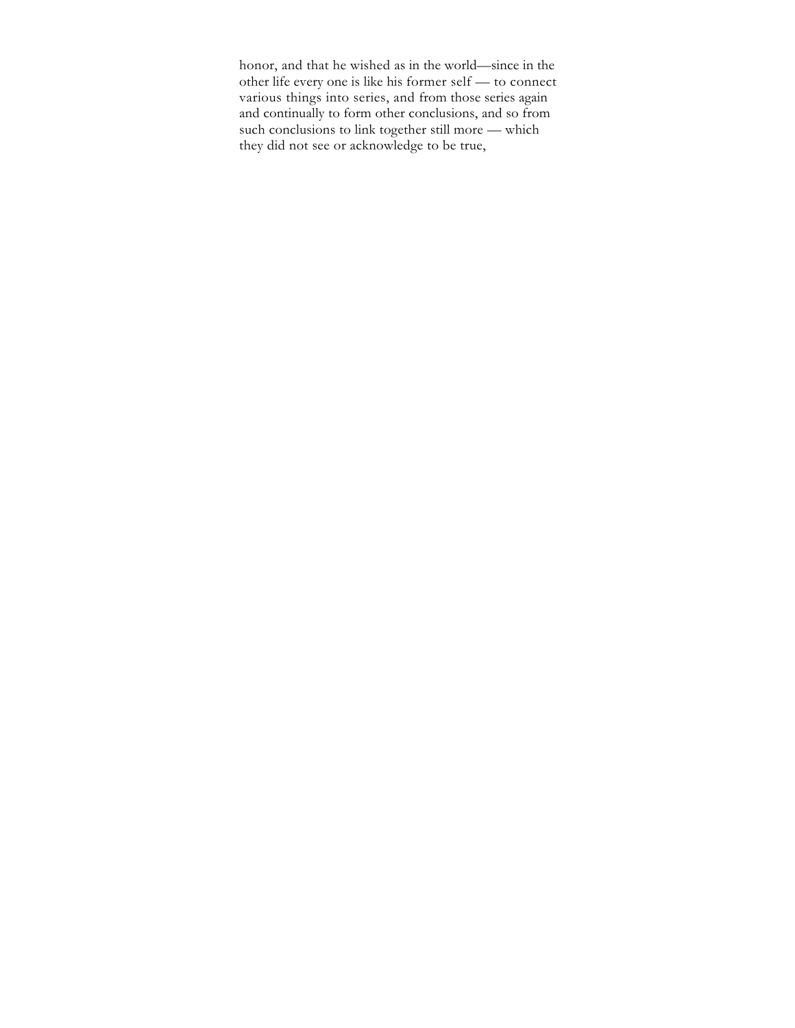honor, and that he wished as in the world—since in the other life every one is like his former self — to connect various things into series, and from those series again and continually to form other conclusions, and so from such conclusions to link together still more — which they did not see or acknowledge to be true,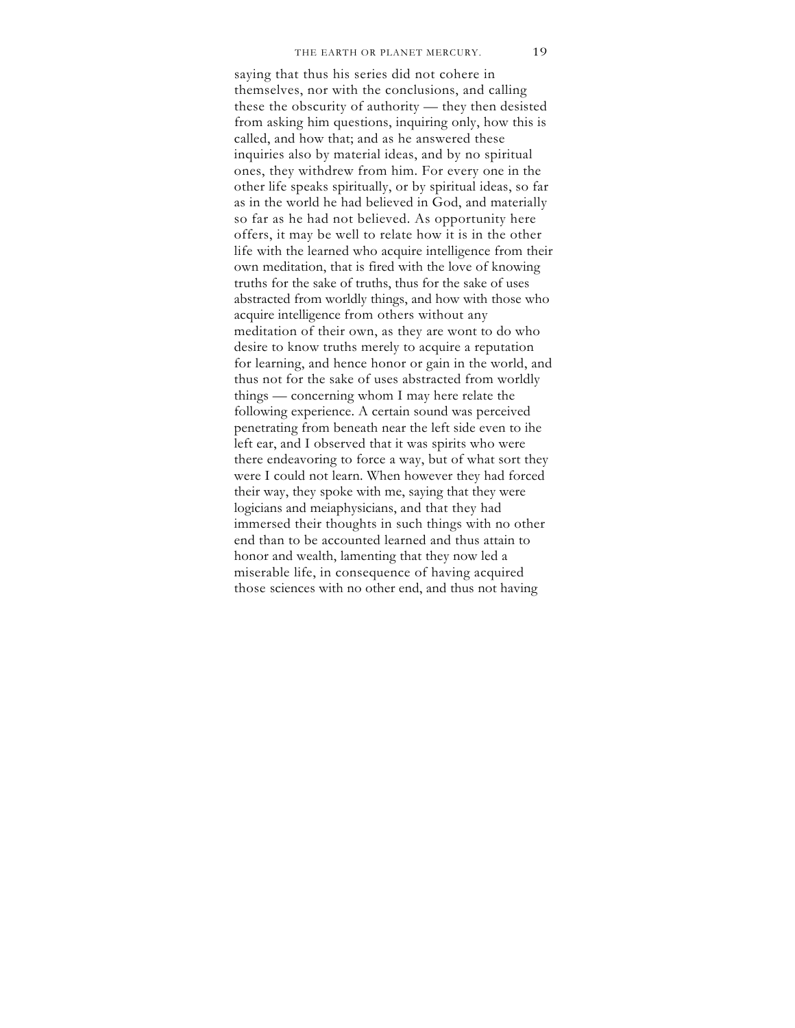saying that thus his series did not cohere in themselves, nor with the conclusions, and calling these the obscurity of authority — they then desisted from asking him questions, inquiring only, how this is called, and how that; and as he answered these inquiries also by material ideas, and by no spiritual ones, they withdrew from him. For every one in the other life speaks spiritually, or by spiritual ideas, so far as in the world he had believed in God, and materially so far as he had not believed. As opportunity here offers, it may be well to relate how it is in the other life with the learned who acquire intelligence from their own meditation, that is fired with the love of knowing truths for the sake of truths, thus for the sake of uses abstracted from worldly things, and how with those who acquire intelligence from others without any meditation of their own, as they are wont to do who desire to know truths merely to acquire a reputation for learning, and hence honor or gain in the world, and thus not for the sake of uses abstracted from worldly things — concerning whom I may here relate the following experience. A certain sound was perceived penetrating from beneath near the left side even to ihe left ear, and I observed that it was spirits who were there endeavoring to force a way, but of what sort they were I could not learn. When however they had forced their way, they spoke with me, saying that they were logicians and meiaphysicians, and that they had immersed their thoughts in such things with no other end than to be accounted learned and thus attain to honor and wealth, lamenting that they now led a miserable life, in consequence of having acquired those sciences with no other end, and thus not having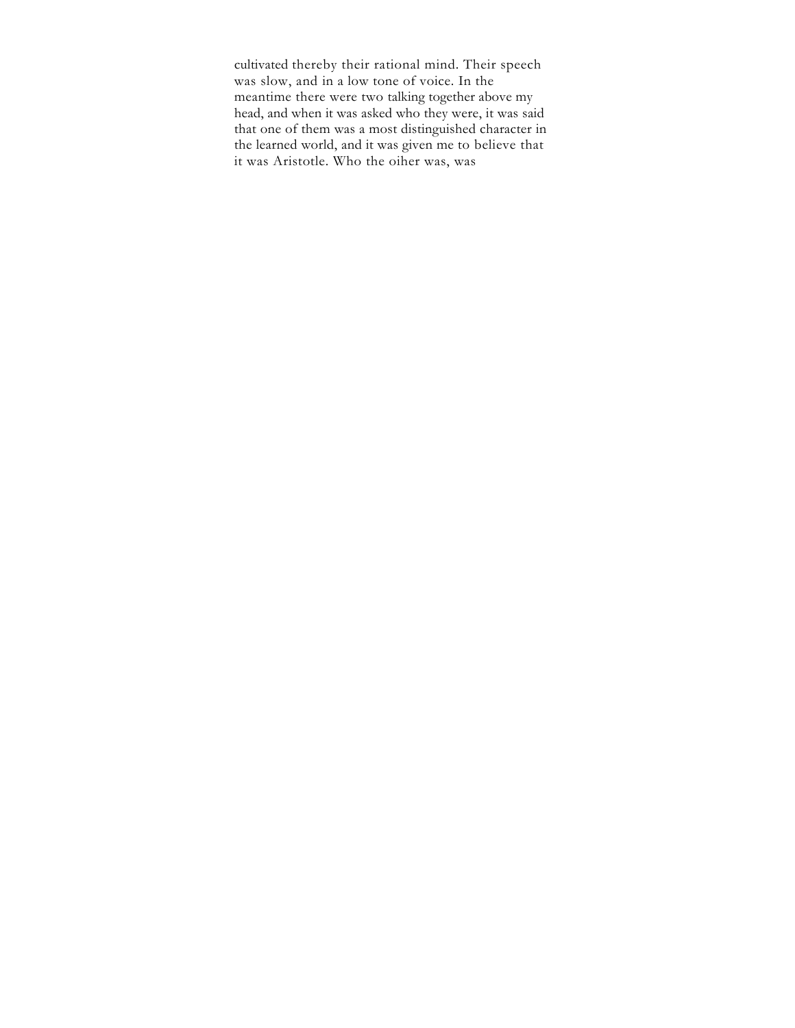cultivated thereby their rational mind. Their speech was slow, and in a low tone of voice. In the meantime there were two talking together above my head, and when it was asked who they were, it was said that one of them was a most distinguished character in the learned world, and it was given me to believe that it was Aristotle. Who the oiher was, was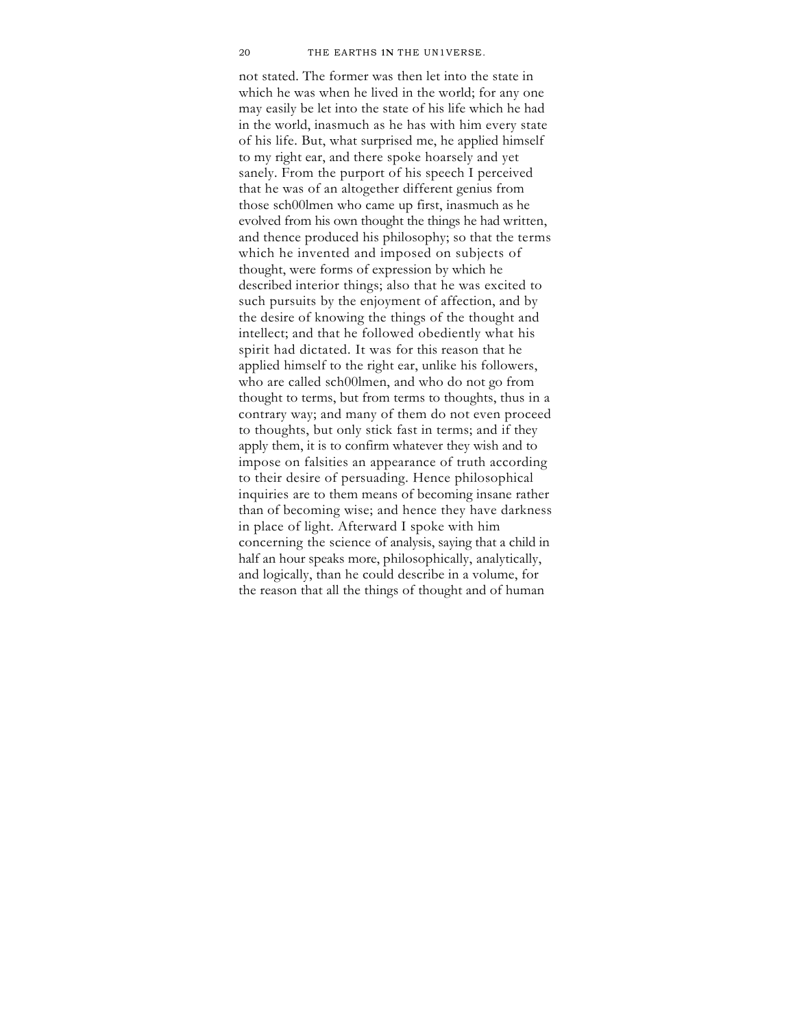### 20 THE EARTHS **1N** THE UN1VERSE.

not stated. The former was then let into the state in which he was when he lived in the world; for any one may easily be let into the state of his life which he had in the world, inasmuch as he has with him every state of his life. But, what surprised me, he applied himself to my right ear, and there spoke hoarsely and yet sanely. From the purport of his speech I perceived that he was of an altogether different genius from those sch00lmen who came up first, inasmuch as he evolved from his own thought the things he had written, and thence produced his philosophy; so that the terms which he invented and imposed on subjects of thought, were forms of expression by which he described interior things; also that he was excited to such pursuits by the enjoyment of affection, and by the desire of knowing the things of the thought and intellect; and that he followed obediently what his spirit had dictated. It was for this reason that he applied himself to the right ear, unlike his followers, who are called sch00lmen, and who do not go from thought to terms, but from terms to thoughts, thus in a contrary way; and many of them do not even proceed to thoughts, but only stick fast in terms; and if they apply them, it is to confirm whatever they wish and to impose on falsities an appearance of truth according to their desire of persuading. Hence philosophical inquiries are to them means of becoming insane rather than of becoming wise; and hence they have darkness in place of light. Afterward I spoke with him concerning the science of analysis, saying that a child in half an hour speaks more, philosophically, analytically, and logically, than he could describe in a volume, for the reason that all the things of thought and of human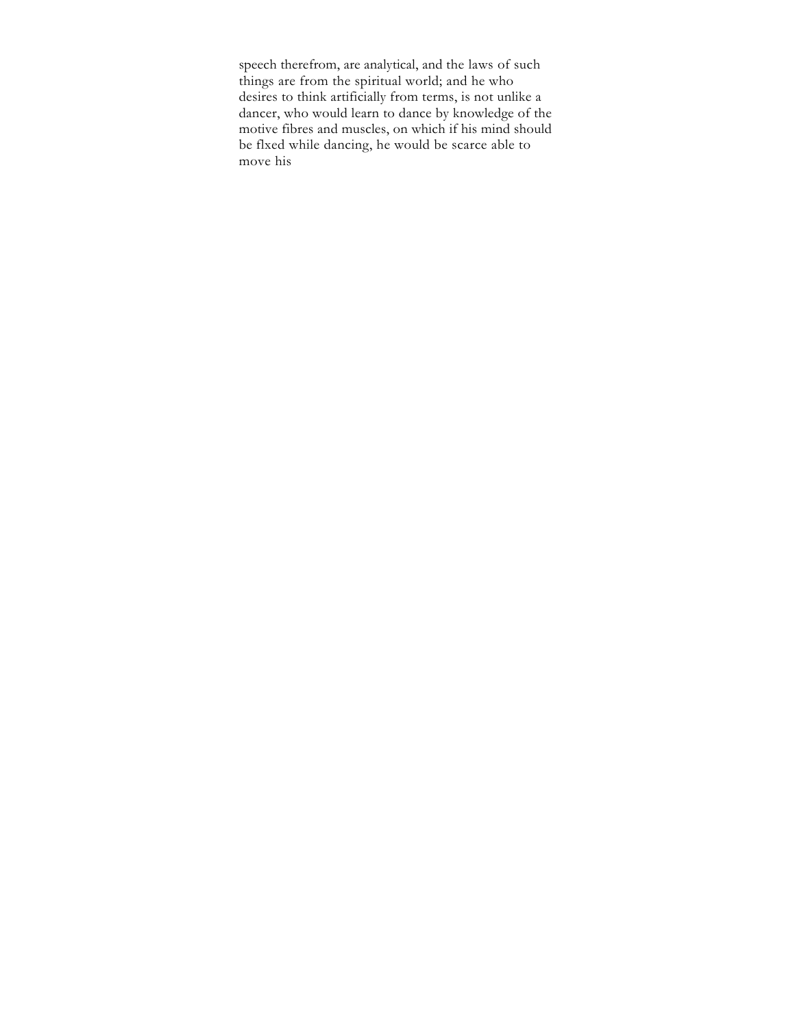speech therefrom, are analytical, and the laws of such things are from the spiritual world; and he who desires to think artificially from terms, is not unlike a dancer, who would learn to dance by knowledge of the motive fibres and muscles, on which if his mind should be flxed while dancing, he would be scarce able to move his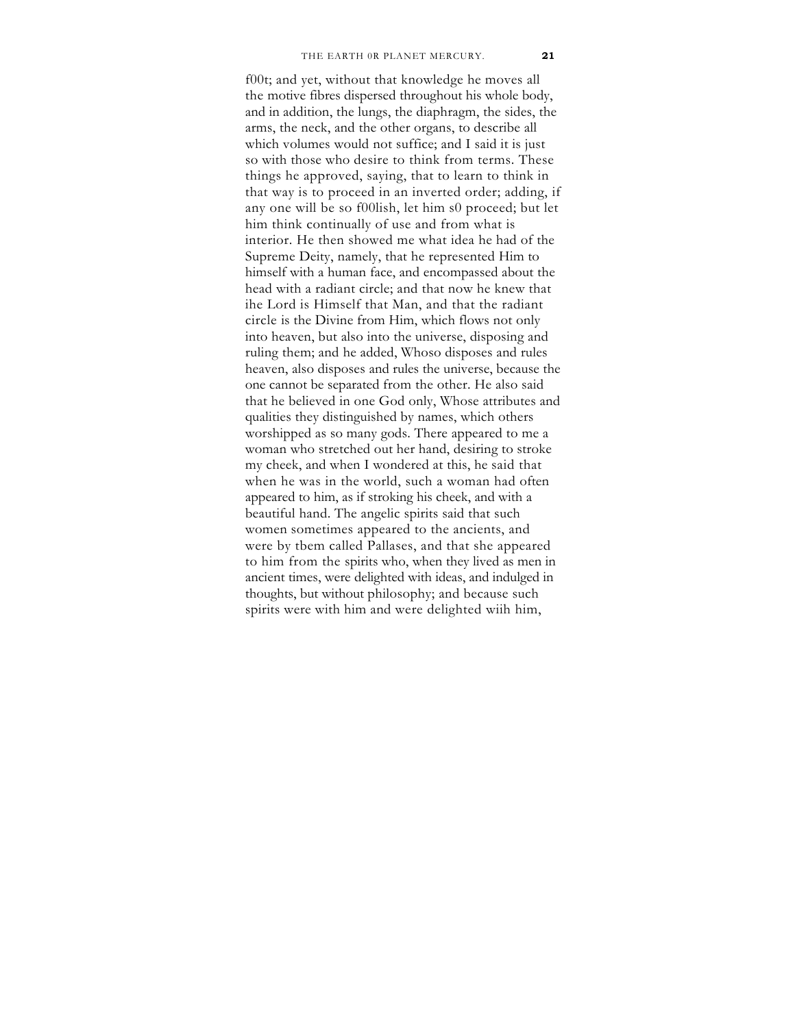f00t; and yet, without that knowledge he moves all the motive fibres dispersed throughout his whole body, and in addition, the lungs, the diaphragm, the sides, the arms, the neck, and the other organs, to describe all which volumes would not suffice; and I said it is just so with those who desire to think from terms. These things he approved, saying, that to learn to think in that way is to proceed in an inverted order; adding, if any one will be so f00lish, let him s0 proceed; but let him think continually of use and from what is interior. He then showed me what idea he had of the Supreme Deity, namely, that he represented Him to himself with a human face, and encompassed about the head with a radiant circle; and that now he knew that ihe Lord is Himself that Man, and that the radiant circle is the Divine from Him, which flows not only into heaven, but also into the universe, disposing and ruling them; and he added, Whoso disposes and rules heaven, also disposes and rules the universe, because the one cannot be separated from the other. He also said that he believed in one God only, Whose attributes and qualities they distinguished by names, which others worshipped as so many gods. There appeared to me a woman who stretched out her hand, desiring to stroke my cheek, and when I wondered at this, he said that when he was in the world, such a woman had often appeared to him, as if stroking his cheek, and with a beautiful hand. The angelic spirits said that such women sometimes appeared to the ancients, and were by tbem called Pallases, and that she appeared to him from the spirits who, when they lived as men in ancient times, were delighted with ideas, and indulged in thoughts, but without philosophy; and because such spirits were with him and were delighted wiih him,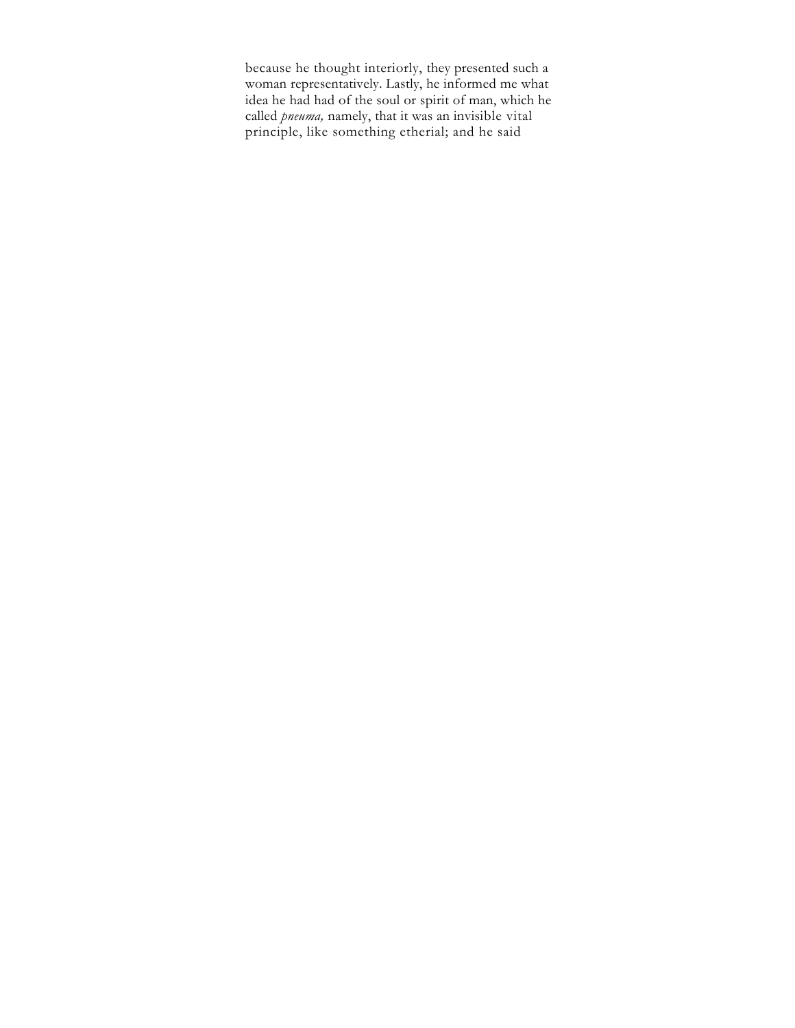because he thought interiorly, they presented such a woman representatively. Lastly, he informed me what idea he had had of the soul or spirit of man, which he called *pneuma,* namely, that it was an invisible vital principle, like something etherial; and he said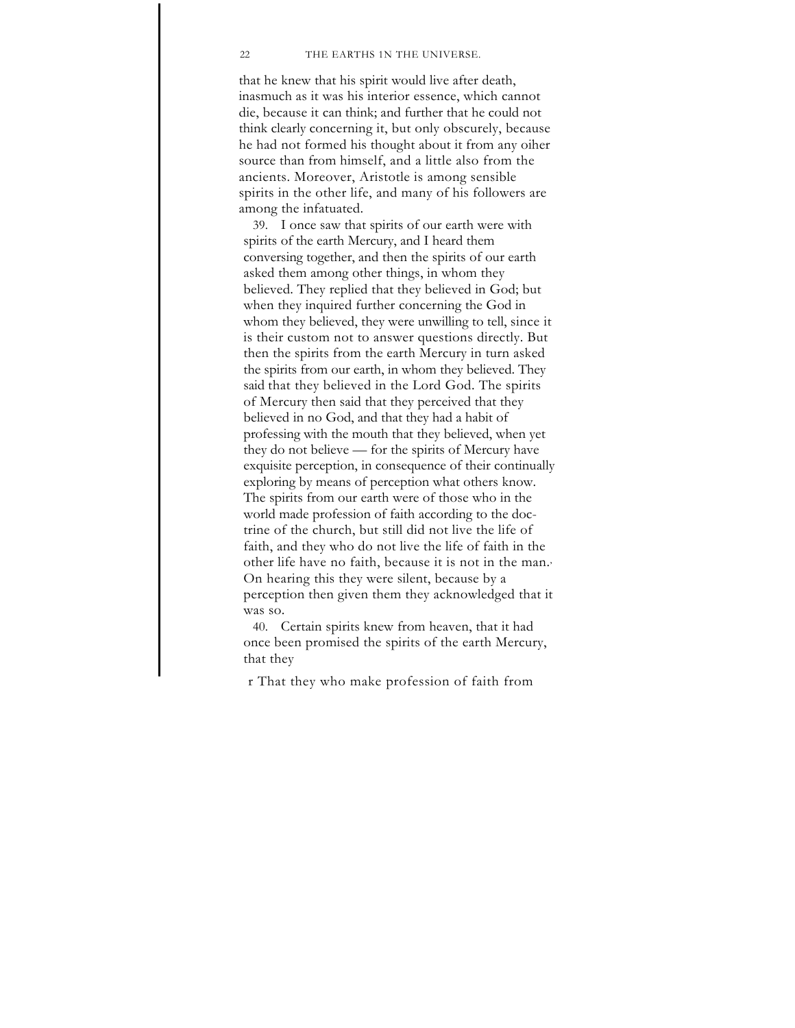### 22 THE EARTHS 1N THE UNIVERSE.

that he knew that his spirit would live after death, inasmuch as it was his interior essence, which cannot die, because it can think; and further that he could not think clearly concerning it, but only obscurely, because he had not formed his thought about it from any oiher source than from himself, and a little also from the ancients. Moreover, Aristotle is among sensible spirits in the other life, and many of his followers are among the infatuated.

39. I once saw that spirits of our earth were with spirits of the earth Mercury, and I heard them conversing together, and then the spirits of our earth asked them among other things, in whom they believed. They replied that they believed in God; but when they inquired further concerning the God in whom they believed, they were unwilling to tell, since it is their custom not to answer questions directly. But then the spirits from the earth Mercury in turn asked the spirits from our earth, in whom they believed. They said that they believed in the Lord God. The spirits of Mercury then said that they perceived that they believed in no God, and that they had a habit of professing with the mouth that they believed, when yet they do not believe — for the spirits of Mercury have exquisite perception, in consequence of their continually exploring by means of perception what others know. The spirits from our earth were of those who in the world made profession of faith according to the doctrine of the church, but still did not live the life of faith, and they who do not live the life of faith in the other life have no faith, because it is not in the man., On hearing this they were silent, because by a perception then given them they acknowledged that it was so.

40. Certain spirits knew from heaven, that it had once been promised the spirits of the earth Mercury, that they

r That they who make profession of faith from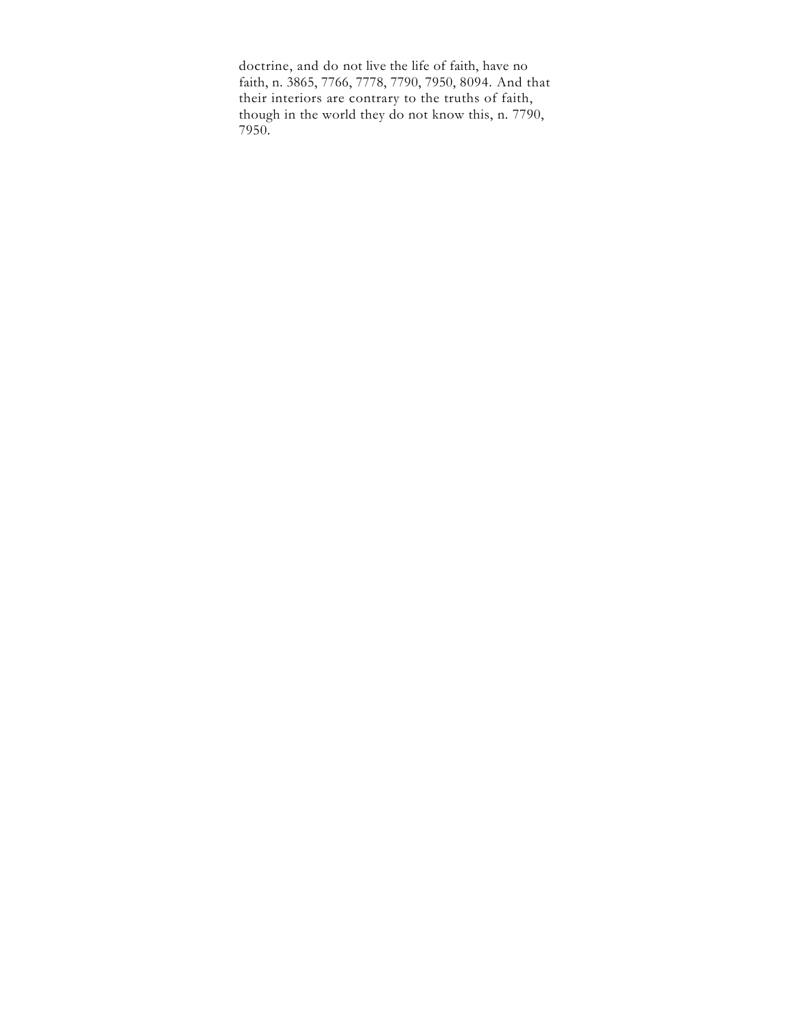doctrine, and do not live the life of faith, have no faith, n. 3865, 7766, 7778, 7790, 7950, 8094. And that their interiors are contrary to the truths of faith, though in the world they do not know this, n. 7790, 7950.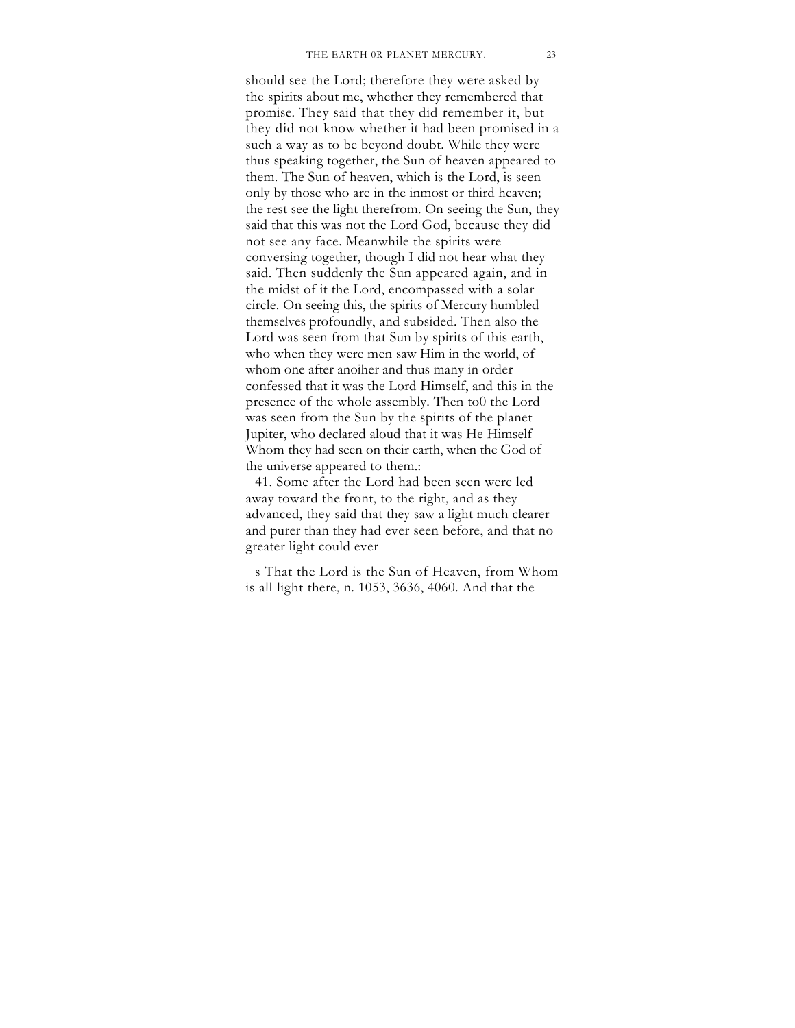should see the Lord; therefore they were asked by the spirits about me, whether they remembered that promise. They said that they did remember it, but they did not know whether it had been promised in a such a way as to be beyond doubt. While they were thus speaking together, the Sun of heaven appeared to them. The Sun of heaven, which is the Lord, is seen only by those who are in the inmost or third heaven; the rest see the light therefrom. On seeing the Sun, they said that this was not the Lord God, because they did not see any face. Meanwhile the spirits were conversing together, though I did not hear what they said. Then suddenly the Sun appeared again, and in the midst of it the Lord, encompassed with a solar circle. On seeing this, the spirits of Mercury humbled themselves profoundly, and subsided. Then also the Lord was seen from that Sun by spirits of this earth, who when they were men saw Him in the world, of whom one after anoiher and thus many in order confessed that it was the Lord Himself, and this in the presence of the whole assembly. Then to0 the Lord was seen from the Sun by the spirits of the planet Jupiter, who declared aloud that it was He Himself Whom they had seen on their earth, when the God of the universe appeared to them.:

41. Some after the Lord had been seen were led away toward the front, to the right, and as they advanced, they said that they saw a light much clearer and purer than they had ever seen before, and that no greater light could ever

s That the Lord is the Sun of Heaven, from Whom is all light there, n. 1053, 3636, 4060. And that the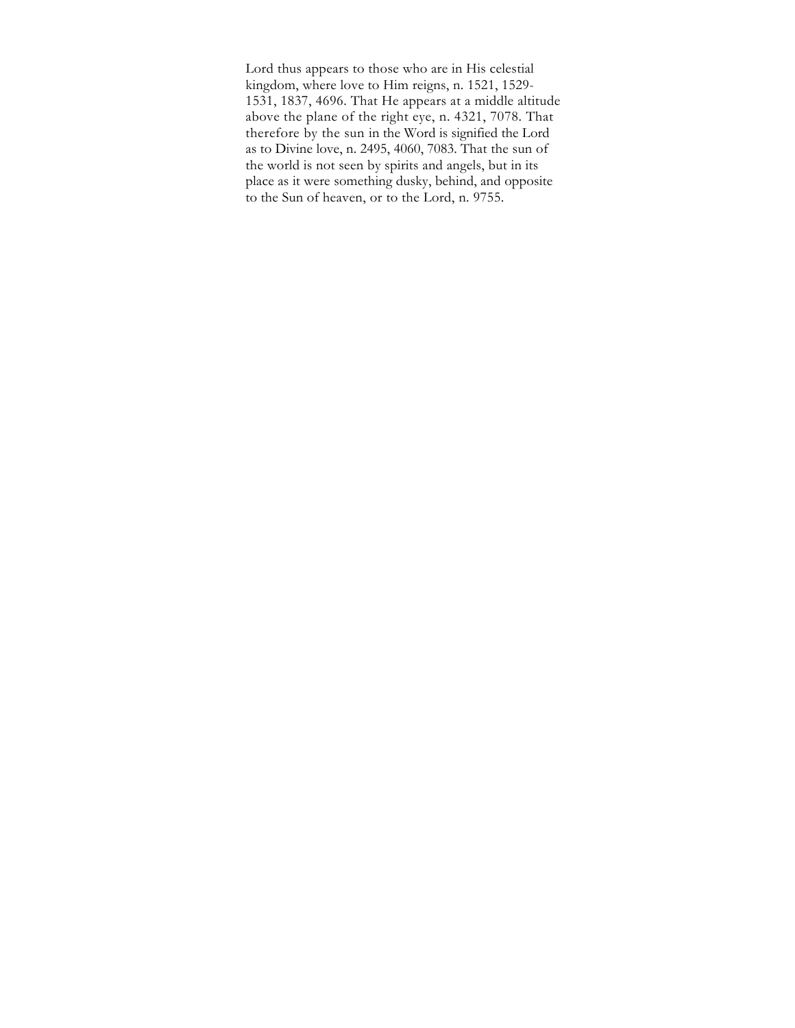Lord thus appears to those who are in His celestial kingdom, where love to Him reigns, n. 1521, 1529- 1531, 1837, 4696. That He appears at a middle altitude above the plane of the right eye, n. 4321, 7078. That therefore by the sun in the Word is signified the Lord as to Divine love, n. 2495, 4060, 7083. That the sun of the world is not seen by spirits and angels, but in its place as it were something dusky, behind, and opposite to the Sun of heaven, or to the Lord, n. 9755.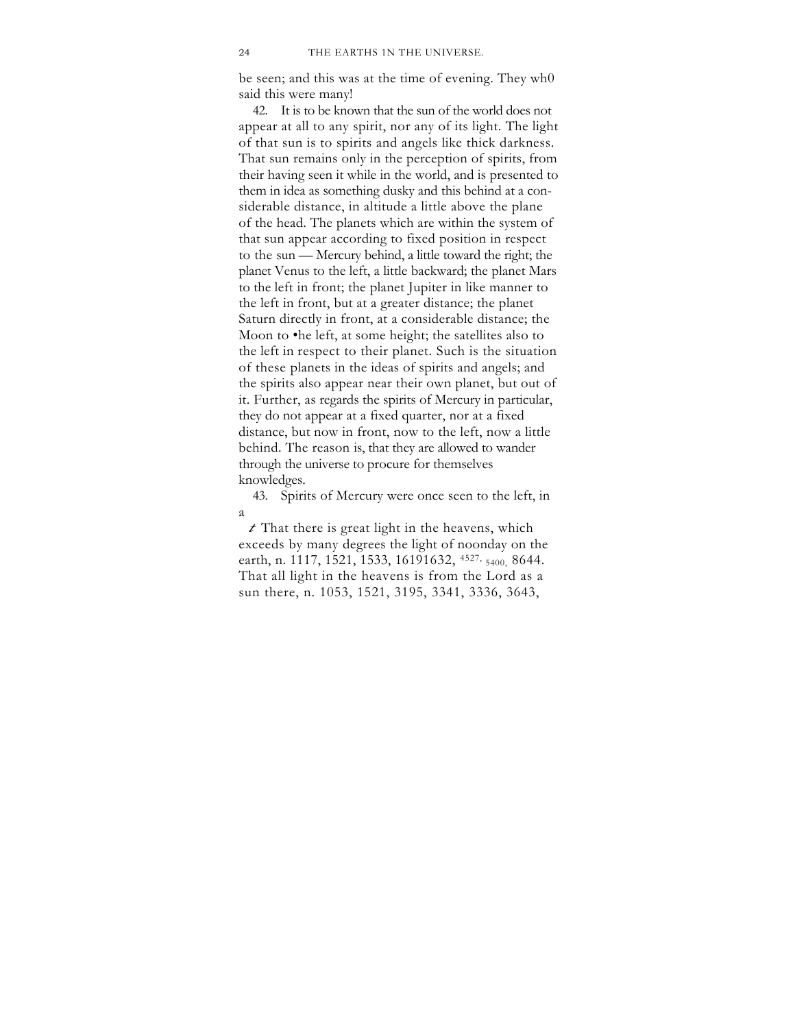be seen; and this was at the time of evening. They wh0 said this were many!

42. It is to be known that the sun of the world does not appear at all to any spirit, nor any of its light. The light of that sun is to spirits and angels like thick darkness. That sun remains only in the perception of spirits, from their having seen it while in the world, and is presented to them in idea as something dusky and this behind at a considerable distance, in altitude a little above the plane of the head. The planets which are within the system of that sun appear according to fixed position in respect to the sun — Mercury behind, a little toward the right; the planet Venus to the left, a little backward; the planet Mars to the left in front; the planet Jupiter in like manner to the left in front, but at a greater distance; the planet Saturn directly in front, at a considerable distance; the Moon to •he left, at some height; the satellites also to the left in respect to their planet. Such is the situation of these planets in the ideas of spirits and angels; and the spirits also appear near their own planet, but out of it. Further, as regards the spirits of Mercury in particular, they do not appear at a fixed quarter, nor at a fixed distance, but now in front, now to the left, now a little behind. The reason is, that they are allowed to wander through the universe to procure for themselves knowledges.

43. Spirits of Mercury were once seen to the left, in a

*t* That there is great light in the heavens, which exceeds by many degrees the light of noonday on the earth, n. 1117, 1521, 1533, 16191632, <sup>4527,</sup> 5400, 8644. That all light in the heavens is from the Lord as a sun there, n. 1053, 1521, 3195, 3341, 3336, 3643,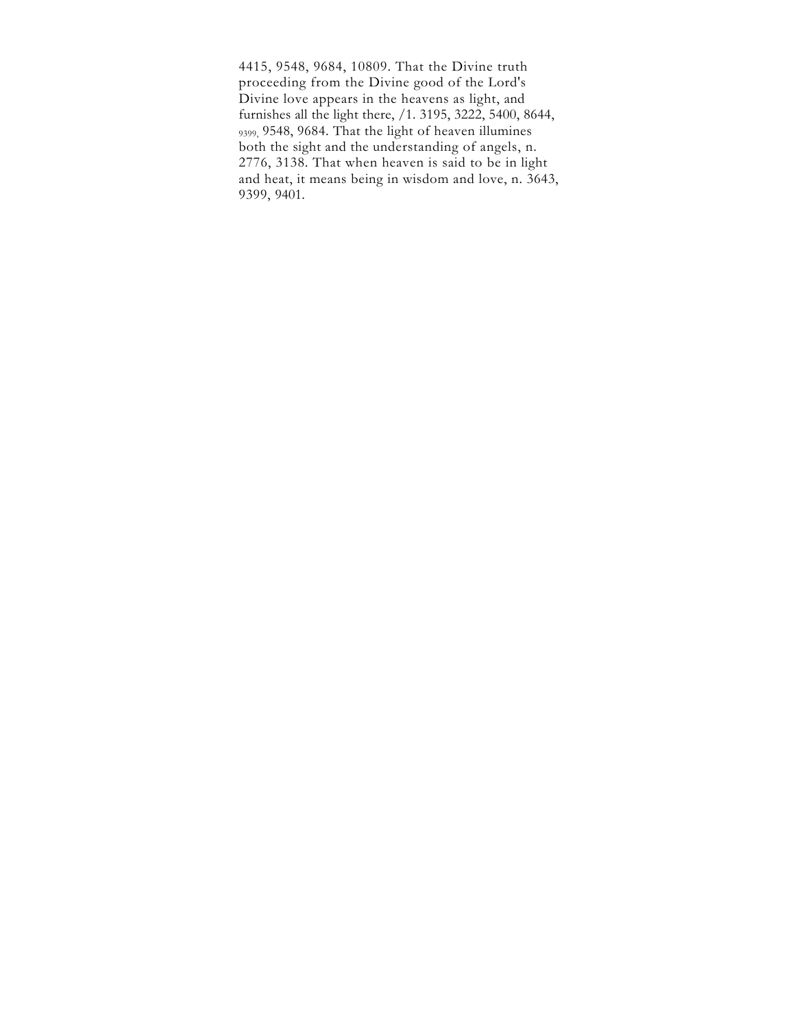4415, 9548, 9684, 10809. That the Divine truth proceeding from the Divine good of the Lord's Divine love appears in the heavens as light, and furnishes all the light there, /1. 3195, 3222, 5400, 8644, 9399, 9548, 9684. That the light of heaven illumines both the sight and the understanding of angels, n. 2776, 3138. That when heaven is said to be in light and heat, it means being in wisdom and love, n. 3643, 9399, 9401.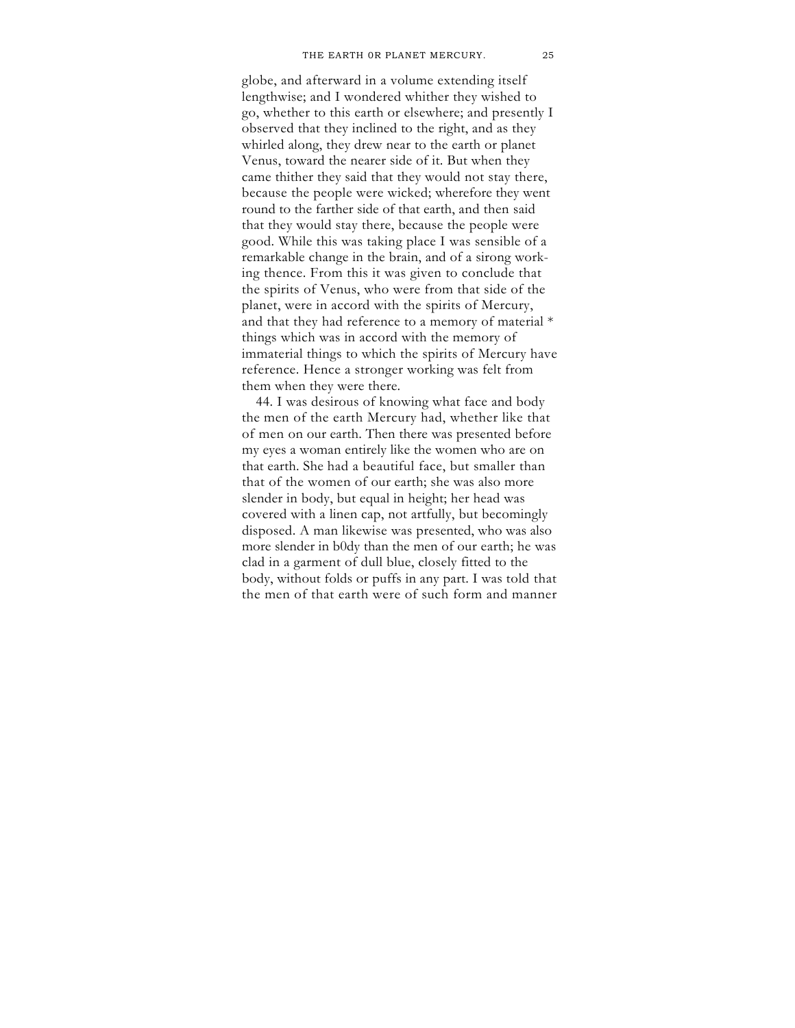globe, and afterward in a volume extending itself lengthwise; and I wondered whither they wished to go, whether to this earth or elsewhere; and presently I observed that they inclined to the right, and as they whirled along, they drew near to the earth or planet Venus, toward the nearer side of it. But when they came thither they said that they would not stay there, because the people were wicked; wherefore they went round to the farther side of that earth, and then said that they would stay there, because the people were good. While this was taking place I was sensible of a remarkable change in the brain, and of a sirong working thence. From this it was given to conclude that the spirits of Venus, who were from that side of the planet, were in accord with the spirits of Mercury, and that they had reference to a memory of material \* things which was in accord with the memory of immaterial things to which the spirits of Mercury have reference. Hence a stronger working was felt from them when they were there.

44. I was desirous of knowing what face and body the men of the earth Mercury had, whether like that of men on our earth. Then there was presented before my eyes a woman entirely like the women who are on that earth. She had a beautiful face, but smaller than that of the women of our earth; she was also more slender in body, but equal in height; her head was covered with a linen cap, not artfully, but becomingly disposed. A man likewise was presented, who was also more slender in b0dy than the men of our earth; he was clad in a garment of dull blue, closely fitted to the body, without folds or puffs in any part. I was told that the men of that earth were of such form and manner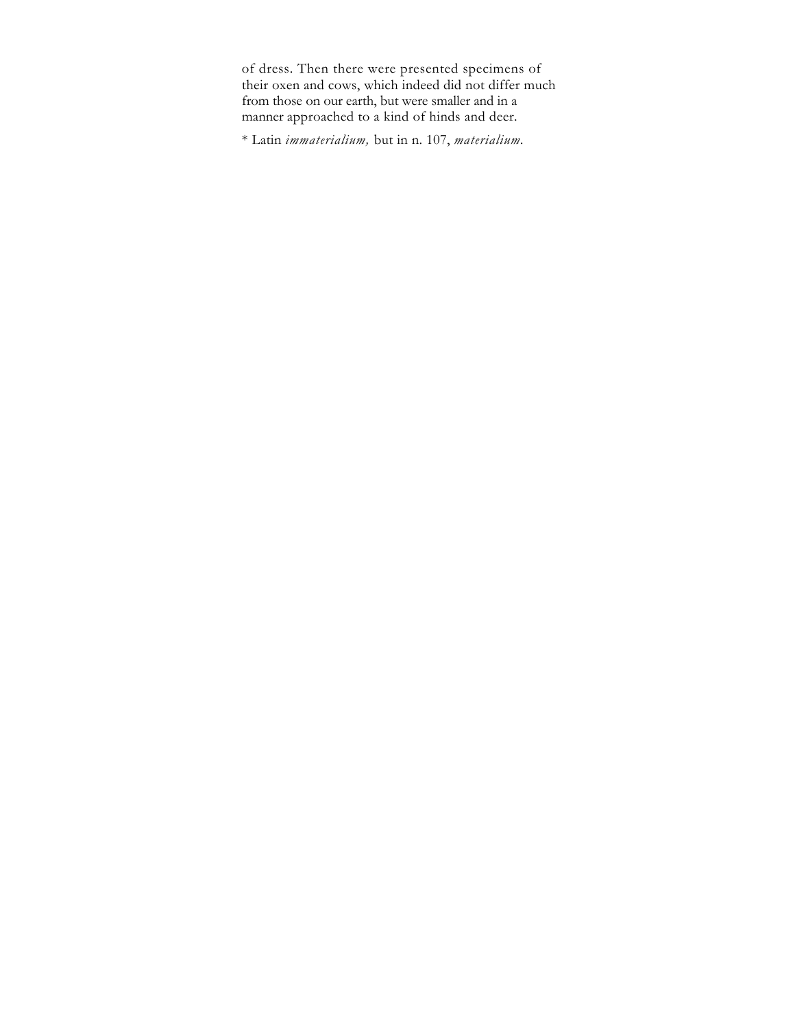of dress. Then there were presented specimens of their oxen and cows, which indeed did not differ much from those on our earth, but were smaller and in a manner approached to a kind of hinds and deer.

\* Latin *immaterialium,* but in n. 107, *materialium.*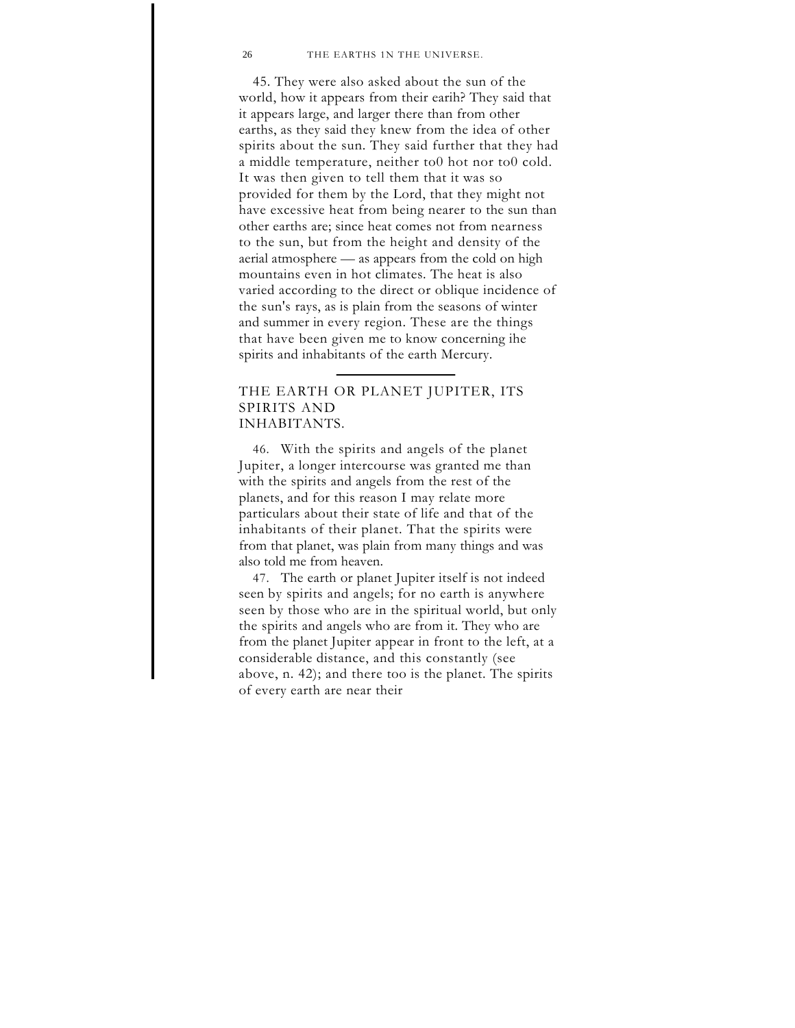#### 26 THE EARTHS 1N THE UNIVERSE.

45. They were also asked about the sun of the world, how it appears from their earih? They said that it appears large, and larger there than from other earths, as they said they knew from the idea of other spirits about the sun. They said further that they had a middle temperature, neither to0 hot nor to0 cold. It was then given to tell them that it was so provided for them by the Lord, that they might not have excessive heat from being nearer to the sun than other earths are; since heat comes not from nearness to the sun, but from the height and density of the aerial atmosphere — as appears from the cold on high mountains even in hot climates. The heat is also varied according to the direct or oblique incidence of the sun's rays, as is plain from the seasons of winter and summer in every region. These are the things that have been given me to know concerning ihe spirits and inhabitants of the earth Mercury.

## THE EARTH OR PLANET JUPITER, ITS SPIRITS AND INHABITANTS.

46. With the spirits and angels of the planet Jupiter, a longer intercourse was granted me than with the spirits and angels from the rest of the planets, and for this reason I may relate more particulars about their state of life and that of the inhabitants of their planet. That the spirits were from that planet, was plain from many things and was also told me from heaven.

47. The earth or planet Jupiter itself is not indeed seen by spirits and angels; for no earth is anywhere seen by those who are in the spiritual world, but only the spirits and angels who are from it. They who are from the planet Jupiter appear in front to the left, at a considerable distance, and this constantly (see above, n. 42); and there too is the planet. The spirits of every earth are near their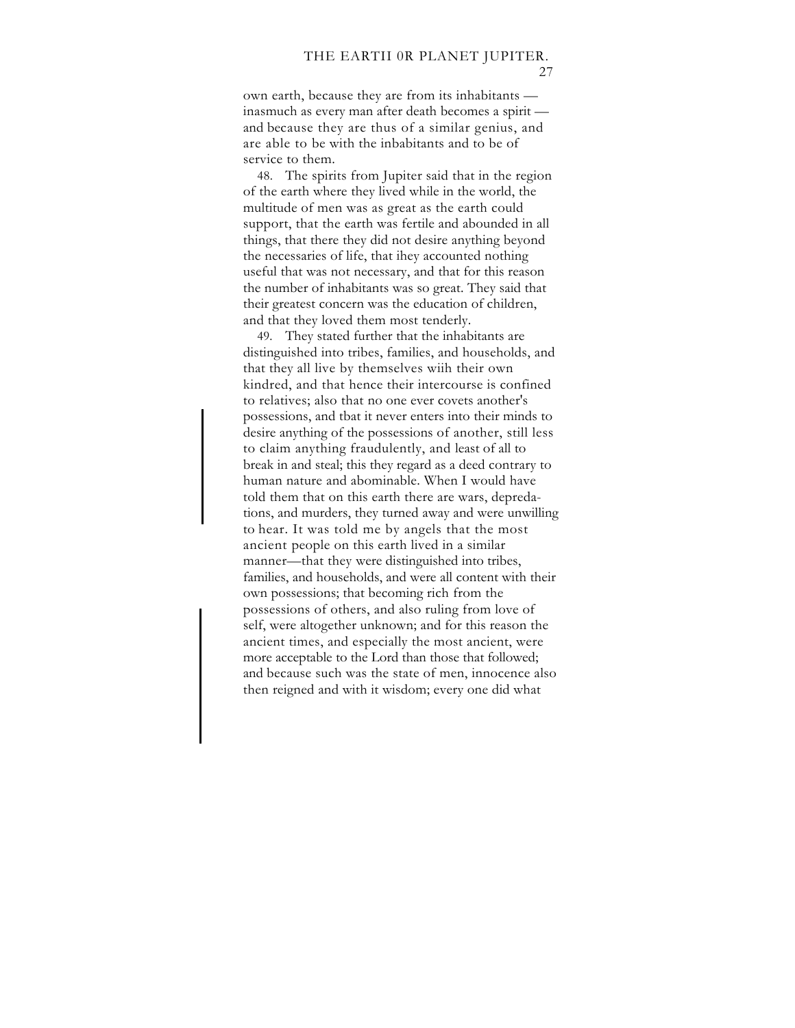own earth, because they are from its inhabitants inasmuch as every man after death becomes a spirit and because they are thus of a similar genius, and are able to be with the inbabitants and to be of service to them.

48. The spirits from Jupiter said that in the region of the earth where they lived while in the world, the multitude of men was as great as the earth could support, that the earth was fertile and abounded in all things, that there they did not desire anything beyond the necessaries of life, that ihey accounted nothing useful that was not necessary, and that for this reason the number of inhabitants was so great. They said that their greatest concern was the education of children, and that they loved them most tenderly.

49. They stated further that the inhabitants are distinguished into tribes, families, and households, and that they all live by themselves wiih their own kindred, and that hence their intercourse is confined to relatives; also that no one ever covets another's possessions, and tbat it never enters into their minds to desire anything of the possessions of another, still less to claim anything fraudulently, and least of all to break in and steal; this they regard as a deed contrary to human nature and abominable. When I would have told them that on this earth there are wars, depredations, and murders, they turned away and were unwilling to hear. It was told me by angels that the most ancient people on this earth lived in a similar manner—that they were distinguished into tribes, families, and households, and were all content with their own possessions; that becoming rich from the possessions of others, and also ruling from love of self, were altogether unknown; and for this reason the ancient times, and especially the most ancient, were more acceptable to the Lord than those that followed; and because such was the state of men, innocence also then reigned and with it wisdom; every one did what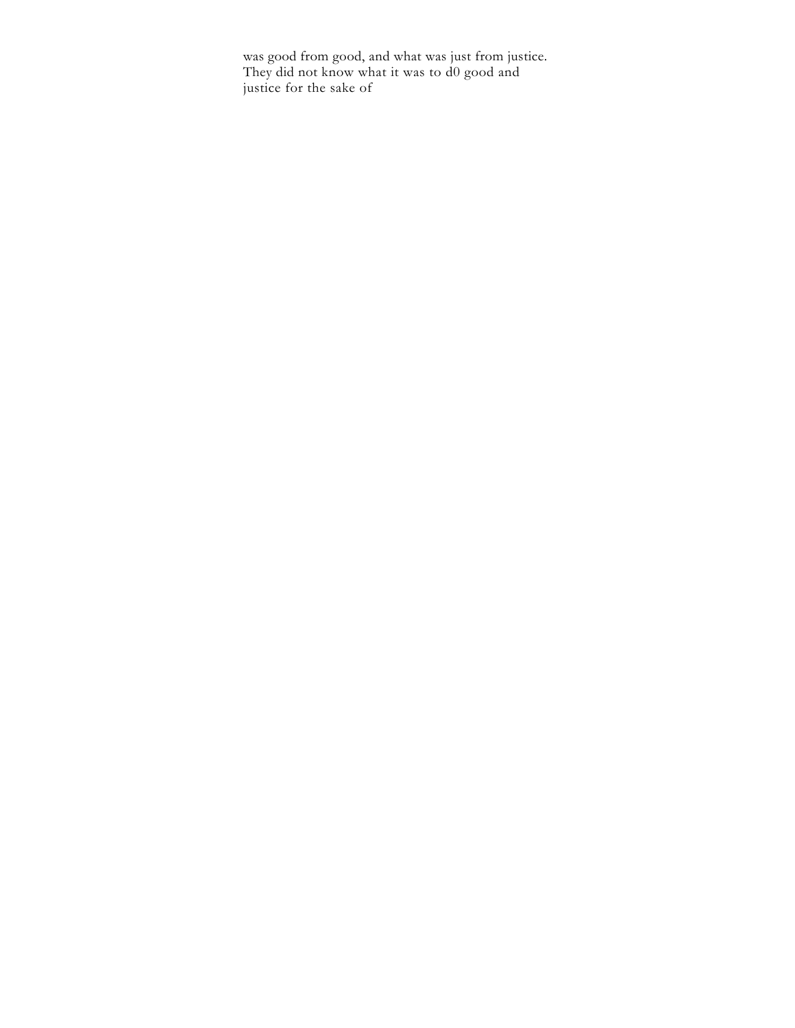was good from good, and what was just from justice. They did not know what it was to d0 good and justice for the sake of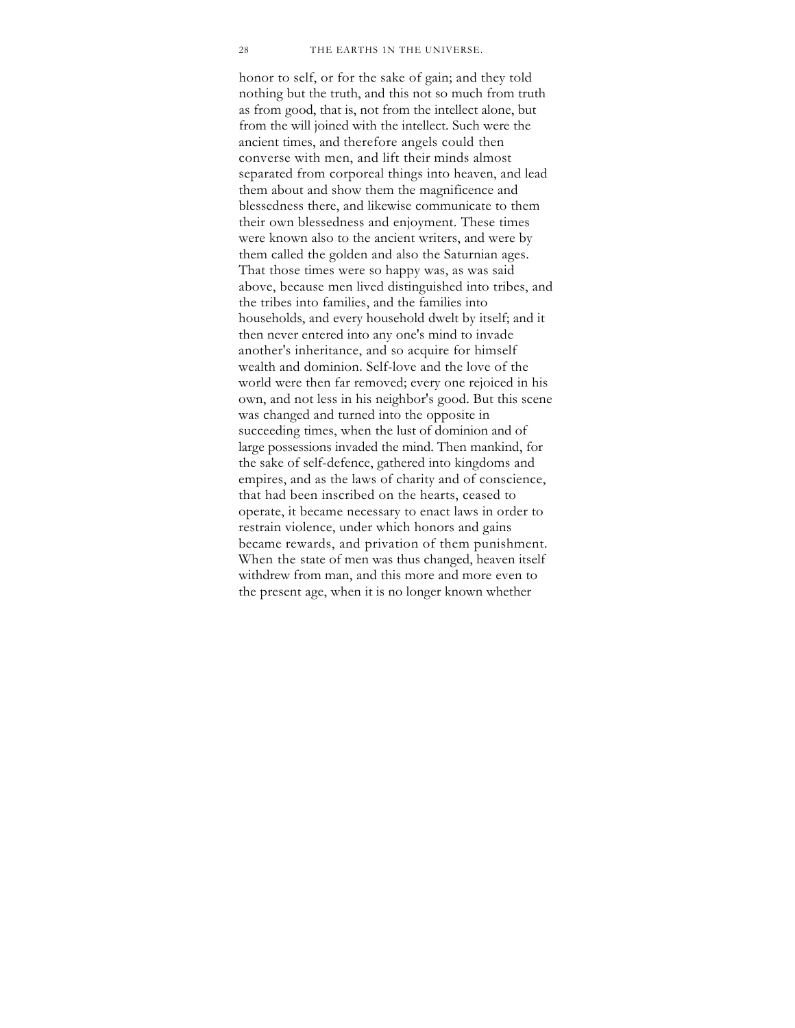honor to self, or for the sake of gain; and they told nothing but the truth, and this not so much from truth as from good, that is, not from the intellect alone, but from the will joined with the intellect. Such were the ancient times, and therefore angels could then converse with men, and lift their minds almost separated from corporeal things into heaven, and lead them about and show them the magnificence and blessedness there, and likewise communicate to them their own blessedness and enjoyment. These times were known also to the ancient writers, and were by them called the golden and also the Saturnian ages. That those times were so happy was, as was said above, because men lived distinguished into tribes, and the tribes into families, and the families into households, and every household dwelt by itself; and it then never entered into any one's mind to invade another's inheritance, and so acquire for himself wealth and dominion. Self-love and the love of the world were then far removed; every one rejoiced in his own, and not less in his neighbor's good. But this scene was changed and turned into the opposite in succeeding times, when the lust of dominion and of large possessions invaded the mind. Then mankind, for the sake of self-defence, gathered into kingdoms and empires, and as the laws of charity and of conscience, that had been inscribed on the hearts, ceased to operate, it became necessary to enact laws in order to restrain violence, under which honors and gains became rewards, and privation of them punishment. When the state of men was thus changed, heaven itself withdrew from man, and this more and more even to the present age, when it is no longer known whether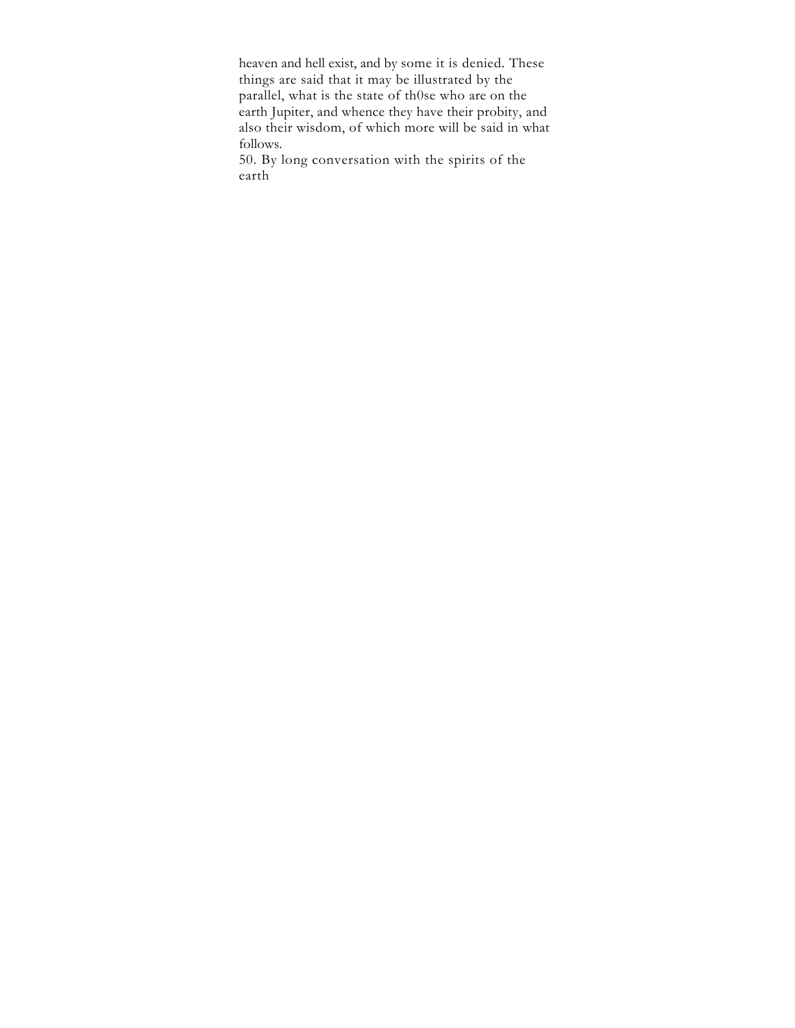heaven and hell exist, and by some it is denied. These things are said that it may be illustrated by the parallel, what is the state of th0se who are on the earth Jupiter, and whence they have their probity, and also their wisdom, of which more will be said in what follows.

50. By long conversation with the spirits of the earth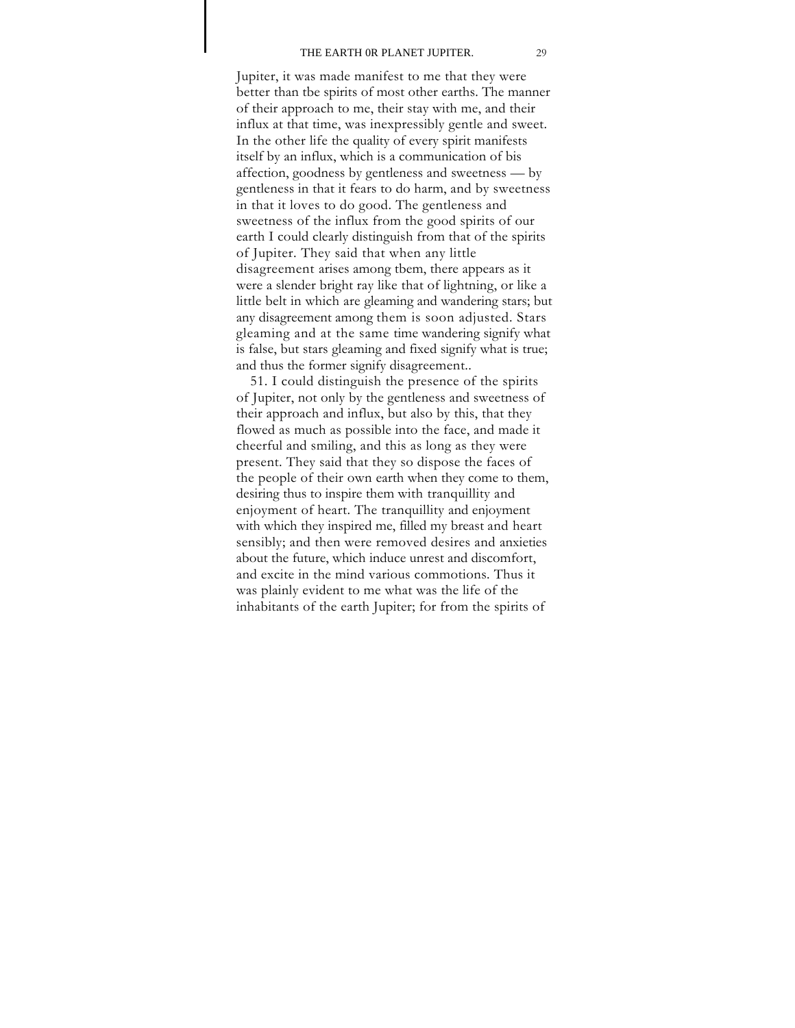### THE EARTH OR PLANET JUPITER. 29

Jupiter, it was made manifest to me that they were better than tbe spirits of most other earths. The manner of their approach to me, their stay with me, and their influx at that time, was inexpressibly gentle and sweet. In the other life the quality of every spirit manifests itself by an influx, which is a communication of bis affection, goodness by gentleness and sweetness — by gentleness in that it fears to do harm, and by sweetness in that it loves to do good. The gentleness and sweetness of the influx from the good spirits of our earth I could clearly distinguish from that of the spirits of Jupiter. They said that when any little disagreement arises among tbem, there appears as it were a slender bright ray like that of lightning, or like a little belt in which are gleaming and wandering stars; but any disagreement among them is soon adjusted. Stars gleaming and at the same time wandering signify what is false, but stars gleaming and fixed signify what is true; and thus the former signify disagreement..

51. I could distinguish the presence of the spirits of Jupiter, not only by the gentleness and sweetness of their approach and influx, but also by this, that they flowed as much as possible into the face, and made it cheerful and smiling, and this as long as they were present. They said that they so dispose the faces of the people of their own earth when they come to them, desiring thus to inspire them with tranquillity and enjoyment of heart. The tranquillity and enjoyment with which they inspired me, filled my breast and heart sensibly; and then were removed desires and anxieties about the future, which induce unrest and discomfort, and excite in the mind various commotions. Thus it was plainly evident to me what was the life of the inhabitants of the earth Jupiter; for from the spirits of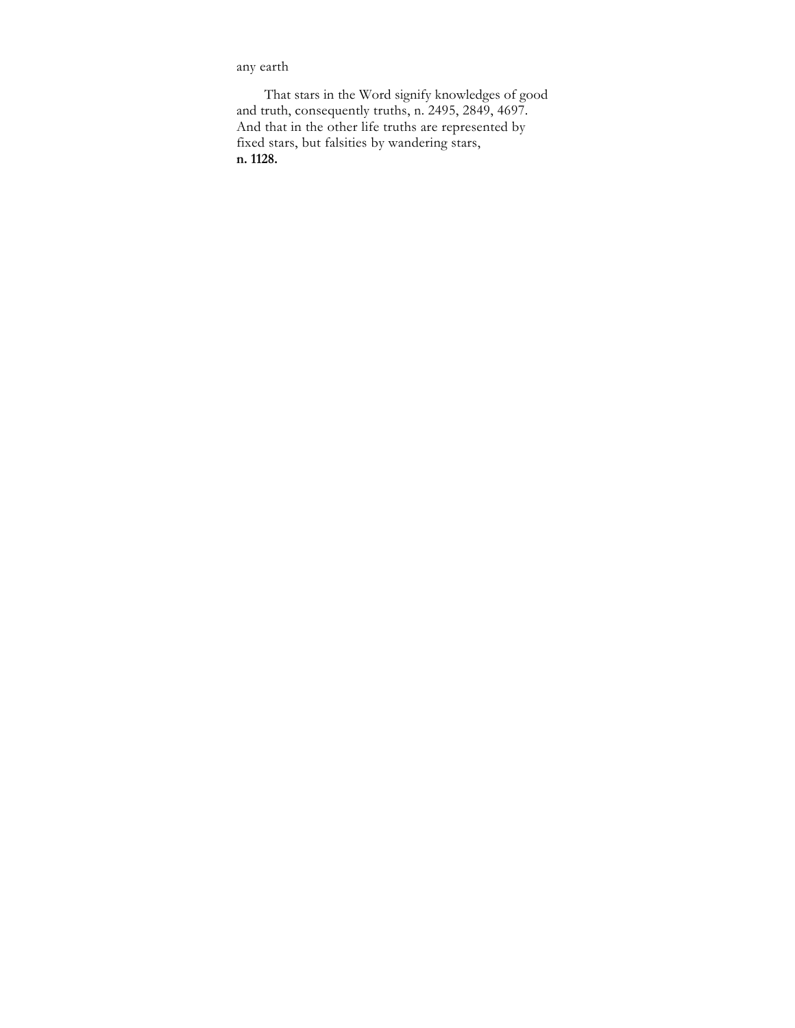any earth

That stars in the Word signify knowledges of good and truth, consequently truths, n. 2495, 2849, 4697. And that in the other life truths are represented by fixed stars, but falsities by wandering stars, **n. 1128.**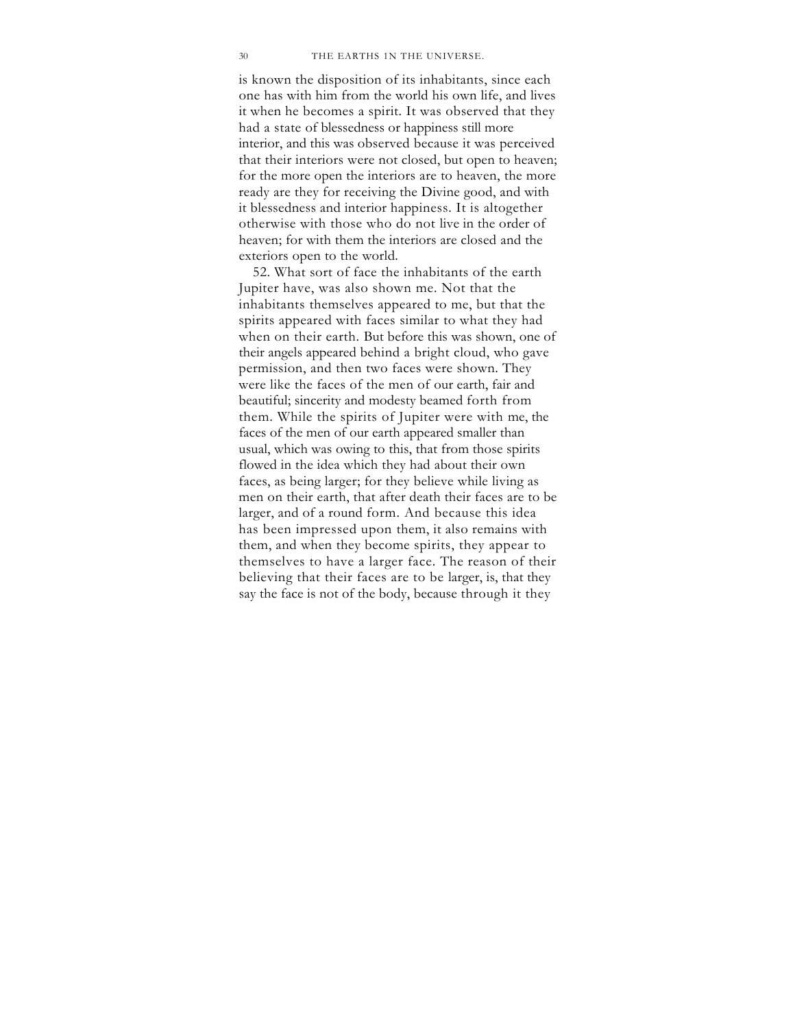### 30 THE EARTHS 1N THE UNIVERSE.

is known the disposition of its inhabitants, since each one has with him from the world his own life, and lives it when he becomes a spirit. It was observed that they had a state of blessedness or happiness still more interior, and this was observed because it was perceived that their interiors were not closed, but open to heaven; for the more open the interiors are to heaven, the more ready are they for receiving the Divine good, and with it blessedness and interior happiness. It is altogether otherwise with those who do not live in the order of heaven; for with them the interiors are closed and the exteriors open to the world.

52. What sort of face the inhabitants of the earth Jupiter have, was also shown me. Not that the inhabitants themselves appeared to me, but that the spirits appeared with faces similar to what they had when on their earth. But before this was shown, one of their angels appeared behind a bright cloud, who gave permission, and then two faces were shown. They were like the faces of the men of our earth, fair and beautiful; sincerity and modesty beamed forth from them. While the spirits of Jupiter were with me, the faces of the men of our earth appeared smaller than usual, which was owing to this, that from those spirits flowed in the idea which they had about their own faces, as being larger; for they believe while living as men on their earth, that after death their faces are to be larger, and of a round form. And because this idea has been impressed upon them, it also remains with them, and when they become spirits, they appear to themselves to have a larger face. The reason of their believing that their faces are to be larger, is, that they say the face is not of the body, because through it they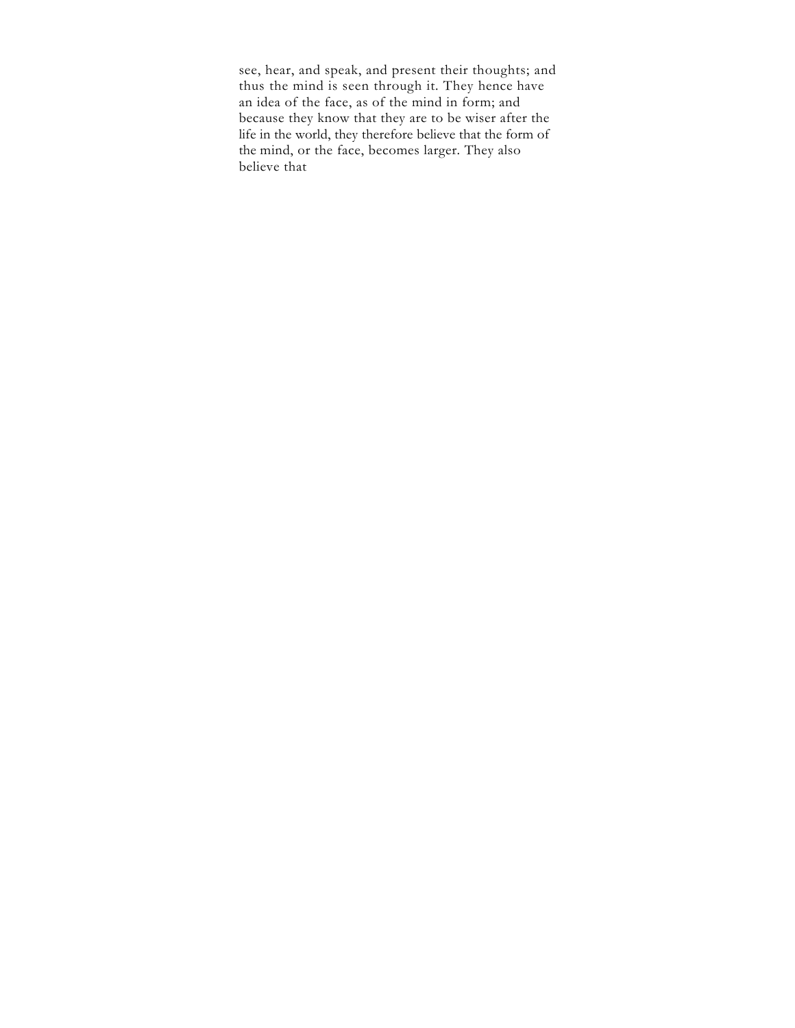see, hear, and speak, and present their thoughts; and thus the mind is seen through it. They hence have an idea of the face, as of the mind in form; and because they know that they are to be wiser after the life in the world, they therefore believe that the form of the mind, or the face, becomes larger. They also believe that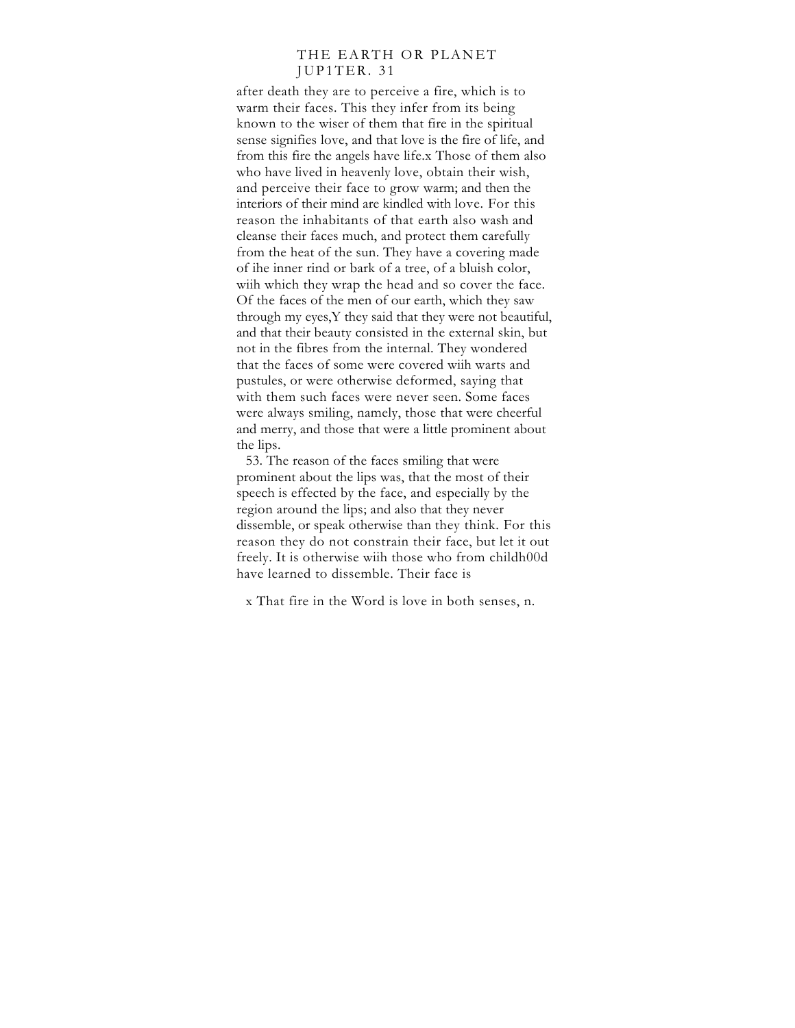### THE EARTH OR PLANET JUP1TER. 3 1

after death they are to perceive a fire, which is to warm their faces. This they infer from its being known to the wiser of them that fire in the spiritual sense signifies love, and that love is the fire of life, and from this fire the angels have life.x Those of them also who have lived in heavenly love, obtain their wish, and perceive their face to grow warm; and then the interiors of their mind are kindled with love. For this reason the inhabitants of that earth also wash and cleanse their faces much, and protect them carefully from the heat of the sun. They have a covering made of ihe inner rind or bark of a tree, of a bluish color, wiih which they wrap the head and so cover the face. Of the faces of the men of our earth, which they saw through my eyes,Y they said that they were not beautiful, and that their beauty consisted in the external skin, but not in the fibres from the internal. They wondered that the faces of some were covered wiih warts and pustules, or were otherwise deformed, saying that with them such faces were never seen. Some faces were always smiling, namely, those that were cheerful and merry, and those that were a little prominent about the lips.

53. The reason of the faces smiling that were prominent about the lips was, that the most of their speech is effected by the face, and especially by the region around the lips; and also that they never dissemble, or speak otherwise than they think. For this reason they do not constrain their face, but let it out freely. It is otherwise wiih those who from childh00d have learned to dissemble. Their face is

x That fire in the Word is love in both senses, n.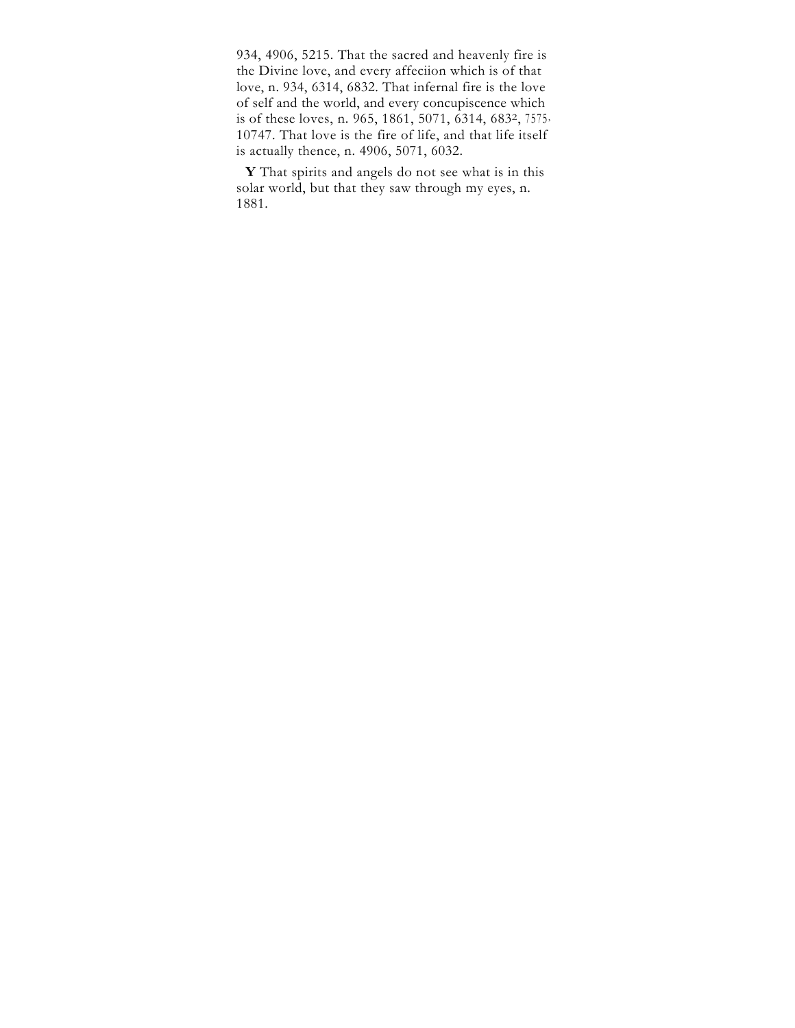934, 4906, 5215. That the sacred and heavenly fire is the Divine love, and every affeciion which is of that love, n. 934, 6314, 6832. That infernal fire is the love of self and the world, and every concupiscence which is of these loves, n. 965, 1861, 5071, 6314, 6832, 7575, 10747. That love is the fire of life, and that life itself is actually thence, n. 4906, 5071, 6032.

**Y** That spirits and angels do not see what is in this solar world, but that they saw through my eyes, n. 1881.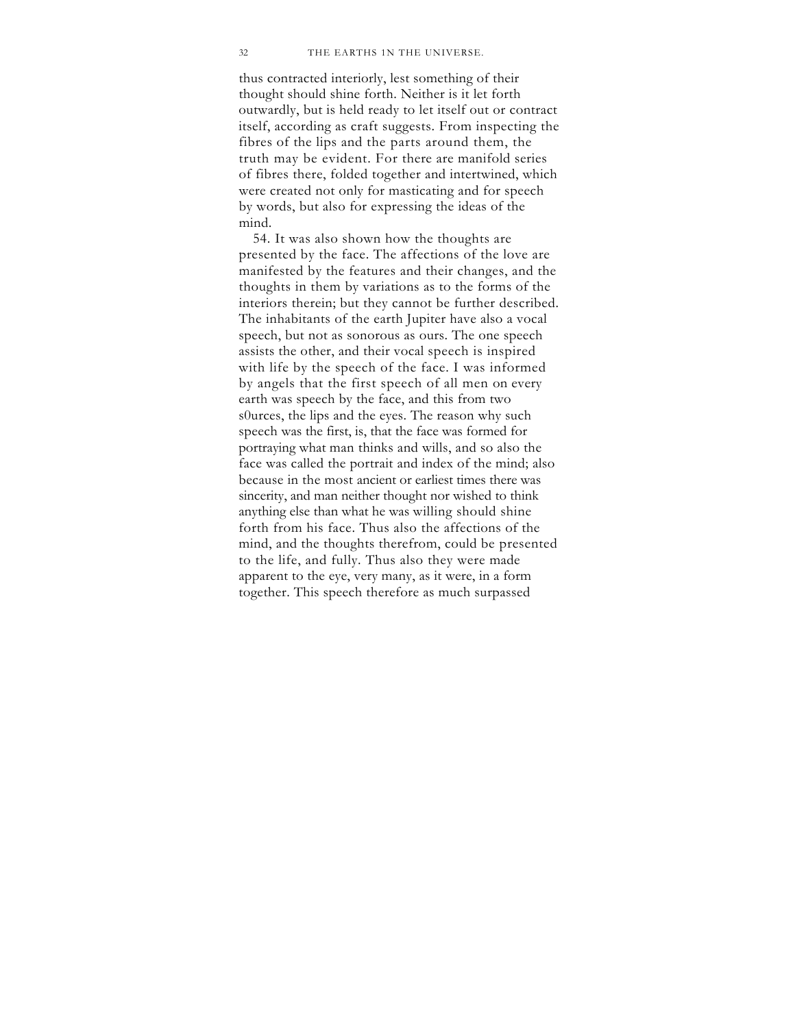#### 32 THE EARTHS 1N THE UNIVERSE.

thus contracted interiorly, lest something of their thought should shine forth. Neither is it let forth outwardly, but is held ready to let itself out or contract itself, according as craft suggests. From inspecting the fibres of the lips and the parts around them, the truth may be evident. For there are manifold series of fibres there, folded together and intertwined, which were created not only for masticating and for speech by words, but also for expressing the ideas of the mind.

54. It was also shown how the thoughts are presented by the face. The affections of the love are manifested by the features and their changes, and the thoughts in them by variations as to the forms of the interiors therein; but they cannot be further described. The inhabitants of the earth Jupiter have also a vocal speech, but not as sonorous as ours. The one speech assists the other, and their vocal speech is inspired with life by the speech of the face. I was informed by angels that the first speech of all men on every earth was speech by the face, and this from two s0urces, the lips and the eyes. The reason why such speech was the first, is, that the face was formed for portraying what man thinks and wills, and so also the face was called the portrait and index of the mind; also because in the most ancient or earliest times there was sincerity, and man neither thought nor wished to think anything else than what he was willing should shine forth from his face. Thus also the affections of the mind, and the thoughts therefrom, could be presented to the life, and fully. Thus also they were made apparent to the eye, very many, as it were, in a form together. This speech therefore as much surpassed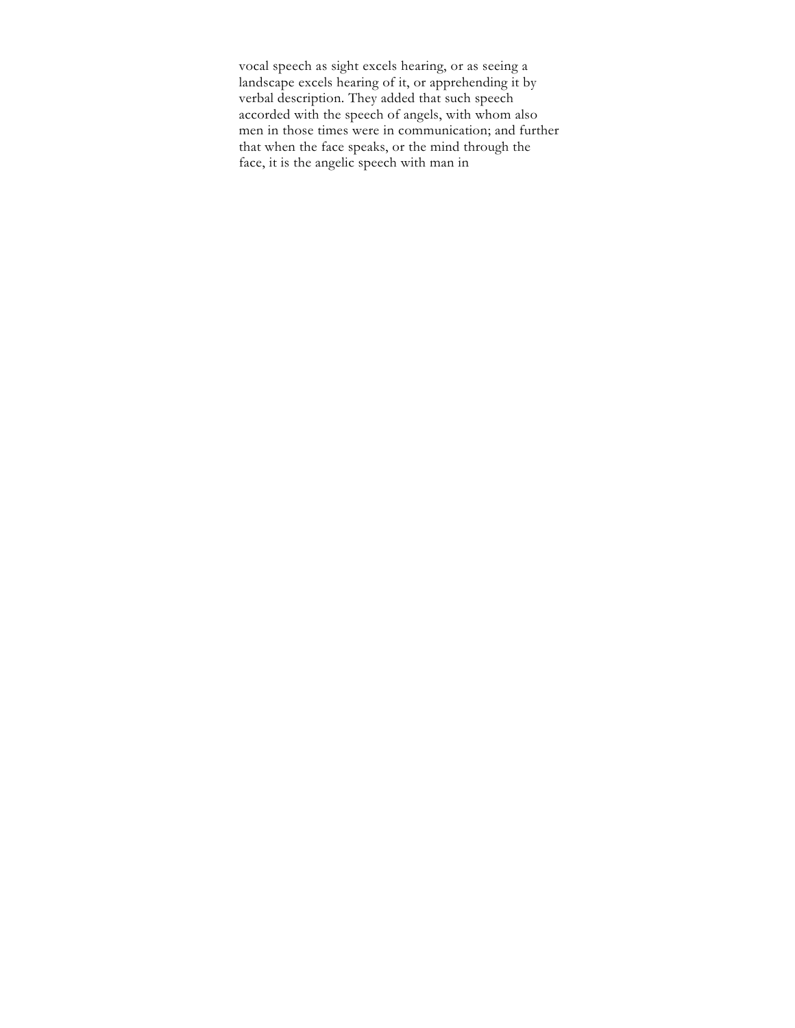vocal speech as sight excels hearing, or as seeing a landscape excels hearing of it, or apprehending it by verbal description. They added that such speech accorded with the speech of angels, with whom also men in those times were in communication; and further that when the face speaks, or the mind through the face, it is the angelic speech with man in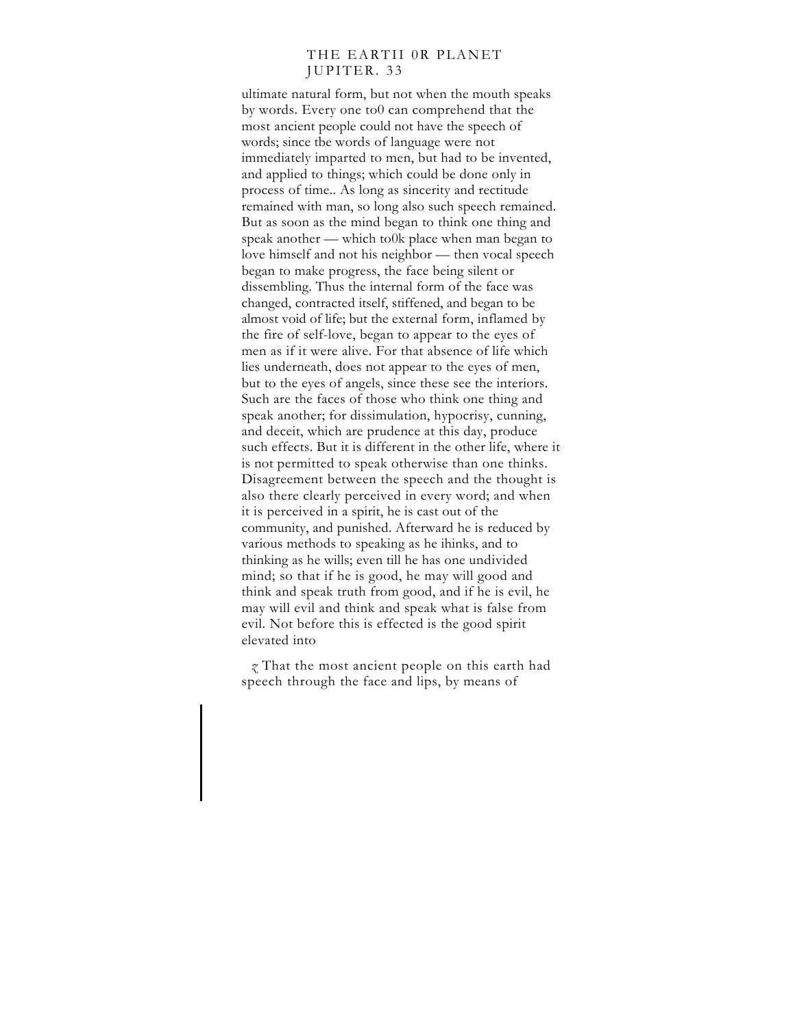## THE EARTII 0R PLANET JUPITER. 33

ultimate natural form, but not when the mouth speaks by words. Every one to0 can comprehend that the most ancient people could not have the speech of words; since tbe words of language were not immediately imparted to men, but had to be invented, and applied to things; which could be done only in process of time.. As long as sincerity and rectitude remained with man, so long also such speech remained. But as soon as the mind began to think one thing and speak another — which to0k place when man began to love himself and not his neighbor — then vocal speech began to make progress, the face being silent or dissembling. Thus the internal form of the face was changed, contracted itself, stiffened, and began to be almost void of life; but the external form, inflamed by the fire of self-love, began to appear to the eyes of men as if it were alive. For that absence of life which lies underneath, does not appear to the eyes of men, but to the eyes of angels, since these see the interiors. Such are the faces of those who think one thing and speak another; for dissimulation, hypocrisy, cunning, and deceit, which are prudence at this day, produce such effects. But it is different in the other life, where it is not permitted to speak otherwise than one thinks. Disagreement between the speech and the thought is also there clearly perceived in every word; and when it is perceived in a spirit, he is cast out of the community, and punished. Afterward he is reduced by various methods to speaking as he ihinks, and to thinking as he wills; even till he has one undivided mind; so that if he is good, he may will good and think and speak truth from good, and if he is evil, he may will evil and think and speak what is false from evil. Not before this is effected is the good spirit elevated into

*z* That the most ancient people on this earth had speech through the face and lips, by means of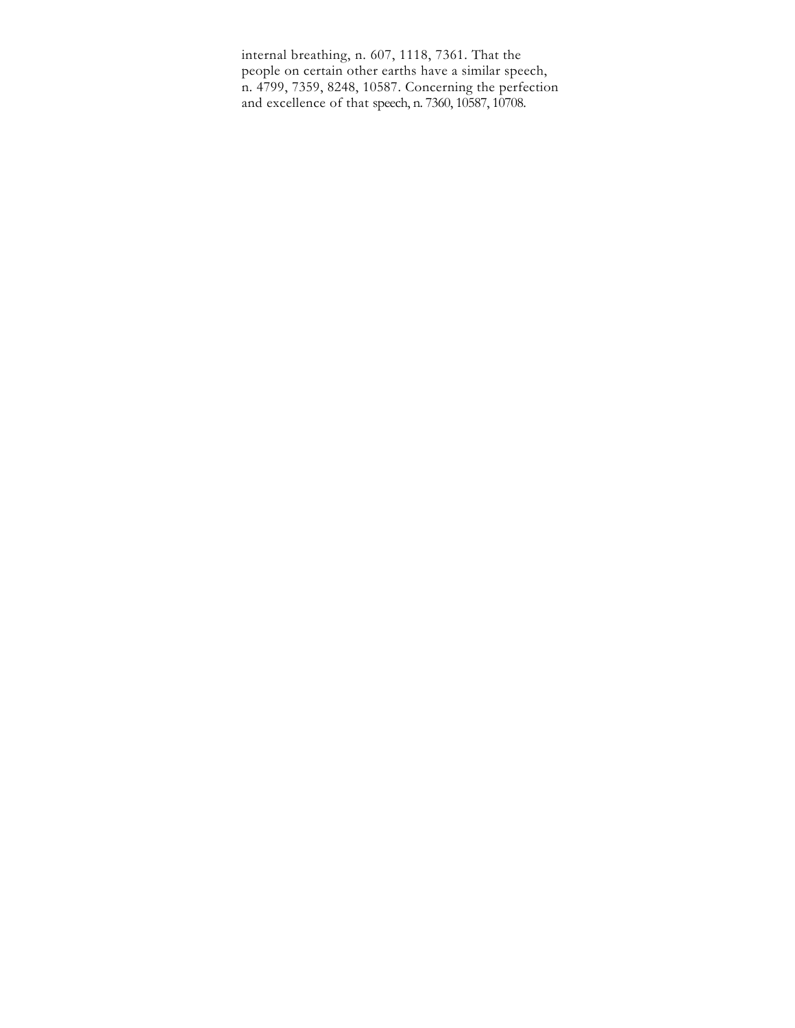internal breathing, n. 607, 1118, 7361. That the people on certain other earths have a similar speech, n. 4799, 7359, 8248, 10587. Concerning the perfection and excellence of that speech, n. 7360, 10587, 10708.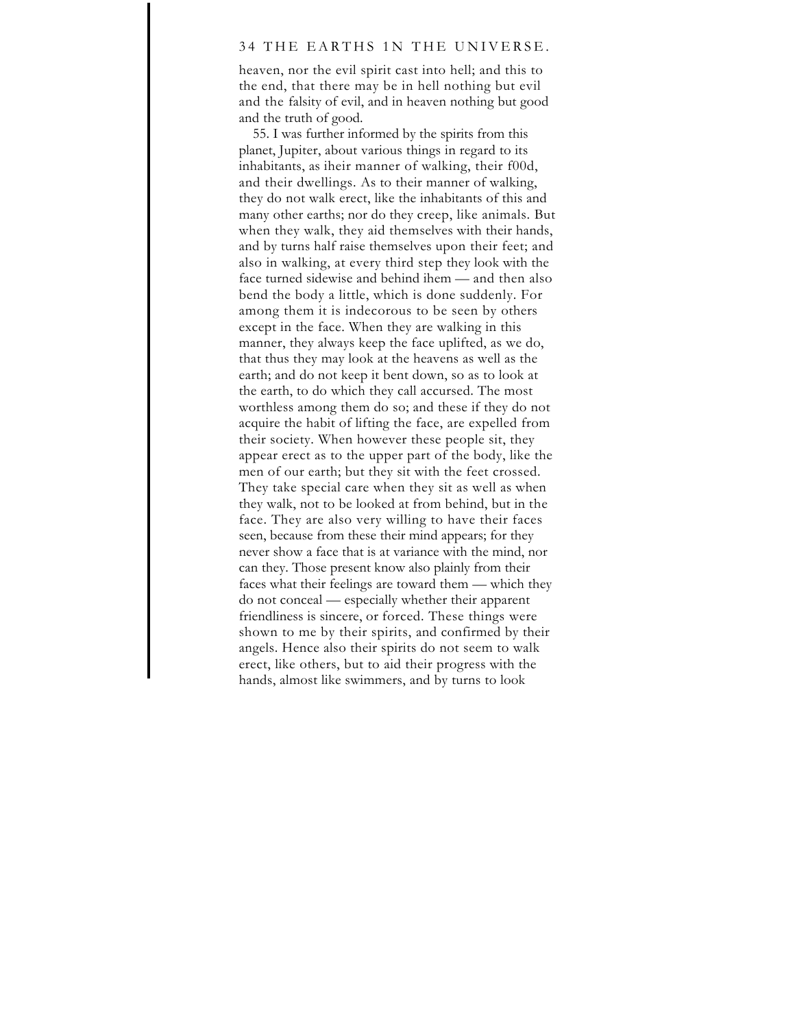# 34 THE EARTHS 1N THE UNIVERSE.

heaven, nor the evil spirit cast into hell; and this to the end, that there may be in hell nothing but evil and the falsity of evil, and in heaven nothing but good and the truth of good.

55. I was further informed by the spirits from this planet, Jupiter, about various things in regard to its inhabitants, as iheir manner of walking, their f00d, and their dwellings. As to their manner of walking, they do not walk erect, like the inhabitants of this and many other earths; nor do they creep, like animals. But when they walk, they aid themselves with their hands, and by turns half raise themselves upon their feet; and also in walking, at every third step they look with the face turned sidewise and behind ihem — and then also bend the body a little, which is done suddenly. For among them it is indecorous to be seen by others except in the face. When they are walking in this manner, they always keep the face uplifted, as we do, that thus they may look at the heavens as well as the earth; and do not keep it bent down, so as to look at the earth, to do which they call accursed. The most worthless among them do so; and these if they do not acquire the habit of lifting the face, are expelled from their society. When however these people sit, they appear erect as to the upper part of the body, like the men of our earth; but they sit with the feet crossed. They take special care when they sit as well as when they walk, not to be looked at from behind, but in the face. They are also very willing to have their faces seen, because from these their mind appears; for they never show a face that is at variance with the mind, nor can they. Those present know also plainly from their faces what their feelings are toward them — which they do not conceal — especially whether their apparent friendliness is sincere, or forced. These things were shown to me by their spirits, and confirmed by their angels. Hence also their spirits do not seem to walk erect, like others, but to aid their progress with the hands, almost like swimmers, and by turns to look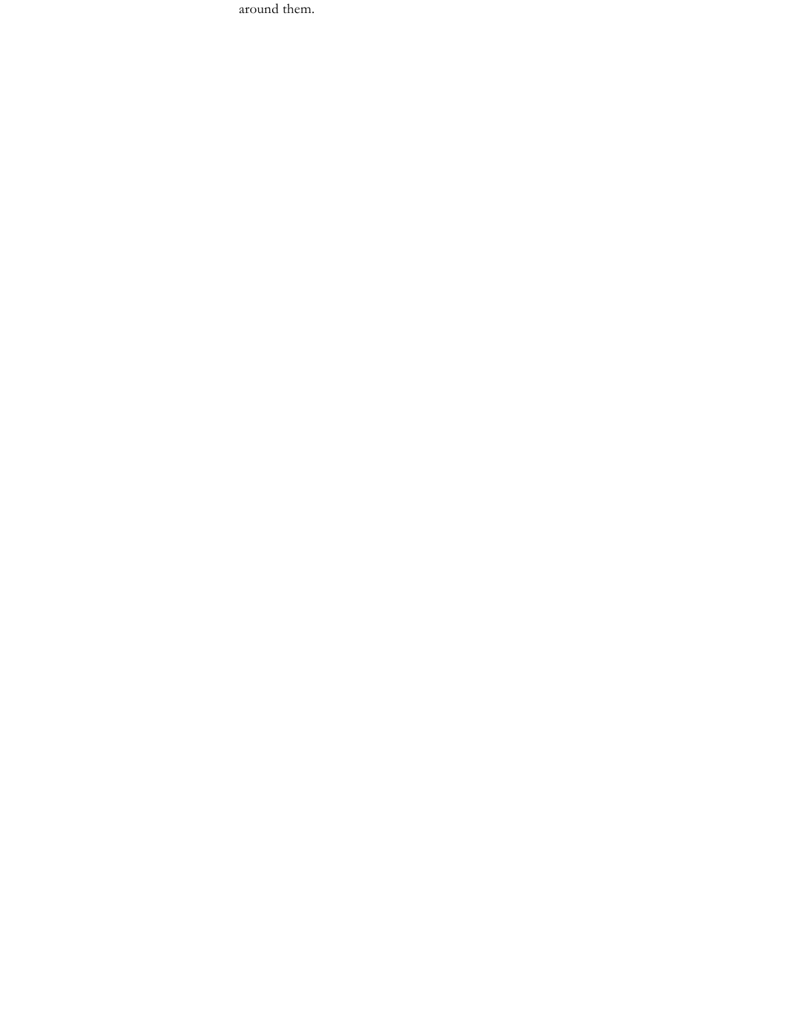around them.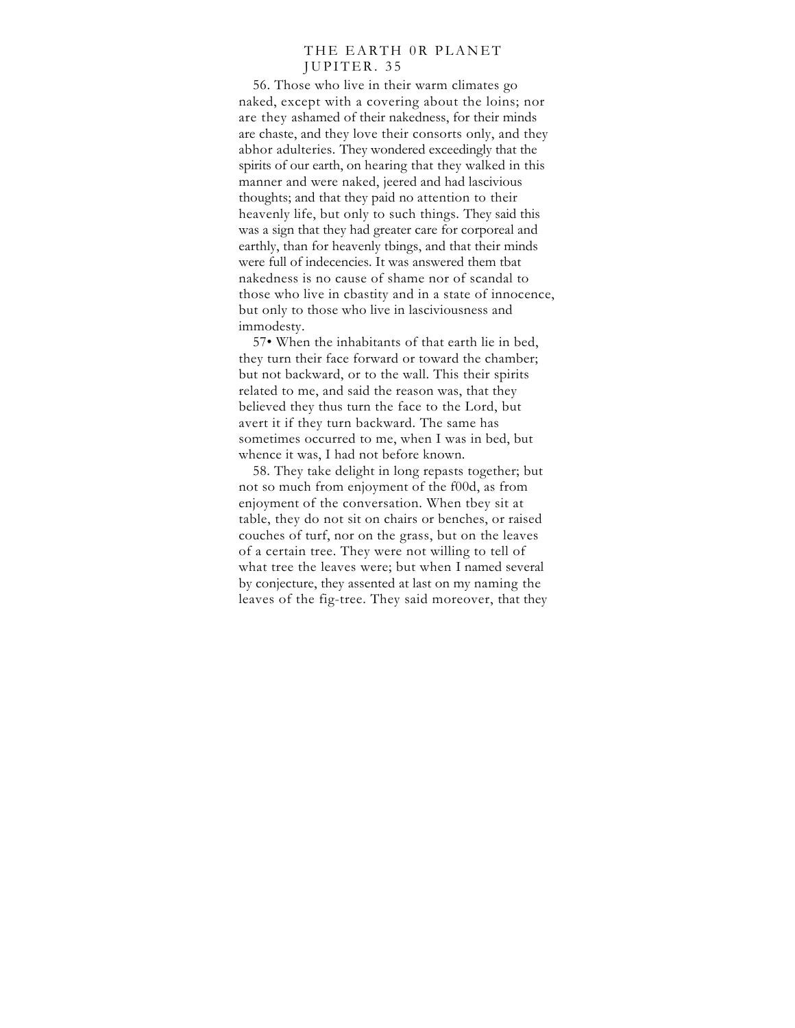### THE EARTH 0R PLANET JUPITER. 35

56. Those who live in their warm climates go naked, except with a covering about the loins; nor are they ashamed of their nakedness, for their minds are chaste, and they love their consorts only, and they abhor adulteries. They wondered exceedingly that the spirits of our earth, on hearing that they walked in this manner and were naked, jeered and had lascivious thoughts; and that they paid no attention to their heavenly life, but only to such things. They said this was a sign that they had greater care for corporeal and earthly, than for heavenly tbings, and that their minds were full of indecencies. It was answered them tbat nakedness is no cause of shame nor of scandal to those who live in cbastity and in a state of innocence, but only to those who live in lasciviousness and immodesty.

57• When the inhabitants of that earth lie in bed, they turn their face forward or toward the chamber; but not backward, or to the wall. This their spirits related to me, and said the reason was, that they believed they thus turn the face to the Lord, but avert it if they turn backward. The same has sometimes occurred to me, when I was in bed, but whence it was, I had not before known.

58. They take delight in long repasts together; but not so much from enjoyment of the f00d, as from enjoyment of the conversation. When tbey sit at table, they do not sit on chairs or benches, or raised couches of turf, nor on the grass, but on the leaves of a certain tree. They were not willing to tell of what tree the leaves were; but when I named several by conjecture, they assented at last on my naming the leaves of the fig-tree. They said moreover, that they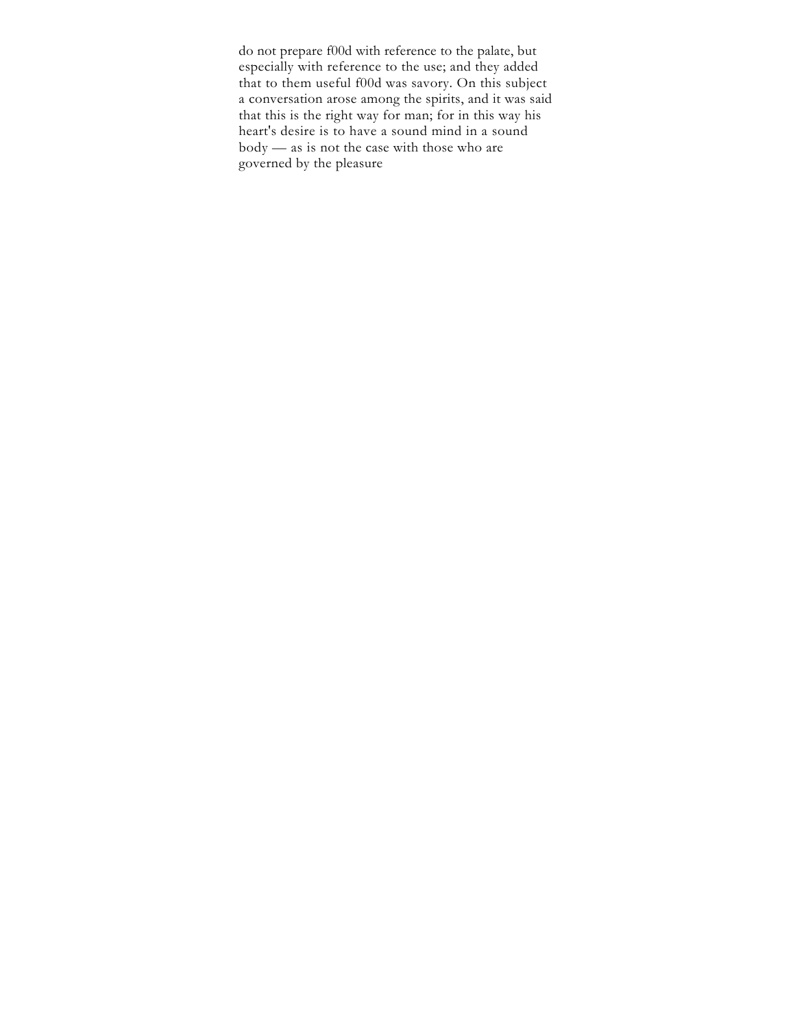do not prepare f00d with reference to the palate, but especially with reference to the use; and they added that to them useful f00d was savory. On this subject a conversation arose among the spirits, and it was said that this is the right way for man; for in this way his heart's desire is to have a sound mind in a sound body — as is not the case with those who are governed by the pleasure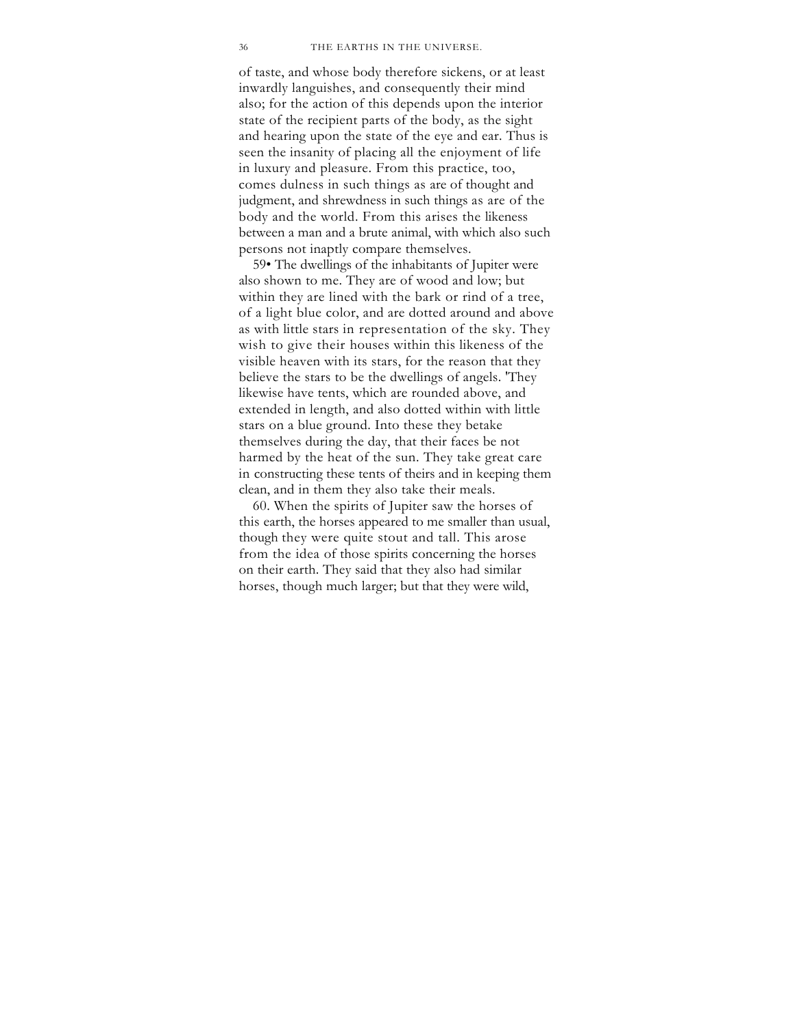of taste, and whose body therefore sickens, or at least inwardly languishes, and consequently their mind also; for the action of this depends upon the interior state of the recipient parts of the body, as the sight and hearing upon the state of the eye and ear. Thus is seen the insanity of placing all the enjoyment of life in luxury and pleasure. From this practice, too, comes dulness in such things as are of thought and judgment, and shrewdness in such things as are of the body and the world. From this arises the likeness between a man and a brute animal, with which also such persons not inaptly compare themselves.

59• The dwellings of the inhabitants of Jupiter were also shown to me. They are of wood and low; but within they are lined with the bark or rind of a tree, of a light blue color, and are dotted around and above as with little stars in representation of the sky. They wish to give their houses within this likeness of the visible heaven with its stars, for the reason that they believe the stars to be the dwellings of angels. 'They likewise have tents, which are rounded above, and extended in length, and also dotted within with little stars on a blue ground. Into these they betake themselves during the day, that their faces be not harmed by the heat of the sun. They take great care in constructing these tents of theirs and in keeping them clean, and in them they also take their meals.

60. When the spirits of Jupiter saw the horses of this earth, the horses appeared to me smaller than usual, though they were quite stout and tall. This arose from the idea of those spirits concerning the horses on their earth. They said that they also had similar horses, though much larger; but that they were wild,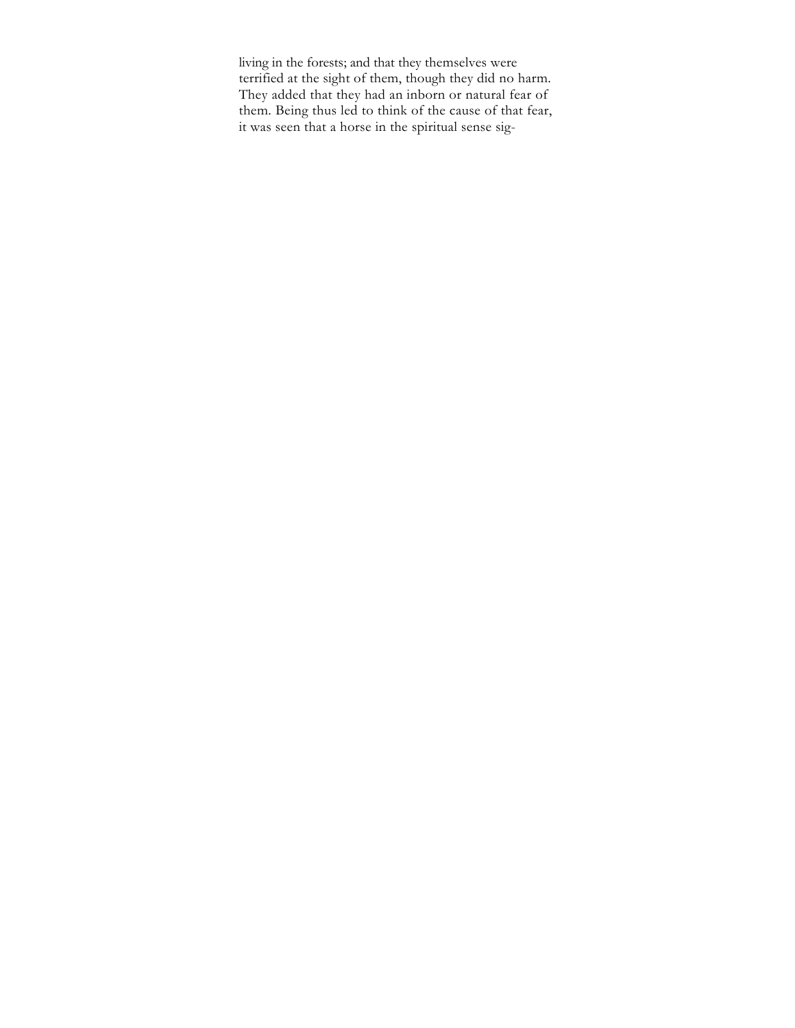living in the forests; and that they themselves were terrified at the sight of them, though they did no harm. They added that they had an inborn or natural fear of them. Being thus led to think of the cause of that fear, it was seen that a horse in the spiritual sense sig-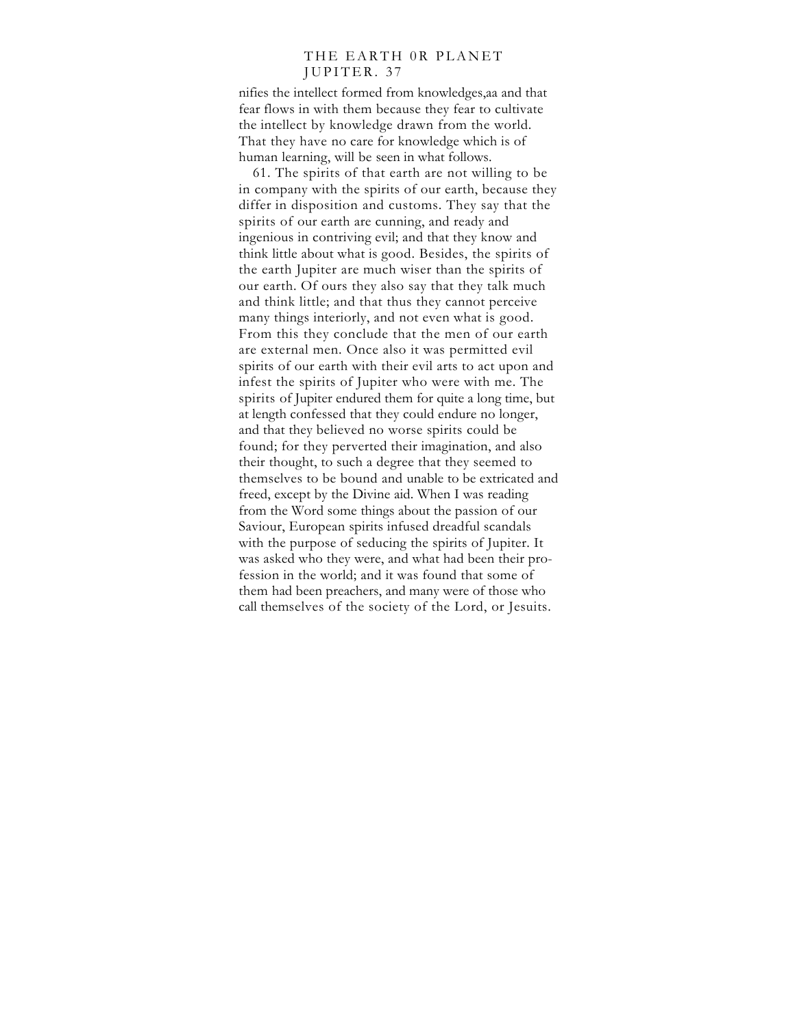# THE EARTH 0R PLANET JUPITER. 37

nifies the intellect formed from knowledges,aa and that fear flows in with them because they fear to cultivate the intellect by knowledge drawn from the world. That they have no care for knowledge which is of human learning, will be seen in what follows.

61. The spirits of that earth are not willing to be in company with the spirits of our earth, because they differ in disposition and customs. They say that the spirits of our earth are cunning, and ready and ingenious in contriving evil; and that they know and think little about what is good. Besides, the spirits of the earth Jupiter are much wiser than the spirits of our earth. Of ours they also say that they talk much and think little; and that thus they cannot perceive many things interiorly, and not even what is good. From this they conclude that the men of our earth are external men. Once also it was permitted evil spirits of our earth with their evil arts to act upon and infest the spirits of Jupiter who were with me. The spirits of Jupiter endured them for quite a long time, but at length confessed that they could endure no longer, and that they believed no worse spirits could be found; for they perverted their imagination, and also their thought, to such a degree that they seemed to themselves to be bound and unable to be extricated and freed, except by the Divine aid. When I was reading from the Word some things about the passion of our Saviour, European spirits infused dreadful scandals with the purpose of seducing the spirits of Jupiter. It was asked who they were, and what had been their profession in the world; and it was found that some of them had been preachers, and many were of those who call themselves of the society of the Lord, or Jesuits.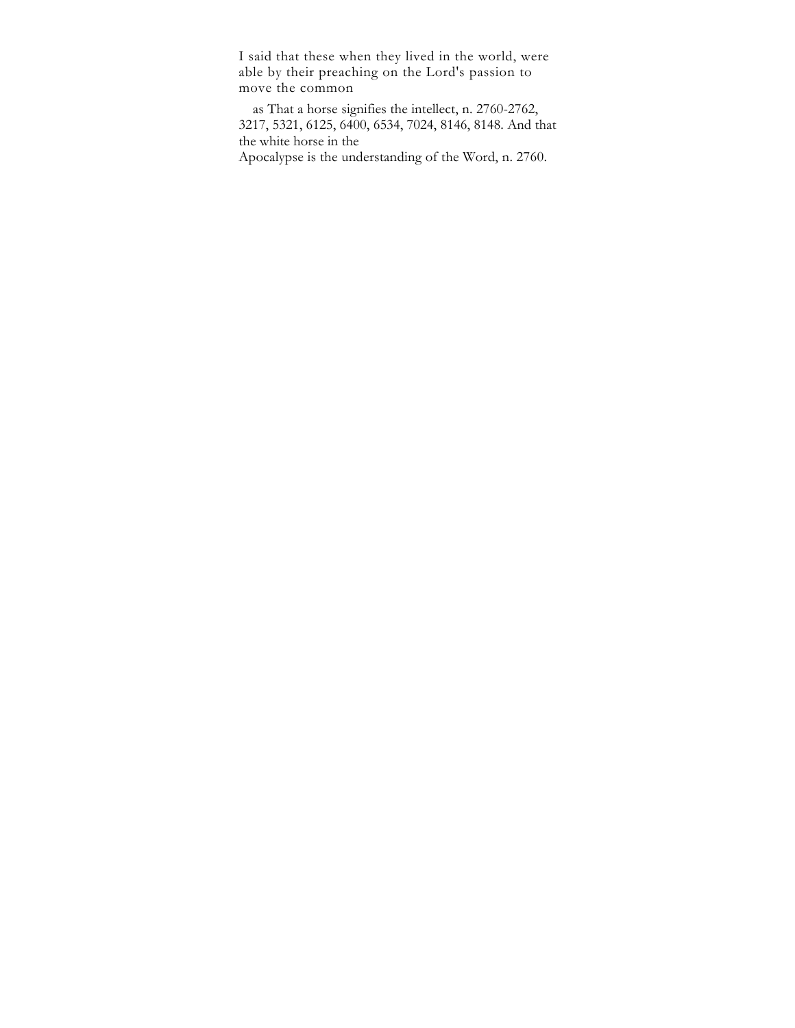I said that these when they lived in the world, were able by their preaching on the Lord's passion to move the common

as That a horse signifies the intellect, n. 2760-2762, 3217, 5321, 6125, 6400, 6534, 7024, 8146, 8148. And that the white horse in the

Apocalypse is the understanding of the Word, n. 2760.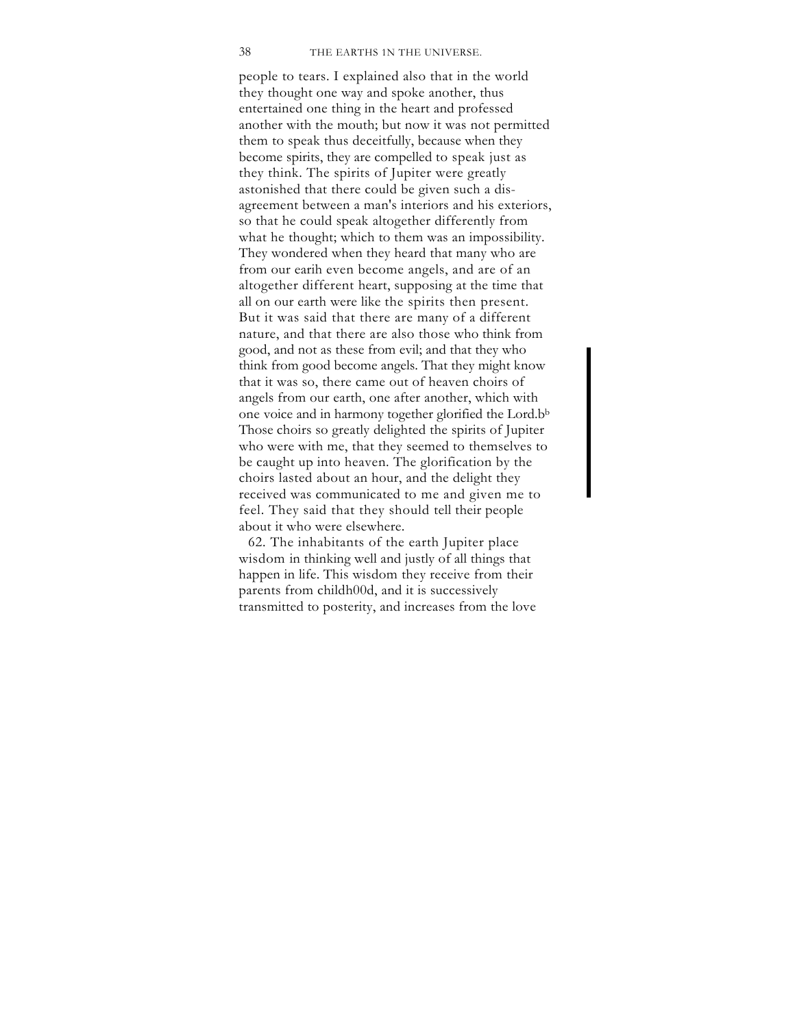#### 38 THE EARTHS 1N THE UNIVERSE.

people to tears. I explained also that in the world they thought one way and spoke another, thus entertained one thing in the heart and professed another with the mouth; but now it was not permitted them to speak thus deceitfully, because when they become spirits, they are compelled to speak just as they think. The spirits of Jupiter were greatly astonished that there could be given such a disagreement between a man's interiors and his exteriors, so that he could speak altogether differently from what he thought; which to them was an impossibility. They wondered when they heard that many who are from our earih even become angels, and are of an altogether different heart, supposing at the time that all on our earth were like the spirits then present. But it was said that there are many of a different nature, and that there are also those who think from good, and not as these from evil; and that they who think from good become angels. That they might know that it was so, there came out of heaven choirs of angels from our earth, one after another, which with one voice and in harmony together glorified the Lord.bb Those choirs so greatly delighted the spirits of Jupiter who were with me, that they seemed to themselves to be caught up into heaven. The glorification by the choirs lasted about an hour, and the delight they received was communicated to me and given me to feel. They said that they should tell their people about it who were elsewhere.

62. The inhabitants of the earth Jupiter place wisdom in thinking well and justly of all things that happen in life. This wisdom they receive from their parents from childh00d, and it is successively transmitted to posterity, and increases from the love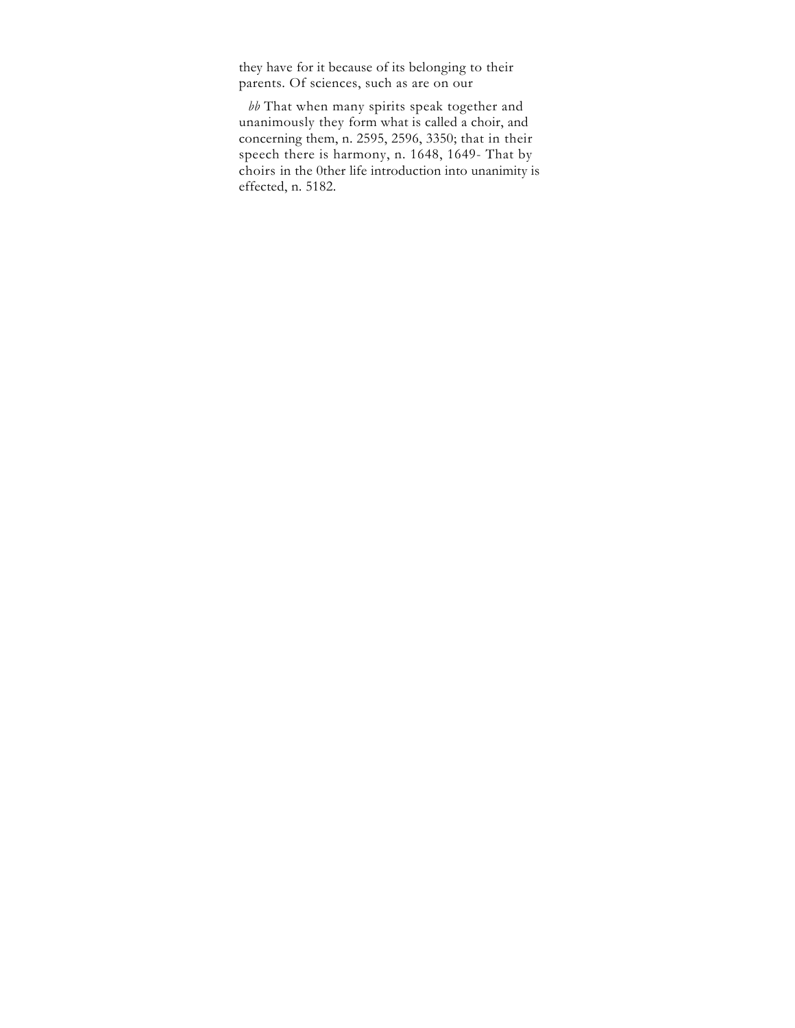they have for it because of its belonging to their parents. Of sciences, such as are on our

*bb* That when many spirits speak together and unanimously they form what is called a choir, and concerning them, n. 2595, 2596, 3350; that in their speech there is harmony, n. 1648, 1649- That by choirs in the 0ther life introduction into unanimity is effected, n. 5182.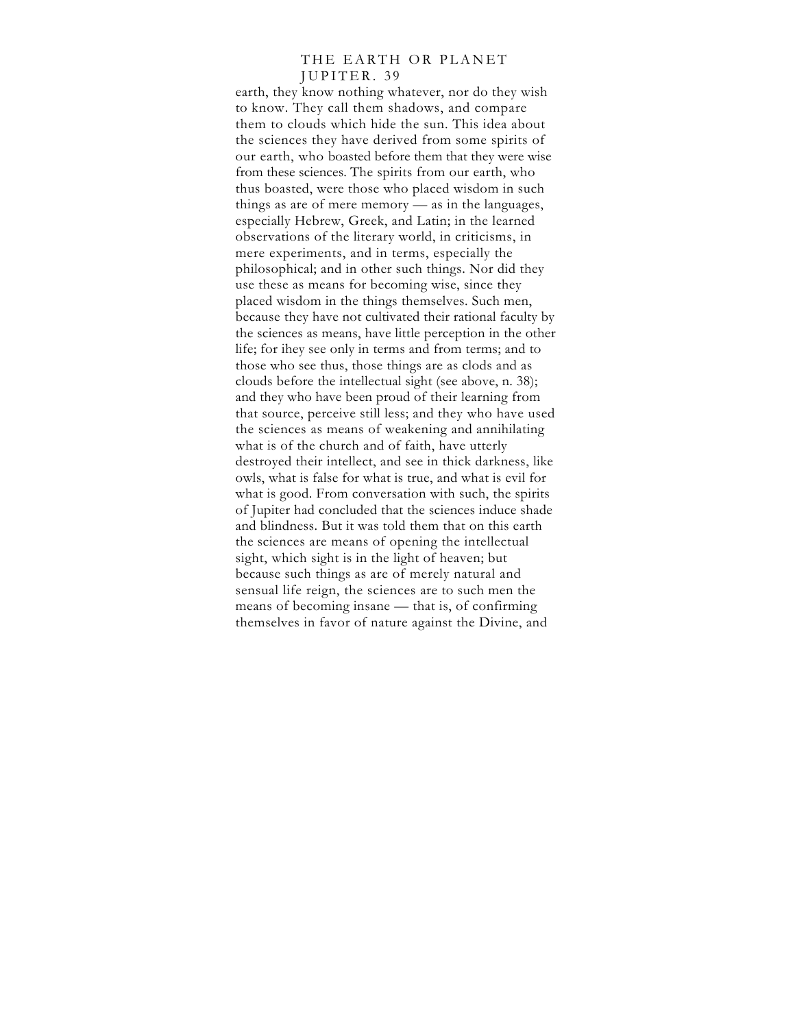### THE EARTH OR PLANET JUPITER. 39

earth, they know nothing whatever, nor do they wish to know. They call them shadows, and compare them to clouds which hide the sun. This idea about the sciences they have derived from some spirits of our earth, who boasted before them that they were wise from these sciences. The spirits from our earth, who thus boasted, were those who placed wisdom in such things as are of mere memory — as in the languages, especially Hebrew, Greek, and Latin; in the learned observations of the literary world, in criticisms, in mere experiments, and in terms, especially the philosophical; and in other such things. Nor did they use these as means for becoming wise, since they placed wisdom in the things themselves. Such men, because they have not cultivated their rational faculty by the sciences as means, have little perception in the other life; for ihey see only in terms and from terms; and to those who see thus, those things are as clods and as clouds before the intellectual sight (see above, n. 38); and they who have been proud of their learning from that source, perceive still less; and they who have used the sciences as means of weakening and annihilating what is of the church and of faith, have utterly destroyed their intellect, and see in thick darkness, like owls, what is false for what is true, and what is evil for what is good. From conversation with such, the spirits of Jupiter had concluded that the sciences induce shade and blindness. But it was told them that on this earth the sciences are means of opening the intellectual sight, which sight is in the light of heaven; but because such things as are of merely natural and sensual life reign, the sciences are to such men the means of becoming insane — that is, of confirming themselves in favor of nature against the Divine, and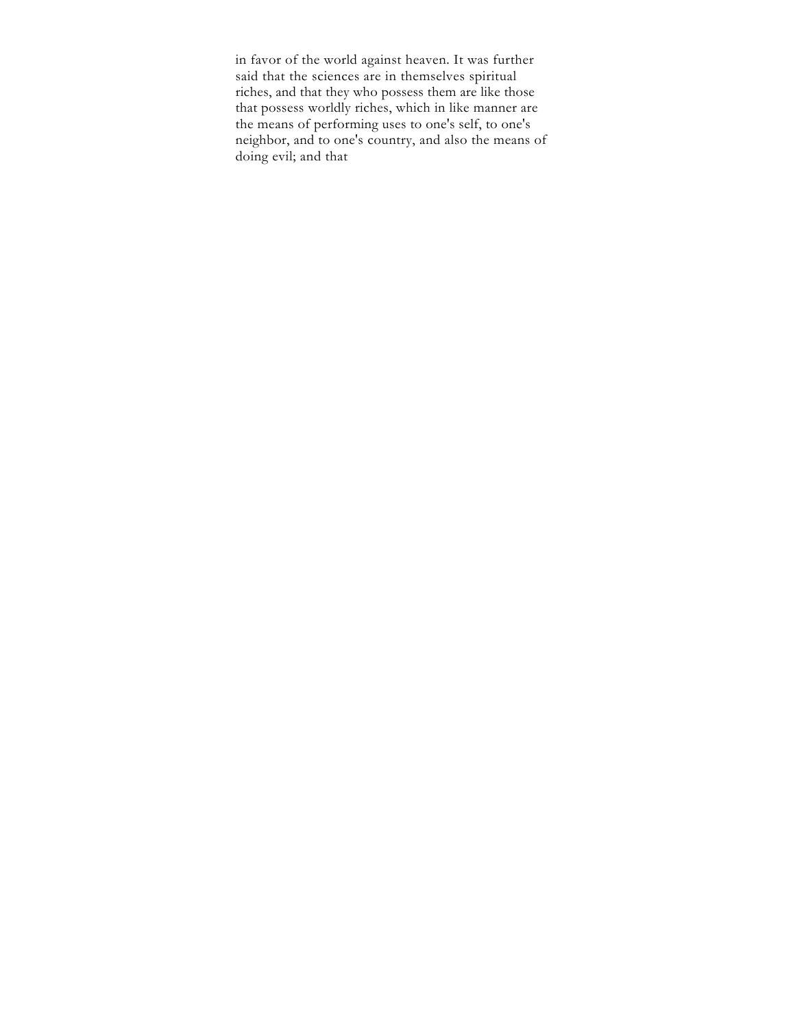in favor of the world against heaven. It was further said that the sciences are in themselves spiritual riches, and that they who possess them are like those that possess worldly riches, which in like manner are the means of performing uses to one's self, to one's neighbor, and to one's country, and also the means of doing evil; and that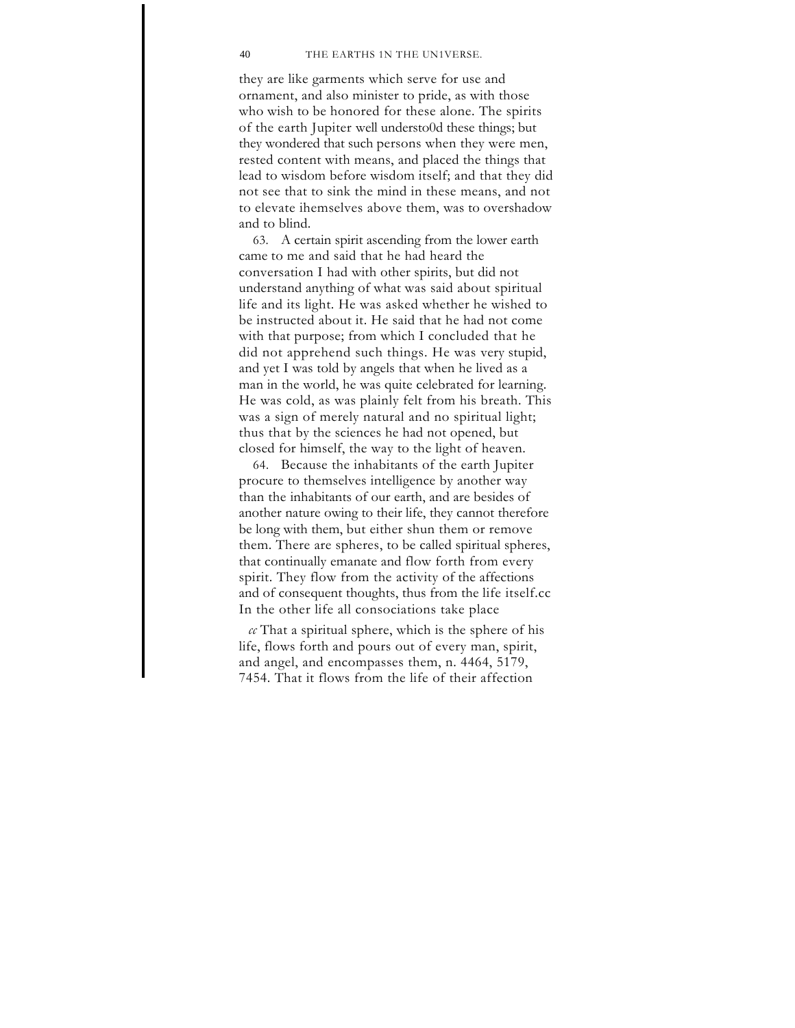#### 40 THE EARTHS 1N THE UN1VERSE.

they are like garments which serve for use and ornament, and also minister to pride, as with those who wish to be honored for these alone. The spirits of the earth Jupiter well understo0d these things; but they wondered that such persons when they were men, rested content with means, and placed the things that lead to wisdom before wisdom itself; and that they did not see that to sink the mind in these means, and not to elevate ihemselves above them, was to overshadow and to blind.

63. A certain spirit ascending from the lower earth came to me and said that he had heard the conversation I had with other spirits, but did not understand anything of what was said about spiritual life and its light. He was asked whether he wished to be instructed about it. He said that he had not come with that purpose; from which I concluded that he did not apprehend such things. He was very stupid, and yet I was told by angels that when he lived as a man in the world, he was quite celebrated for learning. He was cold, as was plainly felt from his breath. This was a sign of merely natural and no spiritual light; thus that by the sciences he had not opened, but closed for himself, the way to the light of heaven.

64. Because the inhabitants of the earth Jupiter procure to themselves intelligence by another way than the inhabitants of our earth, and are besides of another nature owing to their life, they cannot therefore be long with them, but either shun them or remove them. There are spheres, to be called spiritual spheres, that continually emanate and flow forth from every spirit. They flow from the activity of the affections and of consequent thoughts, thus from the life itself.cc In the other life all consociations take place

*cc* That a spiritual sphere, which is the sphere of his life, flows forth and pours out of every man, spirit, and angel, and encompasses them, n. 4464, 5179, 7454. That it flows from the life of their affection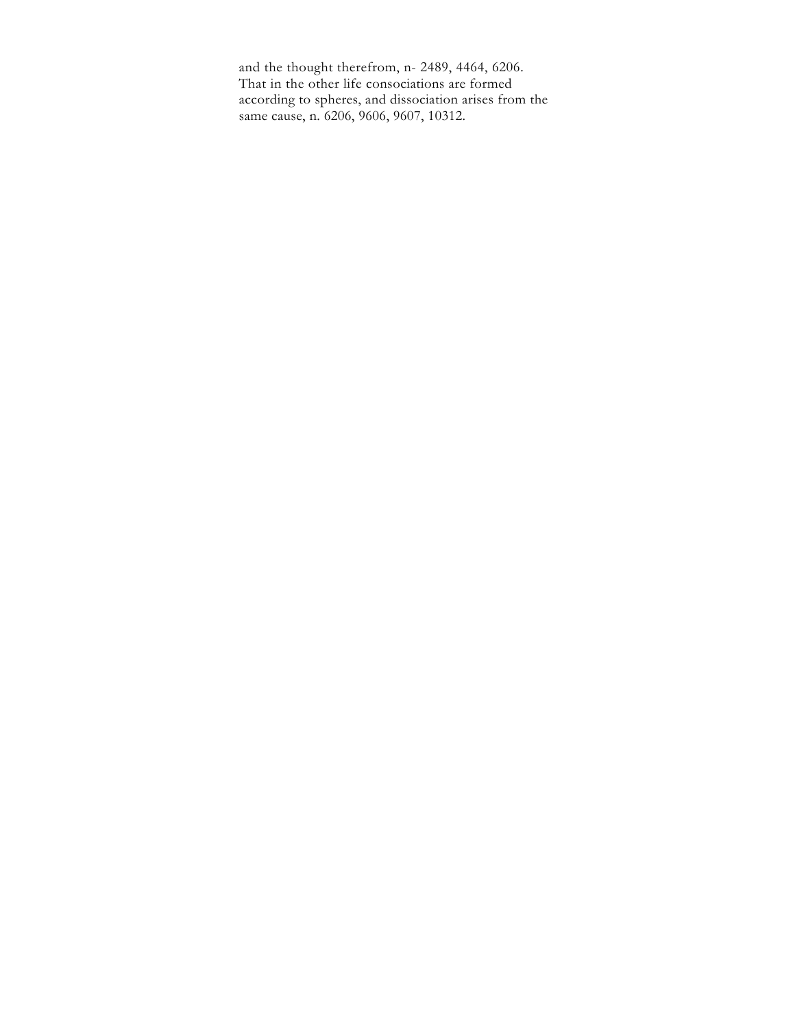and the thought therefrom, n- 2489, 4464, 6206. That in the other life consociations are formed according to spheres, and dissociation arises from the same cause, n. 6206, 9606, 9607, 10312.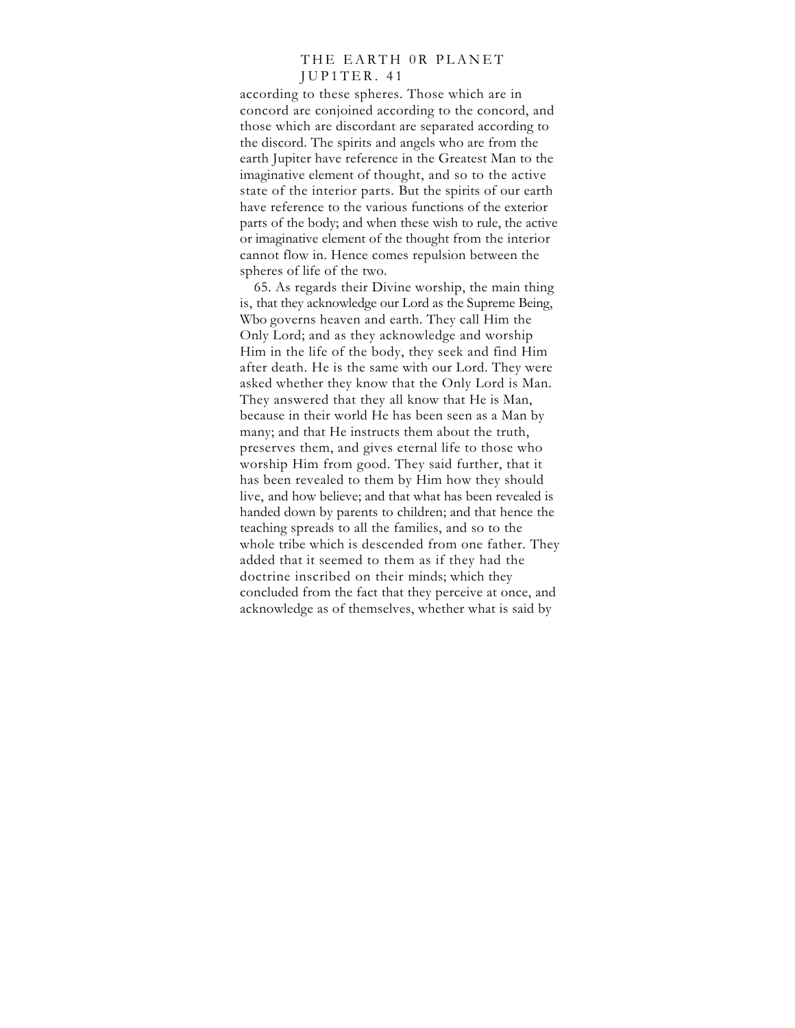# THE EARTH 0R PLANET JUP1TER. 41

according to these spheres. Those which are in concord are conjoined according to the concord, and those which are discordant are separated according to the discord. The spirits and angels who are from the earth Jupiter have reference in the Greatest Man to the imaginative element of thought, and so to the active state of the interior parts. But the spirits of our earth have reference to the various functions of the exterior parts of the body; and when these wish to rule, the active or imaginative element of the thought from the interior cannot flow in. Hence comes repulsion between the spheres of life of the two.

65. As regards their Divine worship, the main thing is, that they acknowledge our Lord as the Supreme Being, Wbo governs heaven and earth. They call Him the Only Lord; and as they acknowledge and worship Him in the life of the body, they seek and find Him after death. He is the same with our Lord. They were asked whether they know that the Only Lord is Man. They answered that they all know that He is Man, because in their world He has been seen as a Man by many; and that He instructs them about the truth, preserves them, and gives eternal life to those who worship Him from good. They said further, that it has been revealed to them by Him how they should live, and how believe; and that what has been revealed is handed down by parents to children; and that hence the teaching spreads to all the families, and so to the whole tribe which is descended from one father. They added that it seemed to them as if they had the doctrine inscribed on their minds; which they concluded from the fact that they perceive at once, and acknowledge as of themselves, whether what is said by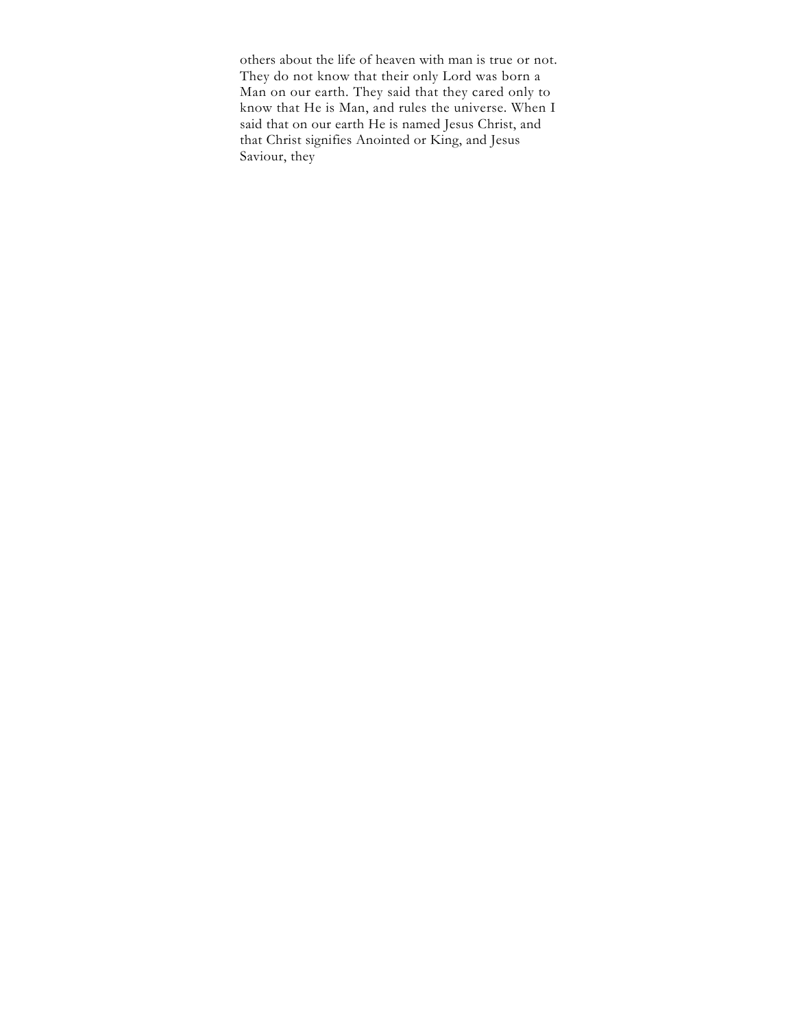others about the life of heaven with man is true or not. They do not know that their only Lord was born a Man on our earth. They said that they cared only to know that He is Man, and rules the universe. When I said that on our earth He is named Jesus Christ, and that Christ signifies Anointed or King, and Jesus Saviour, they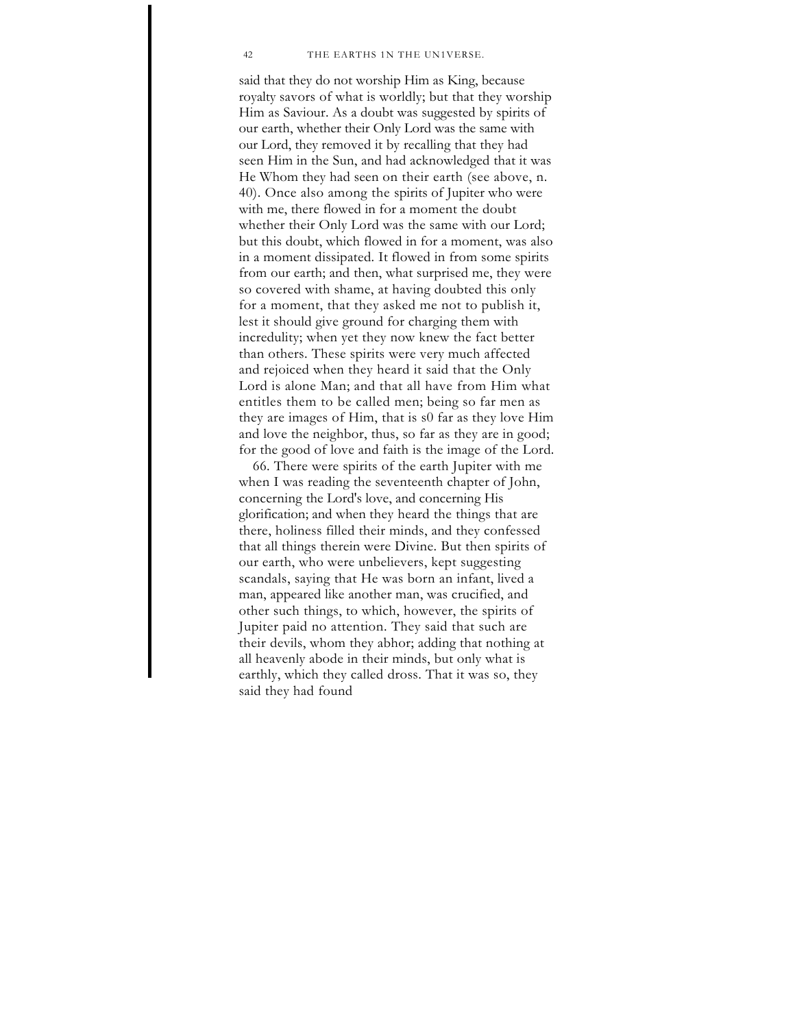#### 42 THE EARTHS 1N THE UN1VERSE.

said that they do not worship Him as King, because royalty savors of what is worldly; but that they worship Him as Saviour. As a doubt was suggested by spirits of our earth, whether their Only Lord was the same with our Lord, they removed it by recalling that they had seen Him in the Sun, and had acknowledged that it was He Whom they had seen on their earth (see above, n. 40). Once also among the spirits of Jupiter who were with me, there flowed in for a moment the doubt whether their Only Lord was the same with our Lord; but this doubt, which flowed in for a moment, was also in a moment dissipated. It flowed in from some spirits from our earth; and then, what surprised me, they were so covered with shame, at having doubted this only for a moment, that they asked me not to publish it, lest it should give ground for charging them with incredulity; when yet they now knew the fact better than others. These spirits were very much affected and rejoiced when they heard it said that the Only Lord is alone Man; and that all have from Him what entitles them to be called men; being so far men as they are images of Him, that is s0 far as they love Him and love the neighbor, thus, so far as they are in good; for the good of love and faith is the image of the Lord.

66. There were spirits of the earth Jupiter with me when I was reading the seventeenth chapter of John, concerning the Lord's love, and concerning His glorification; and when they heard the things that are there, holiness filled their minds, and they confessed that all things therein were Divine. But then spirits of our earth, who were unbelievers, kept suggesting scandals, saying that He was born an infant, lived a man, appeared like another man, was crucified, and other such things, to which, however, the spirits of Jupiter paid no attention. They said that such are their devils, whom they abhor; adding that nothing at all heavenly abode in their minds, but only what is earthly, which they called dross. That it was so, they said they had found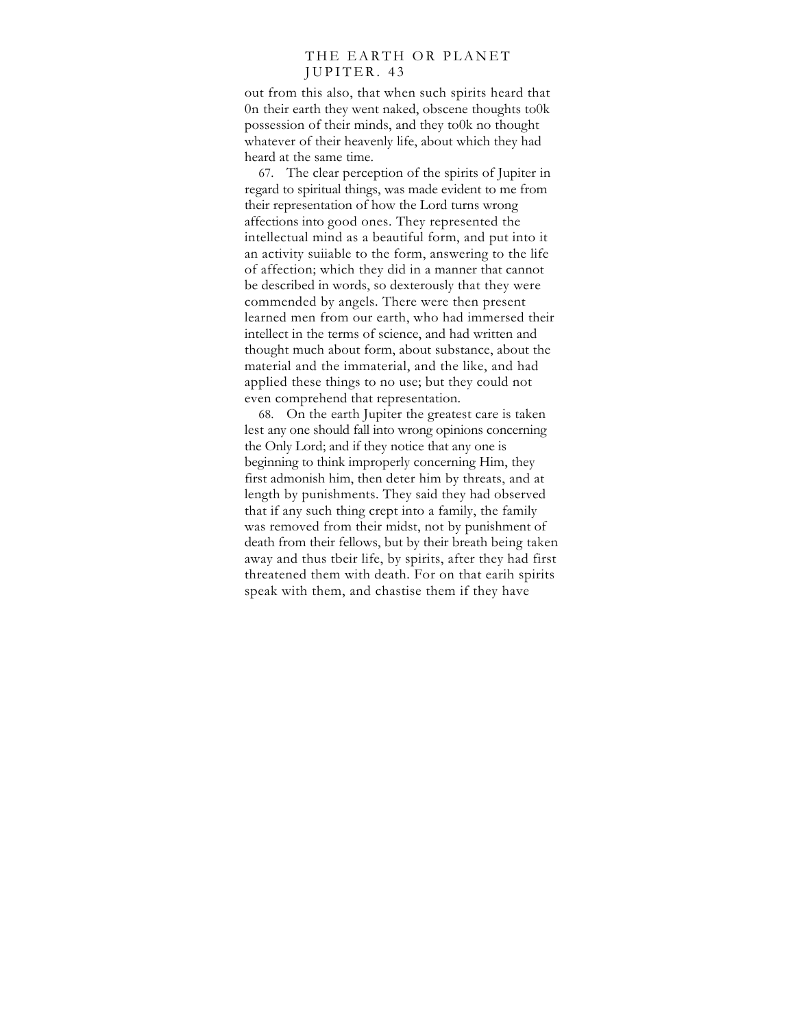# THE EARTH OR PLANET JUPITER. 43

out from this also, that when such spirits heard that 0n their earth they went naked, obscene thoughts to0k possession of their minds, and they to0k no thought whatever of their heavenly life, about which they had heard at the same time.

67. The clear perception of the spirits of Jupiter in regard to spiritual things, was made evident to me from their representation of how the Lord turns wrong affections into good ones. They represented the intellectual mind as a beautiful form, and put into it an activity suiiable to the form, answering to the life of affection; which they did in a manner that cannot be described in words, so dexterously that they were commended by angels. There were then present learned men from our earth, who had immersed their intellect in the terms of science, and had written and thought much about form, about substance, about the material and the immaterial, and the like, and had applied these things to no use; but they could not even comprehend that representation.

68. On the earth Jupiter the greatest care is taken lest any one should fall into wrong opinions concerning the Only Lord; and if they notice that any one is beginning to think improperly concerning Him, they first admonish him, then deter him by threats, and at length by punishments. They said they had observed that if any such thing crept into a family, the family was removed from their midst, not by punishment of death from their fellows, but by their breath being taken away and thus tbeir life, by spirits, after they had first threatened them with death. For on that earih spirits speak with them, and chastise them if they have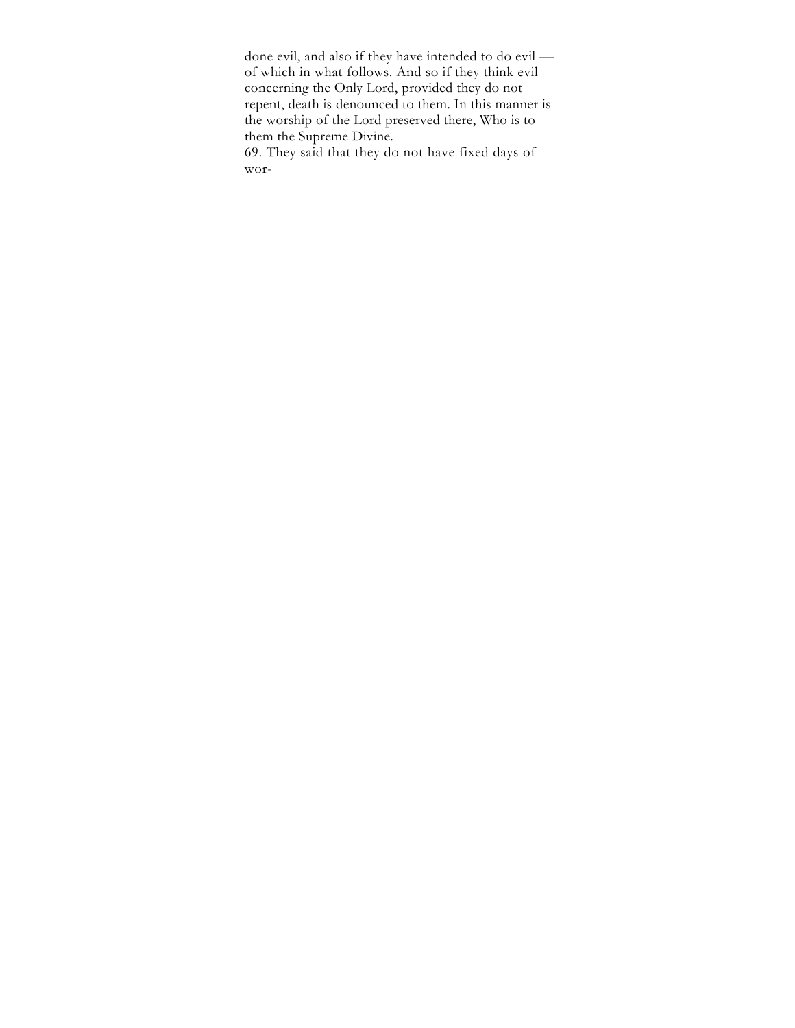done evil, and also if they have intended to do evil of which in what follows. And so if they think evil concerning the Only Lord, provided they do not repent, death is denounced to them. In this manner is the worship of the Lord preserved there, Who is to them the Supreme Divine.

69. They said that they do not have fixed days of wor-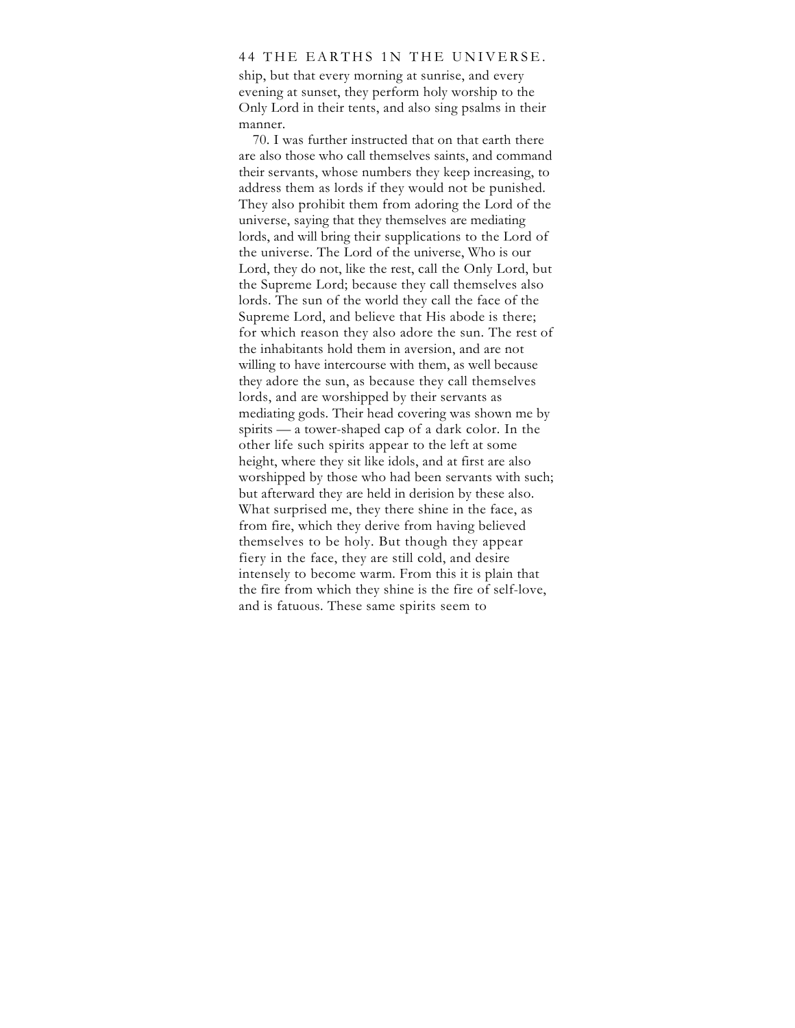### 44 THE EARTHS 1N THE UNIVERSE.

ship, but that every morning at sunrise, and every evening at sunset, they perform holy worship to the Only Lord in their tents, and also sing psalms in their manner.

70. I was further instructed that on that earth there are also those who call themselves saints, and command their servants, whose numbers they keep increasing, to address them as lords if they would not be punished. They also prohibit them from adoring the Lord of the universe, saying that they themselves are mediating lords, and will bring their supplications to the Lord of the universe. The Lord of the universe, Who is our Lord, they do not, like the rest, call the Only Lord, but the Supreme Lord; because they call themselves also lords. The sun of the world they call the face of the Supreme Lord, and believe that His abode is there; for which reason they also adore the sun. The rest of the inhabitants hold them in aversion, and are not willing to have intercourse with them, as well because they adore the sun, as because they call themselves lords, and are worshipped by their servants as mediating gods. Their head covering was shown me by spirits — a tower-shaped cap of a dark color. In the other life such spirits appear to the left at some height, where they sit like idols, and at first are also worshipped by those who had been servants with such; but afterward they are held in derision by these also. What surprised me, they there shine in the face, as from fire, which they derive from having believed themselves to be holy. But though they appear fiery in the face, they are still cold, and desire intensely to become warm. From this it is plain that the fire from which they shine is the fire of self-love, and is fatuous. These same spirits seem to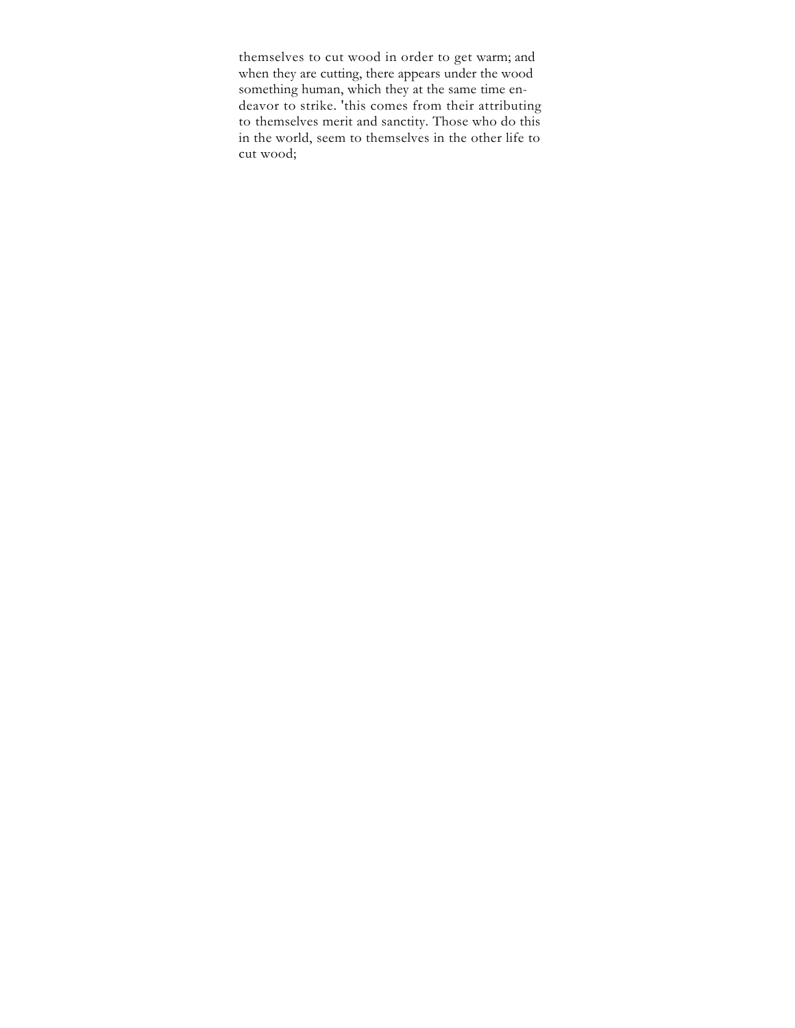themselves to cut wood in order to get warm; and when they are cutting, there appears under the wood something human, which they at the same time endeavor to strike. 'this comes from their attributing to themselves merit and sanctity. Those who do this in the world, seem to themselves in the other life to cut wood;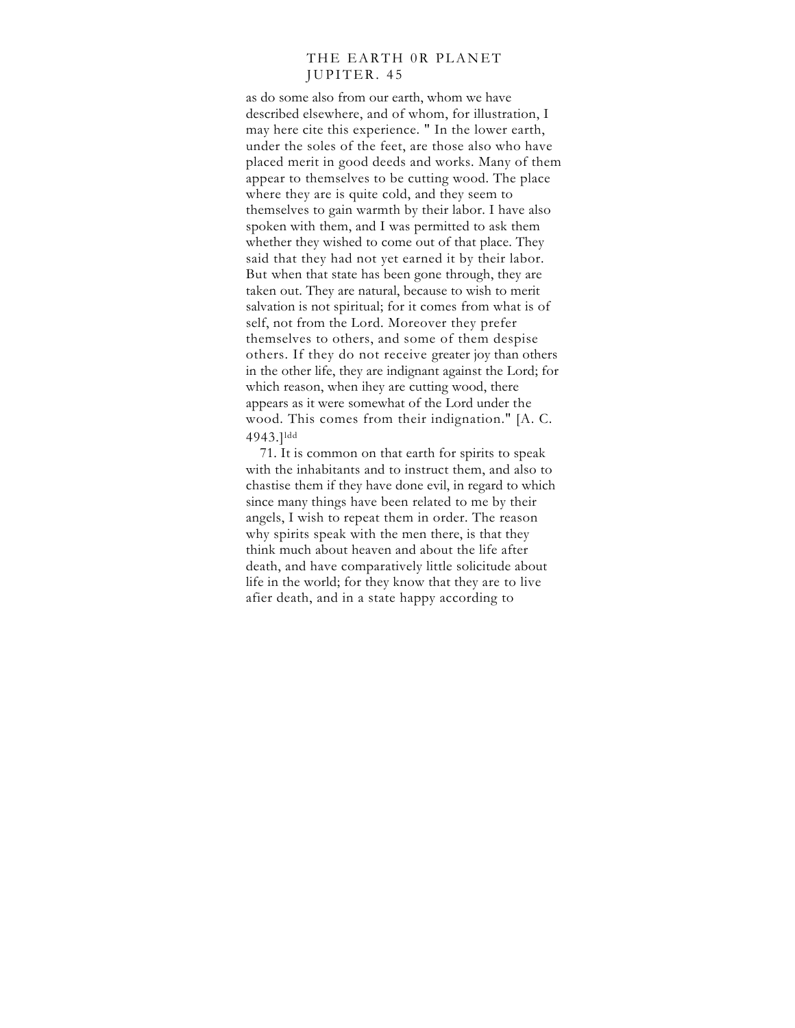# THE EARTH 0R PLANET JUPITER. 45

as do some also from our earth, whom we have described elsewhere, and of whom, for illustration, I may here cite this experience. " In the lower earth, under the soles of the feet, are those also who have placed merit in good deeds and works. Many of them appear to themselves to be cutting wood. The place where they are is quite cold, and they seem to themselves to gain warmth by their labor. I have also spoken with them, and I was permitted to ask them whether they wished to come out of that place. They said that they had not yet earned it by their labor. But when that state has been gone through, they are taken out. They are natural, because to wish to merit salvation is not spiritual; for it comes from what is of self, not from the Lord. Moreover they prefer themselves to others, and some of them despise others. If they do not receive greater joy than others in the other life, they are indignant against the Lord; for which reason, when ihey are cutting wood, there appears as it were somewhat of the Lord under the wood. This comes from their indignation." [A. C. 4943.]ldd

71. It is common on that earth for spirits to speak with the inhabitants and to instruct them, and also to chastise them if they have done evil, in regard to which since many things have been related to me by their angels, I wish to repeat them in order. The reason why spirits speak with the men there, is that they think much about heaven and about the life after death, and have comparatively little solicitude about life in the world; for they know that they are to live afier death, and in a state happy according to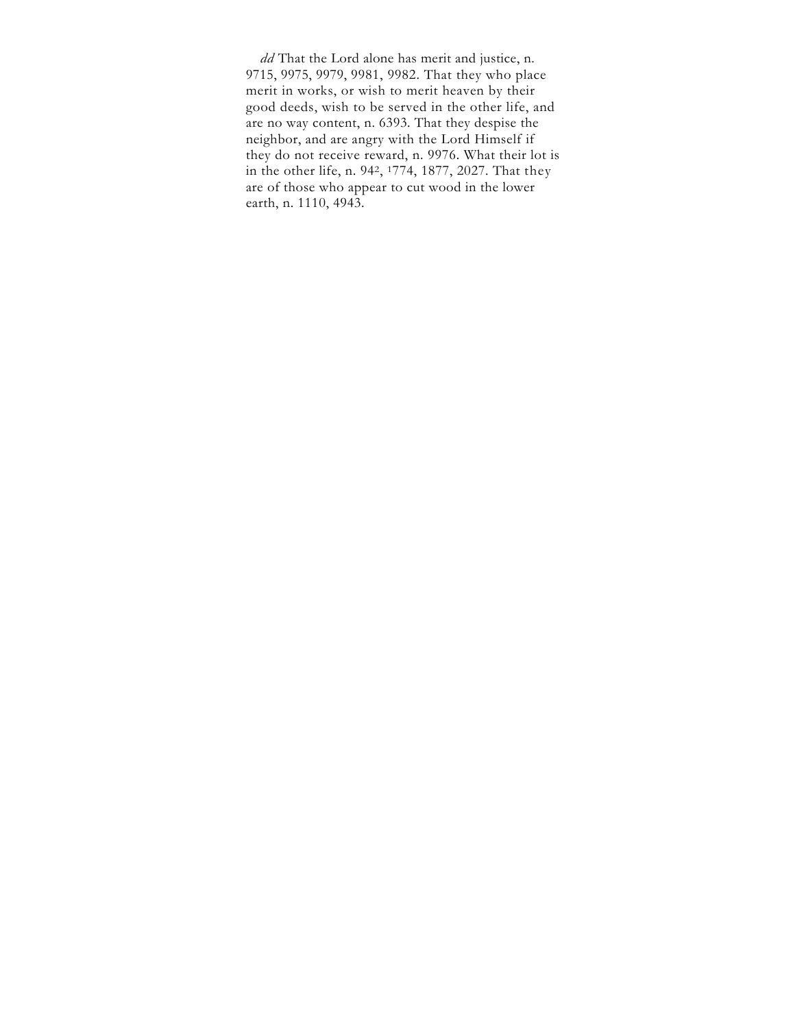*dd* That the Lord alone has merit and justice, n. 9715, 9975, 9979, 9981, 9982. That they who place merit in works, or wish to merit heaven by their good deeds, wish to be served in the other life, and are no way content, n. 6393. That they despise the neighbor, and are angry with the Lord Himself if they do not receive reward, n. 9976. What their lot is in the other life, n. 942, 1774, 1877, 2027. That they are of those who appear to cut wood in the lower earth, n. 1110, 4943.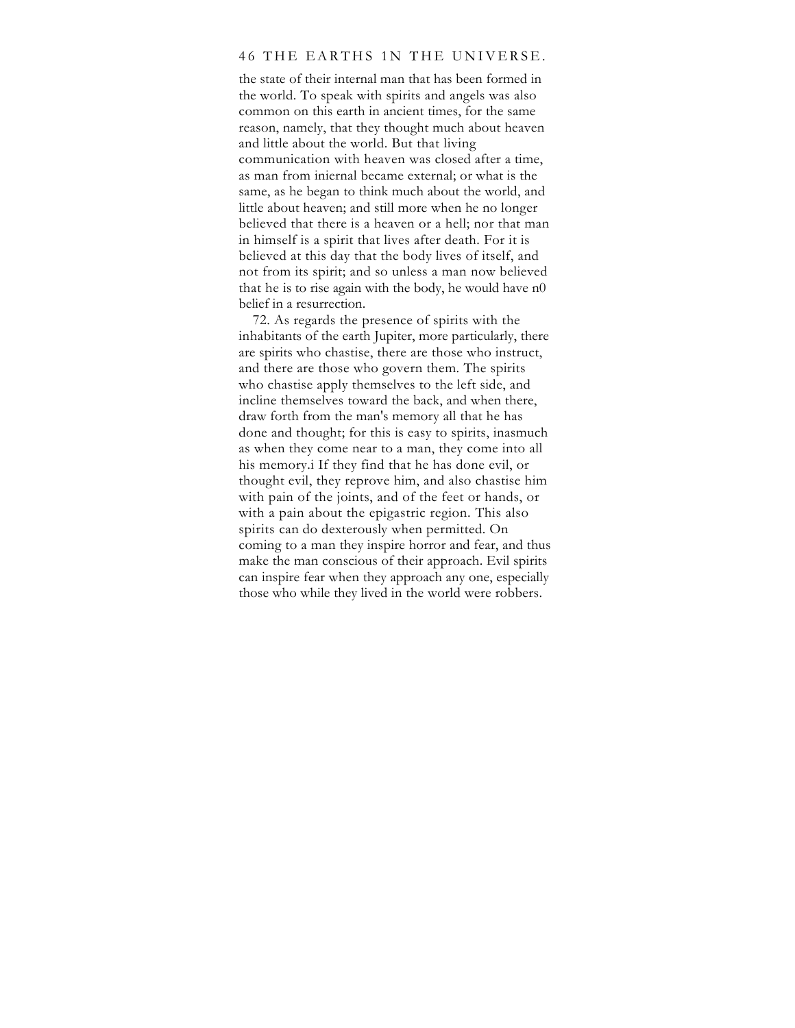### 46 THE EARTHS 1N THE UNIVERSE.

the state of their internal man that has been formed in the world. To speak with spirits and angels was also common on this earth in ancient times, for the same reason, namely, that they thought much about heaven and little about the world. But that living communication with heaven was closed after a time, as man from iniernal became external; or what is the same, as he began to think much about the world, and little about heaven; and still more when he no longer believed that there is a heaven or a hell; nor that man in himself is a spirit that lives after death. For it is believed at this day that the body lives of itself, and not from its spirit; and so unless a man now believed that he is to rise again with the body, he would have n0 belief in a resurrection.

72. As regards the presence of spirits with the inhabitants of the earth Jupiter, more particularly, there are spirits who chastise, there are those who instruct, and there are those who govern them. The spirits who chastise apply themselves to the left side, and incline themselves toward the back, and when there, draw forth from the man's memory all that he has done and thought; for this is easy to spirits, inasmuch as when they come near to a man, they come into all his memory.i If they find that he has done evil, or thought evil, they reprove him, and also chastise him with pain of the joints, and of the feet or hands, or with a pain about the epigastric region. This also spirits can do dexterously when permitted. On coming to a man they inspire horror and fear, and thus make the man conscious of their approach. Evil spirits can inspire fear when they approach any one, especially those who while they lived in the world were robbers.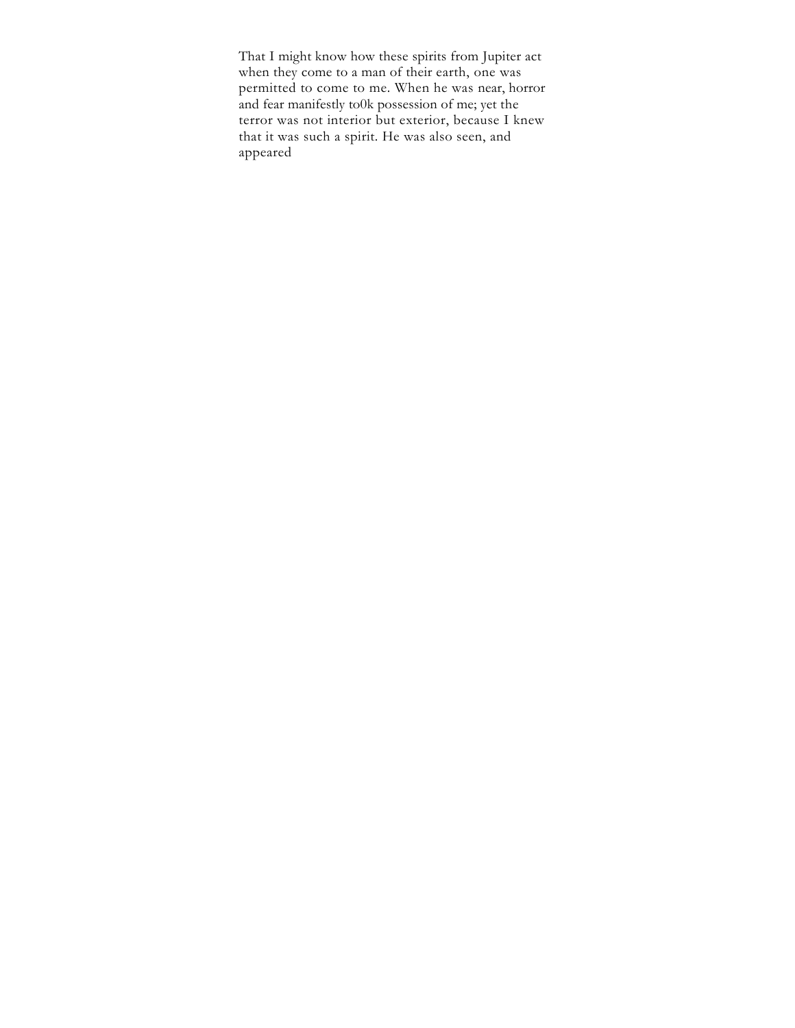That I might know how these spirits from Jupiter act when they come to a man of their earth, one was permitted to come to me. When he was near, horror and fear manifestly to0k possession of me; yet the terror was not interior but exterior, because I knew that it was such a spirit. He was also seen, and appeared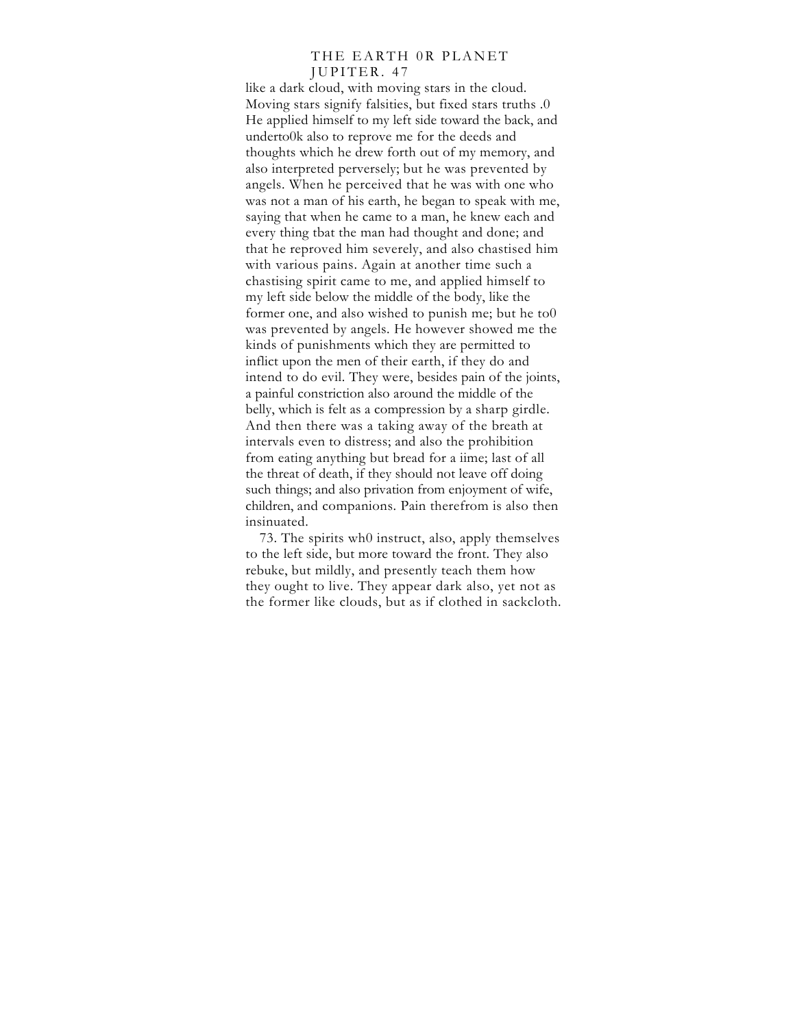# THE EARTH 0R PLANET JUPITER. 47

like a dark cloud, with moving stars in the cloud. Moving stars signify falsities, but fixed stars truths .0 He applied himself to my left side toward the back, and underto0k also to reprove me for the deeds and thoughts which he drew forth out of my memory, and also interpreted perversely; but he was prevented by angels. When he perceived that he was with one who was not a man of his earth, he began to speak with me, saying that when he came to a man, he knew each and every thing tbat the man had thought and done; and that he reproved him severely, and also chastised him with various pains. Again at another time such a chastising spirit came to me, and applied himself to my left side below the middle of the body, like the former one, and also wished to punish me; but he to0 was prevented by angels. He however showed me the kinds of punishments which they are permitted to inflict upon the men of their earth, if they do and intend to do evil. They were, besides pain of the joints, a painful constriction also around the middle of the belly, which is felt as a compression by a sharp girdle. And then there was a taking away of the breath at intervals even to distress; and also the prohibition from eating anything but bread for a iime; last of all the threat of death, if they should not leave off doing such things; and also privation from enjoyment of wife, children, and companions. Pain therefrom is also then insinuated.

73. The spirits wh0 instruct, also, apply themselves to the left side, but more toward the front. They also rebuke, but mildly, and presently teach them how they ought to live. They appear dark also, yet not as the former like clouds, but as if clothed in sackcloth.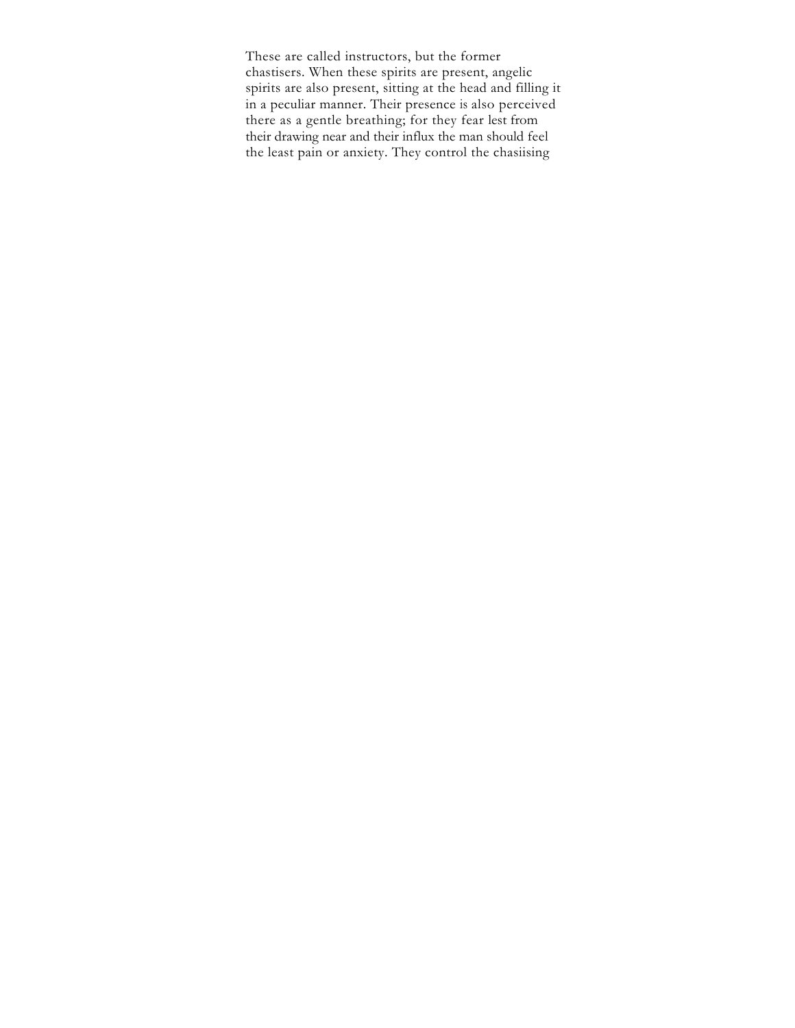These are called instructors, but the former chastisers. When these spirits are present, angelic spirits are also present, sitting at the head and filling it in a peculiar manner. Their presence is also perceived there as a gentle breathing; for they fear lest from their drawing near and their influx the man should feel the least pain or anxiety. They control the chasiising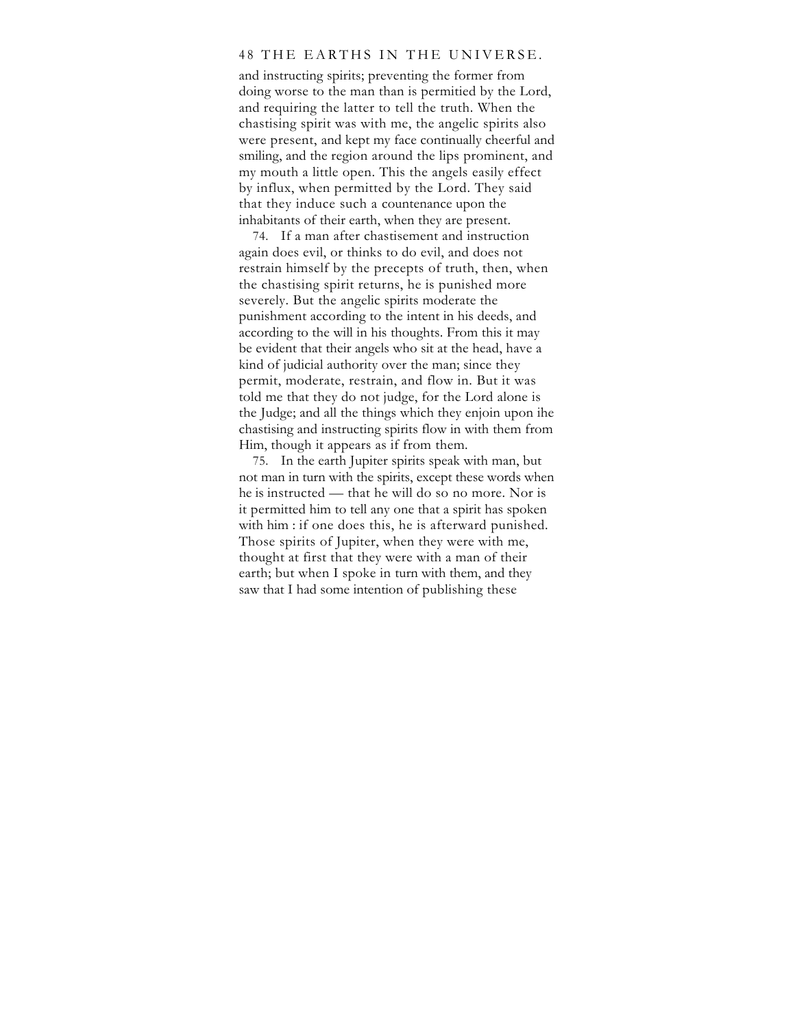#### 48 THE EARTHS IN THE UNIVERSE.

and instructing spirits; preventing the former from doing worse to the man than is permitied by the Lord, and requiring the latter to tell the truth. When the chastising spirit was with me, the angelic spirits also were present, and kept my face continually cheerful and smiling, and the region around the lips prominent, and my mouth a little open. This the angels easily effect by influx, when permitted by the Lord. They said that they induce such a countenance upon the inhabitants of their earth, when they are present.

74. If a man after chastisement and instruction again does evil, or thinks to do evil, and does not restrain himself by the precepts of truth, then, when the chastising spirit returns, he is punished more severely. But the angelic spirits moderate the punishment according to the intent in his deeds, and according to the will in his thoughts. From this it may be evident that their angels who sit at the head, have a kind of judicial authority over the man; since they permit, moderate, restrain, and flow in. But it was told me that they do not judge, for the Lord alone is the Judge; and all the things which they enjoin upon ihe chastising and instructing spirits flow in with them from Him, though it appears as if from them.

75. In the earth Jupiter spirits speak with man, but not man in turn with the spirits, except these words when he is instructed — that he will do so no more. Nor is it permitted him to tell any one that a spirit has spoken with him : if one does this, he is afterward punished. Those spirits of Jupiter, when they were with me, thought at first that they were with a man of their earth; but when I spoke in turn with them, and they saw that I had some intention of publishing these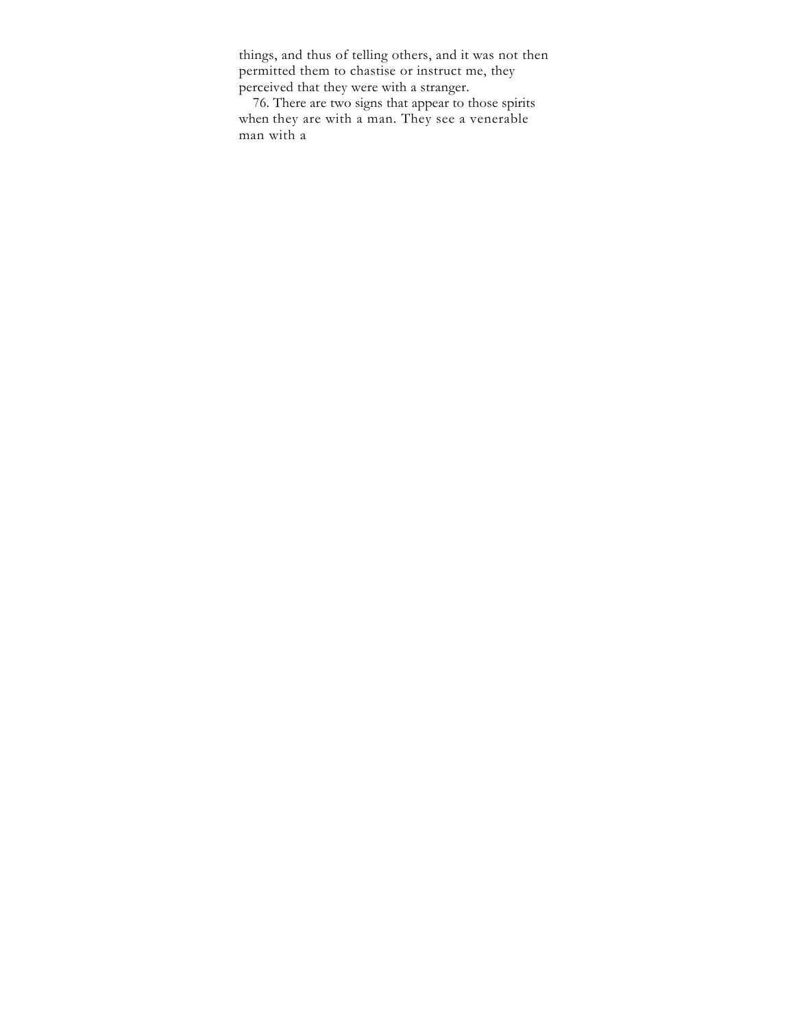things, and thus of telling others, and it was not then permitted them to chastise or instruct me, they perceived that they were with a stranger.

76. There are two signs that appear to those spirits when they are with a man. They see a venerable man with a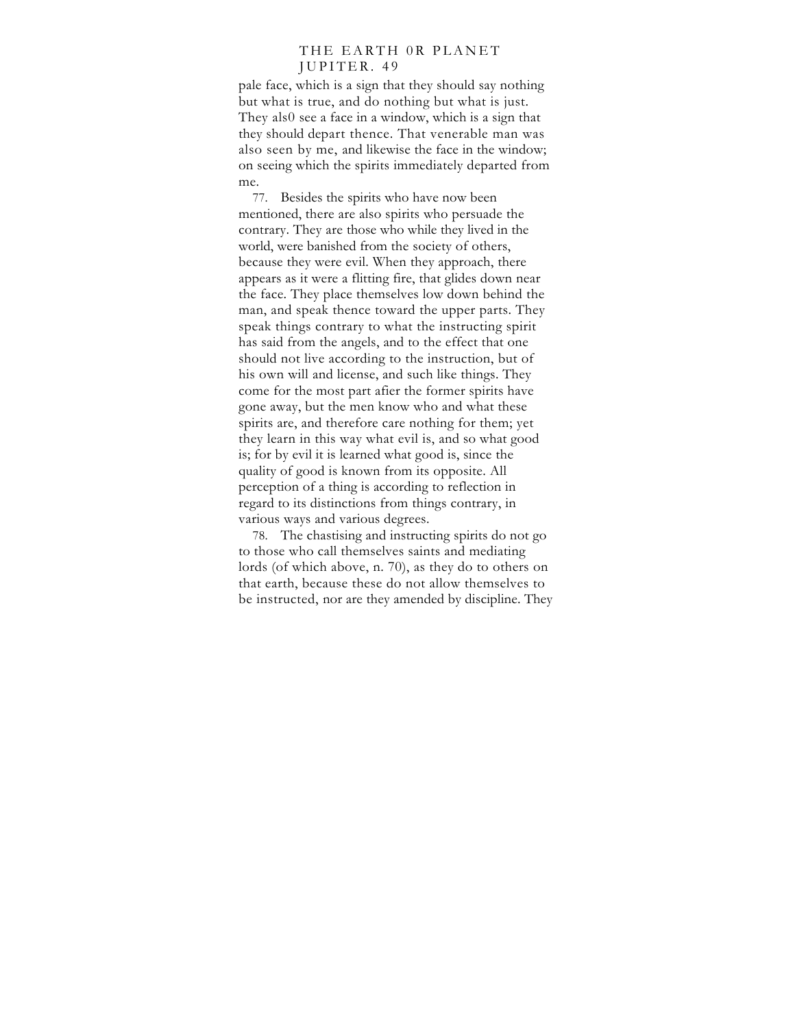### THE EARTH 0R PLANET JUPITER. 49

pale face, which is a sign that they should say nothing but what is true, and do nothing but what is just. They als0 see a face in a window, which is a sign that they should depart thence. That venerable man was also seen by me, and likewise the face in the window; on seeing which the spirits immediately departed from me.

77. Besides the spirits who have now been mentioned, there are also spirits who persuade the contrary. They are those who while they lived in the world, were banished from the society of others, because they were evil. When they approach, there appears as it were a flitting fire, that glides down near the face. They place themselves low down behind the man, and speak thence toward the upper parts. They speak things contrary to what the instructing spirit has said from the angels, and to the effect that one should not live according to the instruction, but of his own will and license, and such like things. They come for the most part afier the former spirits have gone away, but the men know who and what these spirits are, and therefore care nothing for them; yet they learn in this way what evil is, and so what good is; for by evil it is learned what good is, since the quality of good is known from its opposite. All perception of a thing is according to reflection in regard to its distinctions from things contrary, in various ways and various degrees.

78. The chastising and instructing spirits do not go to those who call themselves saints and mediating lords (of which above, n. 70), as they do to others on that earth, because these do not allow themselves to be instructed, nor are they amended by discipline. They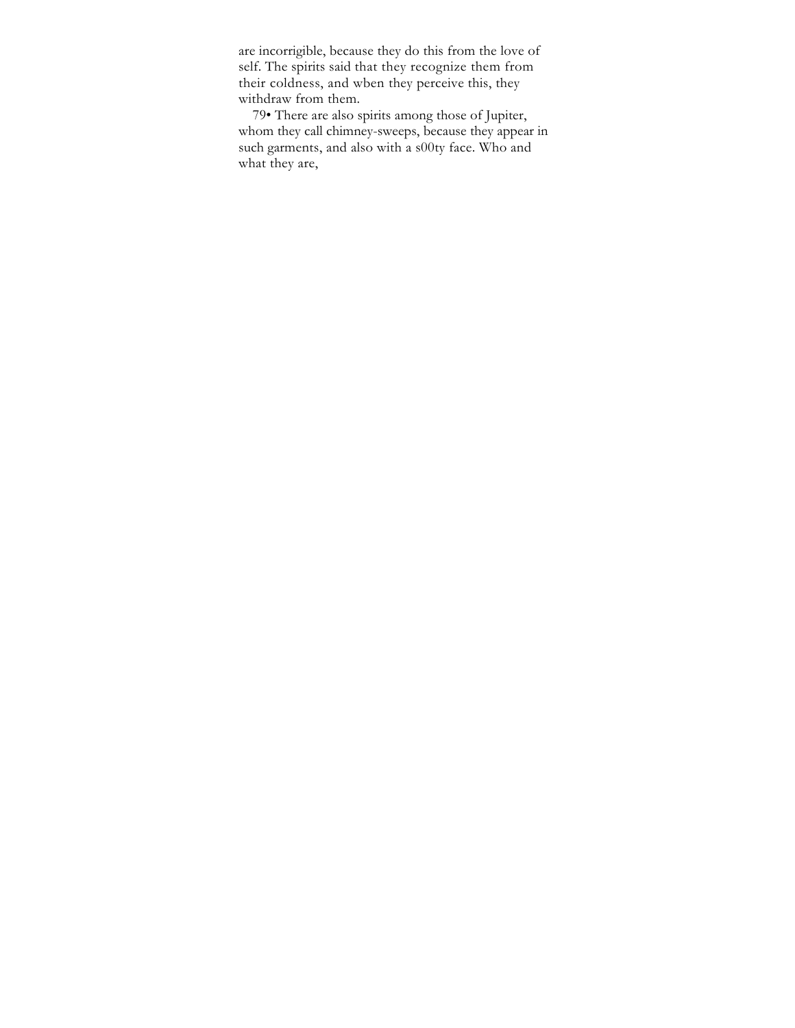are incorrigible, because they do this from the love of self. The spirits said that they recognize them from their coldness, and wben they perceive this, they withdraw from them.

79• There are also spirits among those of Jupiter, whom they call chimney-sweeps, because they appear in such garments, and also with a s00ty face. Who and what they are,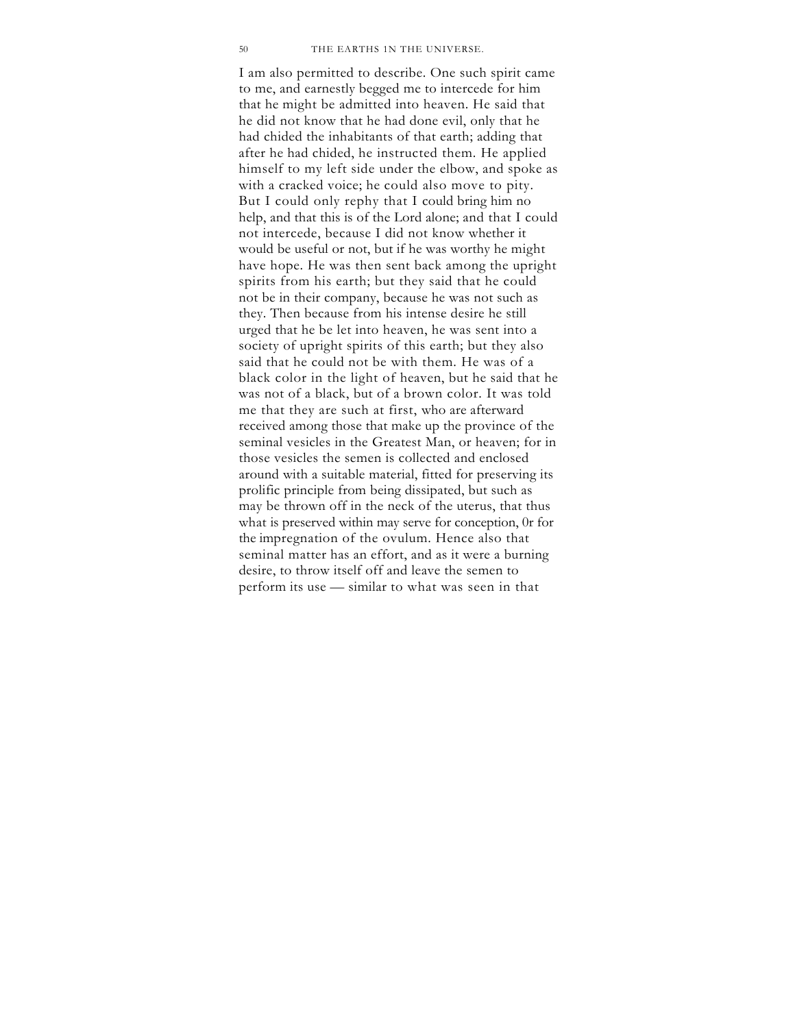#### 50 THE EARTHS 1N THE UNIVERSE.

I am also permitted to describe. One such spirit came to me, and earnestly begged me to intercede for him that he might be admitted into heaven. He said that he did not know that he had done evil, only that he had chided the inhabitants of that earth; adding that after he had chided, he instructed them. He applied himself to my left side under the elbow, and spoke as with a cracked voice; he could also move to pity. But I could only rephy that I could bring him no help, and that this is of the Lord alone; and that I could not intercede, because I did not know whether it would be useful or not, but if he was worthy he might have hope. He was then sent back among the upright spirits from his earth; but they said that he could not be in their company, because he was not such as they. Then because from his intense desire he still urged that he be let into heaven, he was sent into a society of upright spirits of this earth; but they also said that he could not be with them. He was of a black color in the light of heaven, but he said that he was not of a black, but of a brown color. It was told me that they are such at first, who are afterward received among those that make up the province of the seminal vesicles in the Greatest Man, or heaven; for in those vesicles the semen is collected and enclosed around with a suitable material, fitted for preserving its prolific principle from being dissipated, but such as may be thrown off in the neck of the uterus, that thus what is preserved within may serve for conception, 0r for the impregnation of the ovulum. Hence also that seminal matter has an effort, and as it were a burning desire, to throw itself off and leave the semen to perform its use — similar to what was seen in that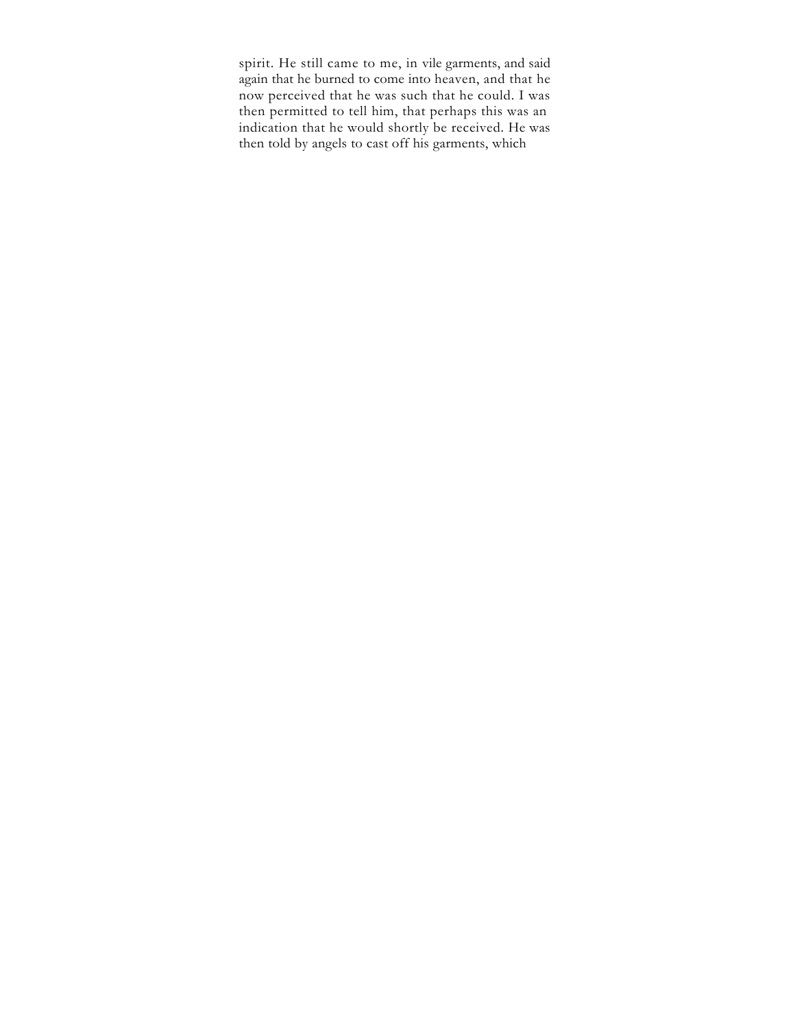spirit. He still came to me, in vile garments, and said again that he burned to come into heaven, and that he now perceived that he was such that he could. I was then permitted to tell him, that perhaps this was an indication that he would shortly be received. He was then told by angels to cast off his garments, which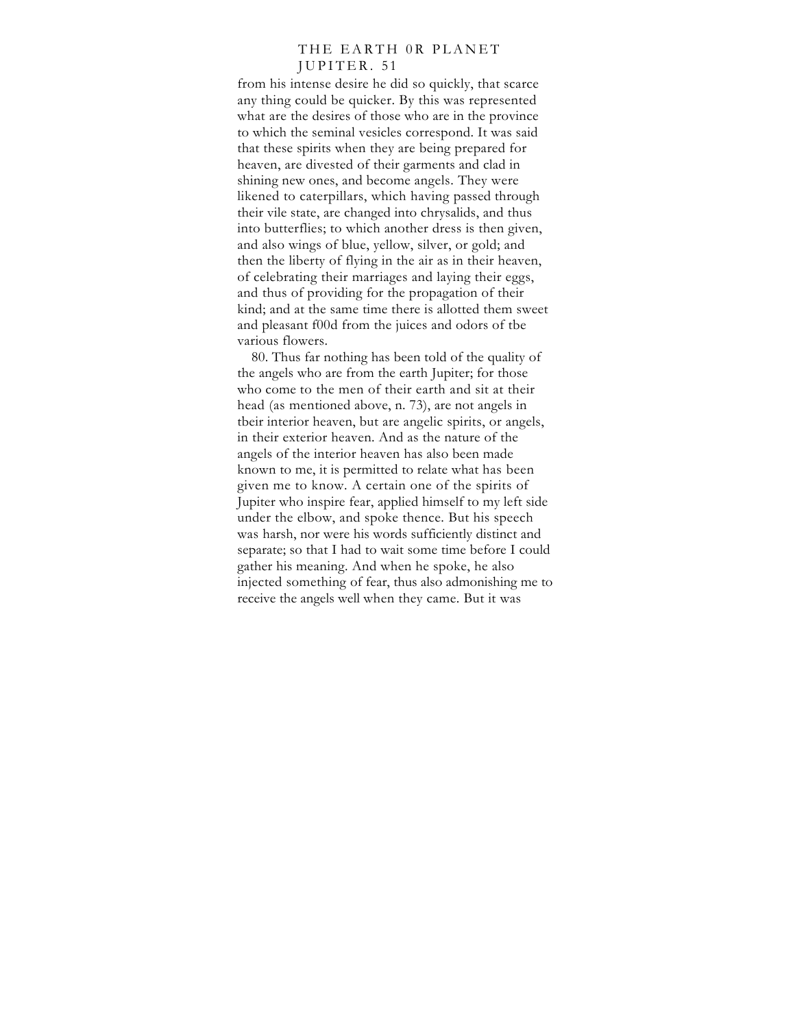# THE EARTH 0R PLANET JUPITER. 51

from his intense desire he did so quickly, that scarce any thing could be quicker. By this was represented what are the desires of those who are in the province to which the seminal vesicles correspond. It was said that these spirits when they are being prepared for heaven, are divested of their garments and clad in shining new ones, and become angels. They were likened to caterpillars, which having passed through their vile state, are changed into chrysalids, and thus into butterflies; to which another dress is then given, and also wings of blue, yellow, silver, or gold; and then the liberty of flying in the air as in their heaven, of celebrating their marriages and laying their eggs, and thus of providing for the propagation of their kind; and at the same time there is allotted them sweet and pleasant f00d from the juices and odors of tbe various flowers.

80. Thus far nothing has been told of the quality of the angels who are from the earth Jupiter; for those who come to the men of their earth and sit at their head (as mentioned above, n. 73), are not angels in tbeir interior heaven, but are angelic spirits, or angels, in their exterior heaven. And as the nature of the angels of the interior heaven has also been made known to me, it is permitted to relate what has been given me to know. A certain one of the spirits of Jupiter who inspire fear, applied himself to my left side under the elbow, and spoke thence. But his speech was harsh, nor were his words sufficiently distinct and separate; so that I had to wait some time before I could gather his meaning. And when he spoke, he also injected something of fear, thus also admonishing me to receive the angels well when they came. But it was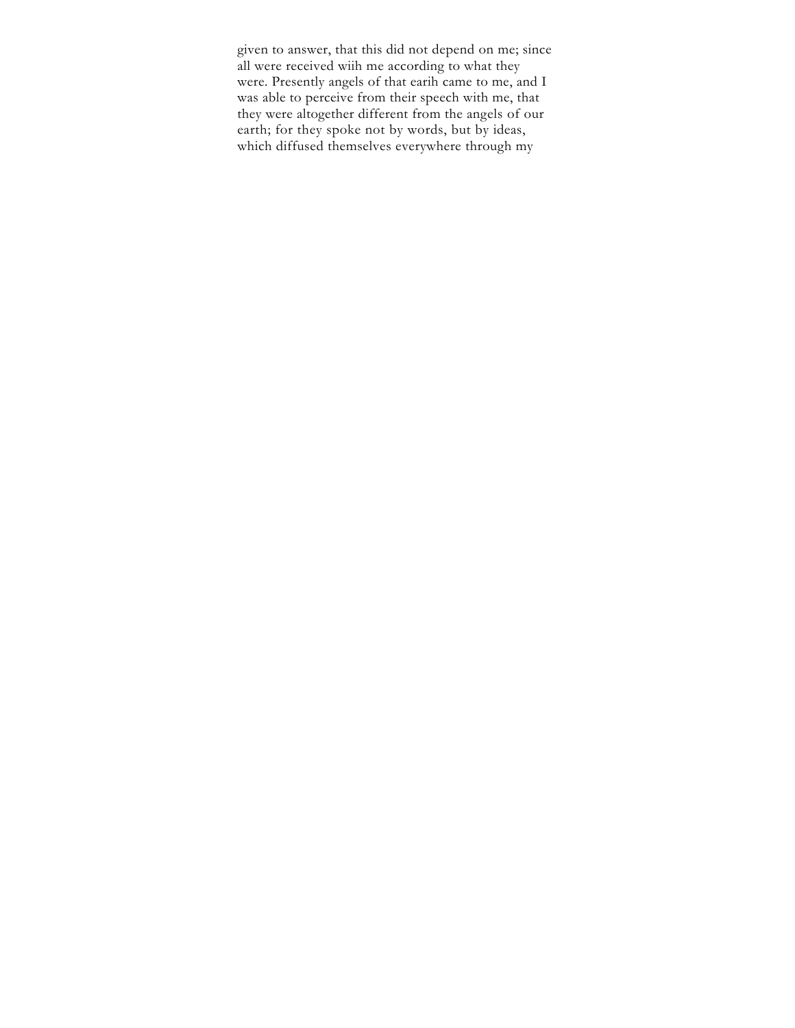given to answer, that this did not depend on me; since all were received wiih me according to what they were. Presently angels of that earih came to me, and I was able to perceive from their speech with me, that they were altogether different from the angels of our earth; for they spoke not by words, but by ideas, which diffused themselves everywhere through my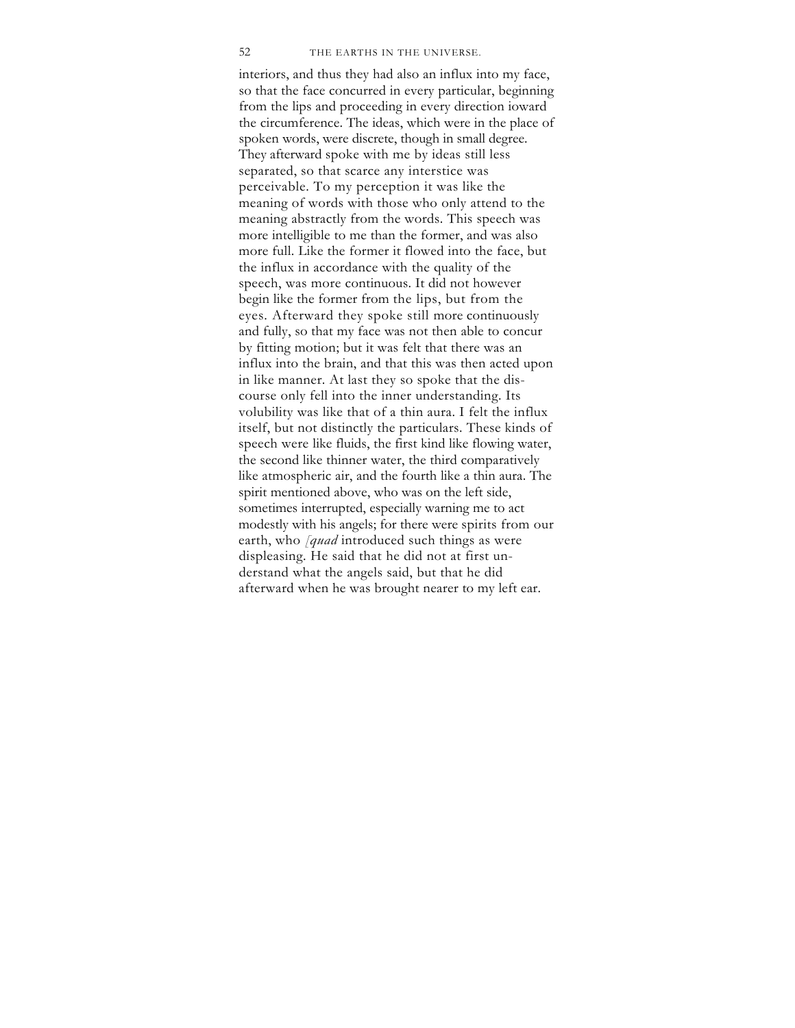### 52 THE EARTHS IN THE UNIVERSE.

interiors, and thus they had also an influx into my face, so that the face concurred in every particular, beginning from the lips and proceeding in every direction ioward the circumference. The ideas, which were in the place of spoken words, were discrete, though in small degree. They afterward spoke with me by ideas still less separated, so that scarce any interstice was perceivable. To my perception it was like the meaning of words with those who only attend to the meaning abstractly from the words. This speech was more intelligible to me than the former, and was also more full. Like the former it flowed into the face, but the influx in accordance with the quality of the speech, was more continuous. It did not however begin like the former from the lips, but from the eyes. Afterward they spoke still more continuously and fully, so that my face was not then able to concur by fitting motion; but it was felt that there was an influx into the brain, and that this was then acted upon in like manner. At last they so spoke that the discourse only fell into the inner understanding. Its volubility was like that of a thin aura. I felt the influx itself, but not distinctly the particulars. These kinds of speech were like fluids, the first kind like flowing water, the second like thinner water, the third comparatively like atmospheric air, and the fourth like a thin aura. The spirit mentioned above, who was on the left side, sometimes interrupted, especially warning me to act modestly with his angels; for there were spirits from our earth, who *[quad* introduced such things as were displeasing. He said that he did not at first understand what the angels said, but that he did afterward when he was brought nearer to my left ear.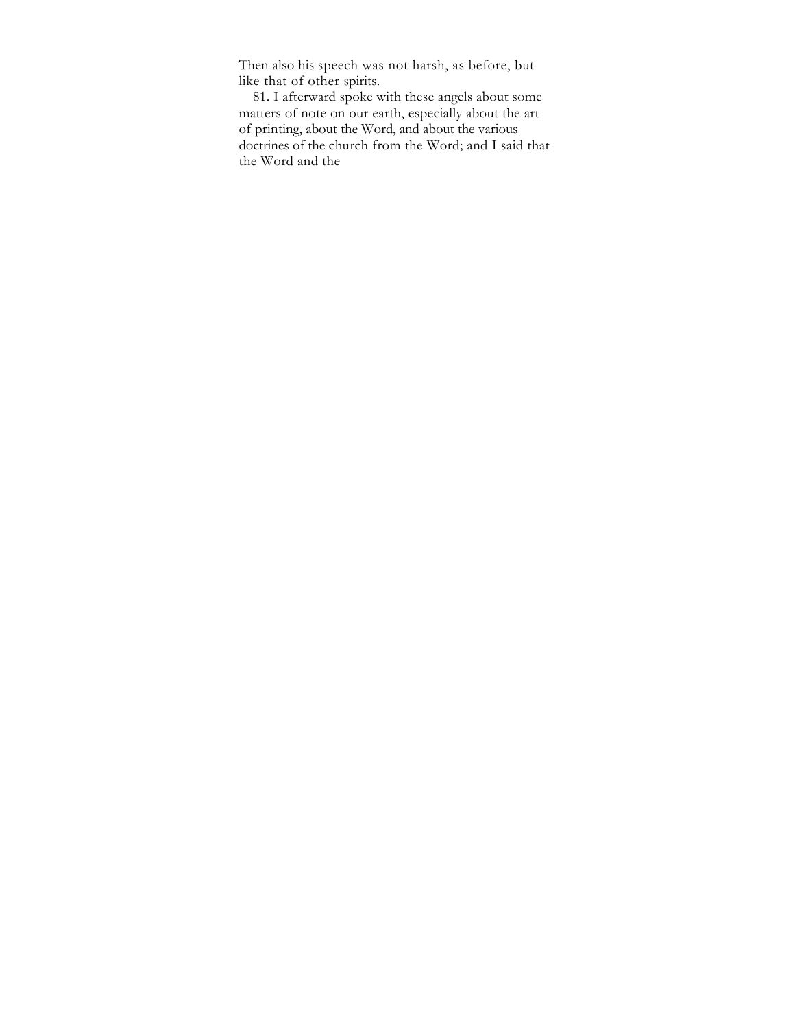Then also his speech was not harsh, as before, but like that of other spirits.

81. I afterward spoke with these angels about some matters of note on our earth, especially about the art of printing, about the Word, and about the various doctrines of the church from the Word; and I said that the Word and the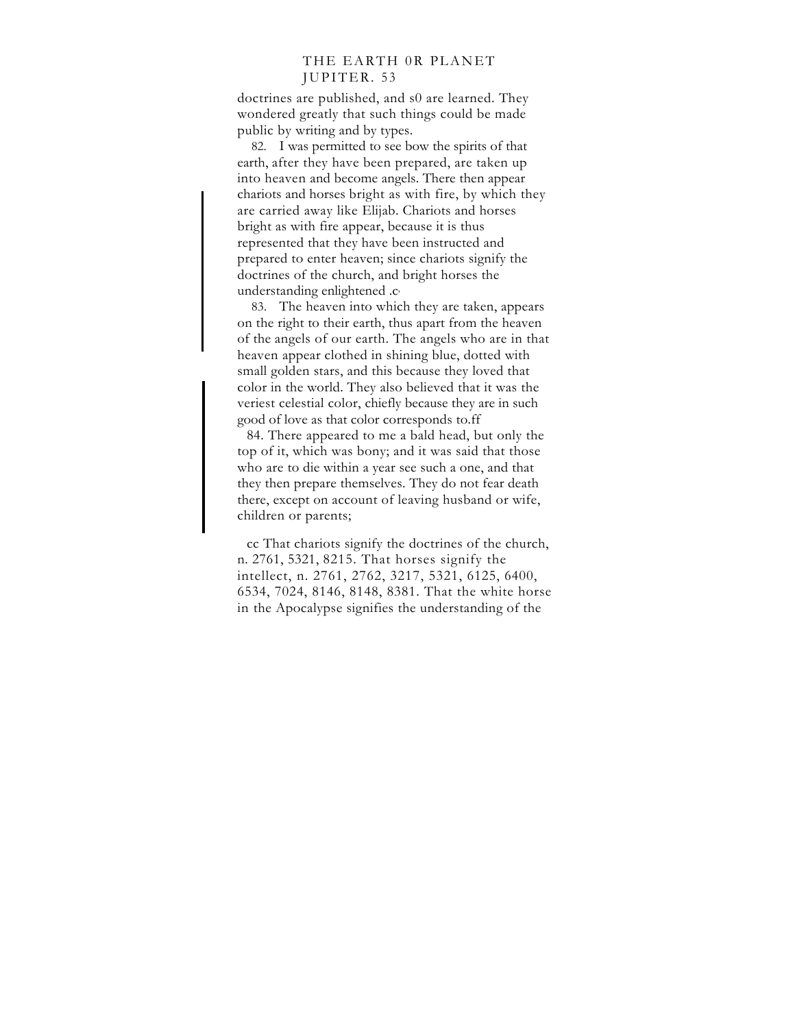# THE EARTH 0R PLANET JUPITER. 53

doctrines are published, and s0 are learned. They wondered greatly that such things could be made public by writing and by types.

82. I was permitted to see bow the spirits of that earth, after they have been prepared, are taken up into heaven and become angels. There then appear chariots and horses bright as with fire, by which they are carried away like Elijab. Chariots and horses bright as with fire appear, because it is thus represented that they have been instructed and prepared to enter heaven; since chariots signify the doctrines of the church, and bright horses the understanding enlightened .c,

83. The heaven into which they are taken, appears on the right to their earth, thus apart from the heaven of the angels of our earth. The angels who are in that heaven appear clothed in shining blue, dotted with small golden stars, and this because they loved that color in the world. They also believed that it was the veriest celestial color, chiefly because they are in such good of love as that color corresponds to.ff

84. There appeared to me a bald head, but only the top of it, which was bony; and it was said that those who are to die within a year see such a one, and that they then prepare themselves. They do not fear death there, except on account of leaving husband or wife, children or parents;

cc That chariots signify the doctrines of the church, n. 2761, 5321, 8215. That horses signify the intellect, n. 2761, 2762, 3217, 5321, 6125, 6400, 6534, 7024, 8146, 8148, 8381. That the white horse in the Apocalypse signifies the understanding of the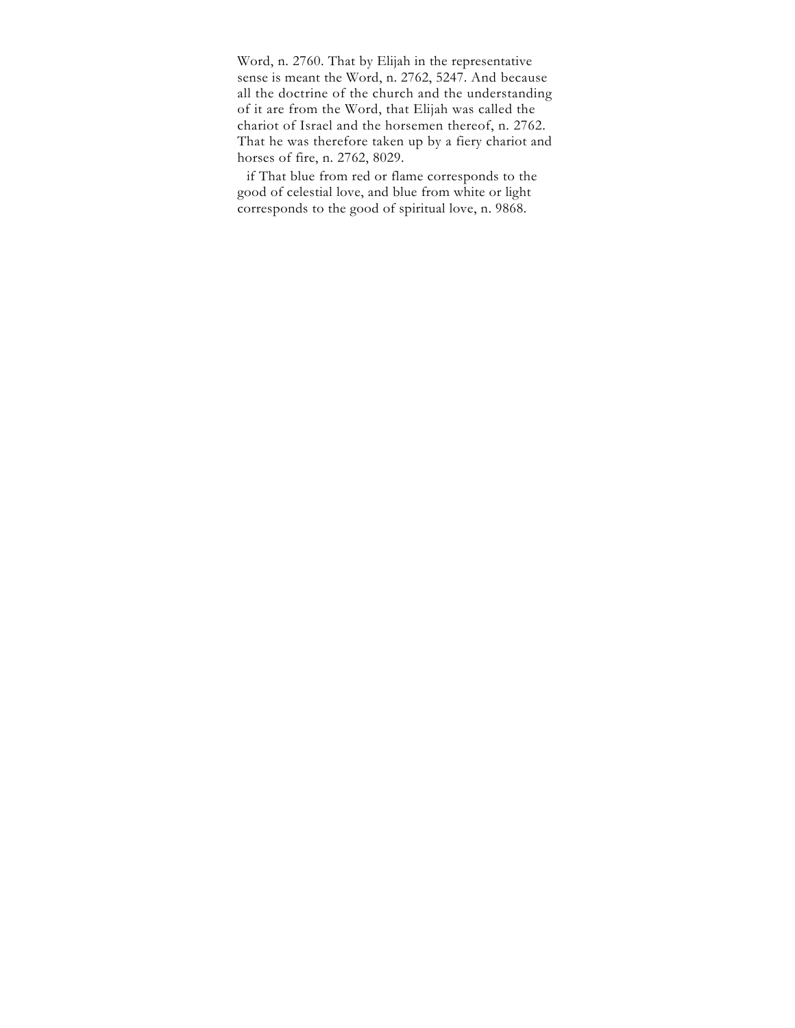Word, n. 2760. That by Elijah in the representative sense is meant the Word, n. 2762, 5247. And because all the doctrine of the church and the understanding of it are from the Word, that Elijah was called the chariot of Israel and the horsemen thereof, n. 2762. That he was therefore taken up by a fiery chariot and horses of fire, n. 2762, 8029.

if That blue from red or flame corresponds to the good of celestial love, and blue from white or light corresponds to the good of spiritual love, n. 9868.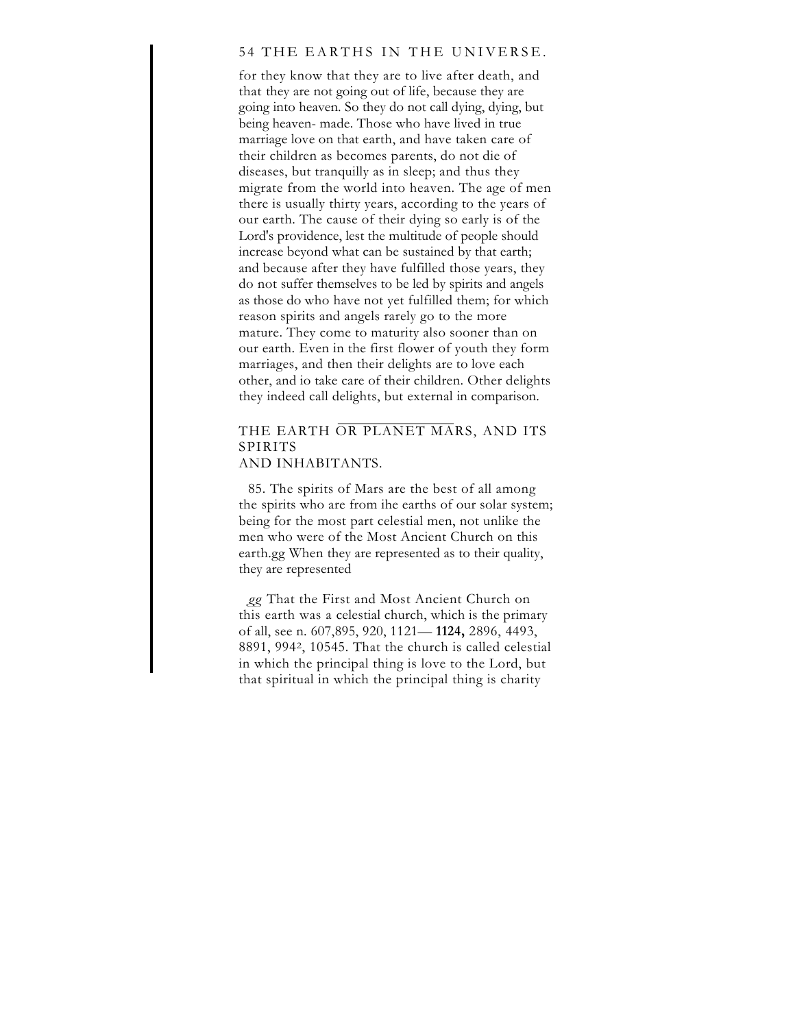#### 54 THE EARTHS IN THE UNIVERSE.

for they know that they are to live after death, and that they are not going out of life, because they are going into heaven. So they do not call dying, dying, but being heaven- made. Those who have lived in true marriage love on that earth, and have taken care of their children as becomes parents, do not die of diseases, but tranquilly as in sleep; and thus they migrate from the world into heaven. The age of men there is usually thirty years, according to the years of our earth. The cause of their dying so early is of the Lord's providence, lest the multitude of people should increase beyond what can be sustained by that earth; and because after they have fulfilled those years, they do not suffer themselves to be led by spirits and angels as those do who have not yet fulfilled them; for which reason spirits and angels rarely go to the more mature. They come to maturity also sooner than on our earth. Even in the first flower of youth they form marriages, and then their delights are to love each other, and io take care of their children. Other delights they indeed call delights, but external in comparison.

### THE EARTH OR PLANET MARS, AND ITS SPIRITS AND INHABITANTS.

85. The spirits of Mars are the best of all among the spirits who are from ihe earths of our solar system; being for the most part celestial men, not unlike the men who were of the Most Ancient Church on this earth.gg When they are represented as to their quality, they are represented

*gg* That the First and Most Ancient Church on this earth was a celestial church, which is the primary of all, see n. 607,895, 920, 1121— **1124,** 2896, 4493, 8891, 9942, 10545. That the church is called celestial in which the principal thing is love to the Lord, but that spiritual in which the principal thing is charity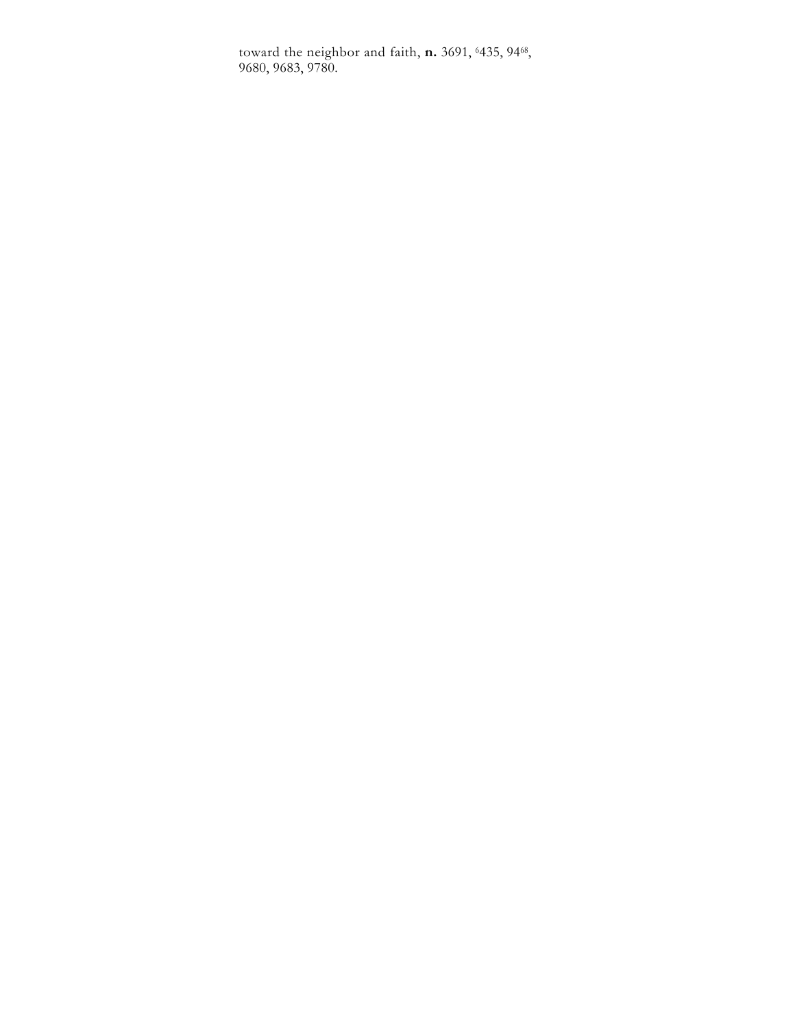toward the neighbor and faith, **n.** 3691, 6435, 9468, 9680, 9683, 9780.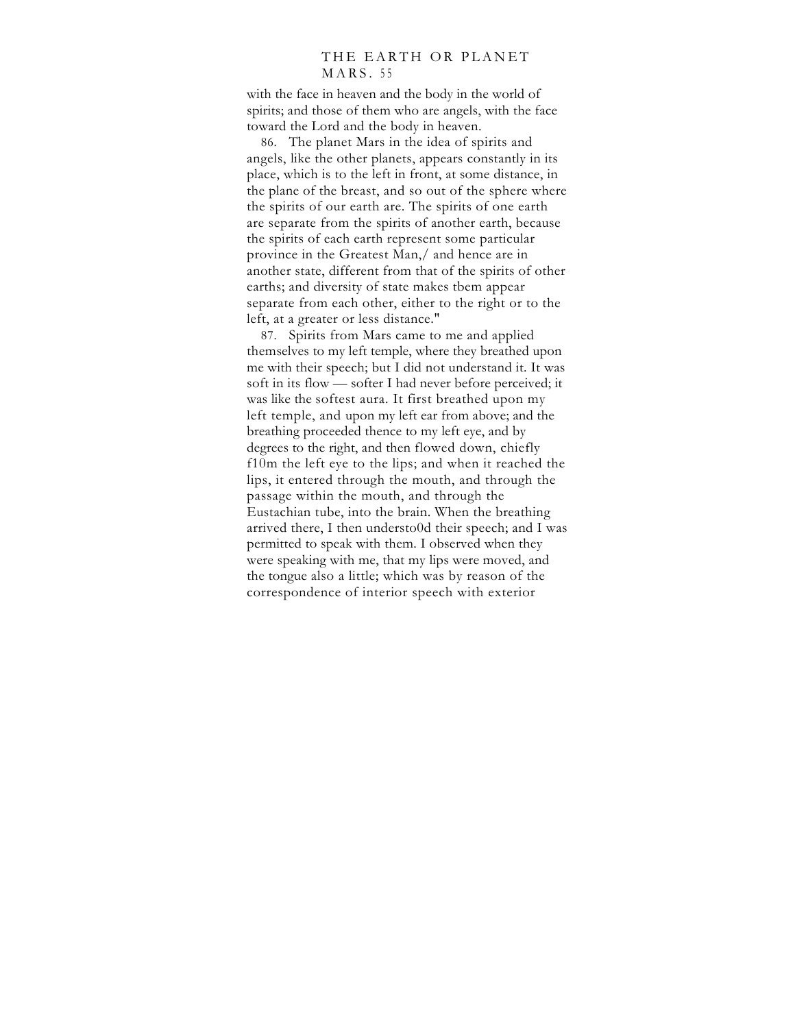# THE EARTH OR PLANET MARS. 55

with the face in heaven and the body in the world of spirits; and those of them who are angels, with the face toward the Lord and the body in heaven.

86. The planet Mars in the idea of spirits and angels, like the other planets, appears constantly in its place, which is to the left in front, at some distance, in the plane of the breast, and so out of the sphere where the spirits of our earth are. The spirits of one earth are separate from the spirits of another earth, because the spirits of each earth represent some particular province in the Greatest Man,/ and hence are in another state, different from that of the spirits of other earths; and diversity of state makes tbem appear separate from each other, either to the right or to the left, at a greater or less distance."

87. Spirits from Mars came to me and applied themselves to my left temple, where they breathed upon me with their speech; but I did not understand it. It was soft in its flow — softer I had never before perceived; it was like the softest aura. It first breathed upon my left temple, and upon my left ear from above; and the breathing proceeded thence to my left eye, and by degrees to the right, and then flowed down, chiefly f10m the left eye to the lips; and when it reached the lips, it entered through the mouth, and through the passage within the mouth, and through the Eustachian tube, into the brain. When the breathing arrived there, I then understo0d their speech; and I was permitted to speak with them. I observed when they were speaking with me, that my lips were moved, and the tongue also a little; which was by reason of the correspondence of interior speech with exterior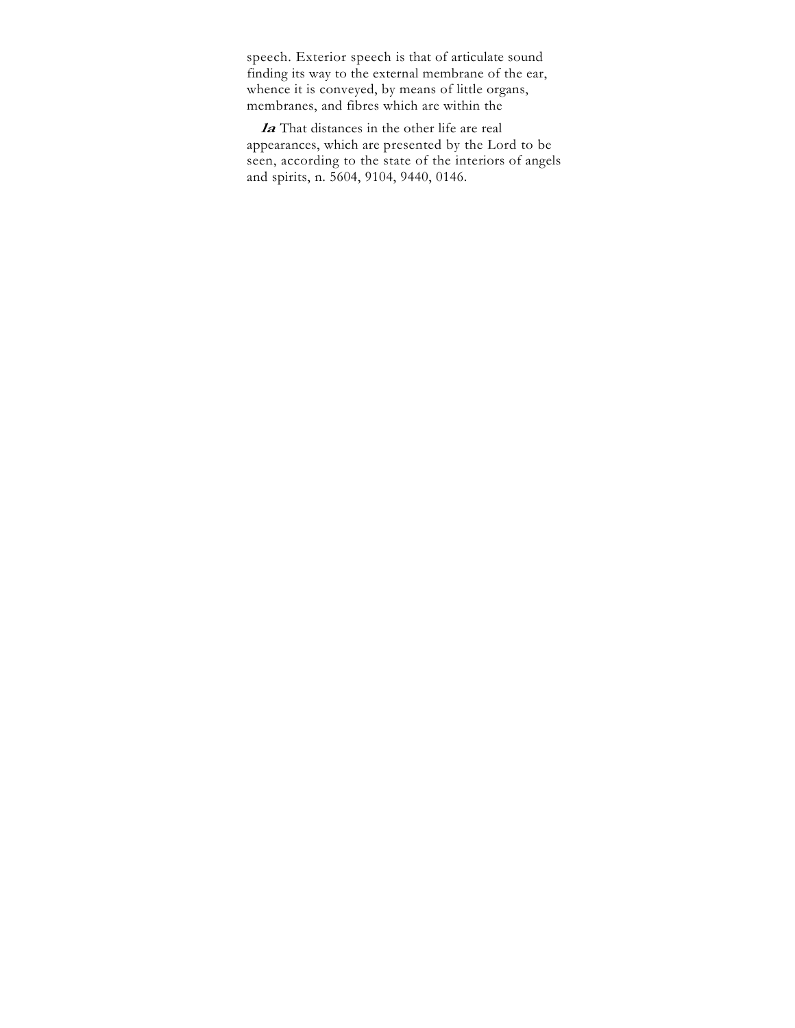speech. Exterior speech is that of articulate sound finding its way to the external membrane of the ear, whence it is conveyed, by means of little organs, membranes, and fibres which are within the

**la** That distances in the other life are real appearances, which are presented by the Lord to be seen, according to the state of the interiors of angels and spirits, n. 5604, 9104, 9440, 0146.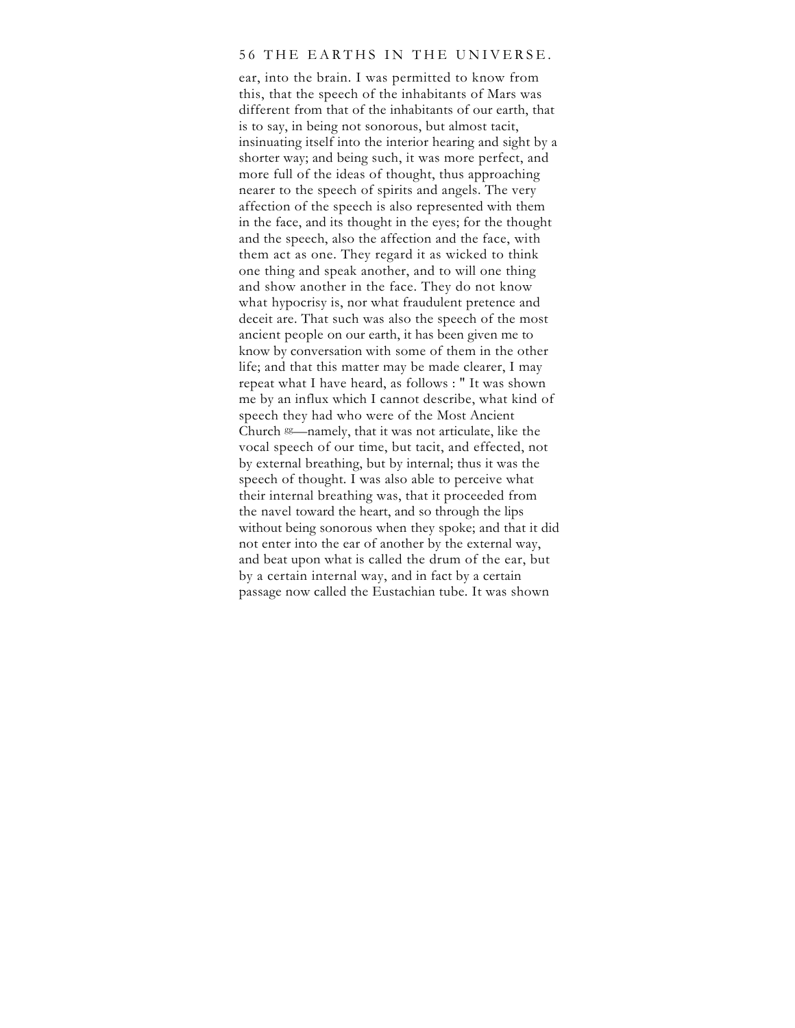#### 56 THE EARTHS IN THE UNIVERSE.

ear, into the brain. I was permitted to know from this, that the speech of the inhabitants of Mars was different from that of the inhabitants of our earth, that is to say, in being not sonorous, but almost tacit, insinuating itself into the interior hearing and sight by a shorter way; and being such, it was more perfect, and more full of the ideas of thought, thus approaching nearer to the speech of spirits and angels. The very affection of the speech is also represented with them in the face, and its thought in the eyes; for the thought and the speech, also the affection and the face, with them act as one. They regard it as wicked to think one thing and speak another, and to will one thing and show another in the face. They do not know what hypocrisy is, nor what fraudulent pretence and deceit are. That such was also the speech of the most ancient people on our earth, it has been given me to know by conversation with some of them in the other life; and that this matter may be made clearer, I may repeat what I have heard, as follows : " It was shown me by an influx which I cannot describe, what kind of speech they had who were of the Most Ancient Church gg—namely, that it was not articulate, like the vocal speech of our time, but tacit, and effected, not by external breathing, but by internal; thus it was the speech of thought. I was also able to perceive what their internal breathing was, that it proceeded from the navel toward the heart, and so through the lips without being sonorous when they spoke; and that it did not enter into the ear of another by the external way, and beat upon what is called the drum of the ear, but by a certain internal way, and in fact by a certain passage now called the Eustachian tube. It was shown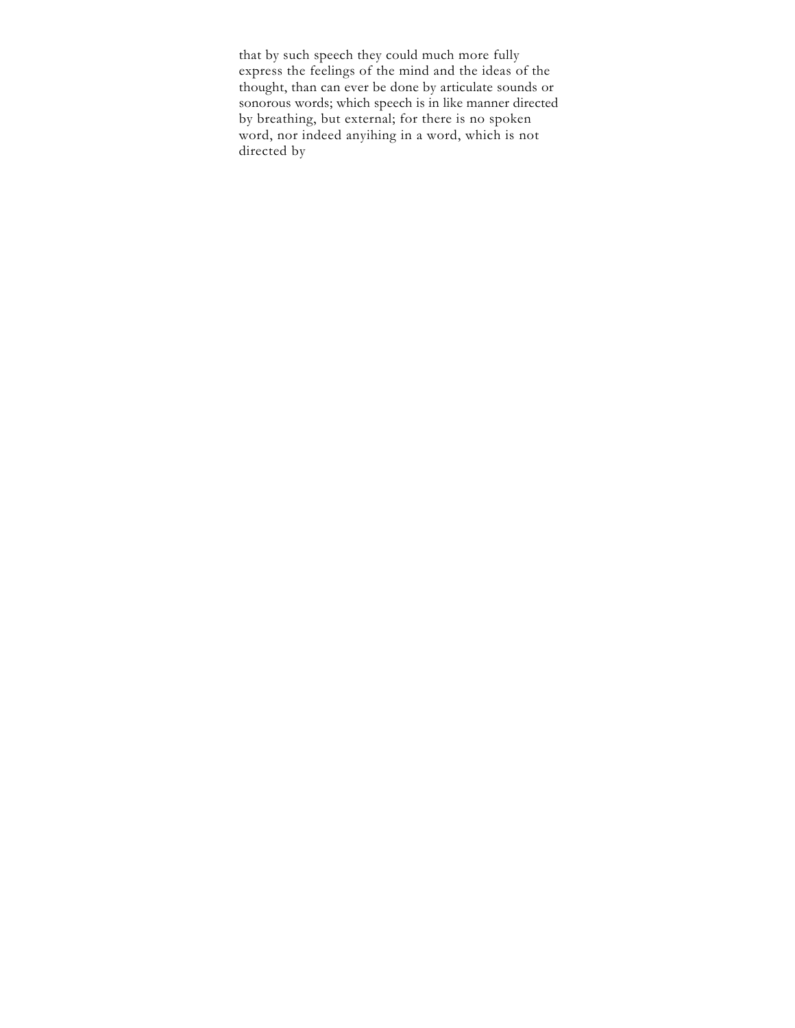that by such speech they could much more fully express the feelings of the mind and the ideas of the thought, than can ever be done by articulate sounds or sonorous words; which speech is in like manner directed by breathing, but external; for there is no spoken word, nor indeed anyihing in a word, which is not directed by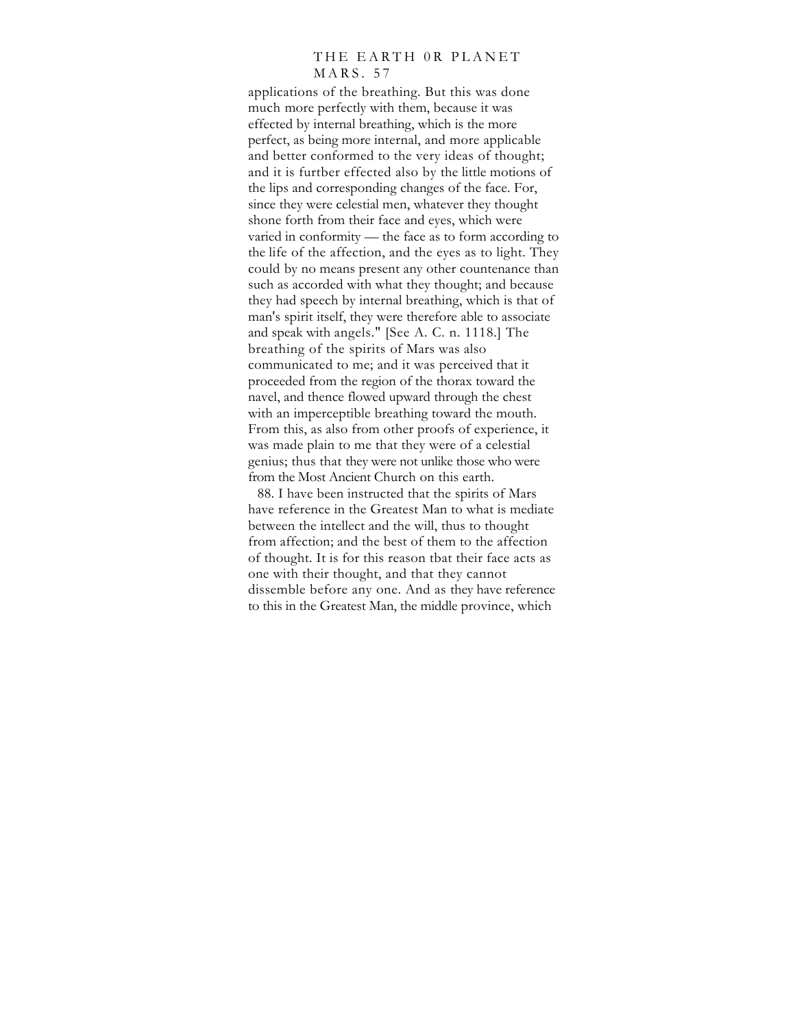## THE EARTH 0R PLANET MARS. 57

applications of the breathing. But this was done much more perfectly with them, because it was effected by internal breathing, which is the more perfect, as being more internal, and more applicable and better conformed to the very ideas of thought; and it is furtber effected also by the little motions of the lips and corresponding changes of the face. For, since they were celestial men, whatever they thought shone forth from their face and eyes, which were varied in conformity — the face as to form according to the life of the affection, and the eyes as to light. They could by no means present any other countenance than such as accorded with what they thought; and because they had speech by internal breathing, which is that of man's spirit itself, they were therefore able to associate and speak with angels." [See A. C. n. 1118.] The breathing of the spirits of Mars was also communicated to me; and it was perceived that it proceeded from the region of the thorax toward the navel, and thence flowed upward through the chest with an imperceptible breathing toward the mouth. From this, as also from other proofs of experience, it was made plain to me that they were of a celestial genius; thus that they were not unlike those who were from the Most Ancient Church on this earth.

88. I have been instructed that the spirits of Mars have reference in the Greatest Man to what is mediate between the intellect and the will, thus to thought from affection; and the best of them to the affection of thought. It is for this reason tbat their face acts as one with their thought, and that they cannot dissemble before any one. And as they have reference to this in the Greatest Man, the middle province, which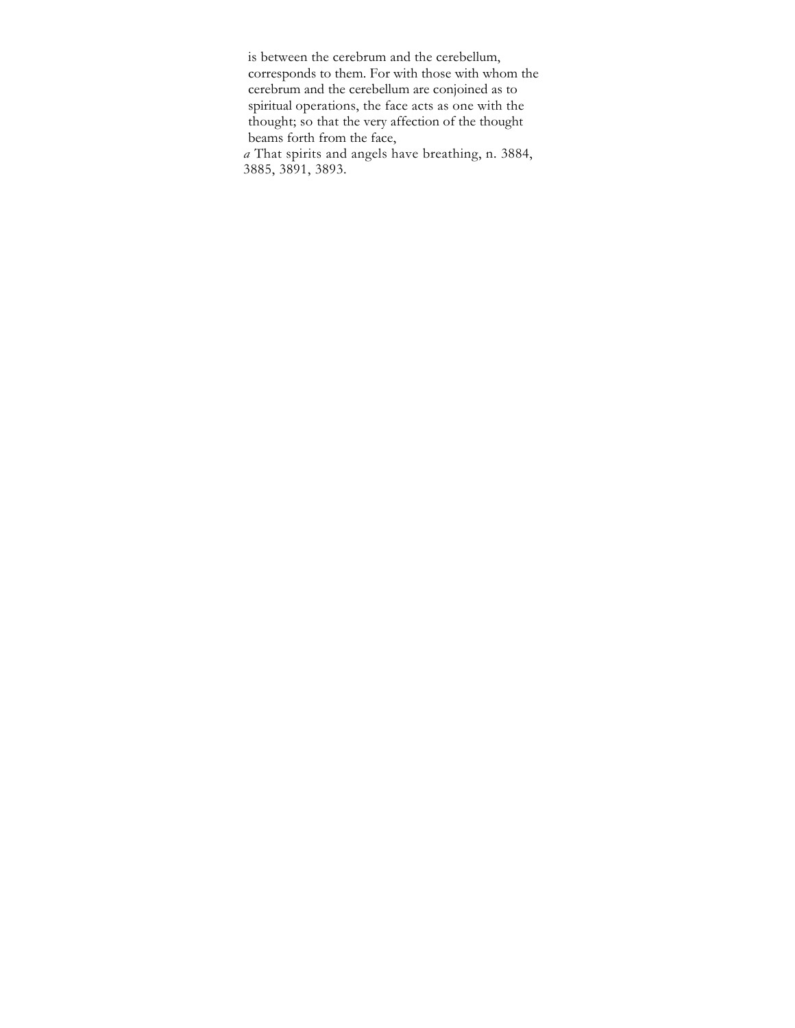is between the cerebrum and the cerebellum, corresponds to them. For with those with whom the cerebrum and the cerebellum are conjoined as to spiritual operations, the face acts as one with the thought; so that the very affection of the thought beams forth from the face,

*a* That spirits and angels have breathing, n. 3884, 3885, 3891, 3893.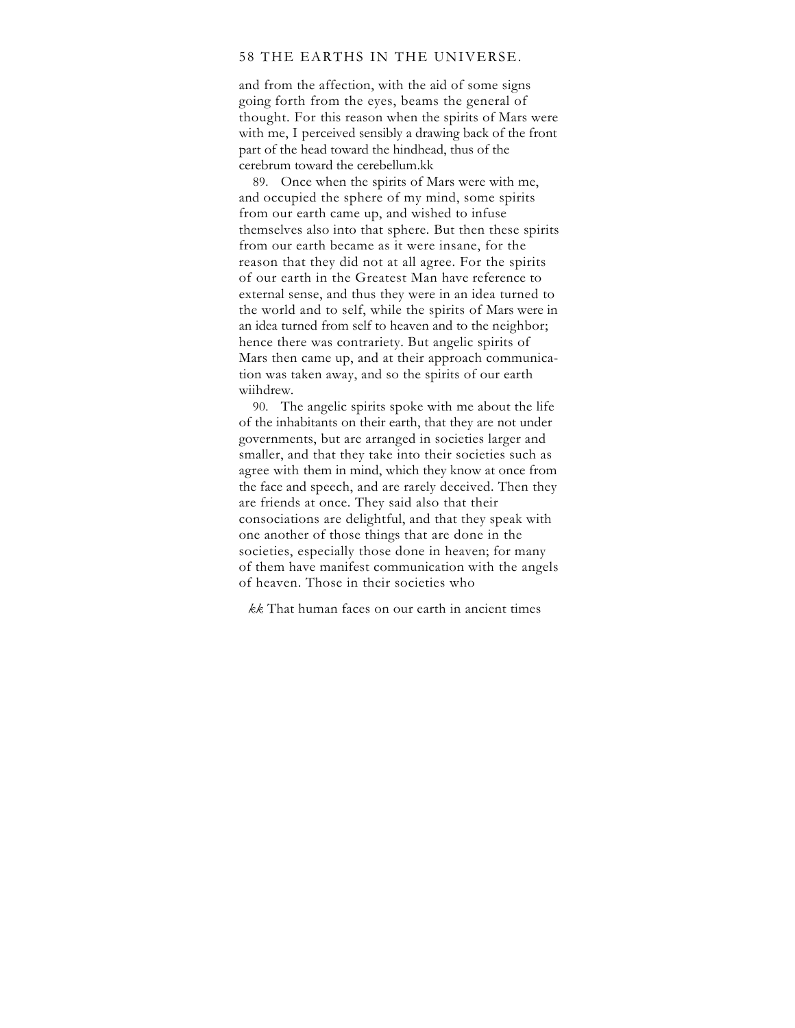## 58 THE EARTHS IN THE UNIVERSE.

and from the affection, with the aid of some signs going forth from the eyes, beams the general of thought. For this reason when the spirits of Mars were with me, I perceived sensibly a drawing back of the front part of the head toward the hindhead, thus of the cerebrum toward the cerebellum.kk

89. Once when the spirits of Mars were with me, and occupied the sphere of my mind, some spirits from our earth came up, and wished to infuse themselves also into that sphere. But then these spirits from our earth became as it were insane, for the reason that they did not at all agree. For the spirits of our earth in the Greatest Man have reference to external sense, and thus they were in an idea turned to the world and to self, while the spirits of Mars were in an idea turned from self to heaven and to the neighbor; hence there was contrariety. But angelic spirits of Mars then came up, and at their approach communication was taken away, and so the spirits of our earth wiihdrew.

90. The angelic spirits spoke with me about the life of the inhabitants on their earth, that they are not under governments, but are arranged in societies larger and smaller, and that they take into their societies such as agree with them in mind, which they know at once from the face and speech, and are rarely deceived. Then they are friends at once. They said also that their consociations are delightful, and that they speak with one another of those things that are done in the societies, especially those done in heaven; for many of them have manifest communication with the angels of heaven. Those in their societies who

*kk* That human faces on our earth in ancient times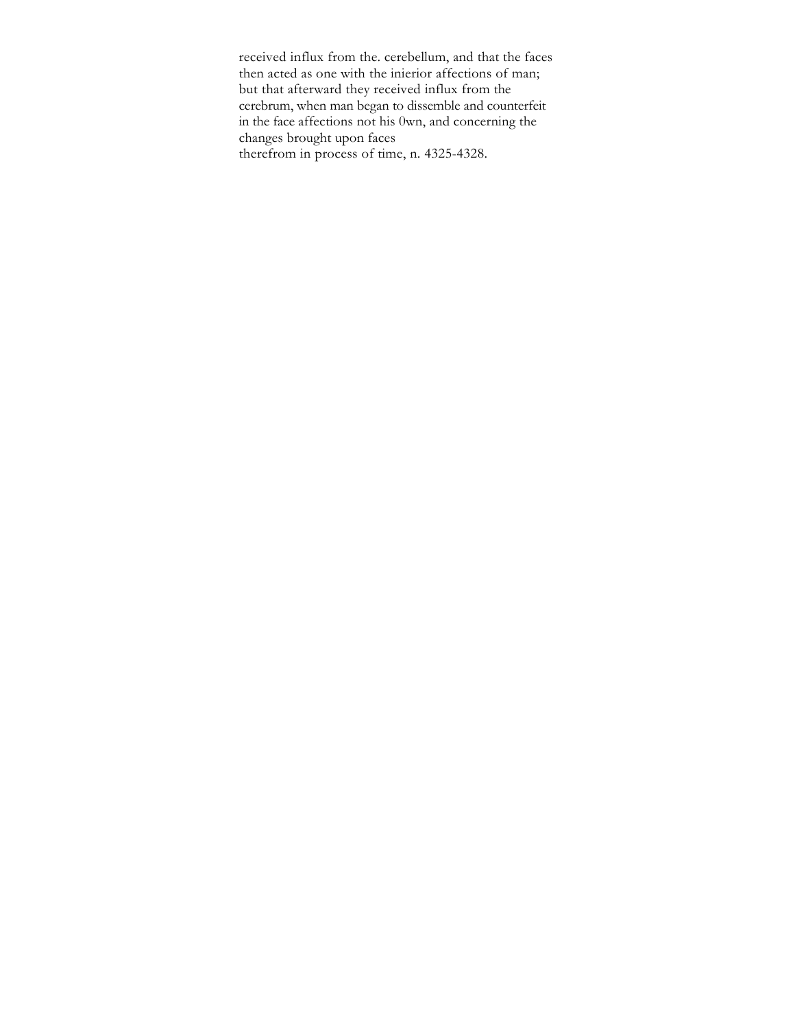received influx from the. cerebellum, and that the faces then acted as one with the inierior affections of man; but that afterward they received influx from the cerebrum, when man began to dissemble and counterfeit in the face affections not his 0wn, and concerning the changes brought upon faces therefrom in process of time, n. 4325-4328.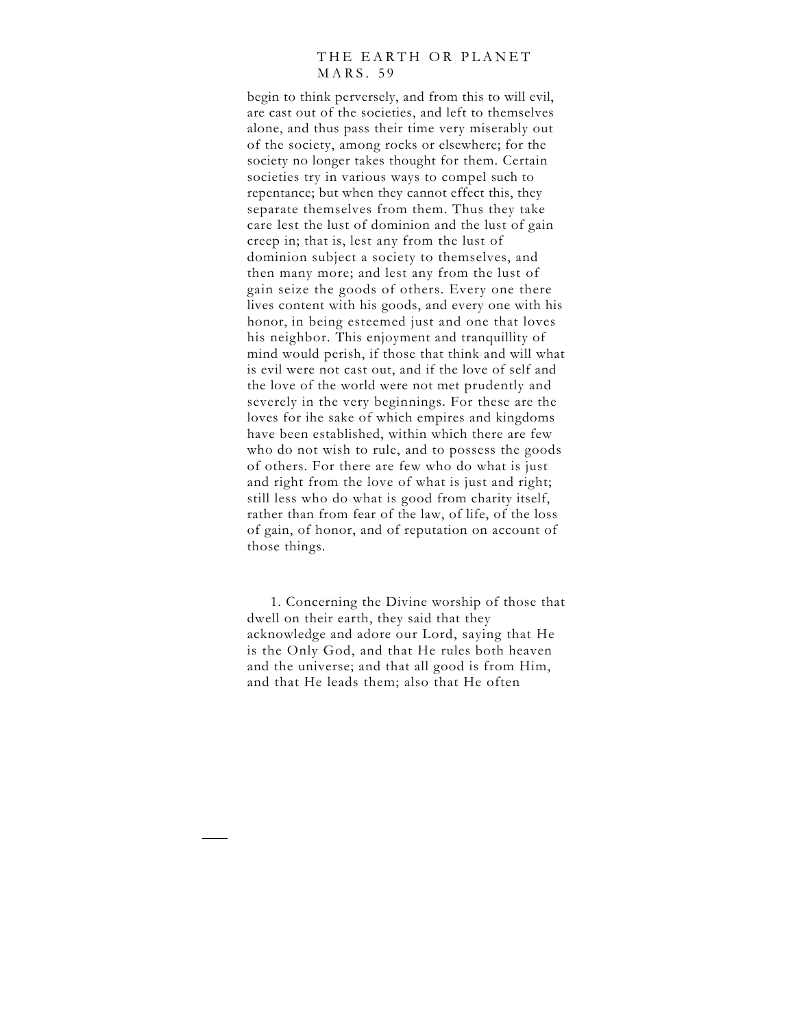# THE EARTH OR PLANET MARS. 59

begin to think perversely, and from this to will evil, are cast out of the societies, and left to themselves alone, and thus pass their time very miserably out of the society, among rocks or elsewhere; for the society no longer takes thought for them. Certain societies try in various ways to compel such to repentance; but when they cannot effect this, they separate themselves from them. Thus they take care lest the lust of dominion and the lust of gain creep in; that is, lest any from the lust of dominion subject a society to themselves, and then many more; and lest any from the lust of gain seize the goods of others. Every one there lives content with his goods, and every one with his honor, in being esteemed just and one that loves his neighbor. This enjoyment and tranquillity of mind would perish, if those that think and will what is evil were not cast out, and if the love of self and the love of the world were not met prudently and severely in the very beginnings. For these are the loves for ihe sake of which empires and kingdoms have been established, within which there are few who do not wish to rule, and to possess the goods of others. For there are few who do what is just and right from the love of what is just and right; still less who do what is good from charity itself, rather than from fear of the law, of life, of the loss of gain, of honor, and of reputation on account of those things.

1. Concerning the Divine worship of those that dwell on their earth, they said that they acknowledge and adore our Lord, saying that He is the Only God, and that He rules both heaven and the universe; and that all good is from Him, and that He leads them; also that He often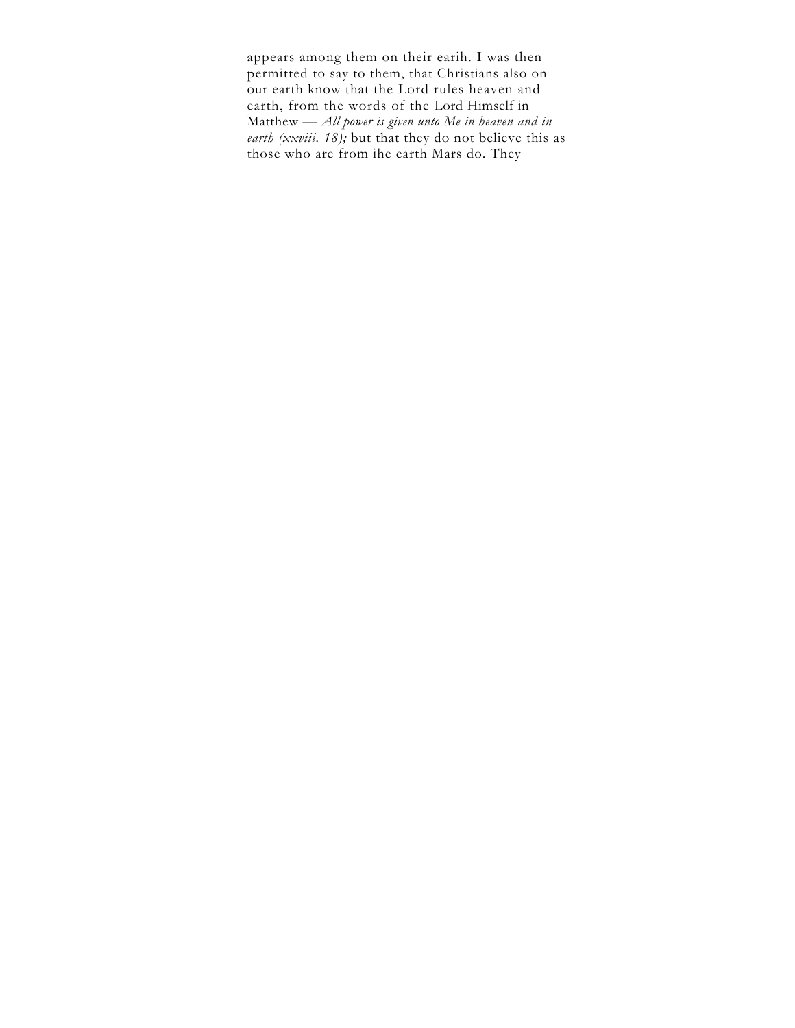appears among them on their earih. I was then permitted to say to them, that Christians also on our earth know that the Lord rules heaven and earth, from the words of the Lord Himself in Matthew — *All power is given unto Me in heaven and in earth (xxviii. 18);* but that they do not believe this as those who are from ihe earth Mars do. They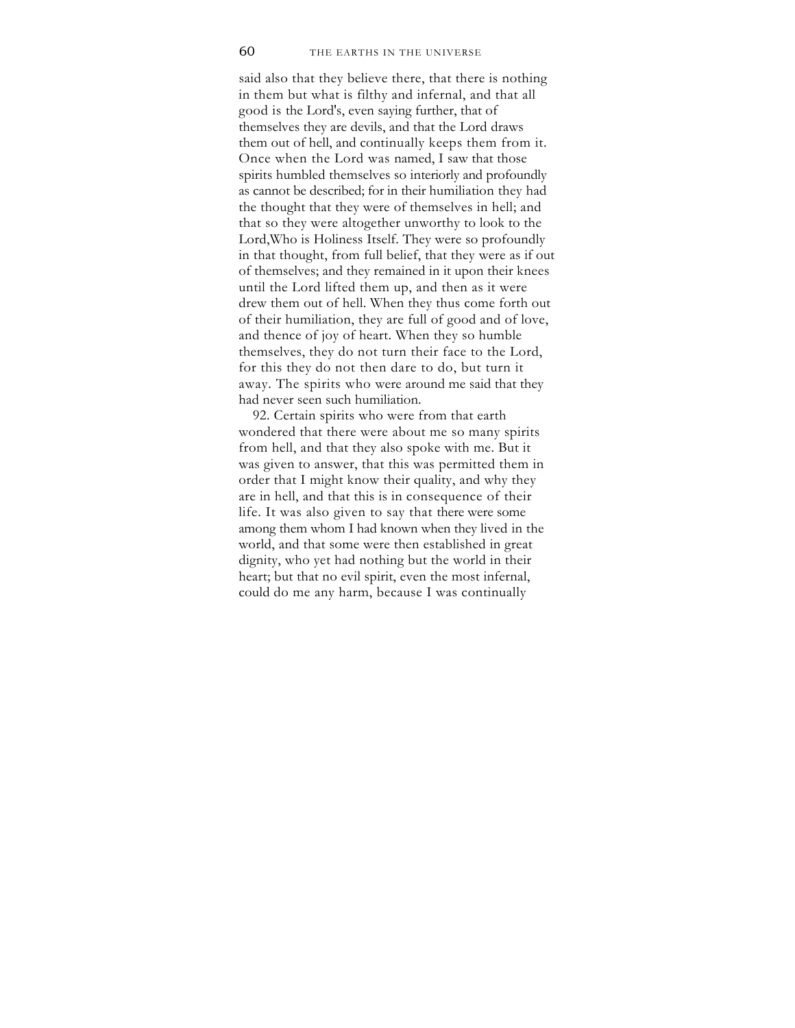### 60 THE EARTHS IN THE UNIVERSE

said also that they believe there, that there is nothing in them but what is filthy and infernal, and that all good is the Lord's, even saying further, that of themselves they are devils, and that the Lord draws them out of hell, and continually keeps them from it. Once when the Lord was named, I saw that those spirits humbled themselves so interiorly and profoundly as cannot be described; for in their humiliation they had the thought that they were of themselves in hell; and that so they were altogether unworthy to look to the Lord,Who is Holiness Itself. They were so profoundly in that thought, from full belief, that they were as if out of themselves; and they remained in it upon their knees until the Lord lifted them up, and then as it were drew them out of hell. When they thus come forth out of their humiliation, they are full of good and of love, and thence of joy of heart. When they so humble themselves, they do not turn their face to the Lord, for this they do not then dare to do, but turn it away. The spirits who were around me said that they had never seen such humiliation.

92. Certain spirits who were from that earth wondered that there were about me so many spirits from hell, and that they also spoke with me. But it was given to answer, that this was permitted them in order that I might know their quality, and why they are in hell, and that this is in consequence of their life. It was also given to say that there were some among them whom I had known when they lived in the world, and that some were then established in great dignity, who yet had nothing but the world in their heart; but that no evil spirit, even the most infernal, could do me any harm, because I was continually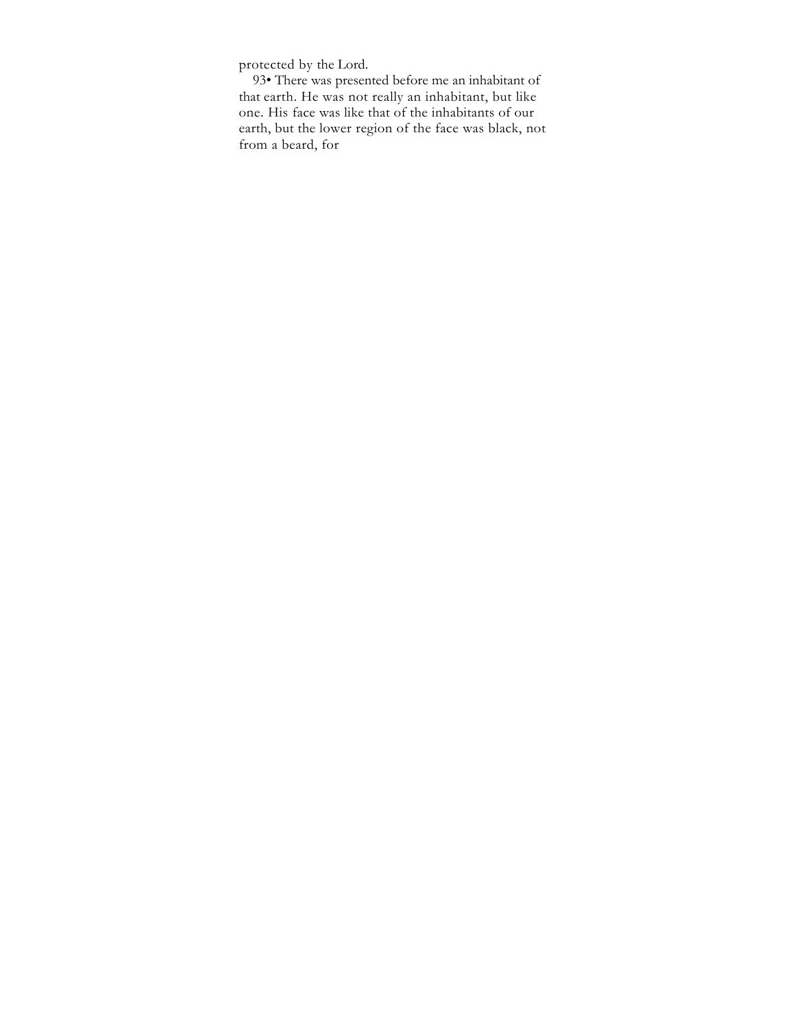protected by the Lord.

93• There was presented before me an inhabitant of that earth. He was not really an inhabitant, but like one. His face was like that of the inhabitants of our earth, but the lower region of the face was black, not from a beard, for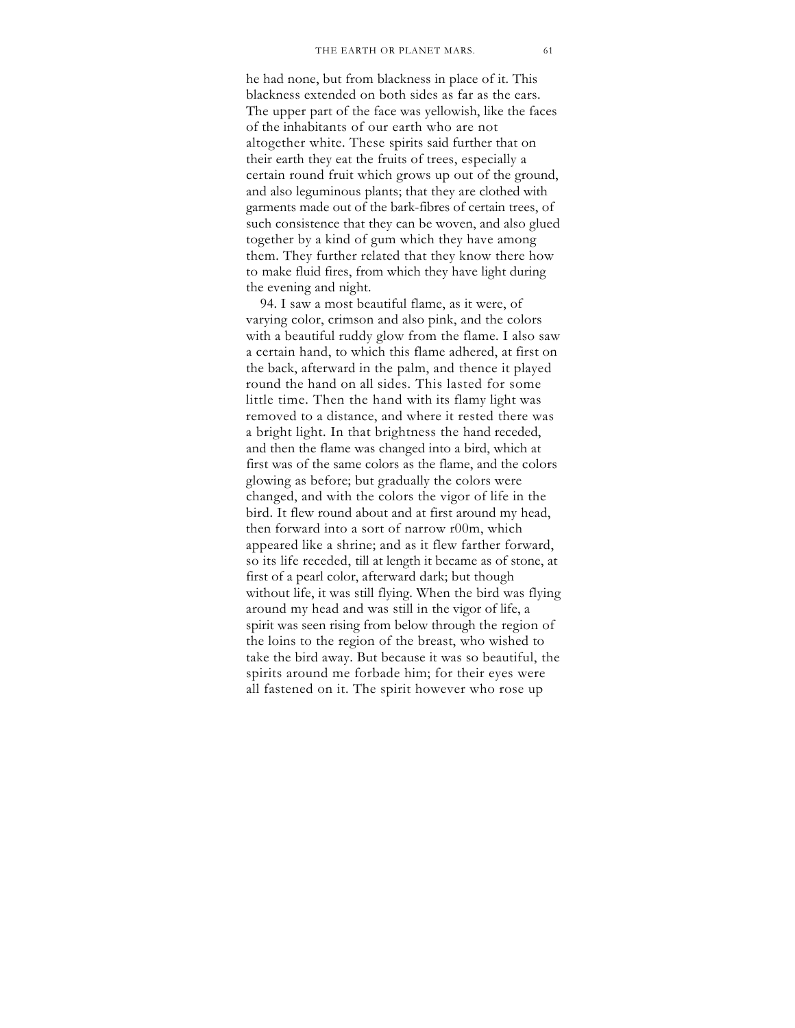he had none, but from blackness in place of it. This blackness extended on both sides as far as the ears. The upper part of the face was yellowish, like the faces of the inhabitants of our earth who are not altogether white. These spirits said further that on their earth they eat the fruits of trees, especially a certain round fruit which grows up out of the ground, and also leguminous plants; that they are clothed with garments made out of the bark-fibres of certain trees, of such consistence that they can be woven, and also glued together by a kind of gum which they have among them. They further related that they know there how to make fluid fires, from which they have light during the evening and night.

94. I saw a most beautiful flame, as it were, of varying color, crimson and also pink, and the colors with a beautiful ruddy glow from the flame. I also saw a certain hand, to which this flame adhered, at first on the back, afterward in the palm, and thence it played round the hand on all sides. This lasted for some little time. Then the hand with its flamy light was removed to a distance, and where it rested there was a bright light. In that brightness the hand receded, and then the flame was changed into a bird, which at first was of the same colors as the flame, and the colors glowing as before; but gradually the colors were changed, and with the colors the vigor of life in the bird. It flew round about and at first around my head, then forward into a sort of narrow r00m, which appeared like a shrine; and as it flew farther forward, so its life receded, till at length it became as of stone, at first of a pearl color, afterward dark; but though without life, it was still flying. When the bird was flying around my head and was still in the vigor of life, a spirit was seen rising from below through the region of the loins to the region of the breast, who wished to take the bird away. But because it was so beautiful, the spirits around me forbade him; for their eyes were all fastened on it. The spirit however who rose up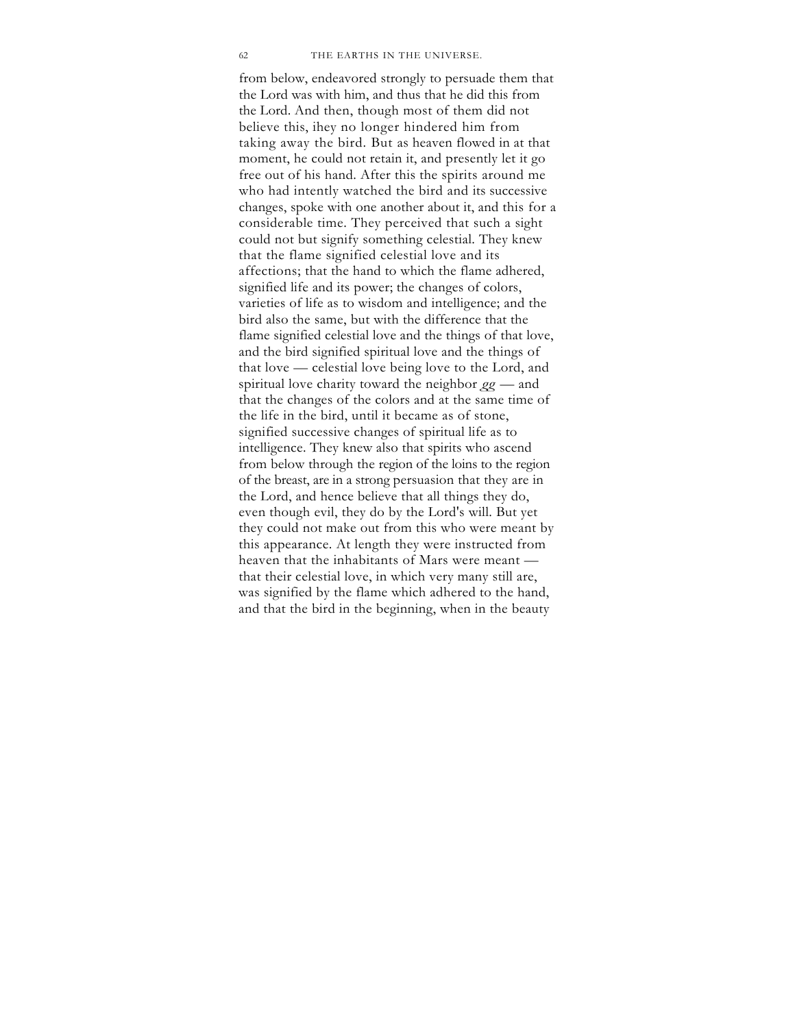#### 62 THE EARTHS IN THE UNIVERSE.

from below, endeavored strongly to persuade them that the Lord was with him, and thus that he did this from the Lord. And then, though most of them did not believe this, ihey no longer hindered him from taking away the bird. But as heaven flowed in at that moment, he could not retain it, and presently let it go free out of his hand. After this the spirits around me who had intently watched the bird and its successive changes, spoke with one another about it, and this for a considerable time. They perceived that such a sight could not but signify something celestial. They knew that the flame signified celestial love and its affections; that the hand to which the flame adhered, signified life and its power; the changes of colors, varieties of life as to wisdom and intelligence; and the bird also the same, but with the difference that the flame signified celestial love and the things of that love, and the bird signified spiritual love and the things of that love — celestial love being love to the Lord, and spiritual love charity toward the neighbor *gg* — and that the changes of the colors and at the same time of the life in the bird, until it became as of stone, signified successive changes of spiritual life as to intelligence. They knew also that spirits who ascend from below through the region of the loins to the region of the breast, are in a strong persuasion that they are in the Lord, and hence believe that all things they do, even though evil, they do by the Lord's will. But yet they could not make out from this who were meant by this appearance. At length they were instructed from heaven that the inhabitants of Mars were meant that their celestial love, in which very many still are, was signified by the flame which adhered to the hand, and that the bird in the beginning, when in the beauty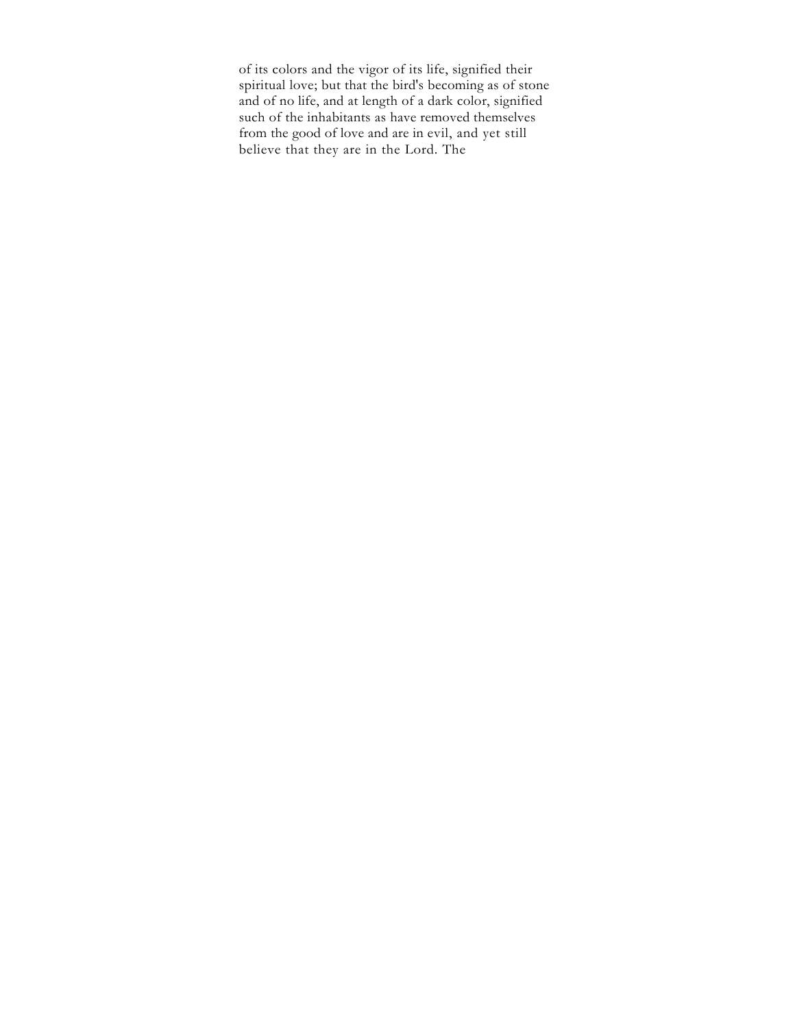of its colors and the vigor of its life, signified their spiritual love; but that the bird's becoming as of stone and of no life, and at length of a dark color, signified such of the inhabitants as have removed themselves from the good of love and are in evil, and yet still believe that they are in the Lord. The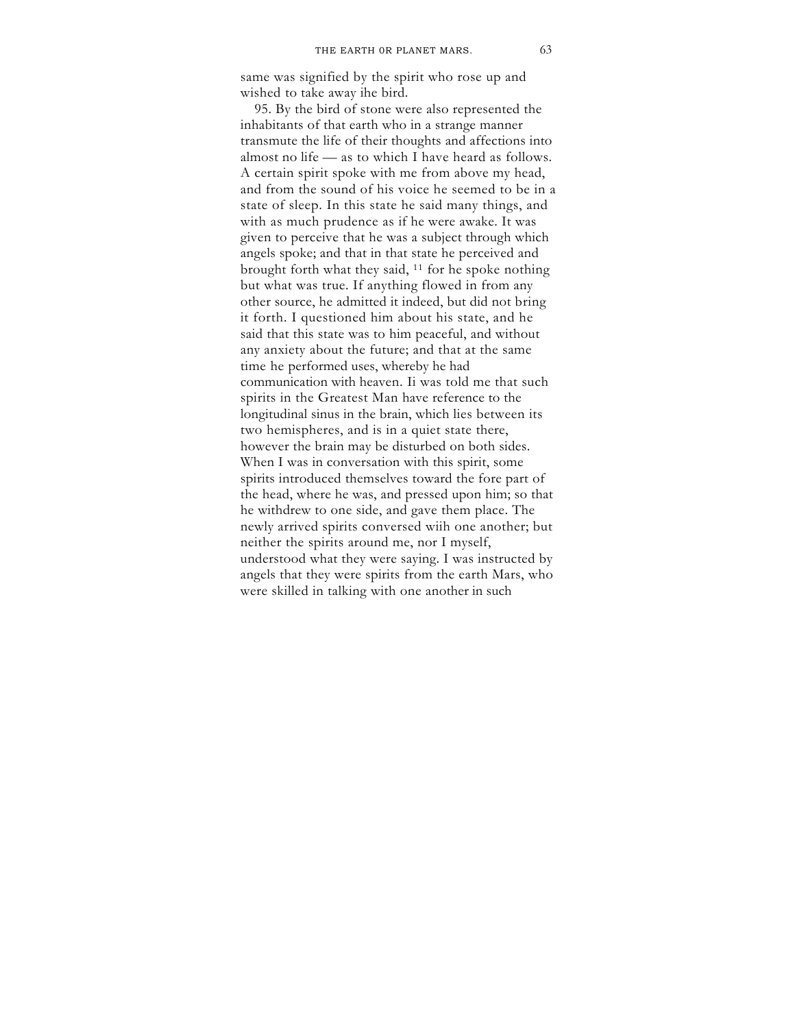same was signified by the spirit who rose up and wished to take away ihe bird.

95. By the bird of stone were also represented the inhabitants of that earth who in a strange manner transmute the life of their thoughts and affections into almost no life — as to which I have heard as follows. A certain spirit spoke with me from above my head, and from the sound of his voice he seemed to be in a state of sleep. In this state he said many things, and with as much prudence as if he were awake. It was given to perceive that he was a subject through which angels spoke; and that in that state he perceived and brought forth what they said, 11 for he spoke nothing but what was true. If anything flowed in from any other source, he admitted it indeed, but did not bring it forth. I questioned him about his state, and he said that this state was to him peaceful, and without any anxiety about the future; and that at the same time he performed uses, whereby he had communication with heaven. Ii was told me that such spirits in the Greatest Man have reference to the longitudinal sinus in the brain, which lies between its two hemispheres, and is in a quiet state there, however the brain may be disturbed on both sides. When I was in conversation with this spirit, some spirits introduced themselves toward the fore part of the head, where he was, and pressed upon him; so that he withdrew to one side, and gave them place. The newly arrived spirits conversed wiih one another; but neither the spirits around me, nor I myself, understood what they were saying. I was instructed by angels that they were spirits from the earth Mars, who were skilled in talking with one another in such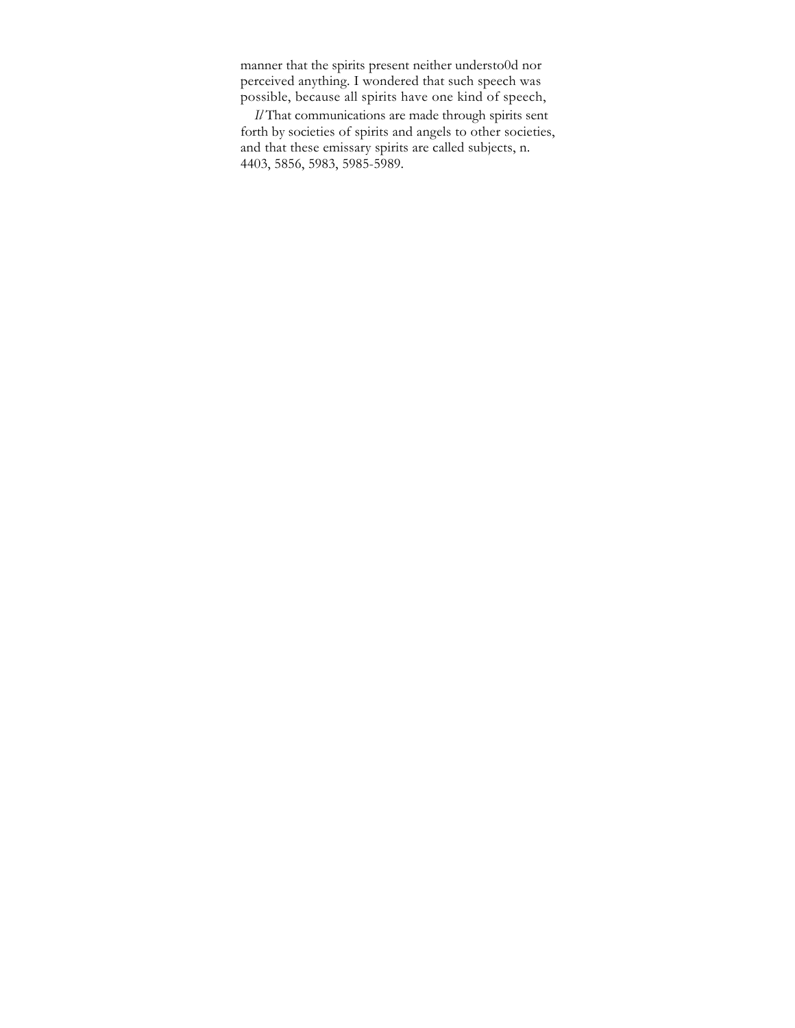manner that the spirits present neither understo0d nor perceived anything. I wondered that such speech was possible, because all spirits have one kind of speech,

*Il* That communications are made through spirits sent forth by societies of spirits and angels to other societies, and that these emissary spirits are called subjects, n. 4403, 5856, 5983, 5985-5989.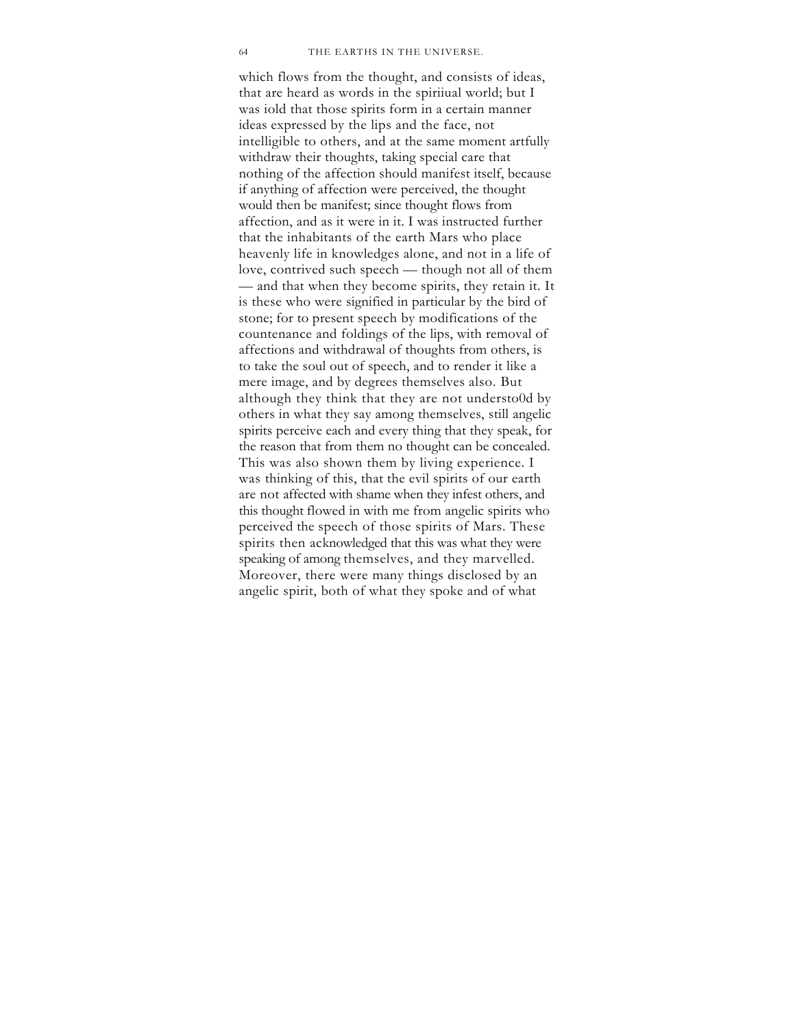#### 64 THE EARTHS IN THE UNIVERSE.

which flows from the thought, and consists of ideas, that are heard as words in the spiriiual world; but I was iold that those spirits form in a certain manner ideas expressed by the lips and the face, not intelligible to others, and at the same moment artfully withdraw their thoughts, taking special care that nothing of the affection should manifest itself, because if anything of affection were perceived, the thought would then be manifest; since thought flows from affection, and as it were in it. I was instructed further that the inhabitants of the earth Mars who place heavenly life in knowledges alone, and not in a life of love, contrived such speech — though not all of them — and that when they become spirits, they retain it. It is these who were signified in particular by the bird of stone; for to present speech by modifications of the countenance and foldings of the lips, with removal of affections and withdrawal of thoughts from others, is to take the soul out of speech, and to render it like a mere image, and by degrees themselves also. But although they think that they are not understo0d by others in what they say among themselves, still angelic spirits perceive each and every thing that they speak, for the reason that from them no thought can be concealed. This was also shown them by living experience. I was thinking of this, that the evil spirits of our earth are not affected with shame when they infest others, and this thought flowed in with me from angelic spirits who perceived the speech of those spirits of Mars. These spirits then acknowledged that this was what they were speaking of among themselves, and they marvelled. Moreover, there were many things disclosed by an angelic spirit, both of what they spoke and of what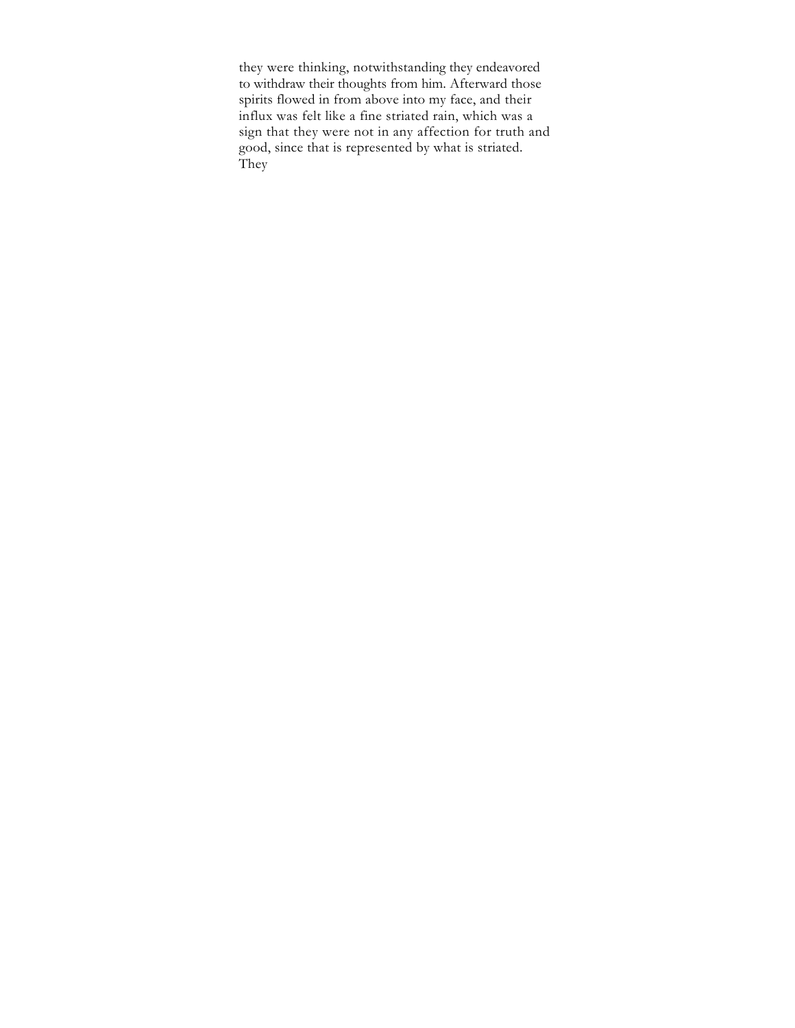they were thinking, notwithstanding they endeavored to withdraw their thoughts from him. Afterward those spirits flowed in from above into my face, and their influx was felt like a fine striated rain, which was a sign that they were not in any affection for truth and good, since that is represented by what is striated. They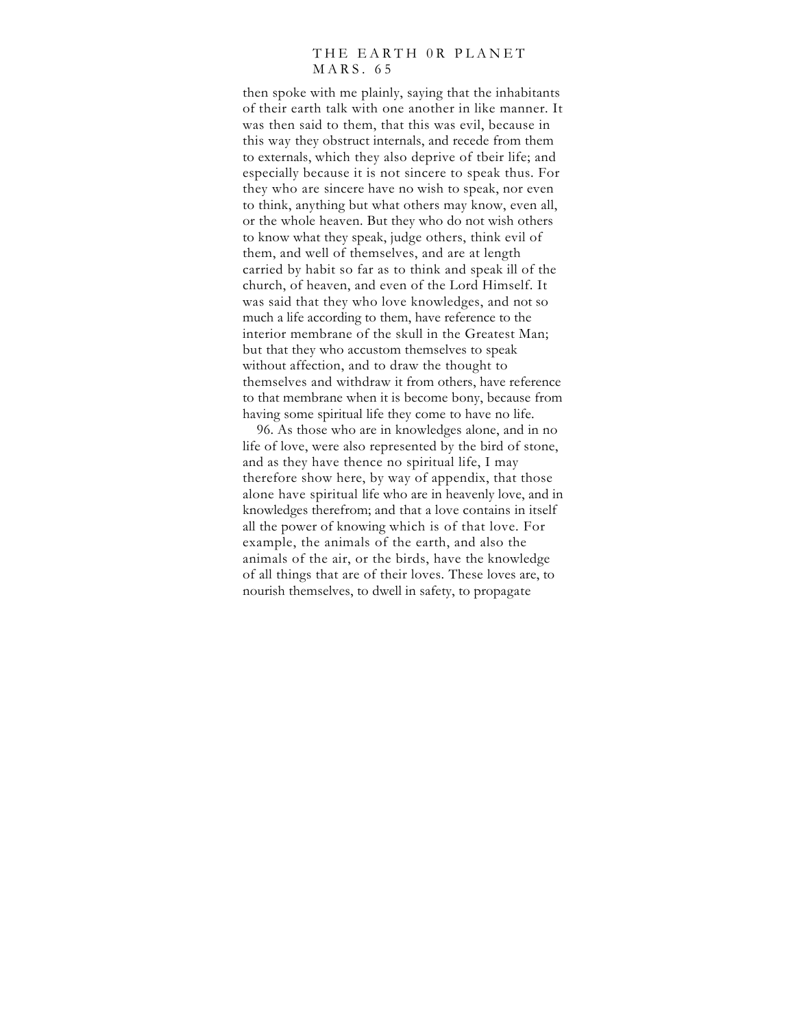## THE EARTH 0R PLANET MARS. 65

then spoke with me plainly, saying that the inhabitants of their earth talk with one another in like manner. It was then said to them, that this was evil, because in this way they obstruct internals, and recede from them to externals, which they also deprive of tbeir life; and especially because it is not sincere to speak thus. For they who are sincere have no wish to speak, nor even to think, anything but what others may know, even all, or the whole heaven. But they who do not wish others to know what they speak, judge others, think evil of them, and well of themselves, and are at length carried by habit so far as to think and speak ill of the church, of heaven, and even of the Lord Himself. It was said that they who love knowledges, and not so much a life according to them, have reference to the interior membrane of the skull in the Greatest Man; but that they who accustom themselves to speak without affection, and to draw the thought to themselves and withdraw it from others, have reference to that membrane when it is become bony, because from having some spiritual life they come to have no life.

96. As those who are in knowledges alone, and in no life of love, were also represented by the bird of stone, and as they have thence no spiritual life, I may therefore show here, by way of appendix, that those alone have spiritual life who are in heavenly love, and in knowledges therefrom; and that a love contains in itself all the power of knowing which is of that love. For example, the animals of the earth, and also the animals of the air, or the birds, have the knowledge of all things that are of their loves. These loves are, to nourish themselves, to dwell in safety, to propagate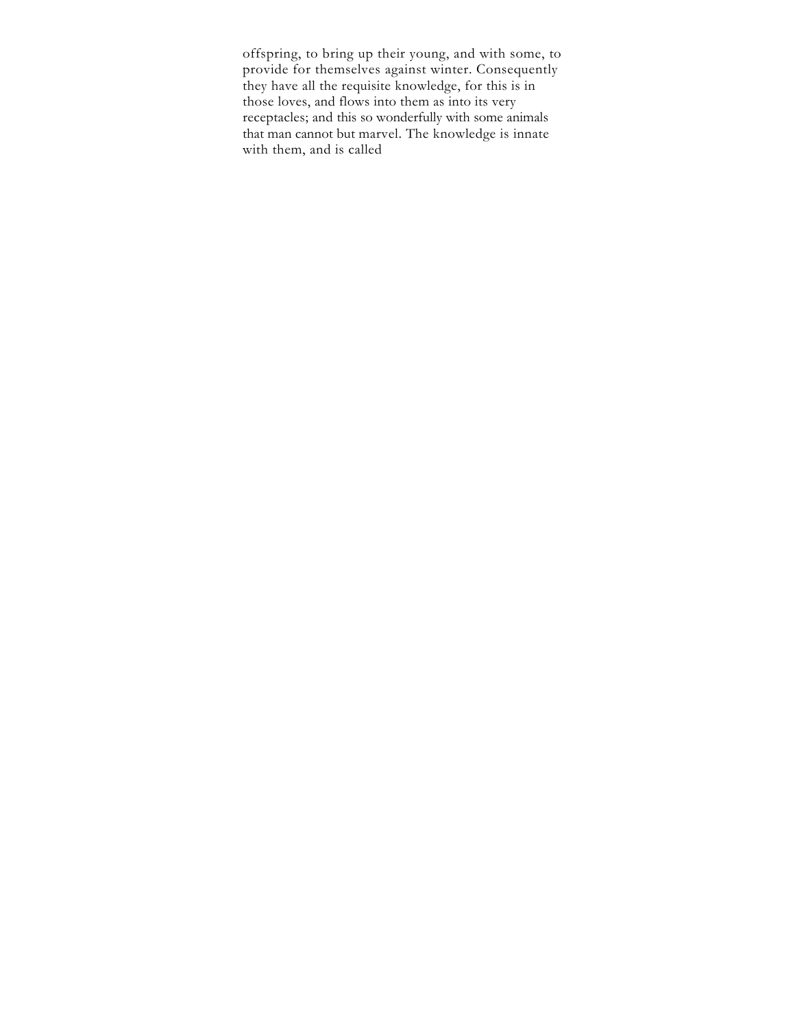offspring, to bring up their young, and with some, to provide for themselves against winter. Consequently they have all the requisite knowledge, for this is in those loves, and flows into them as into its very receptacles; and this so wonderfully with some animals that man cannot but marvel. The knowledge is innate with them, and is called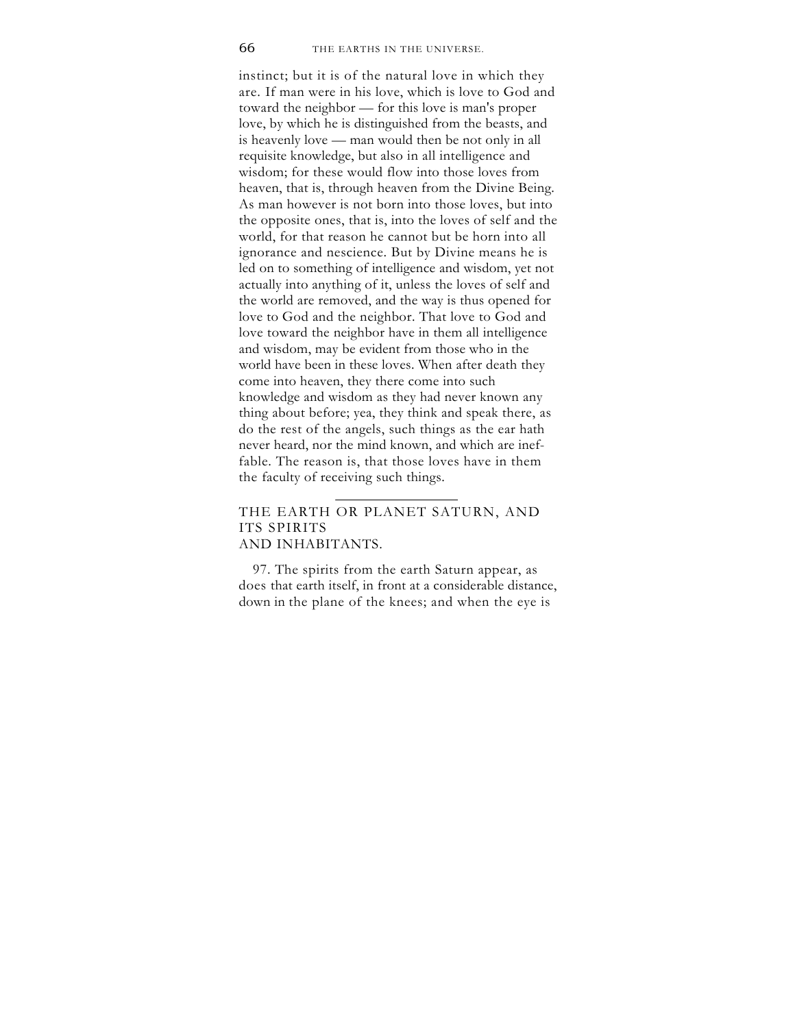instinct; but it is of the natural love in which they are. If man were in his love, which is love to God and toward the neighbor — for this love is man's proper love, by which he is distinguished from the beasts, and is heavenly love — man would then be not only in all requisite knowledge, but also in all intelligence and wisdom; for these would flow into those loves from heaven, that is, through heaven from the Divine Being. As man however is not born into those loves, but into the opposite ones, that is, into the loves of self and the world, for that reason he cannot but be horn into all ignorance and nescience. But by Divine means he is led on to something of intelligence and wisdom, yet not actually into anything of it, unless the loves of self and the world are removed, and the way is thus opened for love to God and the neighbor. That love to God and love toward the neighbor have in them all intelligence and wisdom, may be evident from those who in the world have been in these loves. When after death they come into heaven, they there come into such knowledge and wisdom as they had never known any thing about before; yea, they think and speak there, as do the rest of the angels, such things as the ear hath never heard, nor the mind known, and which are ineffable. The reason is, that those loves have in them the faculty of receiving such things.

# THE EARTH OR PLANET SATURN, AND ITS SPIRITS AND INHABITANTS.

97. The spirits from the earth Saturn appear, as does that earth itself, in front at a considerable distance, down in the plane of the knees; and when the eye is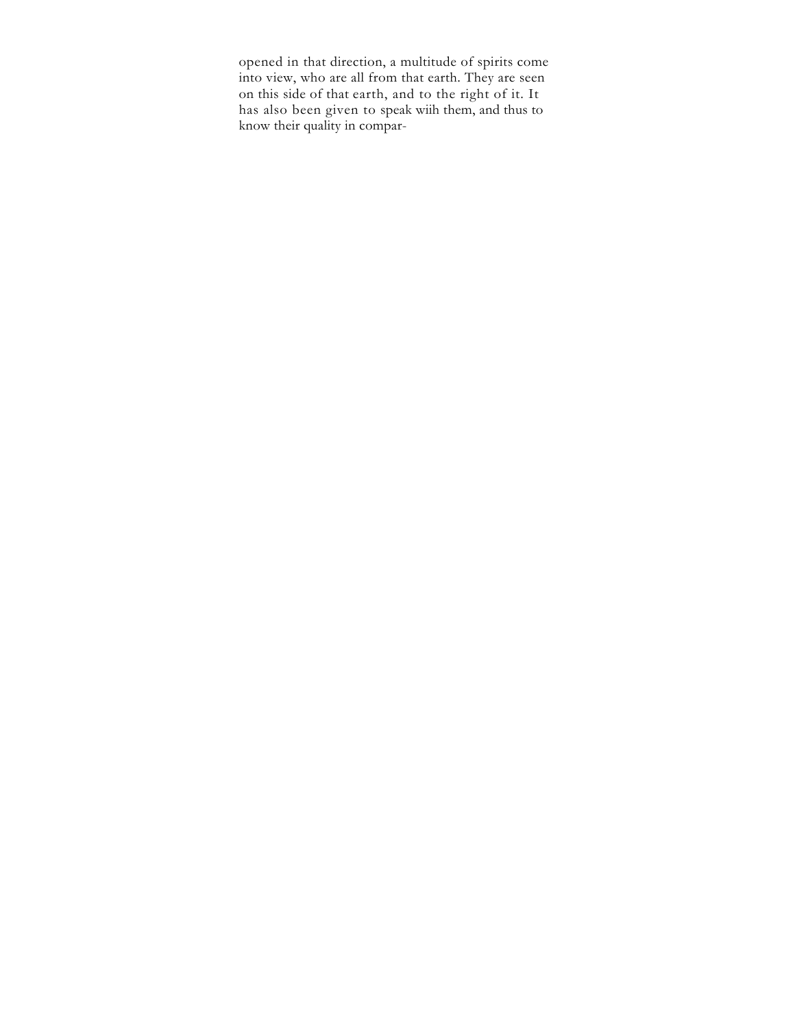opened in that direction, a multitude of spirits come into view, who are all from that earth. They are seen on this side of that earth, and to the right of it. It has also been given to speak wiih them, and thus to know their quality in compar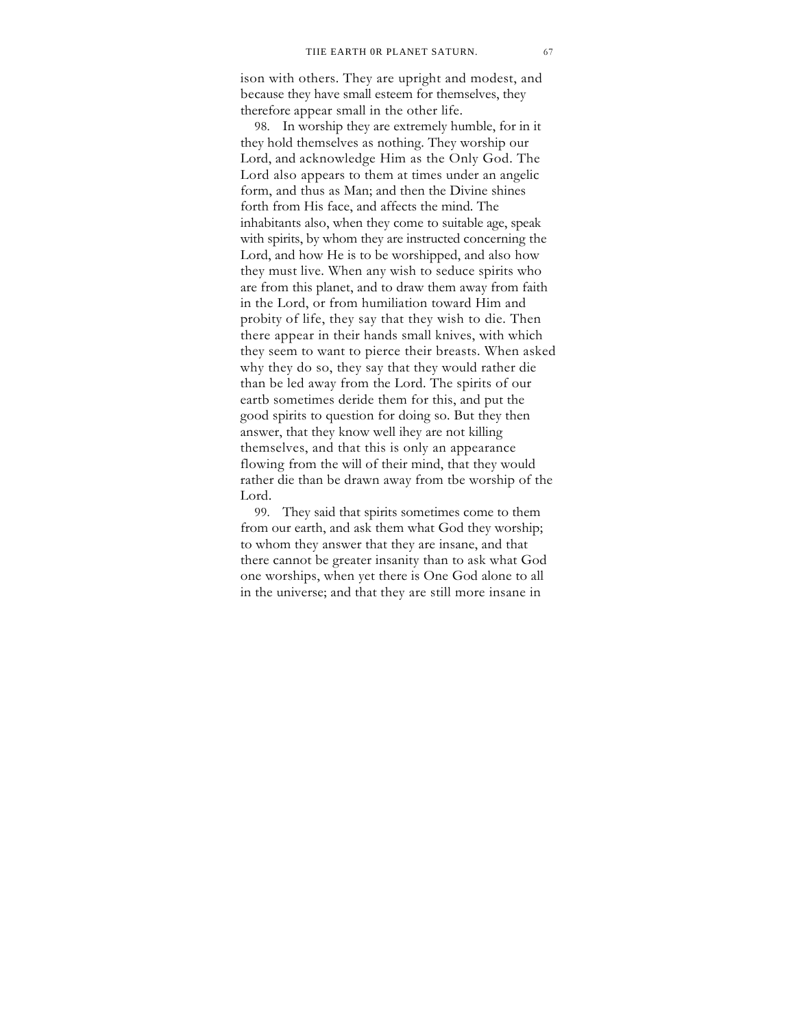ison with others. They are upright and modest, and because they have small esteem for themselves, they therefore appear small in the other life.

98. In worship they are extremely humble, for in it they hold themselves as nothing. They worship our Lord, and acknowledge Him as the Only God. The Lord also appears to them at times under an angelic form, and thus as Man; and then the Divine shines forth from His face, and affects the mind. The inhabitants also, when they come to suitable age, speak with spirits, by whom they are instructed concerning the Lord, and how He is to be worshipped, and also how they must live. When any wish to seduce spirits who are from this planet, and to draw them away from faith in the Lord, or from humiliation toward Him and probity of life, they say that they wish to die. Then there appear in their hands small knives, with which they seem to want to pierce their breasts. When asked why they do so, they say that they would rather die than be led away from the Lord. The spirits of our eartb sometimes deride them for this, and put the good spirits to question for doing so. But they then answer, that they know well ihey are not killing themselves, and that this is only an appearance flowing from the will of their mind, that they would rather die than be drawn away from tbe worship of the Lord.

99. They said that spirits sometimes come to them from our earth, and ask them what God they worship; to whom they answer that they are insane, and that there cannot be greater insanity than to ask what God one worships, when yet there is One God alone to all in the universe; and that they are still more insane in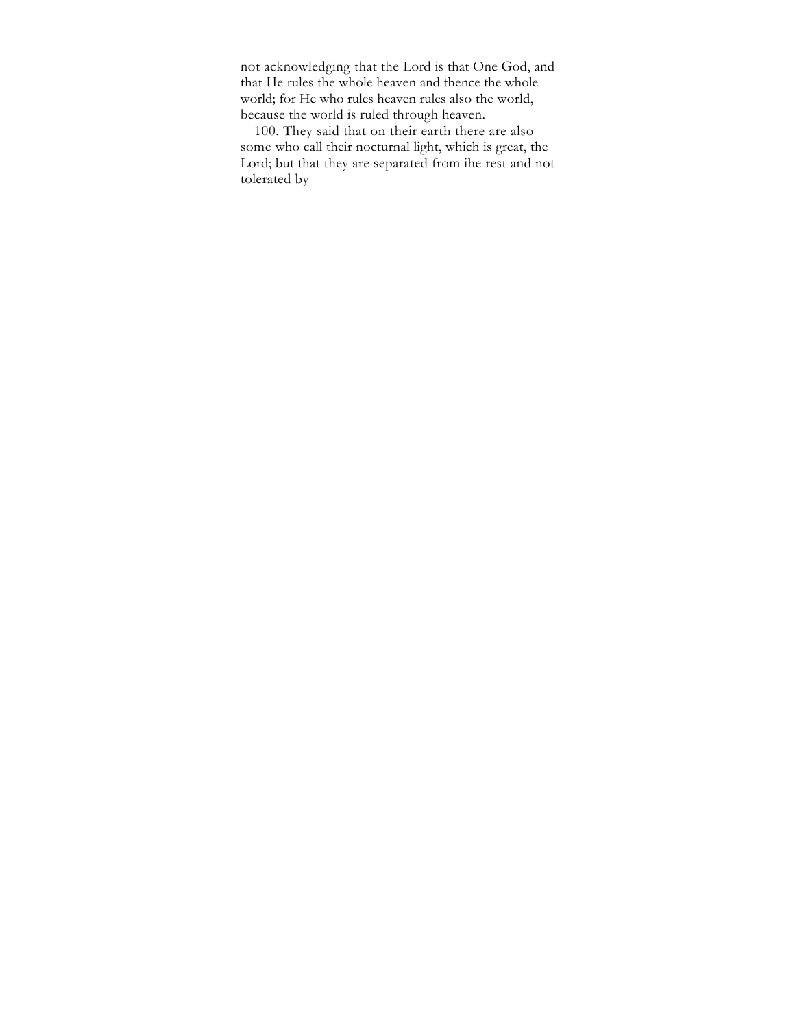not acknowledging that the Lord is that One God, and that He rules the whole heaven and thence the whole world; for He who rules heaven rules also the world, because the world is ruled through heaven.

100. They said that on their earth there are also some who call their nocturnal light, which is great, the Lord; but that they are separated from ihe rest and not tolerated by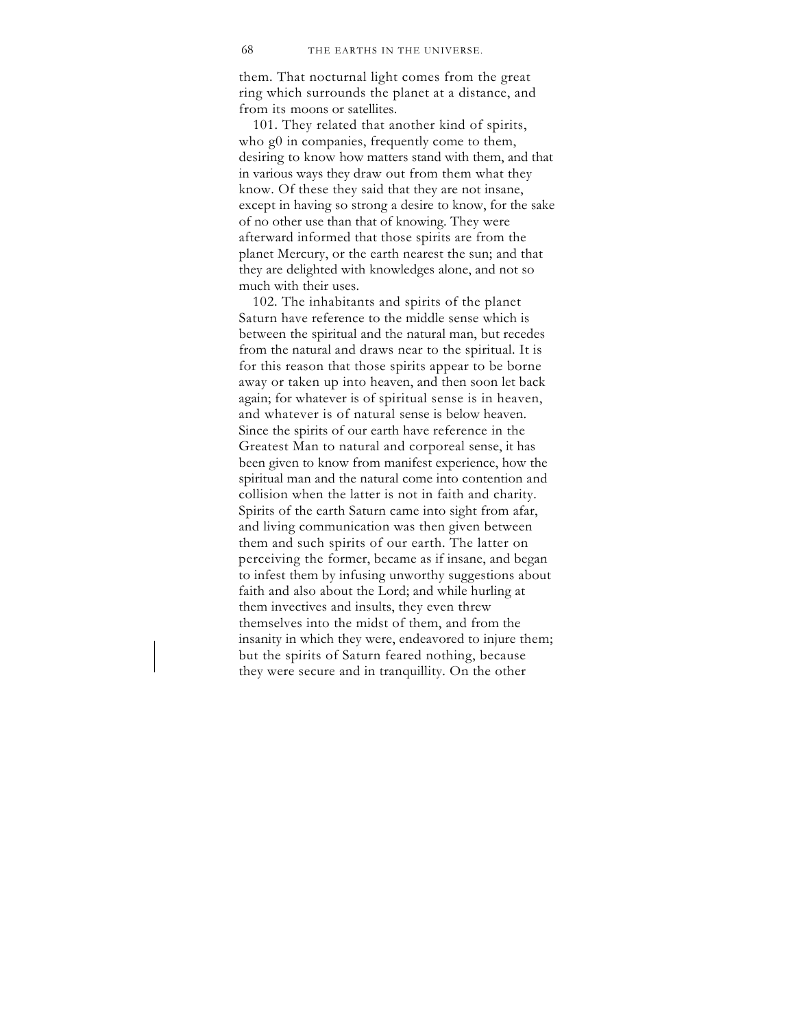them. That nocturnal light comes from the great ring which surrounds the planet at a distance, and from its moons or satellites.

101. They related that another kind of spirits, who g0 in companies, frequently come to them, desiring to know how matters stand with them, and that in various ways they draw out from them what they know. Of these they said that they are not insane, except in having so strong a desire to know, for the sake of no other use than that of knowing. They were afterward informed that those spirits are from the planet Mercury, or the earth nearest the sun; and that they are delighted with knowledges alone, and not so much with their uses.

102. The inhabitants and spirits of the planet Saturn have reference to the middle sense which is between the spiritual and the natural man, but recedes from the natural and draws near to the spiritual. It is for this reason that those spirits appear to be borne away or taken up into heaven, and then soon let back again; for whatever is of spiritual sense is in heaven, and whatever is of natural sense is below heaven. Since the spirits of our earth have reference in the Greatest Man to natural and corporeal sense, it has been given to know from manifest experience, how the spiritual man and the natural come into contention and collision when the latter is not in faith and charity. Spirits of the earth Saturn came into sight from afar, and living communication was then given between them and such spirits of our earth. The latter on perceiving the former, became as if insane, and began to infest them by infusing unworthy suggestions about faith and also about the Lord; and while hurling at them invectives and insults, they even threw themselves into the midst of them, and from the insanity in which they were, endeavored to injure them; but the spirits of Saturn feared nothing, because they were secure and in tranquillity. On the other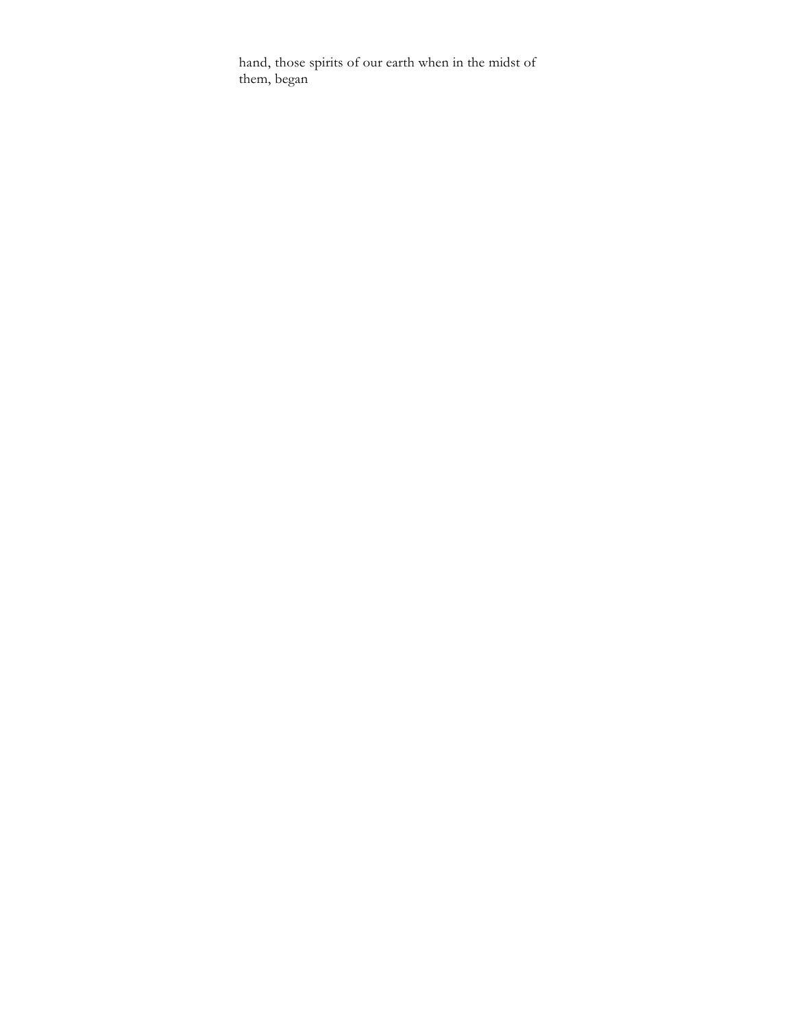hand, those spirits of our earth when in the midst of them, began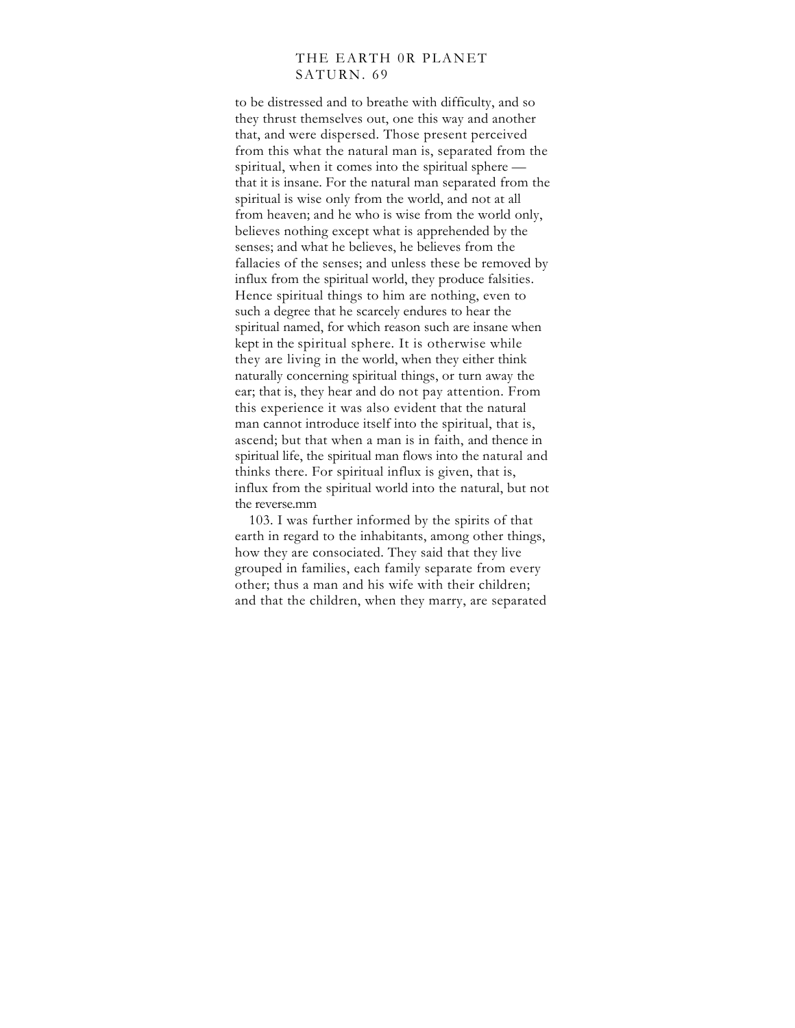### THE EARTH 0R PLANET SATURN. 69

to be distressed and to breathe with difficulty, and so they thrust themselves out, one this way and another that, and were dispersed. Those present perceived from this what the natural man is, separated from the spiritual, when it comes into the spiritual sphere that it is insane. For the natural man separated from the spiritual is wise only from the world, and not at all from heaven; and he who is wise from the world only, believes nothing except what is apprehended by the senses; and what he believes, he believes from the fallacies of the senses; and unless these be removed by influx from the spiritual world, they produce falsities. Hence spiritual things to him are nothing, even to such a degree that he scarcely endures to hear the spiritual named, for which reason such are insane when kept in the spiritual sphere. It is otherwise while they are living in the world, when they either think naturally concerning spiritual things, or turn away the ear; that is, they hear and do not pay attention. From this experience it was also evident that the natural man cannot introduce itself into the spiritual, that is, ascend; but that when a man is in faith, and thence in spiritual life, the spiritual man flows into the natural and thinks there. For spiritual influx is given, that is, influx from the spiritual world into the natural, but not the reverse.mm

103. I was further informed by the spirits of that earth in regard to the inhabitants, among other things, how they are consociated. They said that they live grouped in families, each family separate from every other; thus a man and his wife with their children; and that the children, when they marry, are separated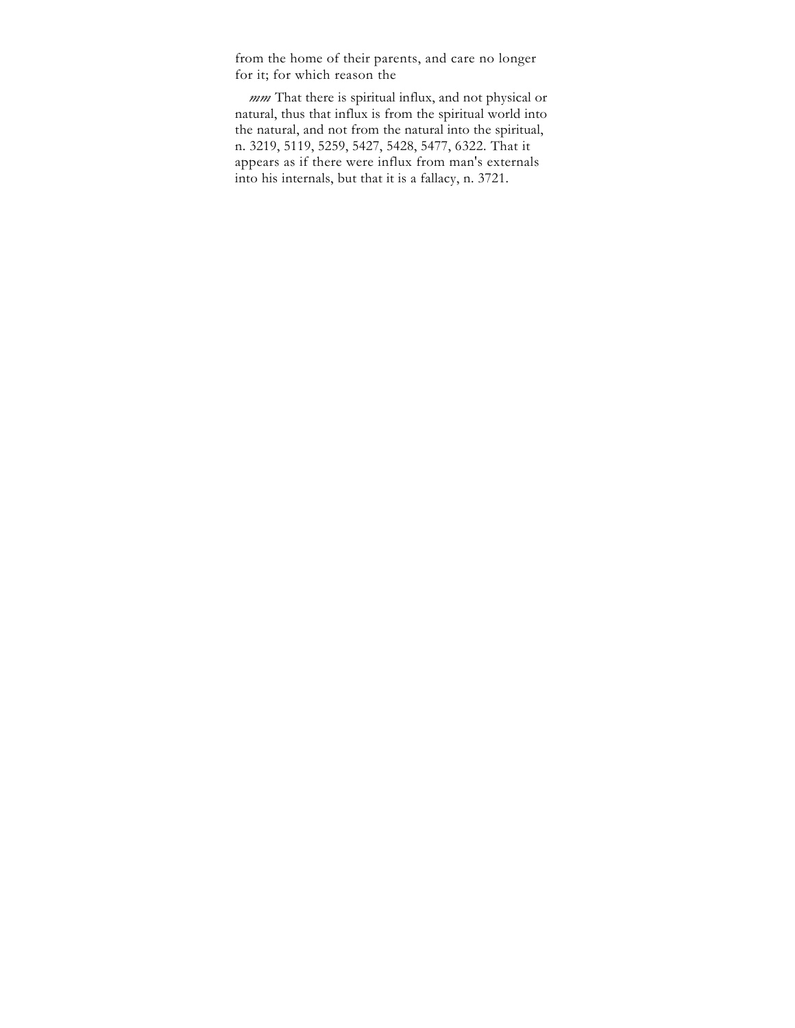from the home of their parents, and care no longer for it; for which reason the

*mm* That there is spiritual influx, and not physical or natural, thus that influx is from the spiritual world into the natural, and not from the natural into the spiritual, n. 3219, 5119, 5259, 5427, 5428, 5477, 6322. That it appears as if there were influx from man's externals into his internals, but that it is a fallacy, n. 3721.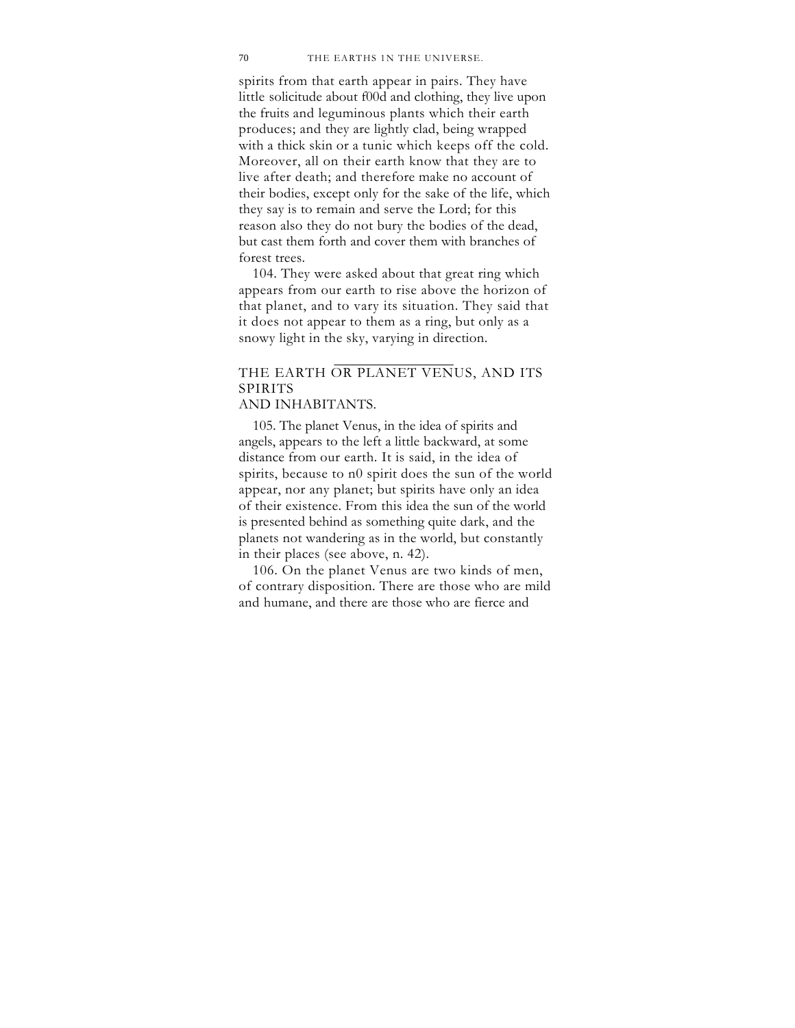spirits from that earth appear in pairs. They have little solicitude about f00d and clothing, they live upon the fruits and leguminous plants which their earth produces; and they are lightly clad, being wrapped with a thick skin or a tunic which keeps off the cold. Moreover, all on their earth know that they are to live after death; and therefore make no account of their bodies, except only for the sake of the life, which they say is to remain and serve the Lord; for this reason also they do not bury the bodies of the dead, but cast them forth and cover them with branches of forest trees.

104. They were asked about that great ring which appears from our earth to rise above the horizon of that planet, and to vary its situation. They said that it does not appear to them as a ring, but only as a snowy light in the sky, varying in direction.

#### THE EARTH OR PLANET VENUS, AND ITS SPIRITS AND INHABITANTS.

105. The planet Venus, in the idea of spirits and angels, appears to the left a little backward, at some distance from our earth. It is said, in the idea of spirits, because to n0 spirit does the sun of the world appear, nor any planet; but spirits have only an idea of their existence. From this idea the sun of the world is presented behind as something quite dark, and the planets not wandering as in the world, but constantly in their places (see above, n. 42).

106. On the planet Venus are two kinds of men, of contrary disposition. There are those who are mild and humane, and there are those who are fierce and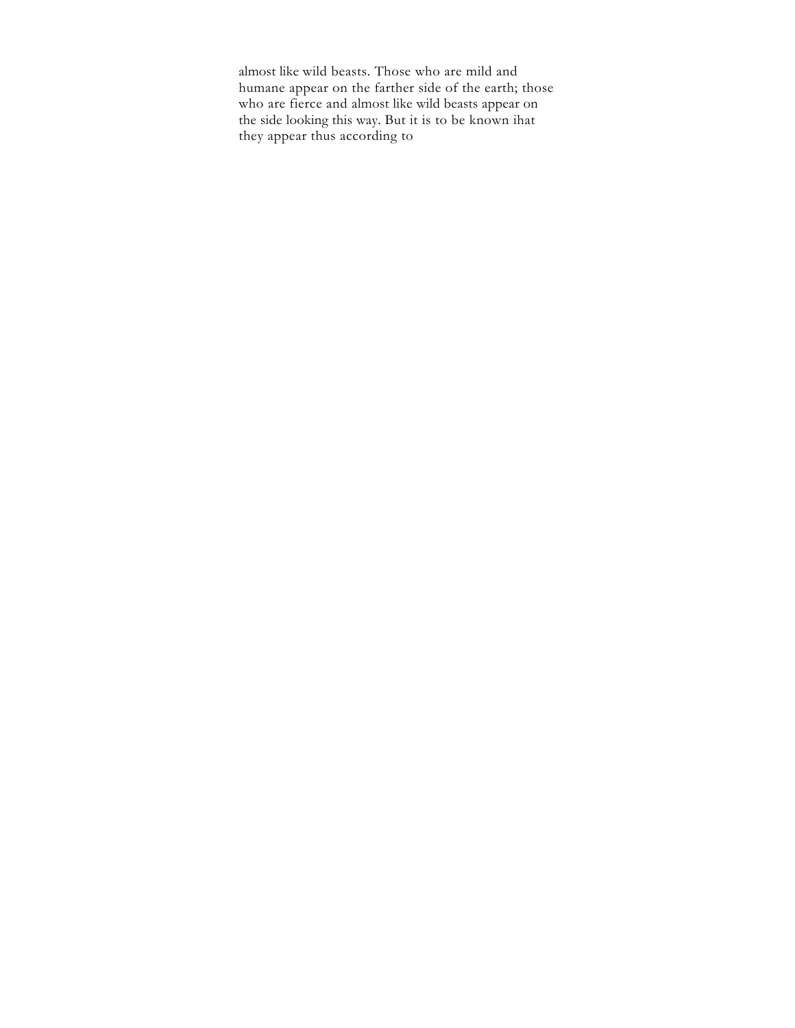almost like wild beasts. Those who are mild and humane appear on the farther side of the earth; those who are fierce and almost like wild beasts appear on the side looking this way. But it is to be known ihat they appear thus according to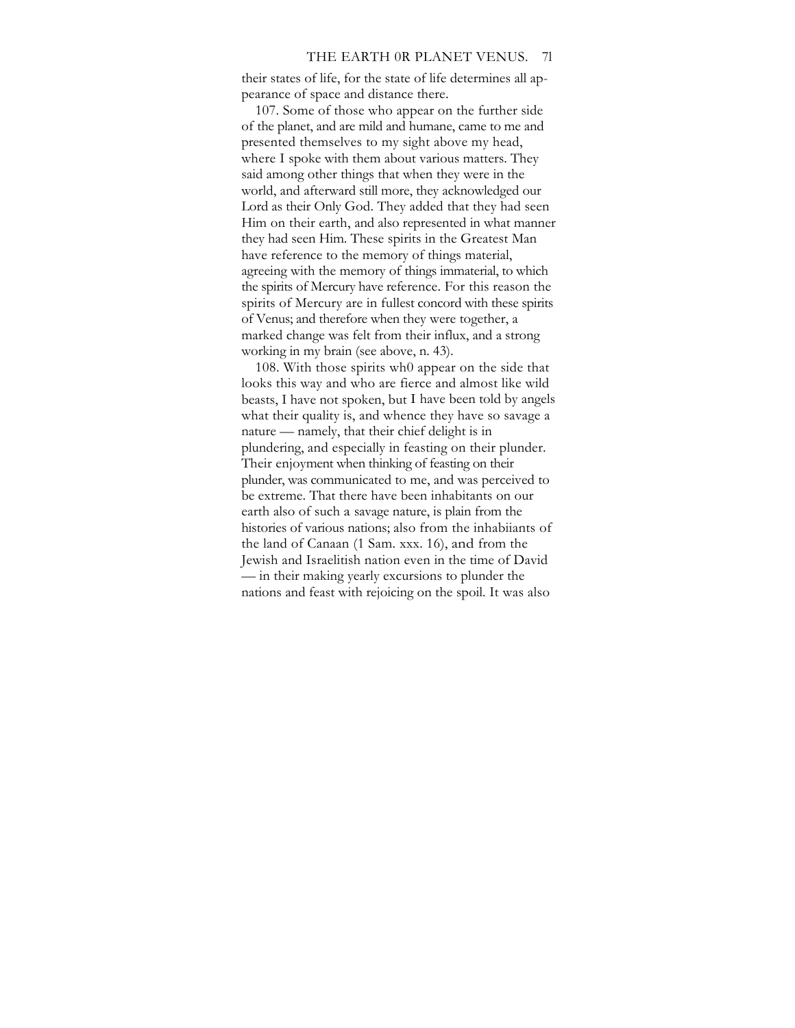their states of life, for the state of life determines all appearance of space and distance there.

107. Some of those who appear on the further side of the planet, and are mild and humane, came to me and presented themselves to my sight above my head, where I spoke with them about various matters. They said among other things that when they were in the world, and afterward still more, they acknowledged our Lord as their Only God. They added that they had seen Him on their earth, and also represented in what manner they had seen Him. These spirits in the Greatest Man have reference to the memory of things material, agreeing with the memory of things immaterial, to which the spirits of Mercury have reference. For this reason the spirits of Mercury are in fullest concord with these spirits of Venus; and therefore when they were together, a marked change was felt from their influx, and a strong working in my brain (see above, n. 43).

108. With those spirits wh0 appear on the side that looks this way and who are fierce and almost like wild beasts, I have not spoken, but I have been told by angels what their quality is, and whence they have so savage a nature — namely, that their chief delight is in plundering, and especially in feasting on their plunder. Their enjoyment when thinking of feasting on their plunder, was communicated to me, and was perceived to be extreme. That there have been inhabitants on our earth also of such a savage nature, is plain from the histories of various nations; also from the inhabiiants of the land of Canaan (1 Sam. xxx. 16), and from the Jewish and Israelitish nation even in the time of David — in their making yearly excursions to plunder the nations and feast with rejoicing on the spoil. It was also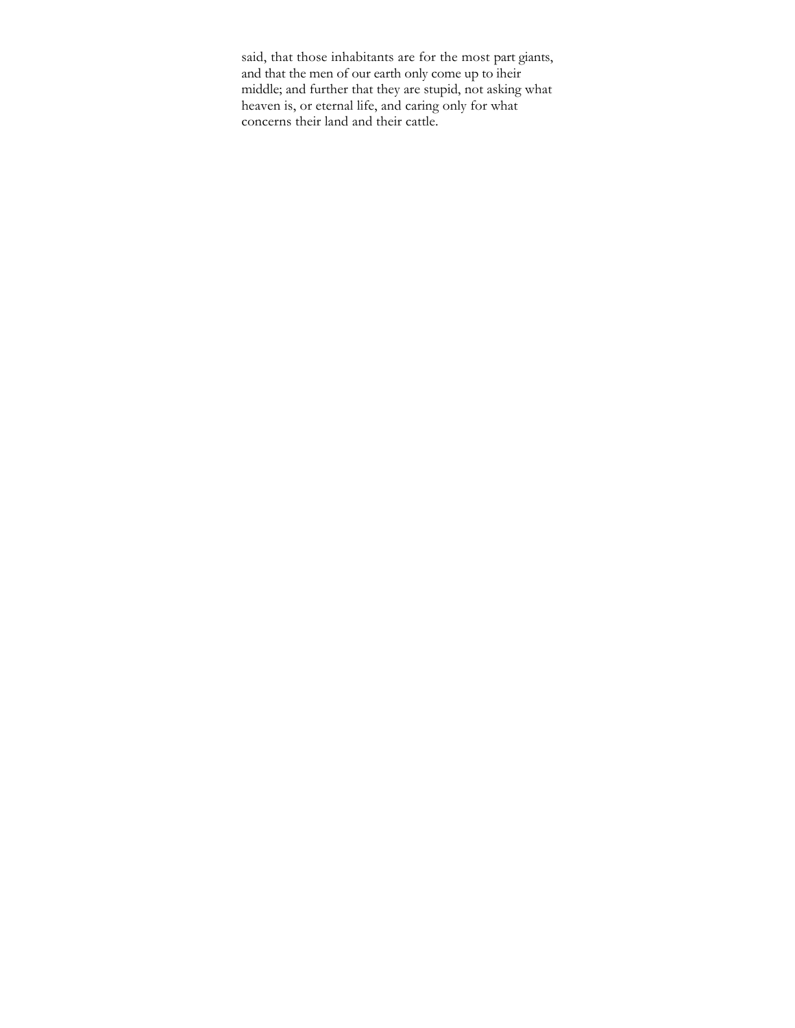said, that those inhabitants are for the most part giants, and that the men of our earth only come up to iheir middle; and further that they are stupid, not asking what heaven is, or eternal life, and caring only for what concerns their land and their cattle.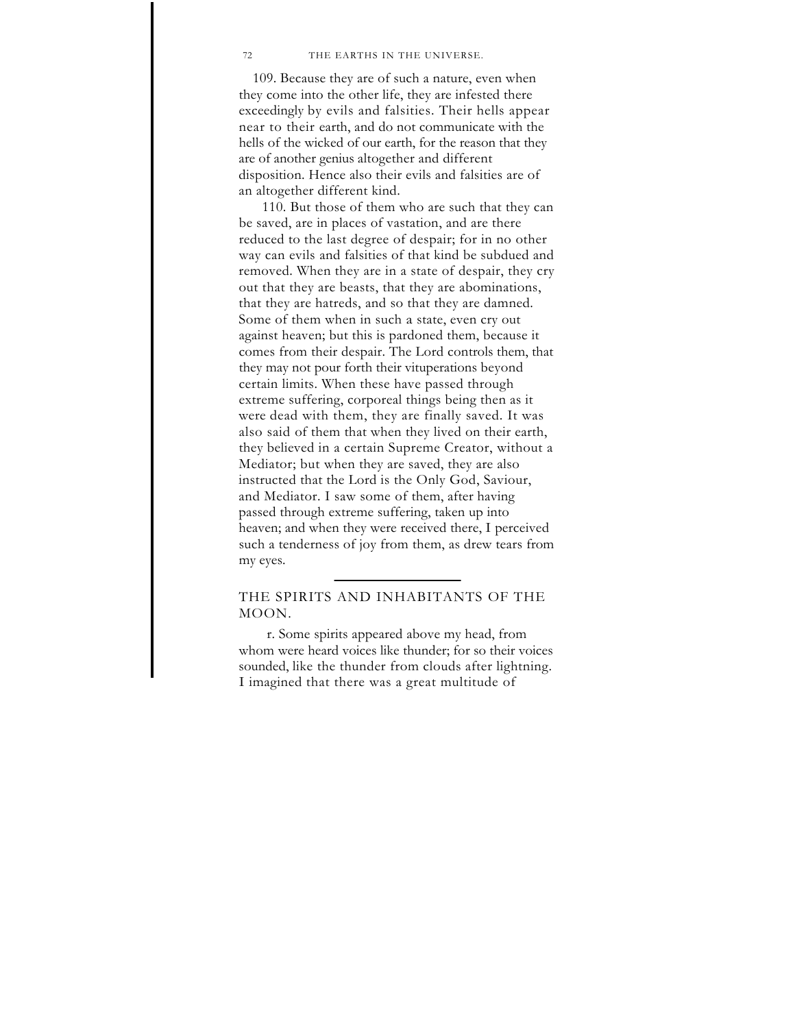#### 72 THE EARTHS IN THE UNIVERSE.

109. Because they are of such a nature, even when they come into the other life, they are infested there exceedingly by evils and falsities. Their hells appear near to their earth, and do not communicate with the hells of the wicked of our earth, for the reason that they are of another genius altogether and different disposition. Hence also their evils and falsities are of an altogether different kind.

110. But those of them who are such that they can be saved, are in places of vastation, and are there reduced to the last degree of despair; for in no other way can evils and falsities of that kind be subdued and removed. When they are in a state of despair, they cry out that they are beasts, that they are abominations, that they are hatreds, and so that they are damned. Some of them when in such a state, even cry out against heaven; but this is pardoned them, because it comes from their despair. The Lord controls them, that they may not pour forth their vituperations beyond certain limits. When these have passed through extreme suffering, corporeal things being then as it were dead with them, they are finally saved. It was also said of them that when they lived on their earth, they believed in a certain Supreme Creator, without a Mediator; but when they are saved, they are also instructed that the Lord is the Only God, Saviour, and Mediator. I saw some of them, after having passed through extreme suffering, taken up into heaven; and when they were received there, I perceived such a tenderness of joy from them, as drew tears from my eyes.

## THE SPIRITS AND INHABITANTS OF THE MOON.

r. Some spirits appeared above my head, from whom were heard voices like thunder; for so their voices sounded, like the thunder from clouds after lightning. I imagined that there was a great multitude of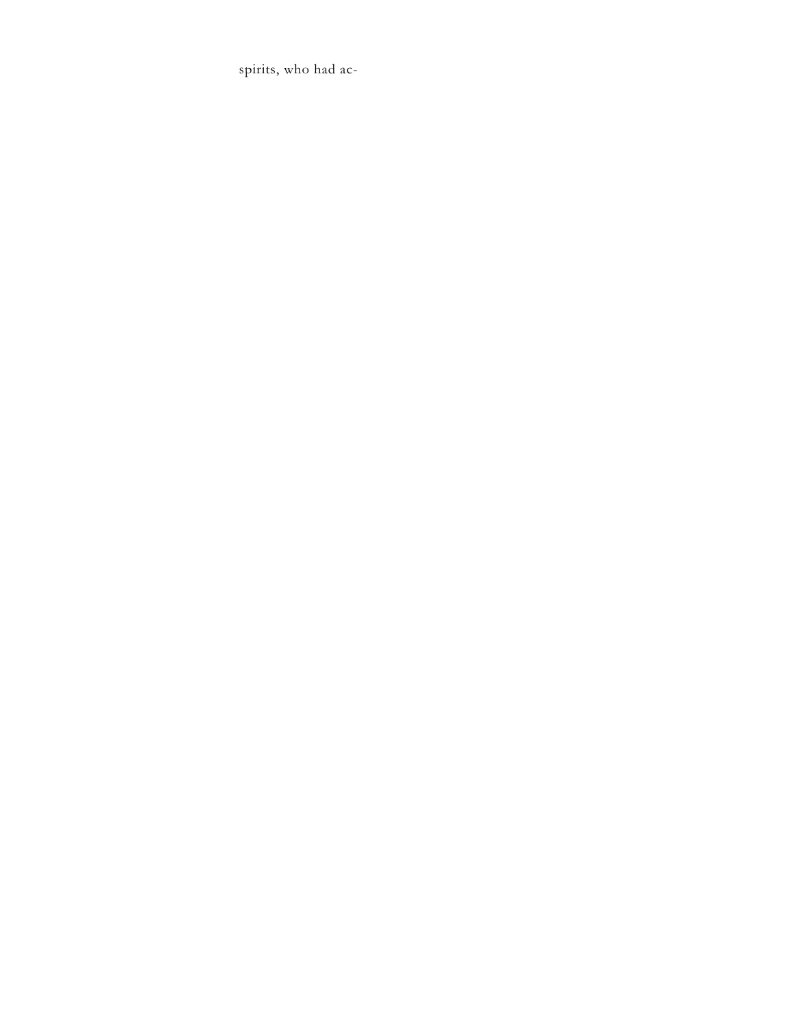spirits, who had ac-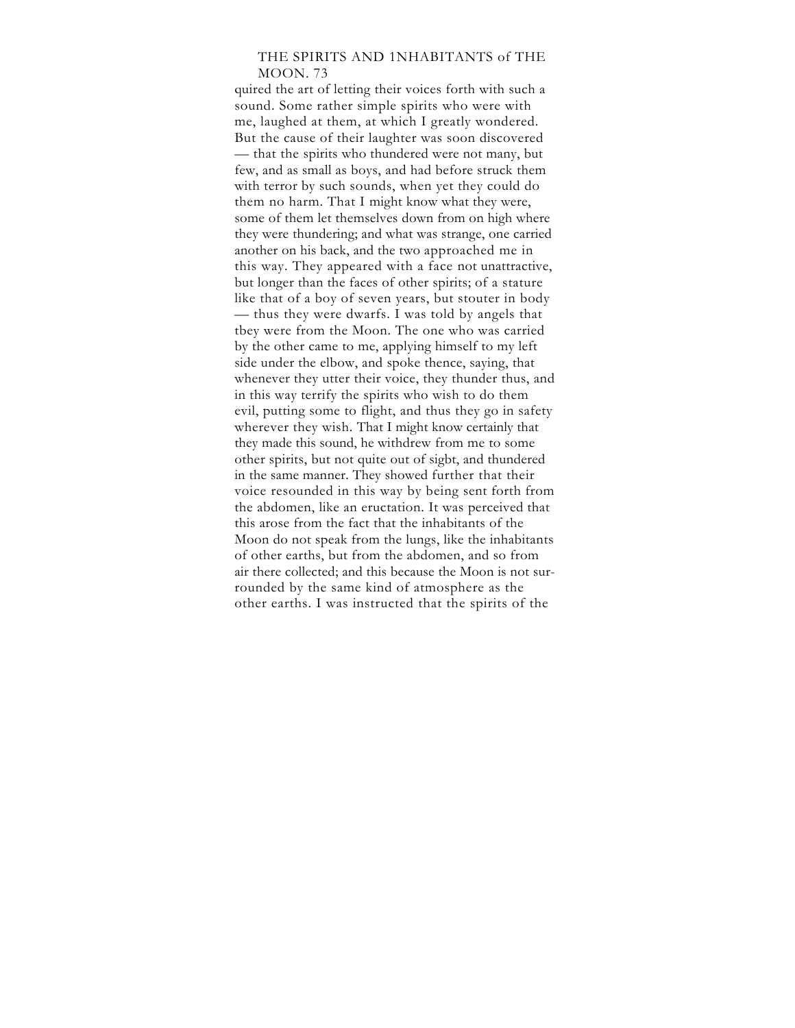#### THE SPIRITS AND 1NHABITANTS of THE MOON. 73

quired the art of letting their voices forth with such a sound. Some rather simple spirits who were with me, laughed at them, at which I greatly wondered. But the cause of their laughter was soon discovered — that the spirits who thundered were not many, but few, and as small as boys, and had before struck them with terror by such sounds, when yet they could do them no harm. That I might know what they were, some of them let themselves down from on high where they were thundering; and what was strange, one carried another on his back, and the two approached me in this way. They appeared with a face not unattractive, but longer than the faces of other spirits; of a stature like that of a boy of seven years, but stouter in body — thus they were dwarfs. I was told by angels that tbey were from the Moon. The one who was carried by the other came to me, applying himself to my left side under the elbow, and spoke thence, saying, that whenever they utter their voice, they thunder thus, and in this way terrify the spirits who wish to do them evil, putting some to flight, and thus they go in safety wherever they wish. That I might know certainly that they made this sound, he withdrew from me to some other spirits, but not quite out of sigbt, and thundered in the same manner. They showed further that their voice resounded in this way by being sent forth from the abdomen, like an eructation. It was perceived that this arose from the fact that the inhabitants of the Moon do not speak from the lungs, like the inhabitants of other earths, but from the abdomen, and so from air there collected; and this because the Moon is not surrounded by the same kind of atmosphere as the other earths. I was instructed that the spirits of the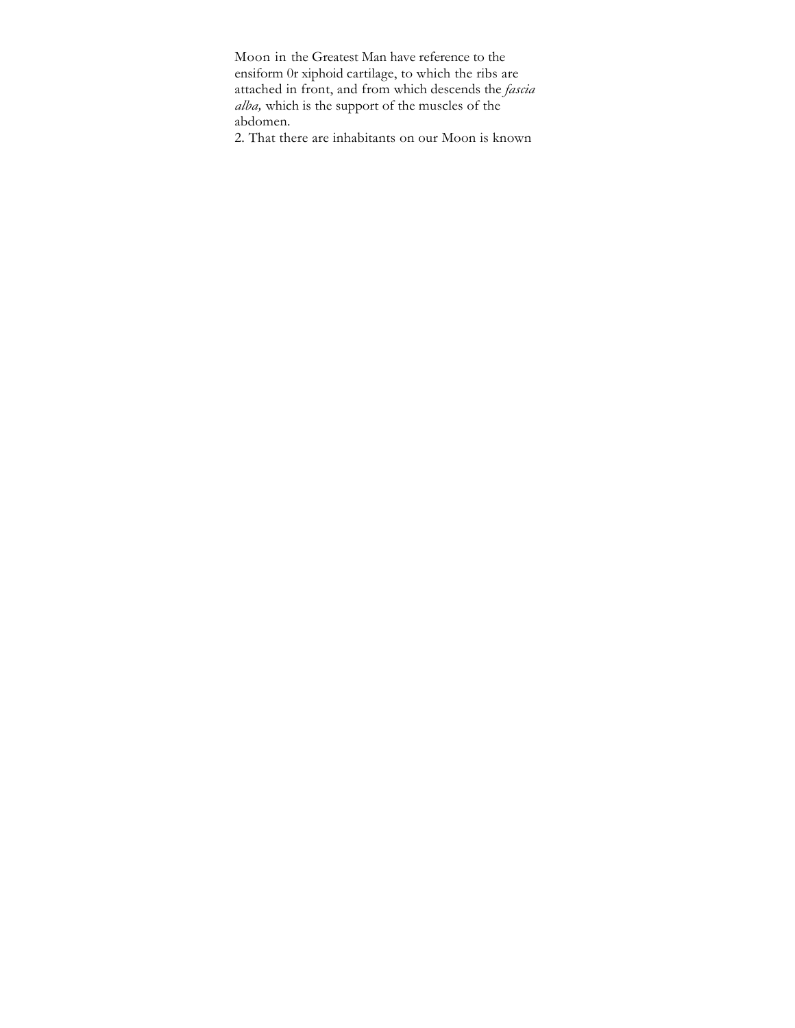Moon in the Greatest Man have reference to the ensiform 0r xiphoid cartilage, to which the ribs are attached in front, and from which descends the *fascia alba,* which is the support of the muscles of the abdomen.

2. That there are inhabitants on our Moon is known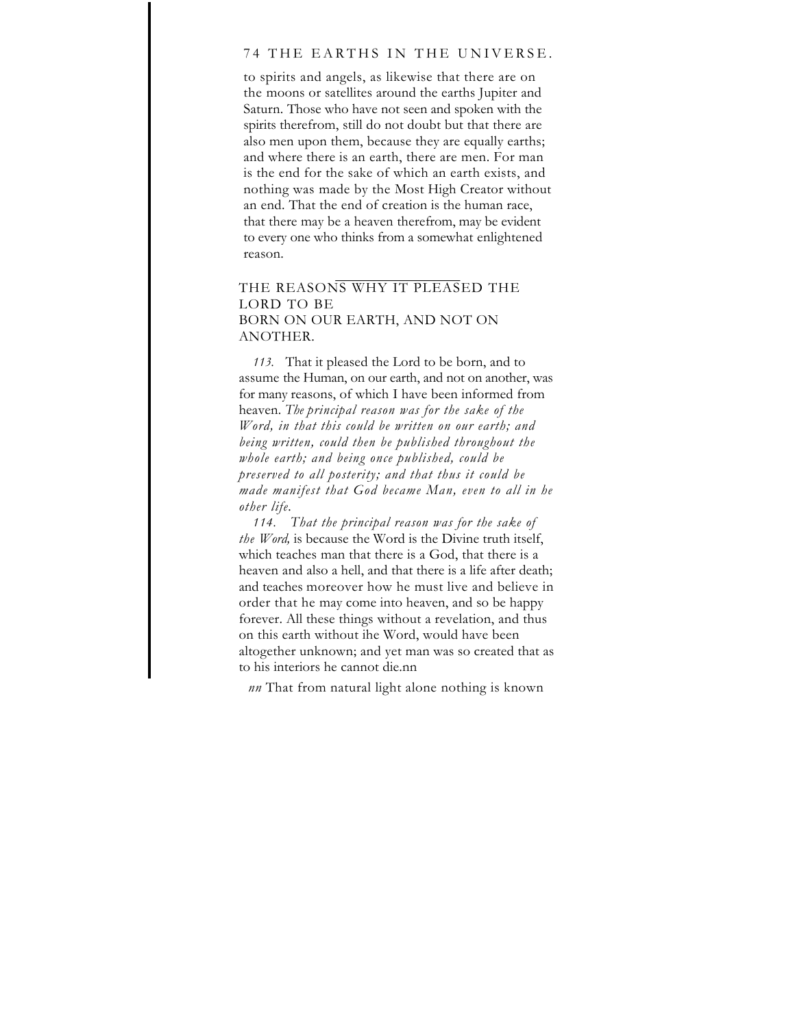## 74 THE EARTHS IN THE UNIVERSE.

to spirits and angels, as likewise that there are on the moons or satellites around the earths Jupiter and Saturn. Those who have not seen and spoken with the spirits therefrom, still do not doubt but that there are also men upon them, because they are equally earths; and where there is an earth, there are men. For man is the end for the sake of which an earth exists, and nothing was made by the Most High Creator without an end. That the end of creation is the human race, that there may be a heaven therefrom, may be evident to every one who thinks from a somewhat enlightened reason.

# THE REASONS WHY IT PLEASED THE LORD TO BE BORN ON OUR EARTH, AND NOT ON ANOTHER.

*113.* That it pleased the Lord to be born, and to assume the Human, on our earth, and not on another, was for many reasons, of which I have been informed from heaven. *The principal reason was for the sake of the Word, in that this could be written on our earth; and being written, could then be published throughout the whole earth; and being once published, could be preserved to all posterity; and that thus it could be made manifest that God became Man, even to all in he other life.* 

*114. That the principal reason was for the sake of the Word,* is because the Word is the Divine truth itself, which teaches man that there is a God, that there is a heaven and also a hell, and that there is a life after death; and teaches moreover how he must live and believe in order that he may come into heaven, and so be happy forever. All these things without a revelation, and thus on this earth without ihe Word, would have been altogether unknown; and yet man was so created that as to his interiors he cannot die.nn

*nn* That from natural light alone nothing is known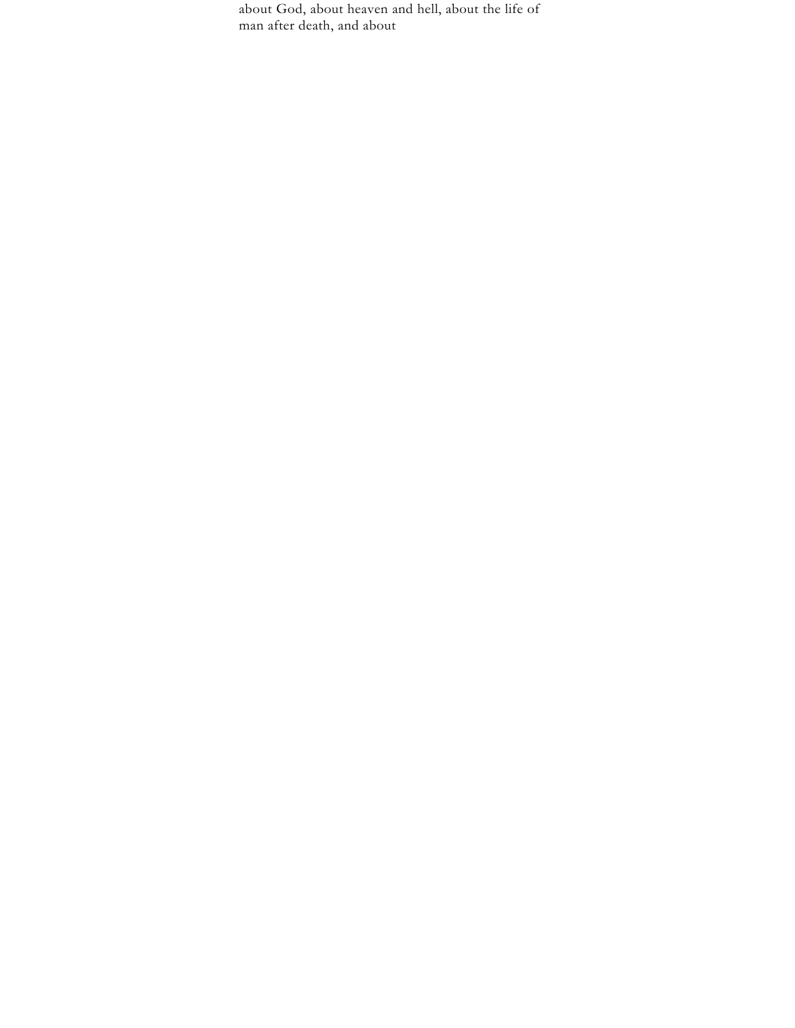about God, about heaven and hell, about the life of man after death, and about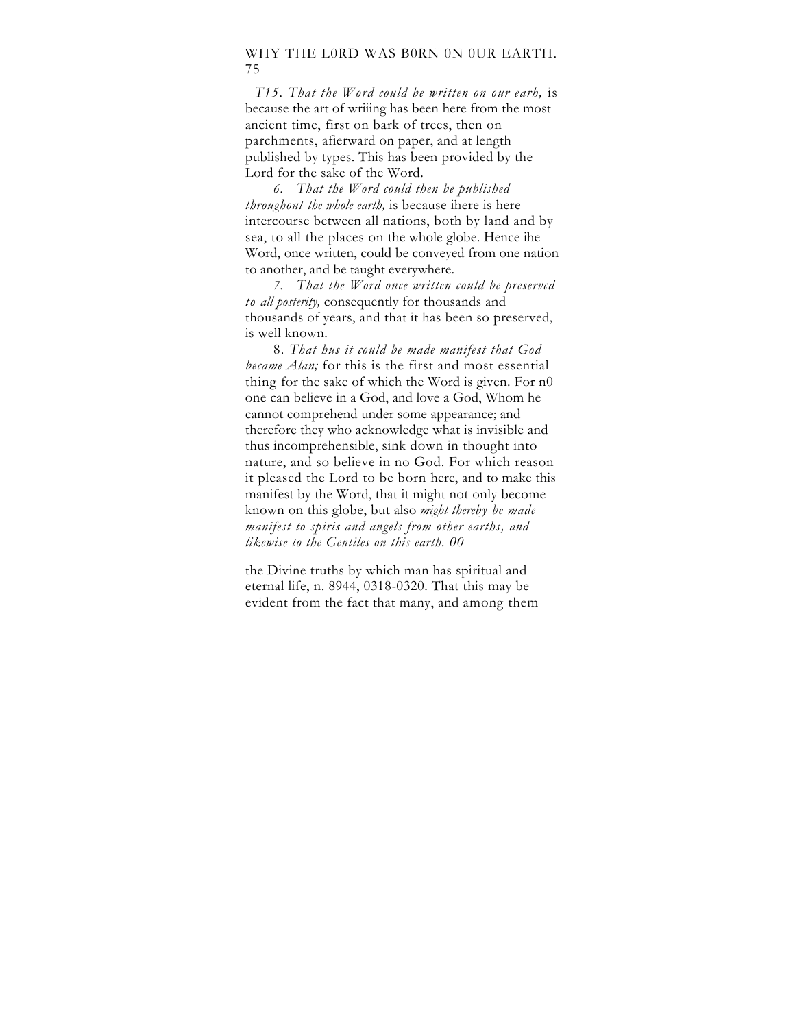# WHY THE L0RD WAS B0RN 0N 0UR EARTH. 75

*T15. That the Word could be written on our earh,* is because the art of wriiing has been here from the most ancient time, first on bark of trees, then on parchments, afierward on paper, and at length published by types. This has been provided by the Lord for the sake of the Word.

*6. That the Word could then be published throughout the whole earth,* is because ihere is here intercourse between all nations, both by land and by sea, to all the places on the whole globe. Hence ihe Word, once written, could be conveyed from one nation to another, and be taught everywhere.

*7. That the Word once written could be preservcd to all posterity,* consequently for thousands and thousands of years, and that it has been so preserved, is well known.

8. *That hus it could be made manifest that God became Alan;* for this is the first and most essential thing for the sake of which the Word is given. For n0 one can believe in a God, and love a God, Whom he cannot comprehend under some appearance; and therefore they who acknowledge what is invisible and thus incomprehensible, sink down in thought into nature, and so believe in no God. For which reason it pleased the Lord to be born here, and to make this manifest by the Word, that it might not only become known on this globe, but also *might thereby be made manifest to spiris and angels from other earths, and likewise to the Gentiles on this earth. 00* 

the Divine truths by which man has spiritual and eternal life, n. 8944, 0318-0320. That this may be evident from the fact that many, and among them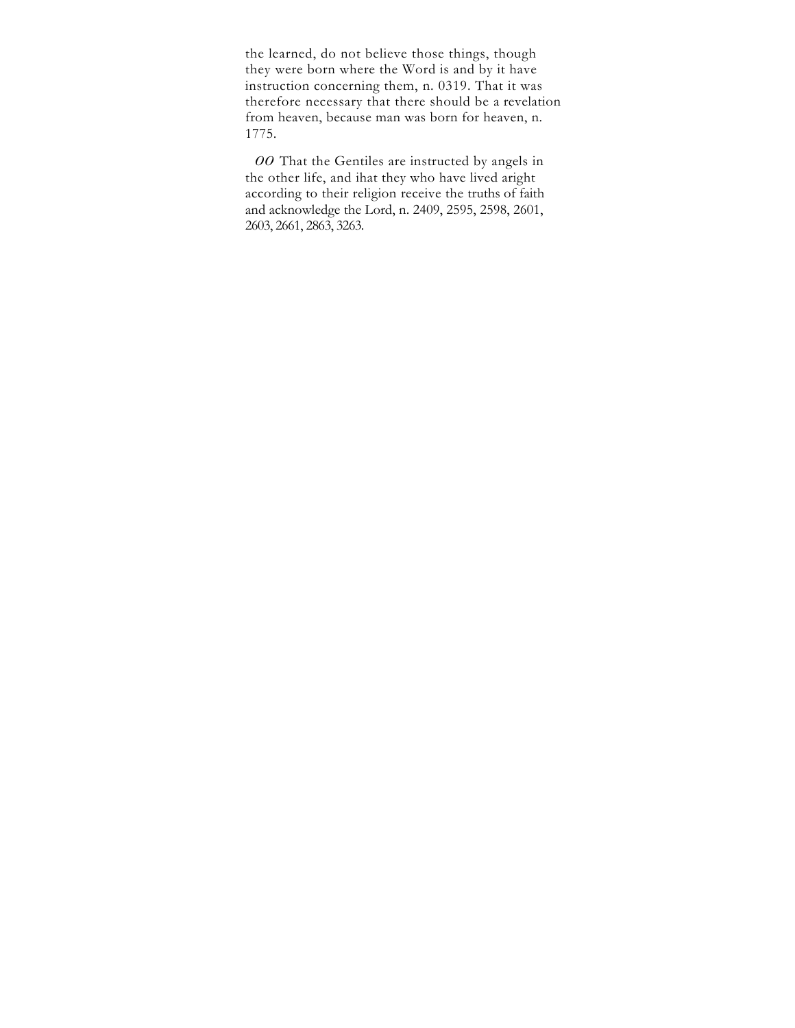the learned, do not believe those things, though they were born where the Word is and by it have instruction concerning them, n. 0319. That it was therefore necessary that there should be a revelation from heaven, because man was born for heaven, n. 1775.

*00* That the Gentiles are instructed by angels in the other life, and ihat they who have lived aright according to their religion receive the truths of faith and acknowledge the Lord, n. 2409, 2595, 2598, 2601, 2603, 2661, 2863, 3263.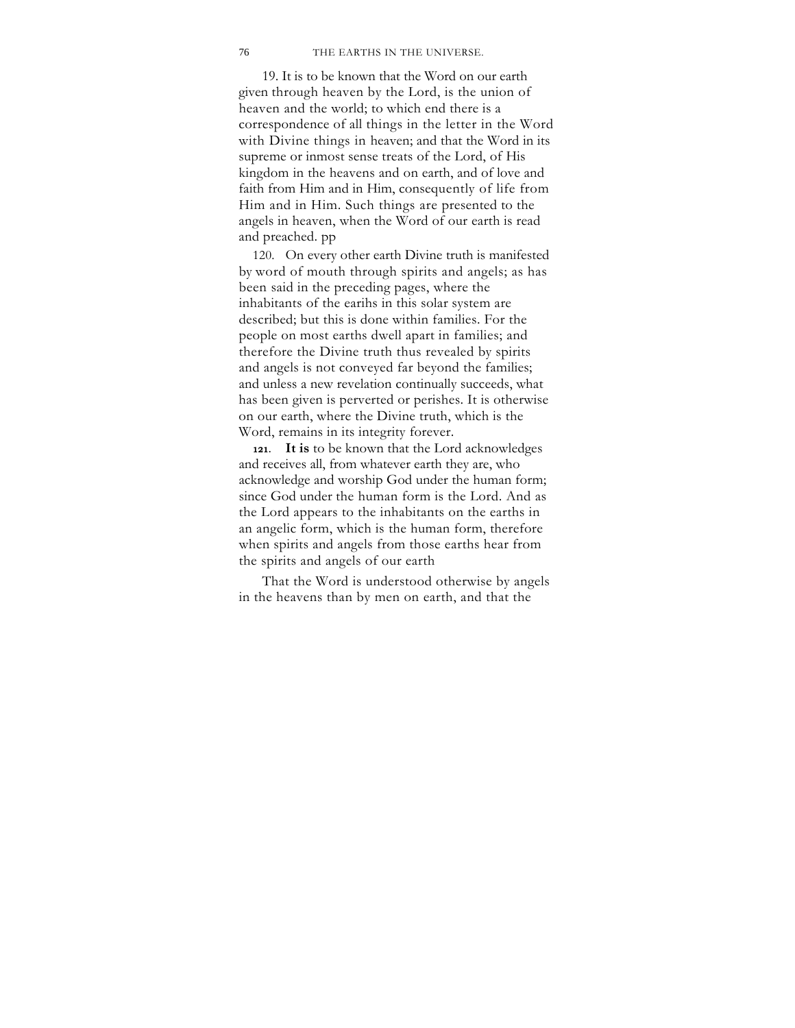#### 76 THE EARTHS IN THE UNIVERSE.

19. It is to be known that the Word on our earth given through heaven by the Lord, is the union of heaven and the world; to which end there is a correspondence of all things in the letter in the Word with Divine things in heaven; and that the Word in its supreme or inmost sense treats of the Lord, of His kingdom in the heavens and on earth, and of love and faith from Him and in Him, consequently of life from Him and in Him. Such things are presented to the angels in heaven, when the Word of our earth is read and preached. pp

120. On every other earth Divine truth is manifested by word of mouth through spirits and angels; as has been said in the preceding pages, where the inhabitants of the earihs in this solar system are described; but this is done within families. For the people on most earths dwell apart in families; and therefore the Divine truth thus revealed by spirits and angels is not conveyed far beyond the families; and unless a new revelation continually succeeds, what has been given is perverted or perishes. It is otherwise on our earth, where the Divine truth, which is the Word, remains in its integrity forever.

**121. It is** to be known that the Lord acknowledges and receives all, from whatever earth they are, who acknowledge and worship God under the human form; since God under the human form is the Lord. And as the Lord appears to the inhabitants on the earths in an angelic form, which is the human form, therefore when spirits and angels from those earths hear from the spirits and angels of our earth

That the Word is understood otherwise by angels in the heavens than by men on earth, and that the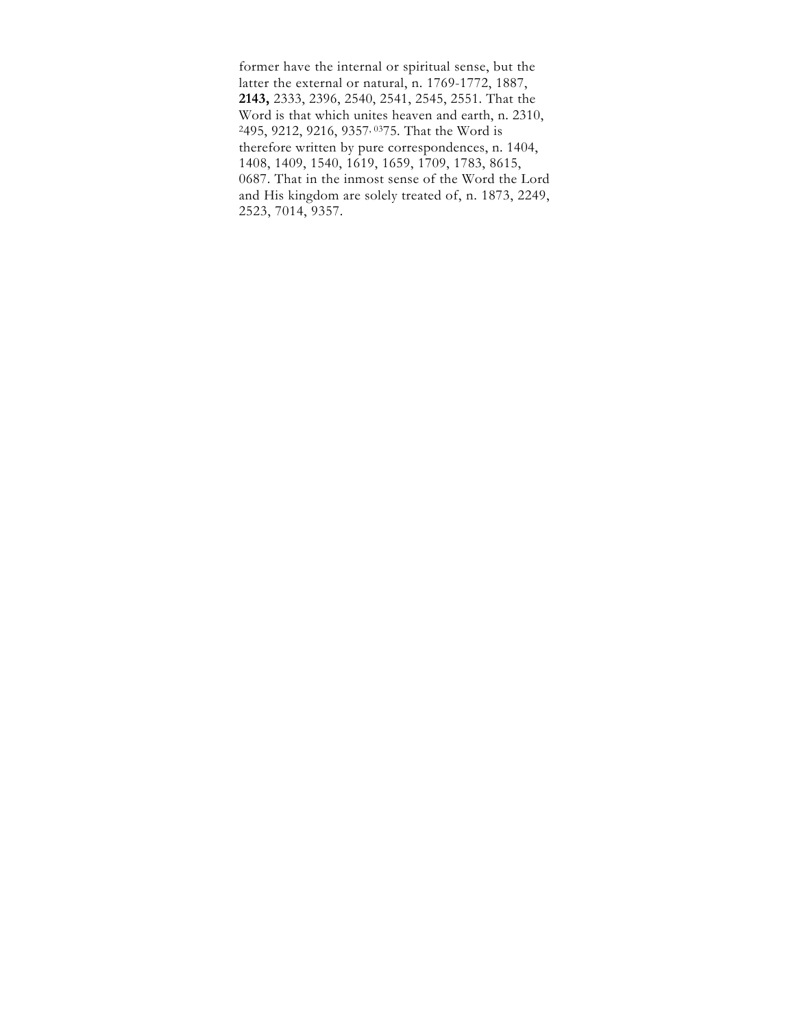former have the internal or spiritual sense, but the latter the external or natural, n. 1769-1772, 1887, **2143,** 2333, 2396, 2540, 2541, 2545, 2551. That the Word is that which unites heaven and earth, n. 2310, 2495, 9212, 9216, 9357, 0375. That the Word is therefore written by pure correspondences, n. 1404, 1408, 1409, 1540, 1619, 1659, 1709, 1783, 8615, 0687. That in the inmost sense of the Word the Lord and His kingdom are solely treated of, n. 1873, 2249, 2523, 7014, 9357.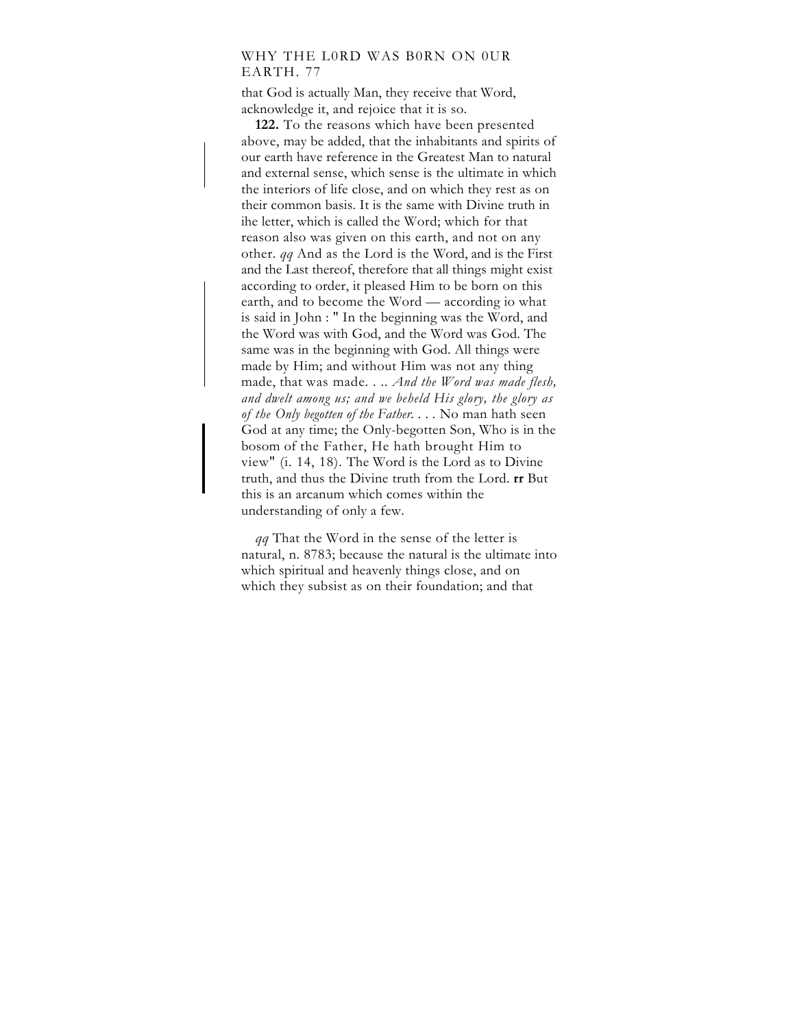# WHY THE L0RD WAS B0RN ON 0UR EARTH. 77

that God is actually Man, they receive that Word, acknowledge it, and rejoice that it is so.

**122.** To the reasons which have been presented above, may be added, that the inhabitants and spirits of our earth have reference in the Greatest Man to natural and external sense, which sense is the ultimate in which the interiors of life close, and on which they rest as on their common basis. It is the same with Divine truth in ihe letter, which is called the Word; which for that reason also was given on this earth, and not on any other. *qq* And as the Lord is the Word, and is the First and the Last thereof, therefore that all things might exist according to order, it pleased Him to be born on this earth, and to become the Word — according io what is said in John : " In the beginning was the Word, and the Word was with God, and the Word was God. The same was in the beginning with God. All things were made by Him; and without Him was not any thing made, that was made. . .. *And the Word was made flesh, and dwelt among us; and we beheld His glory, the glory as of the Only begotten of the Father. . . .* No man hath seen God at any time; the Only-begotten Son, Who is in the bosom of the Father, He hath brought Him to view" (i. 14, 18). The Word is the Lord as to Divine truth, and thus the Divine truth from the Lord. **rr** But this is an arcanum which comes within the understanding of only a few.

*qq* That the Word in the sense of the letter is natural, n. 8783; because the natural is the ultimate into which spiritual and heavenly things close, and on which they subsist as on their foundation; and that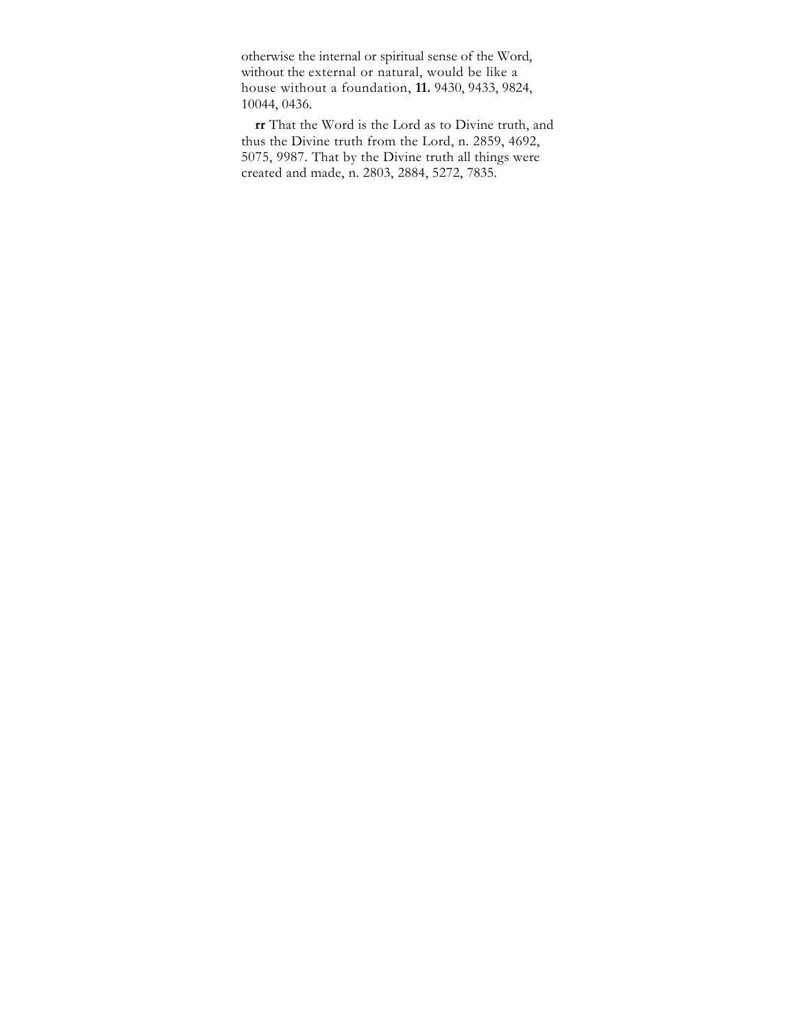otherwise the internal or spiritual sense of the Word, without the external or natural, would be like a house without a foundation, **11.** 9430, 9433, 9824, 10044, 0436.

**rr** That the Word is the Lord as to Divine truth, and thus the Divine truth from the Lord, n. 2859, 4692, 5075, 9987. That by the Divine truth all things were created and made, n. 2803, 2884, 5272, 7835.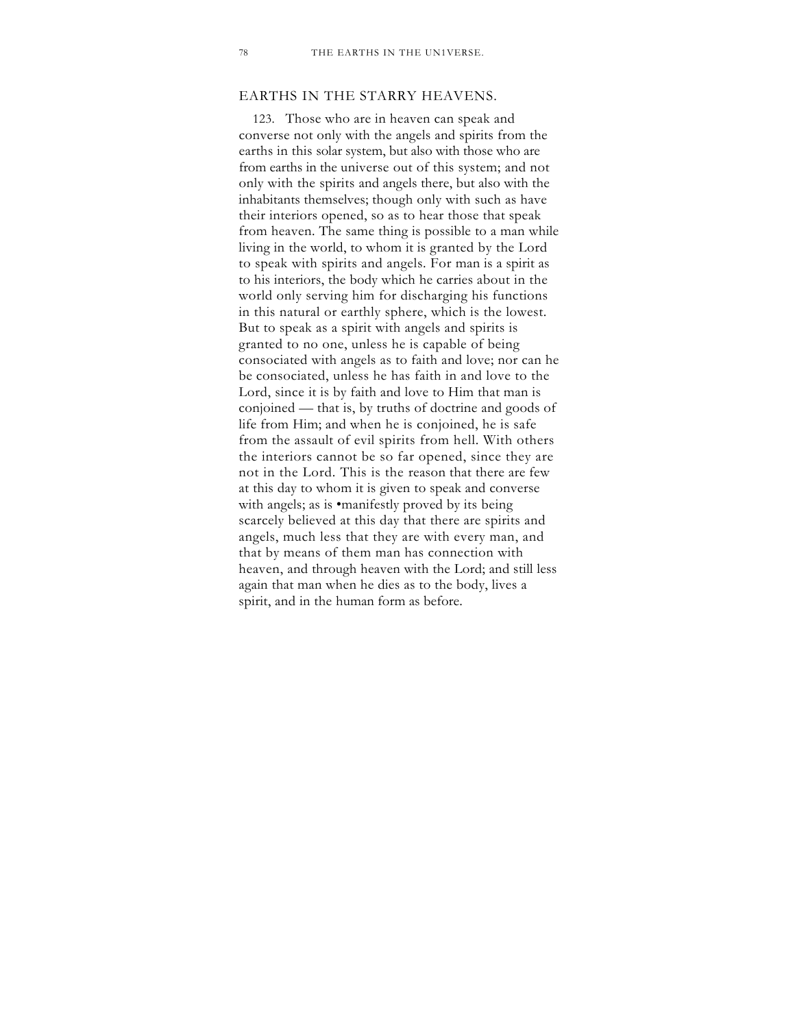#### EARTHS IN THE STARRY HEAVENS.

123. Those who are in heaven can speak and converse not only with the angels and spirits from the earths in this solar system, but also with those who are from earths in the universe out of this system; and not only with the spirits and angels there, but also with the inhabitants themselves; though only with such as have their interiors opened, so as to hear those that speak from heaven. The same thing is possible to a man while living in the world, to whom it is granted by the Lord to speak with spirits and angels. For man is a spirit as to his interiors, the body which he carries about in the world only serving him for discharging his functions in this natural or earthly sphere, which is the lowest. But to speak as a spirit with angels and spirits is granted to no one, unless he is capable of being consociated with angels as to faith and love; nor can he be consociated, unless he has faith in and love to the Lord, since it is by faith and love to Him that man is conjoined — that is, by truths of doctrine and goods of life from Him; and when he is conjoined, he is safe from the assault of evil spirits from hell. With others the interiors cannot be so far opened, since they are not in the Lord. This is the reason that there are few at this day to whom it is given to speak and converse with angels; as is •manifestly proved by its being scarcely believed at this day that there are spirits and angels, much less that they are with every man, and that by means of them man has connection with heaven, and through heaven with the Lord; and still less again that man when he dies as to the body, lives a spirit, and in the human form as before.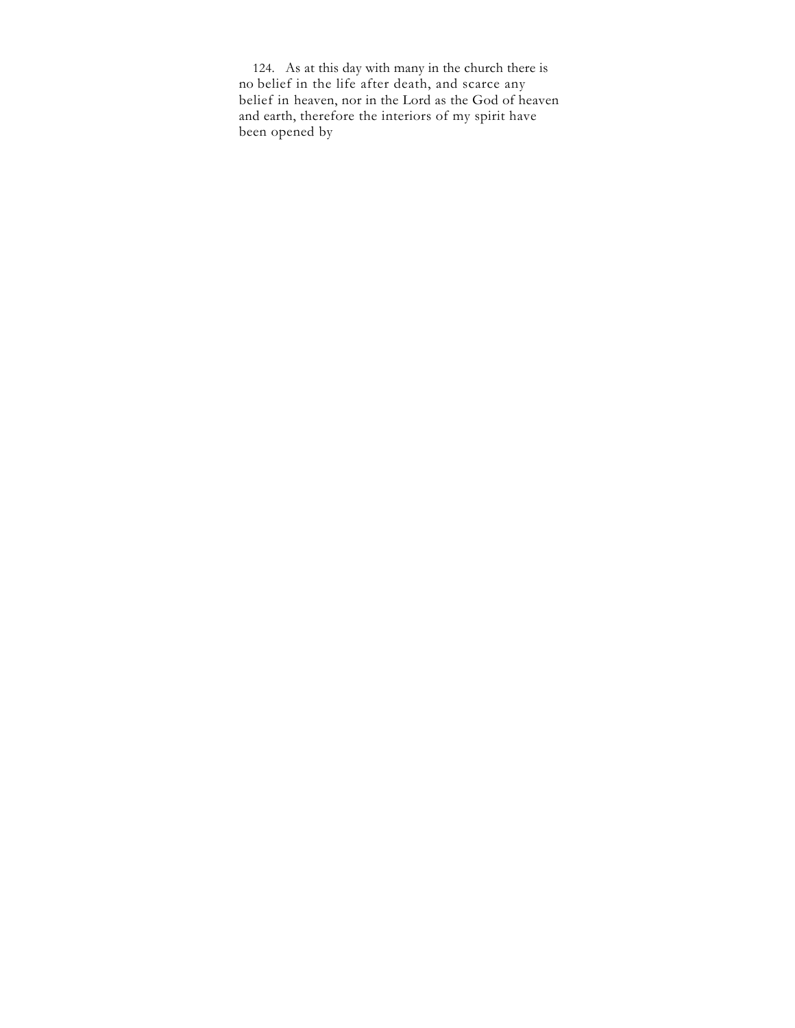124. As at this day with many in the church there is no belief in the life after death, and scarce any belief in heaven, nor in the Lord as the God of heaven and earth, therefore the interiors of my spirit have been opened by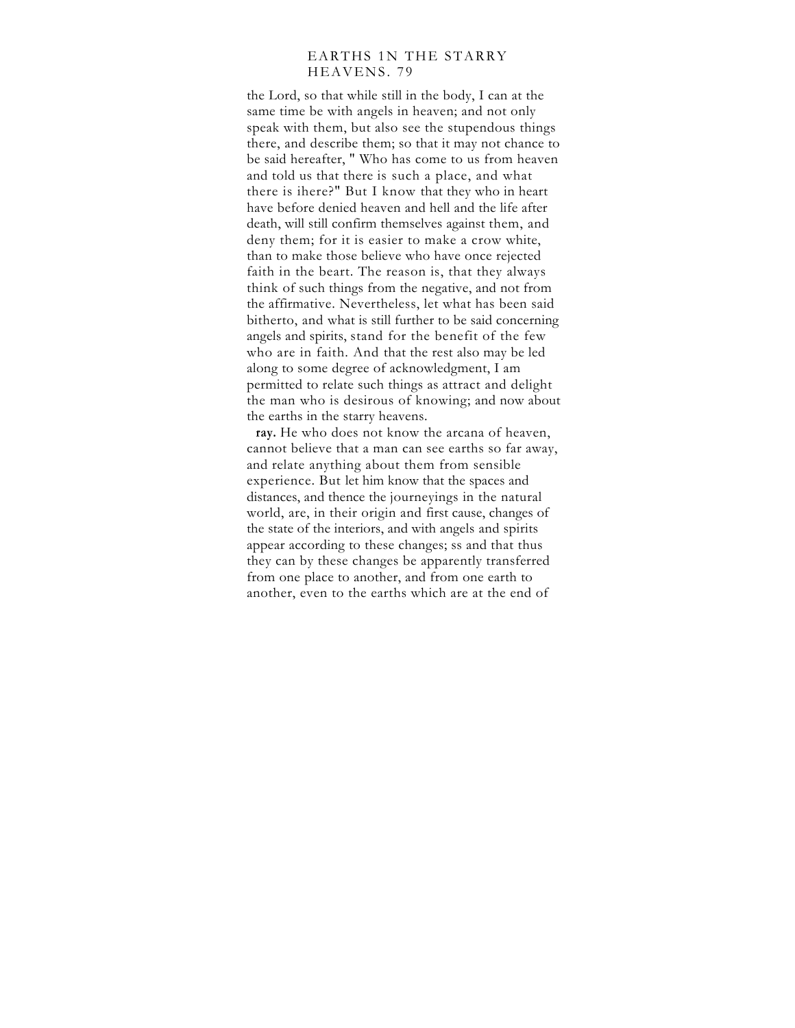## EARTHS 1N THE STARRY HEAVENS. 79

the Lord, so that while still in the body, I can at the same time be with angels in heaven; and not only speak with them, but also see the stupendous things there, and describe them; so that it may not chance to be said hereafter, " Who has come to us from heaven and told us that there is such a place, and what there is ihere?" But I know that they who in heart have before denied heaven and hell and the life after death, will still confirm themselves against them, and deny them; for it is easier to make a crow white, than to make those believe who have once rejected faith in the beart. The reason is, that they always think of such things from the negative, and not from the affirmative. Nevertheless, let what has been said bitherto, and what is still further to be said concerning angels and spirits, stand for the benefit of the few who are in faith. And that the rest also may be led along to some degree of acknowledgment, I am permitted to relate such things as attract and delight the man who is desirous of knowing; and now about the earths in the starry heavens.

**ray.** He who does not know the arcana of heaven, cannot believe that a man can see earths so far away, and relate anything about them from sensible experience. But let him know that the spaces and distances, and thence the journeyings in the natural world, are, in their origin and first cause, changes of the state of the interiors, and with angels and spirits appear according to these changes; ss and that thus they can by these changes be apparently transferred from one place to another, and from one earth to another, even to the earths which are at the end of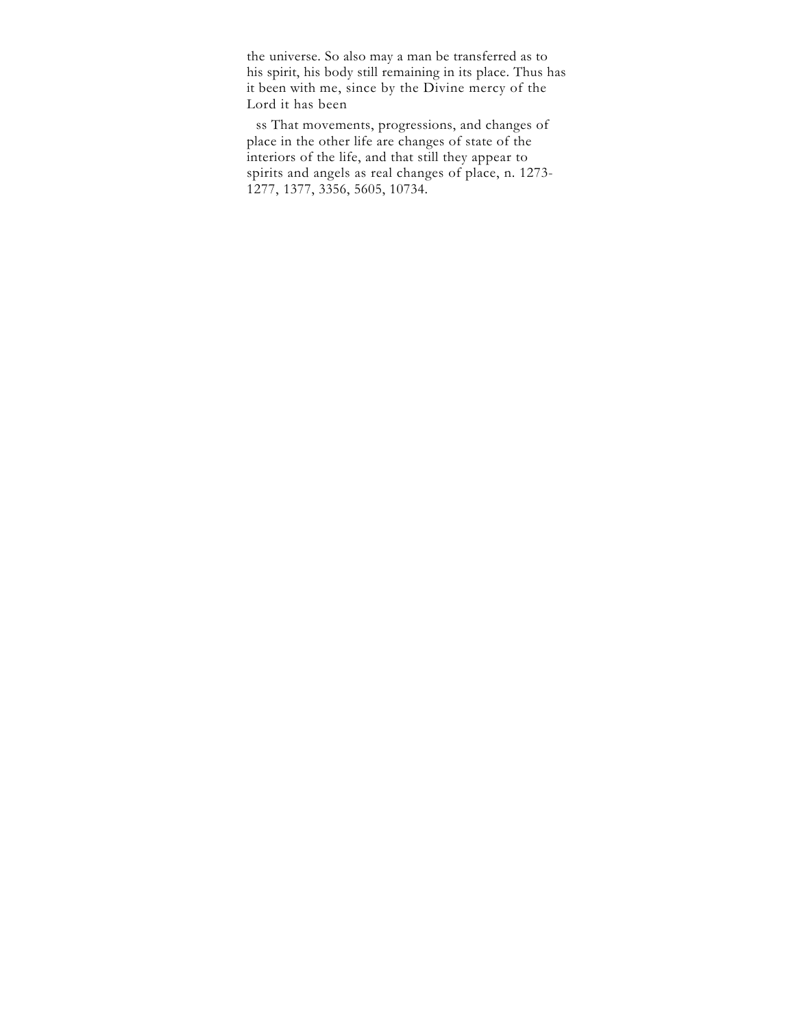the universe. So also may a man be transferred as to his spirit, his body still remaining in its place. Thus has it been with me, since by the Divine mercy of the Lord it has been

ss That movements, progressions, and changes of place in the other life are changes of state of the interiors of the life, and that still they appear to spirits and angels as real changes of place, n. 1273- 1277, 1377, 3356, 5605, 10734.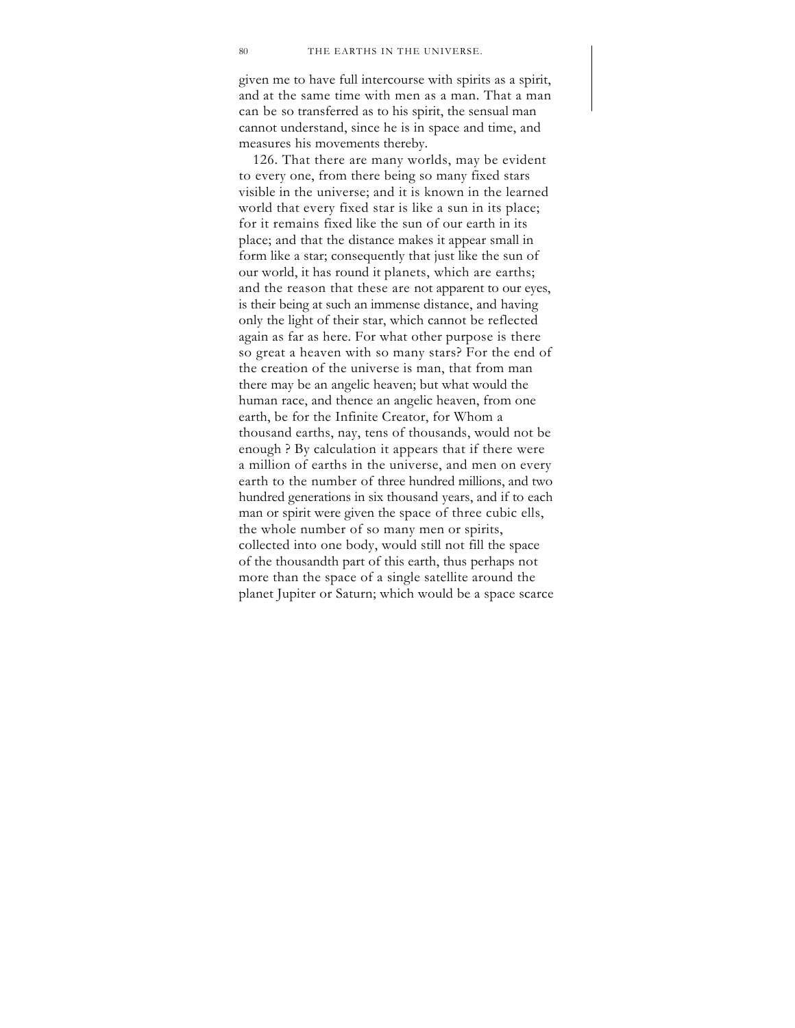given me to have full intercourse with spirits as a spirit, and at the same time with men as a man. That a man can be so transferred as to his spirit, the sensual man cannot understand, since he is in space and time, and measures his movements thereby.

126. That there are many worlds, may be evident to every one, from there being so many fixed stars visible in the universe; and it is known in the learned world that every fixed star is like a sun in its place; for it remains fixed like the sun of our earth in its place; and that the distance makes it appear small in form like a star; consequently that just like the sun of our world, it has round it planets, which are earths; and the reason that these are not apparent to our eyes, is their being at such an immense distance, and having only the light of their star, which cannot be reflected again as far as here. For what other purpose is there so great a heaven with so many stars? For the end of the creation of the universe is man, that from man there may be an angelic heaven; but what would the human race, and thence an angelic heaven, from one earth, be for the Infinite Creator, for Whom a thousand earths, nay, tens of thousands, would not be enough ? By calculation it appears that if there were a million of earths in the universe, and men on every earth to the number of three hundred millions, and two hundred generations in six thousand years, and if to each man or spirit were given the space of three cubic ells, the whole number of so many men or spirits, collected into one body, would still not fill the space of the thousandth part of this earth, thus perhaps not more than the space of a single satellite around the planet Jupiter or Saturn; which would be a space scarce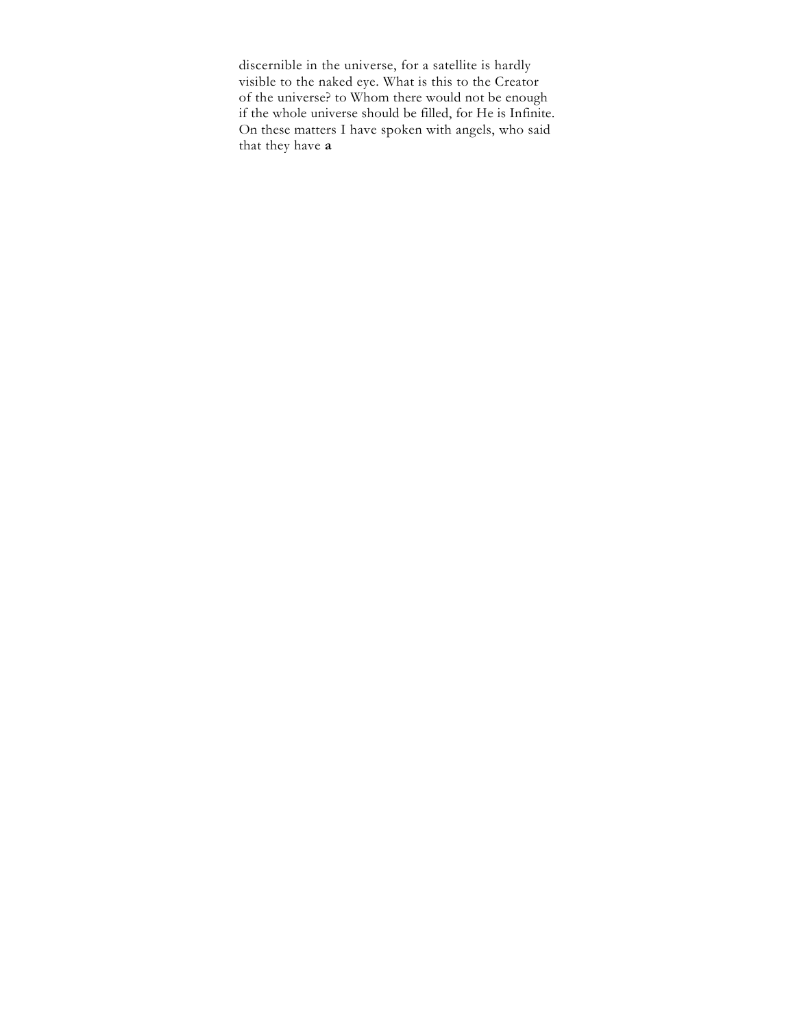discernible in the universe, for a satellite is hardly visible to the naked eye. What is this to the Creator of the universe? to Whom there would not be enough if the whole universe should be filled, for He is Infinite. On these matters I have spoken with angels, who said that they have **a**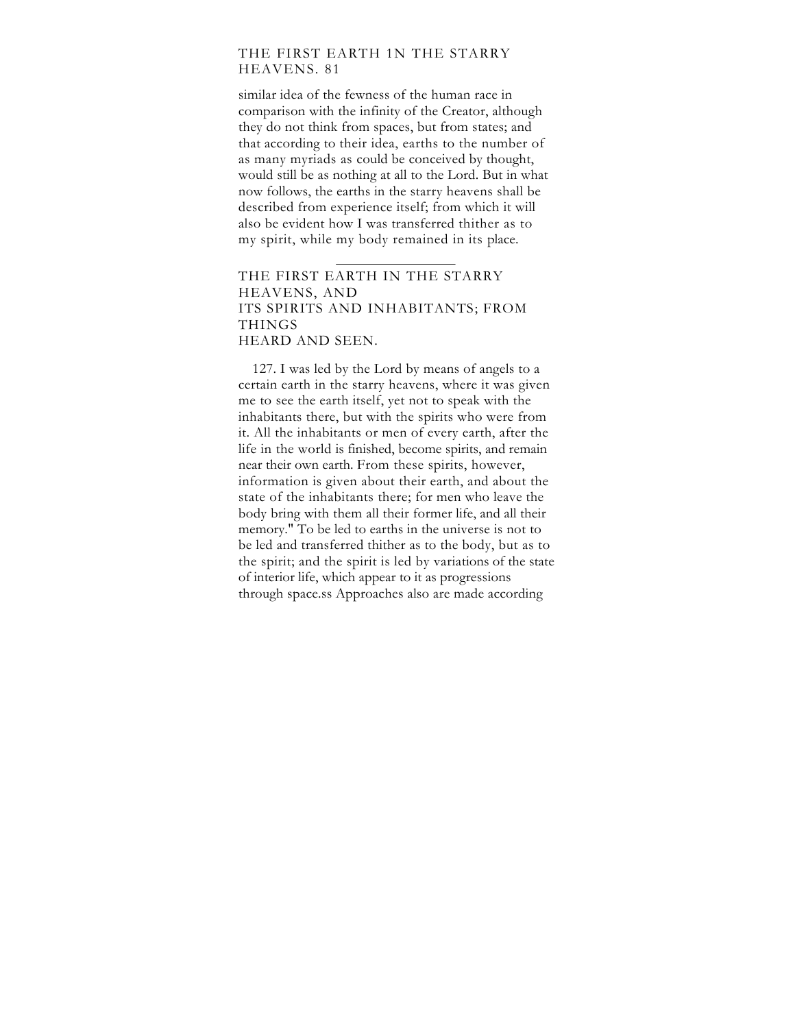# THE FIRST EARTH 1N THE STARRY HEAVENS. 81

similar idea of the fewness of the human race in comparison with the infinity of the Creator, although they do not think from spaces, but from states; and that according to their idea, earths to the number of as many myriads as could be conceived by thought, would still be as nothing at all to the Lord. But in what now follows, the earths in the starry heavens shall be described from experience itself; from which it will also be evident how I was transferred thither as to my spirit, while my body remained in its place.

# THE FIRST EARTH IN THE STARRY HEAVENS, AND ITS SPIRITS AND INHABITANTS; FROM THINGS HEARD AND SEEN.

127. I was led by the Lord by means of angels to a certain earth in the starry heavens, where it was given me to see the earth itself, yet not to speak with the inhabitants there, but with the spirits who were from it. All the inhabitants or men of every earth, after the life in the world is finished, become spirits, and remain near their own earth. From these spirits, however, information is given about their earth, and about the state of the inhabitants there; for men who leave the body bring with them all their former life, and all their memory." To be led to earths in the universe is not to be led and transferred thither as to the body, but as to the spirit; and the spirit is led by variations of the state of interior life, which appear to it as progressions through space.ss Approaches also are made according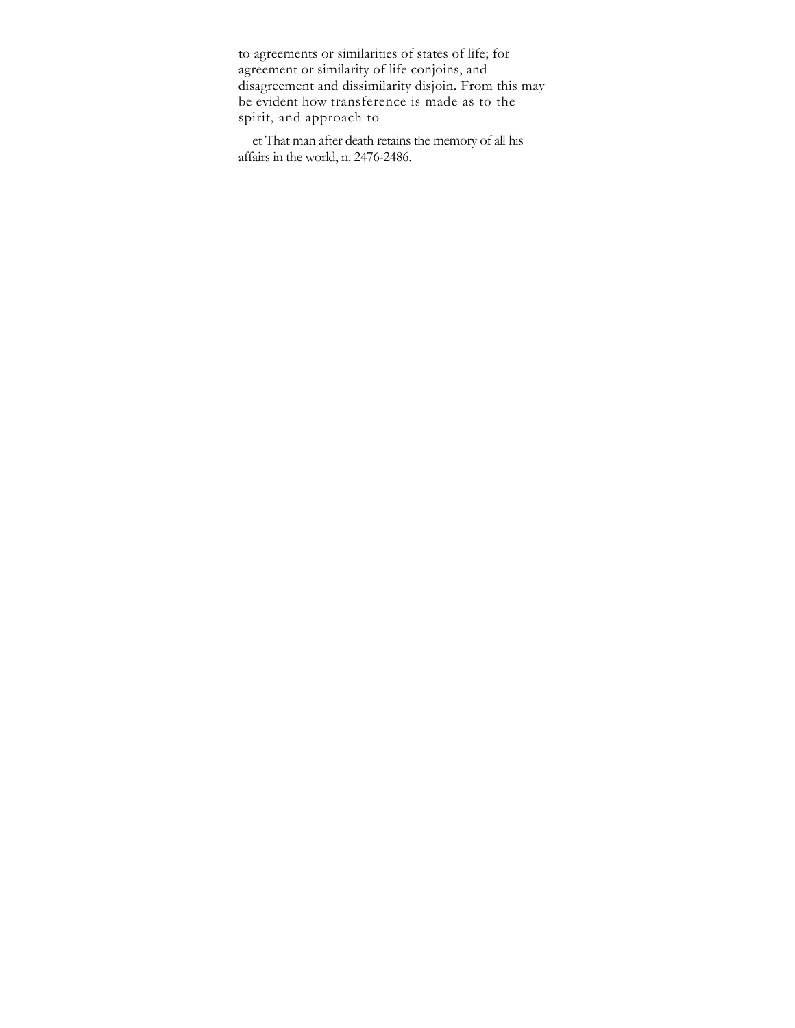to agreements or similarities of states of life; for agreement or similarity of life conjoins, and disagreement and dissimilarity disjoin. From this may be evident how transference is made as to the spirit, and approach to

et That man after death retains the memory of all his affairs in the world, n. 2476-2486.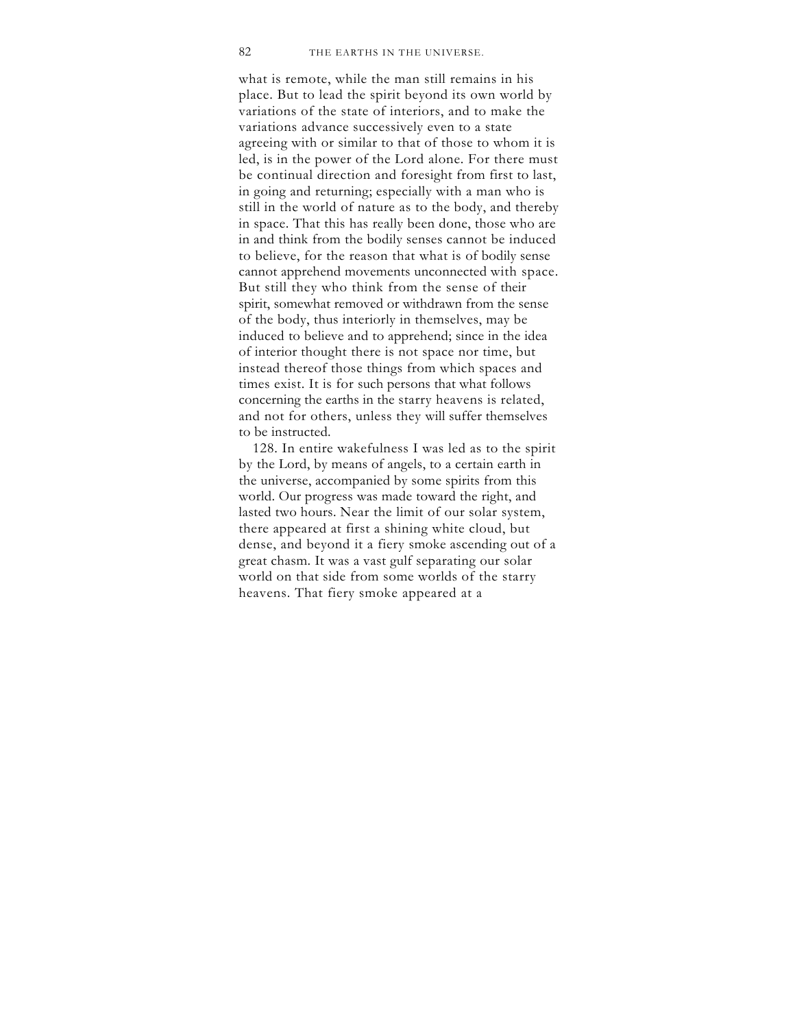what is remote, while the man still remains in his place. But to lead the spirit beyond its own world by variations of the state of interiors, and to make the variations advance successively even to a state agreeing with or similar to that of those to whom it is led, is in the power of the Lord alone. For there must be continual direction and foresight from first to last, in going and returning; especially with a man who is still in the world of nature as to the body, and thereby in space. That this has really been done, those who are in and think from the bodily senses cannot be induced to believe, for the reason that what is of bodily sense cannot apprehend movements unconnected with space. But still they who think from the sense of their spirit, somewhat removed or withdrawn from the sense of the body, thus interiorly in themselves, may be induced to believe and to apprehend; since in the idea of interior thought there is not space nor time, but instead thereof those things from which spaces and times exist. It is for such persons that what follows concerning the earths in the starry heavens is related, and not for others, unless they will suffer themselves to be instructed.

128. In entire wakefulness I was led as to the spirit by the Lord, by means of angels, to a certain earth in the universe, accompanied by some spirits from this world. Our progress was made toward the right, and lasted two hours. Near the limit of our solar system, there appeared at first a shining white cloud, but dense, and beyond it a fiery smoke ascending out of a great chasm. It was a vast gulf separating our solar world on that side from some worlds of the starry heavens. That fiery smoke appeared at a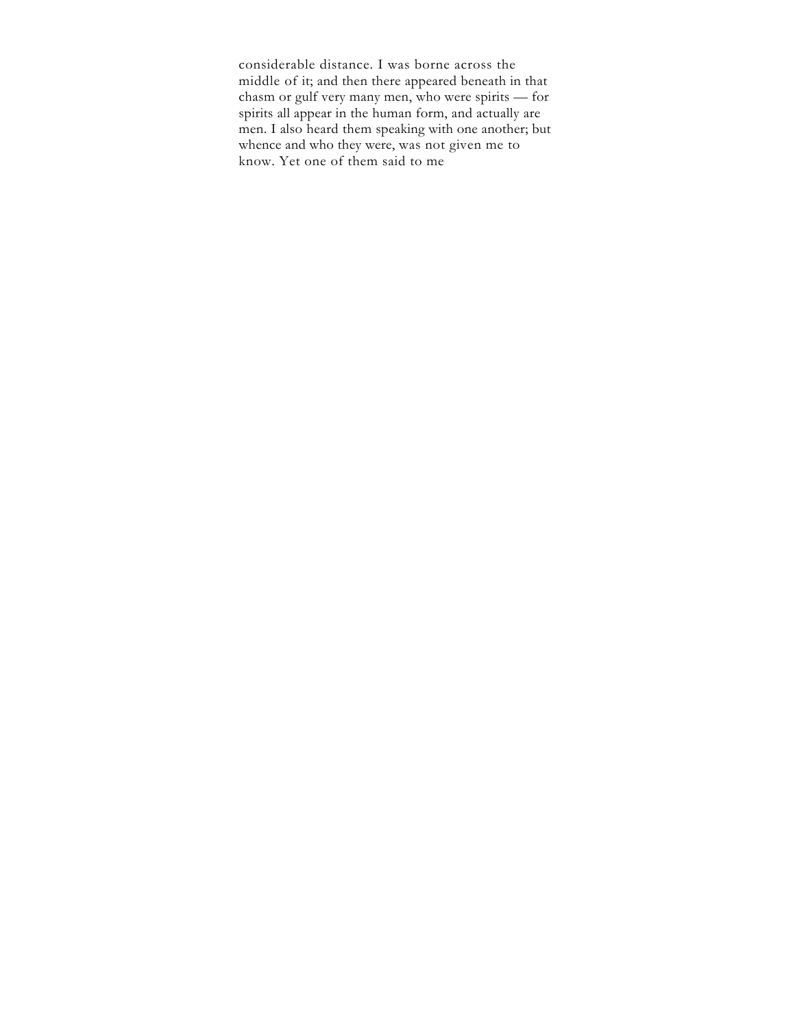considerable distance. I was borne across the middle of it; and then there appeared beneath in that chasm or gulf very many men, who were spirits — for spirits all appear in the human form, and actually are men. I also heard them speaking with one another; but whence and who they were, was not given me to know. Yet one of them said to me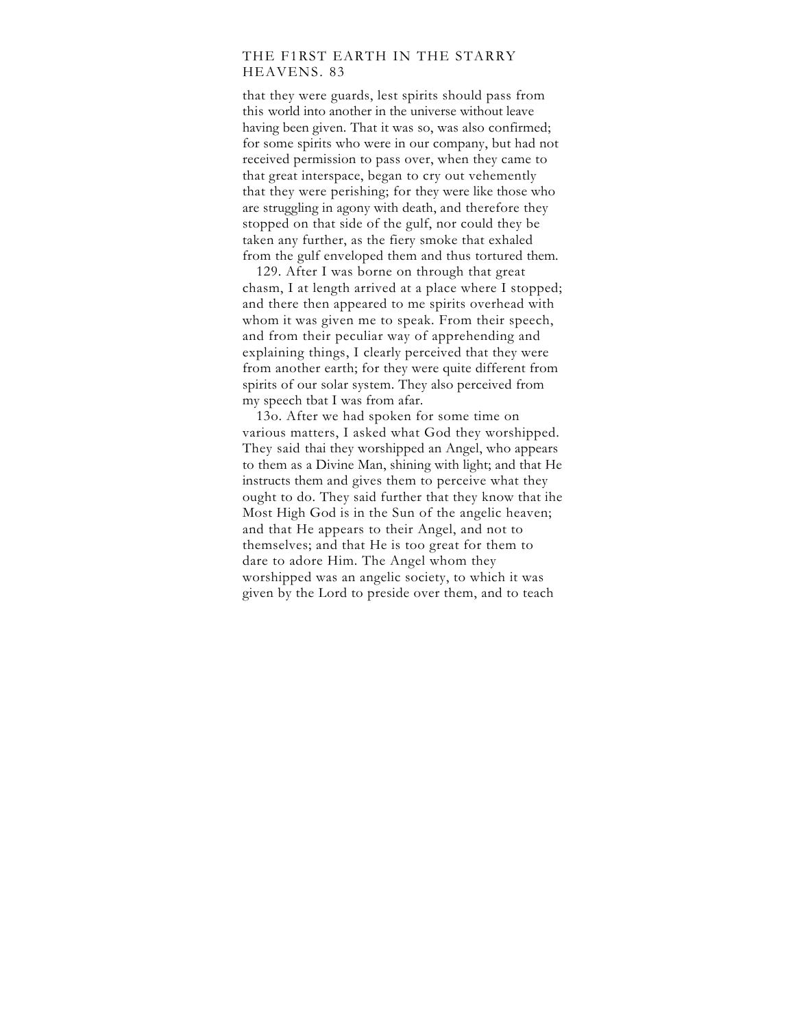# THE F1RST EARTH IN THE STARRY HEAVENS. 83

that they were guards, lest spirits should pass from this world into another in the universe without leave having been given. That it was so, was also confirmed; for some spirits who were in our company, but had not received permission to pass over, when they came to that great interspace, began to cry out vehemently that they were perishing; for they were like those who are struggling in agony with death, and therefore they stopped on that side of the gulf, nor could they be taken any further, as the fiery smoke that exhaled from the gulf enveloped them and thus tortured them.

129. After I was borne on through that great chasm, I at length arrived at a place where I stopped; and there then appeared to me spirits overhead with whom it was given me to speak. From their speech, and from their peculiar way of apprehending and explaining things, I clearly perceived that they were from another earth; for they were quite different from spirits of our solar system. They also perceived from my speech tbat I was from afar.

13o. After we had spoken for some time on various matters, I asked what God they worshipped. They said thai they worshipped an Angel, who appears to them as a Divine Man, shining with light; and that He instructs them and gives them to perceive what they ought to do. They said further that they know that ihe Most High God is in the Sun of the angelic heaven; and that He appears to their Angel, and not to themselves; and that He is too great for them to dare to adore Him. The Angel whom they worshipped was an angelic society, to which it was given by the Lord to preside over them, and to teach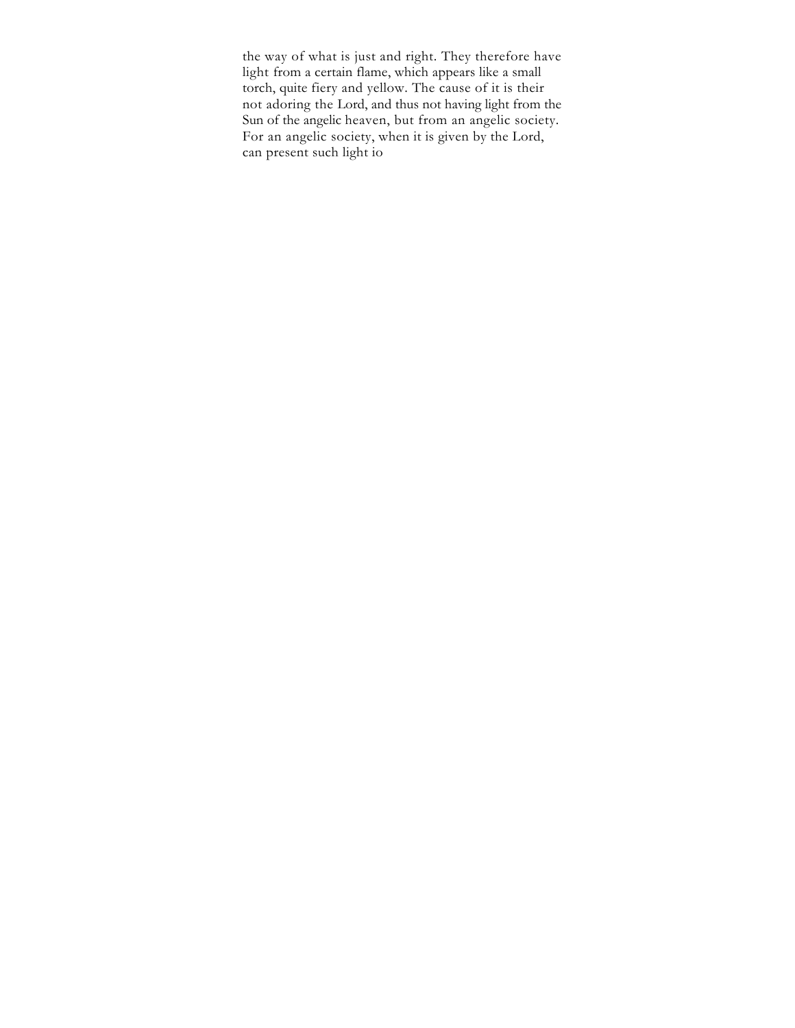the way of what is just and right. They therefore have light from a certain flame, which appears like a small torch, quite fiery and yellow. The cause of it is their not adoring the Lord, and thus not having light from the Sun of the angelic heaven, but from an angelic society. For an angelic society, when it is given by the Lord, can present such light io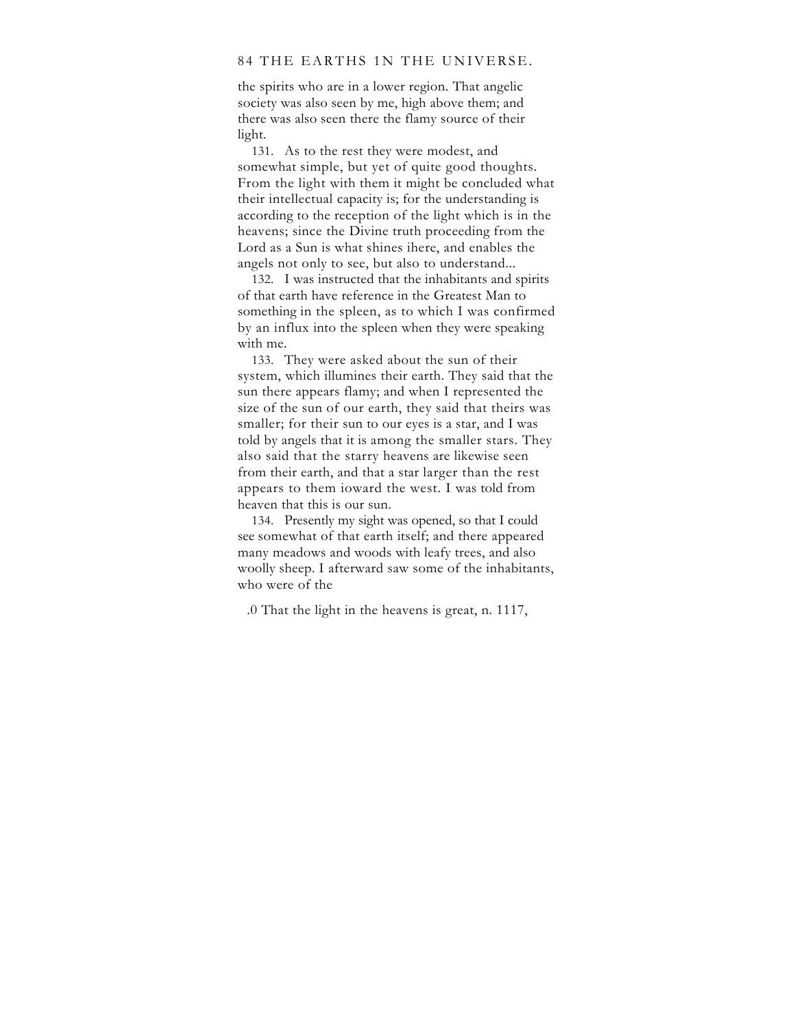#### 84 THE EARTHS 1N THE UNIVERSE.

the spirits who are in a lower region. That angelic society was also seen by me, high above them; and there was also seen there the flamy source of their light.

131. As to the rest they were modest, and somewhat simple, but yet of quite good thoughts. From the light with them it might be concluded what their intellectual capacity is; for the understanding is according to the reception of the light which is in the heavens; since the Divine truth proceeding from the Lord as a Sun is what shines ihere, and enables the angels not only to see, but also to understand...

132. I was instructed that the inhabitants and spirits of that earth have reference in the Greatest Man to something in the spleen, as to which I was confirmed by an influx into the spleen when they were speaking with me.

133. They were asked about the sun of their system, which illumines their earth. They said that the sun there appears flamy; and when I represented the size of the sun of our earth, they said that theirs was smaller; for their sun to our eyes is a star, and I was told by angels that it is among the smaller stars. They also said that the starry heavens are likewise seen from their earth, and that a star larger than the rest appears to them ioward the west. I was told from heaven that this is our sun.

134. Presently my sight was opened, so that I could see somewhat of that earth itself; and there appeared many meadows and woods with leafy trees, and also woolly sheep. I afterward saw some of the inhabitants, who were of the

.0 That the light in the heavens is great, n. 1117,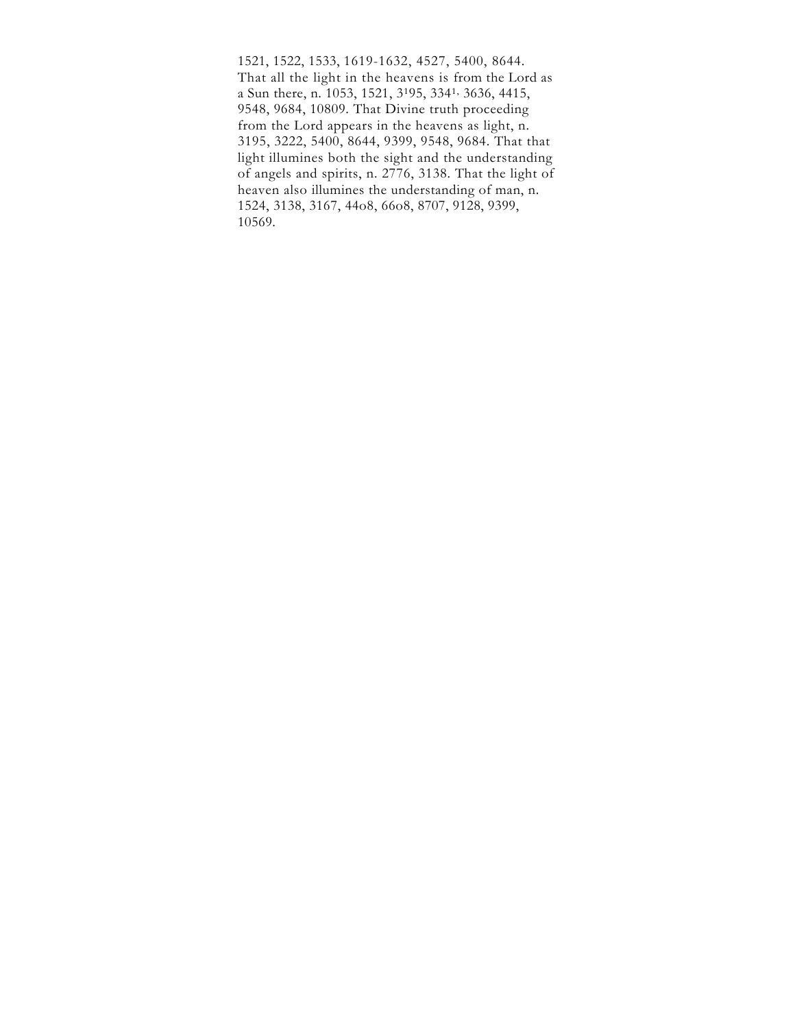1521, 1522, 1533, 1619-1632, 4527, 5400, 8644. That all the light in the heavens is from the Lord as a Sun there, n. 1053, 1521, 3195, 3341, 3636, 4415, 9548, 9684, 10809. That Divine truth proceeding from the Lord appears in the heavens as light, n. 3195, 3222, 5400, 8644, 9399, 9548, 9684. That that light illumines both the sight and the understanding of angels and spirits, n. 2776, 3138. That the light of heaven also illumines the understanding of man, n. 1524, 3138, 3167, 44o8, 66o8, 8707, 9128, 9399, 10569.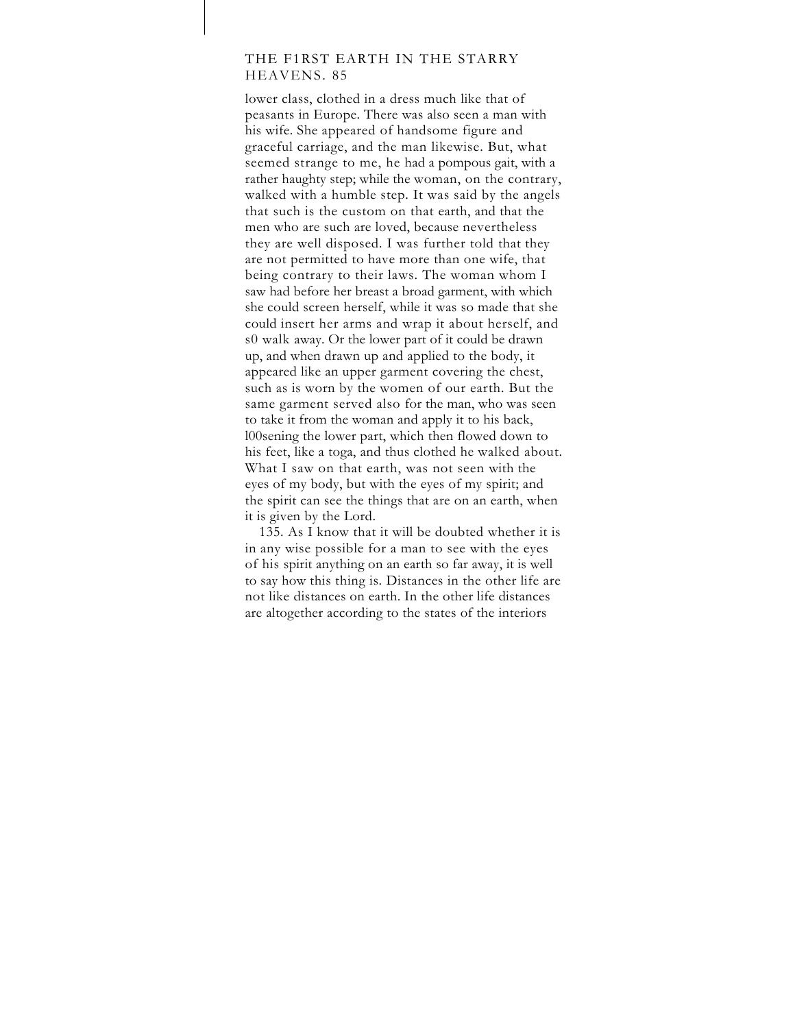# THE F1RST EARTH IN THE STARRY HEAVENS. 85

lower class, clothed in a dress much like that of peasants in Europe. There was also seen a man with his wife. She appeared of handsome figure and graceful carriage, and the man likewise. But, what seemed strange to me, he had a pompous gait, with a rather haughty step; while the woman, on the contrary, walked with a humble step. It was said by the angels that such is the custom on that earth, and that the men who are such are loved, because nevertheless they are well disposed. I was further told that they are not permitted to have more than one wife, that being contrary to their laws. The woman whom I saw had before her breast a broad garment, with which she could screen herself, while it was so made that she could insert her arms and wrap it about herself, and s0 walk away. Or the lower part of it could be drawn up, and when drawn up and applied to the body, it appeared like an upper garment covering the chest, such as is worn by the women of our earth. But the same garment served also for the man, who was seen to take it from the woman and apply it to his back, l00sening the lower part, which then flowed down to his feet, like a toga, and thus clothed he walked about. What I saw on that earth, was not seen with the eyes of my body, but with the eyes of my spirit; and the spirit can see the things that are on an earth, when it is given by the Lord.

135. As I know that it will be doubted whether it is in any wise possible for a man to see with the eyes of his spirit anything on an earth so far away, it is well to say how this thing is. Distances in the other life are not like distances on earth. In the other life distances are altogether according to the states of the interiors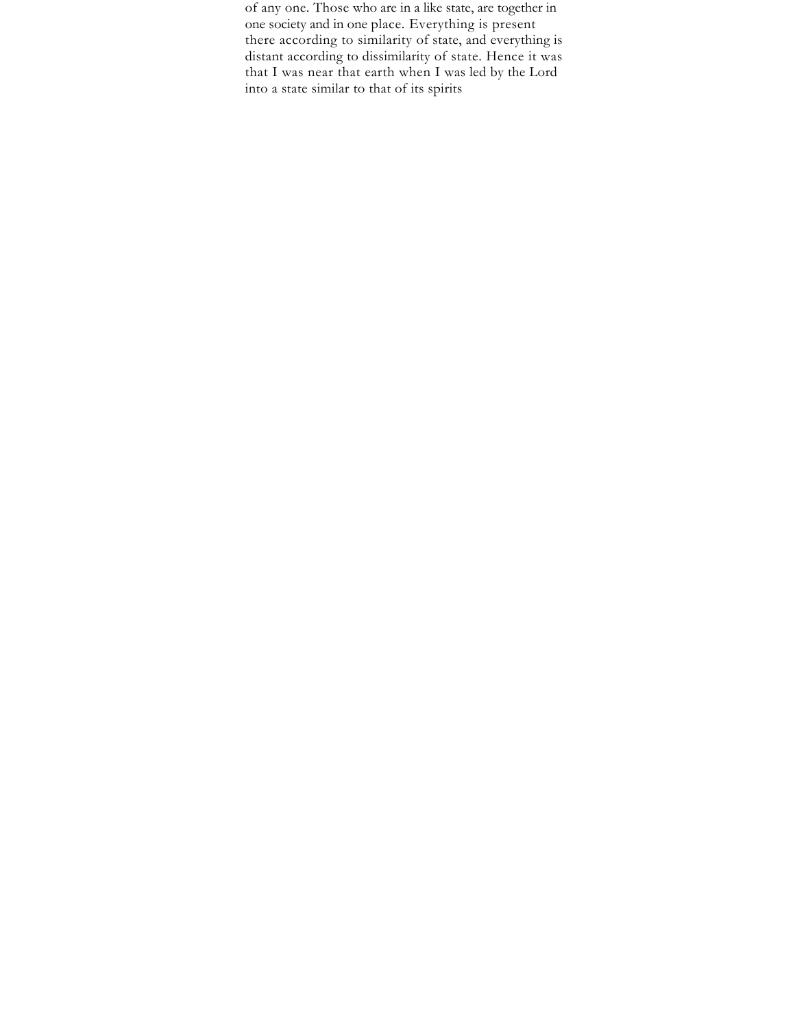of any one. Those who are in a like state, are together in one society and in one place. Everything is present there according to similarity of state, and everything is distant according to dissimilarity of state. Hence it was that I was near that earth when I was led by the Lord into a state similar to that of its spirits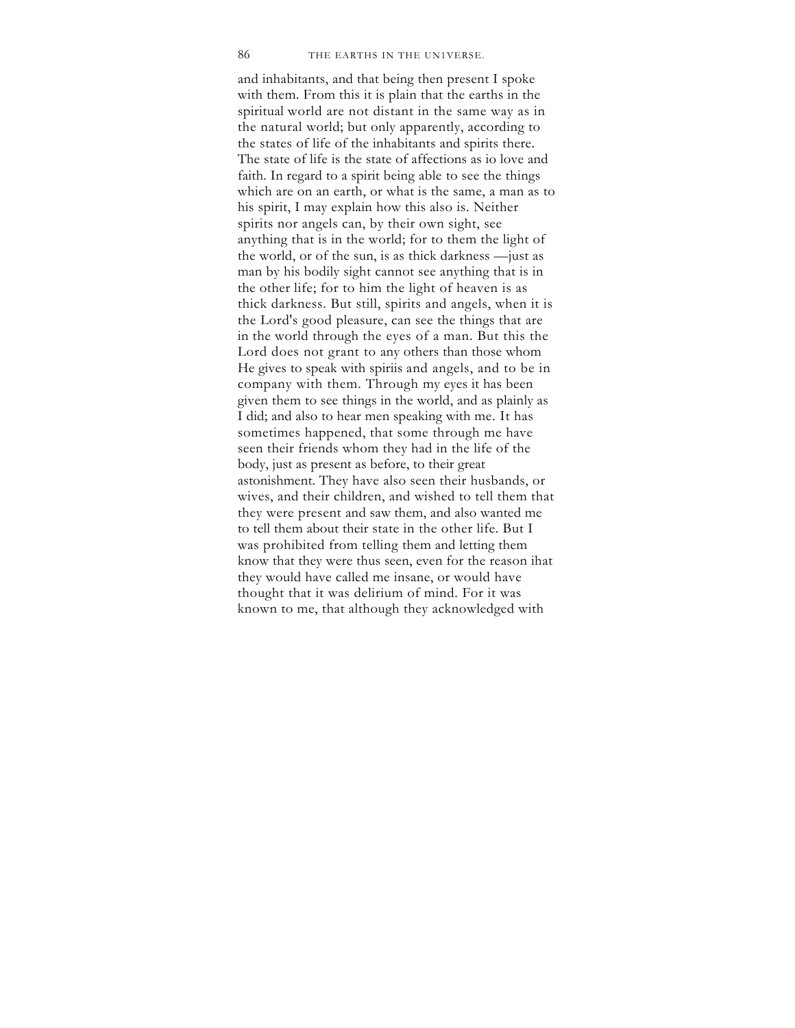#### 86 THE EARTHS IN THE UN1VERSE.

and inhabitants, and that being then present I spoke with them. From this it is plain that the earths in the spiritual world are not distant in the same way as in the natural world; but only apparently, according to the states of life of the inhabitants and spirits there. The state of life is the state of affections as io love and faith. In regard to a spirit being able to see the things which are on an earth, or what is the same, a man as to his spirit, I may explain how this also is. Neither spirits nor angels can, by their own sight, see anything that is in the world; for to them the light of the world, or of the sun, is as thick darkness —just as man by his bodily sight cannot see anything that is in the other life; for to him the light of heaven is as thick darkness. But still, spirits and angels, when it is the Lord's good pleasure, can see the things that are in the world through the eyes of a man. But this the Lord does not grant to any others than those whom He gives to speak with spiriis and angels, and to be in company with them. Through my eyes it has been given them to see things in the world, and as plainly as I did; and also to hear men speaking with me. It has sometimes happened, that some through me have seen their friends whom they had in the life of the body, just as present as before, to their great astonishment. They have also seen their husbands, or wives, and their children, and wished to tell them that they were present and saw them, and also wanted me to tell them about their state in the other life. But I was prohibited from telling them and letting them know that they were thus seen, even for the reason ihat they would have called me insane, or would have thought that it was delirium of mind. For it was known to me, that although they acknowledged with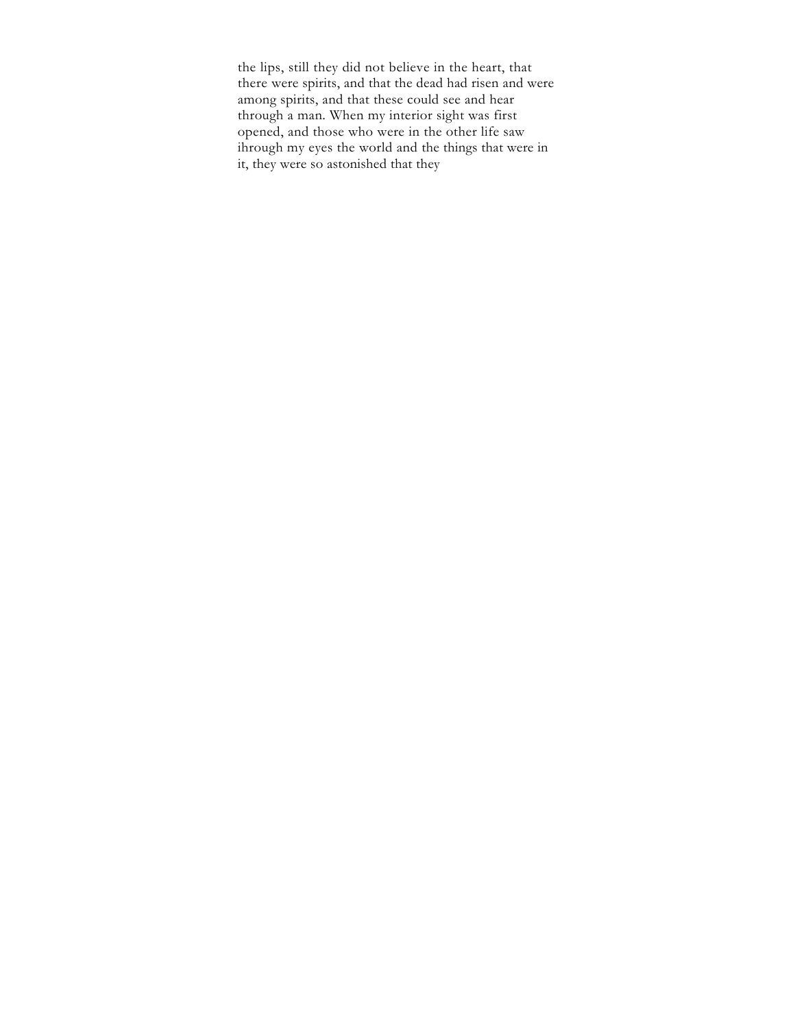the lips, still they did not believe in the heart, that there were spirits, and that the dead had risen and were among spirits, and that these could see and hear through a man. When my interior sight was first opened, and those who were in the other life saw ihrough my eyes the world and the things that were in it, they were so astonished that they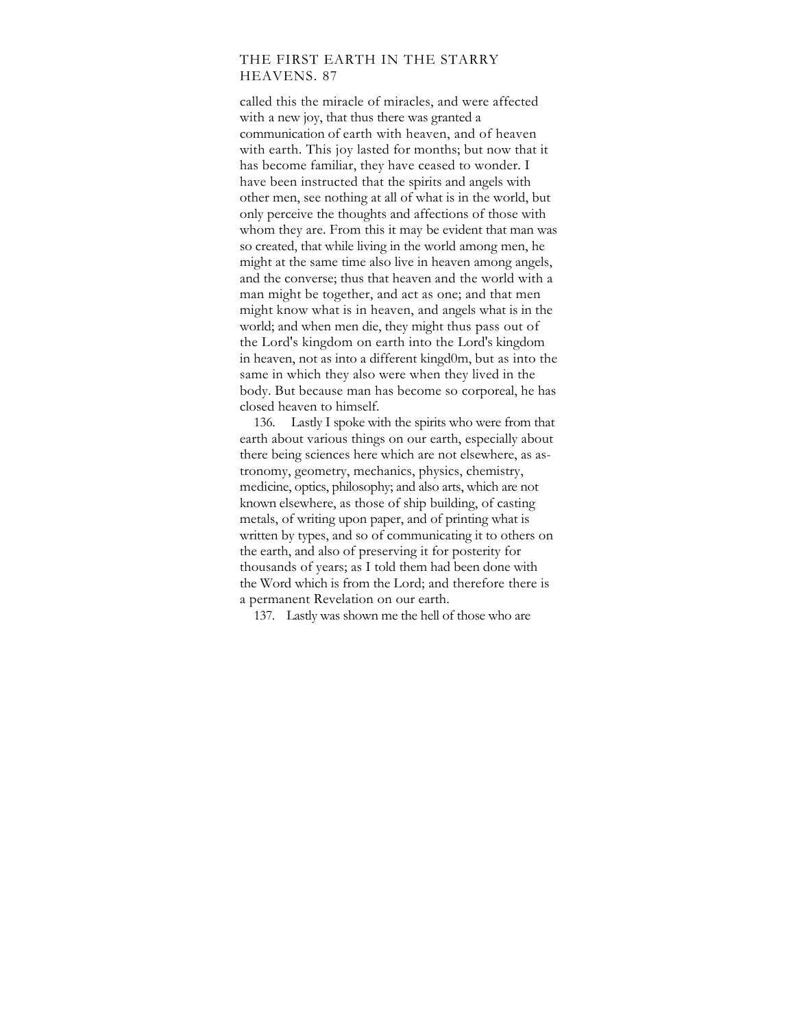## THE FIRST EARTH IN THE STARRY HEAVENS. 87

called this the miracle of miracles, and were affected with a new joy, that thus there was granted a communication of earth with heaven, and of heaven with earth. This joy lasted for months; but now that it has become familiar, they have ceased to wonder. I have been instructed that the spirits and angels with other men, see nothing at all of what is in the world, but only perceive the thoughts and affections of those with whom they are. From this it may be evident that man was so created, that while living in the world among men, he might at the same time also live in heaven among angels, and the converse; thus that heaven and the world with a man might be together, and act as one; and that men might know what is in heaven, and angels what is in the world; and when men die, they might thus pass out of the Lord's kingdom on earth into the Lord's kingdom in heaven, not as into a different kingd0m, but as into the same in which they also were when they lived in the body. But because man has become so corporeal, he has closed heaven to himself.

136. Lastly I spoke with the spirits who were from that earth about various things on our earth, especially about there being sciences here which are not elsewhere, as astronomy, geometry, mechanics, physics, chemistry, medicine, optics, philosophy; and also arts, which are not known elsewhere, as those of ship building, of casting metals, of writing upon paper, and of printing what is written by types, and so of communicating it to others on the earth, and also of preserving it for posterity for thousands of years; as I told them had been done with the Word which is from the Lord; and therefore there is a permanent Revelation on our earth.

137. Lastly was shown me the hell of those who are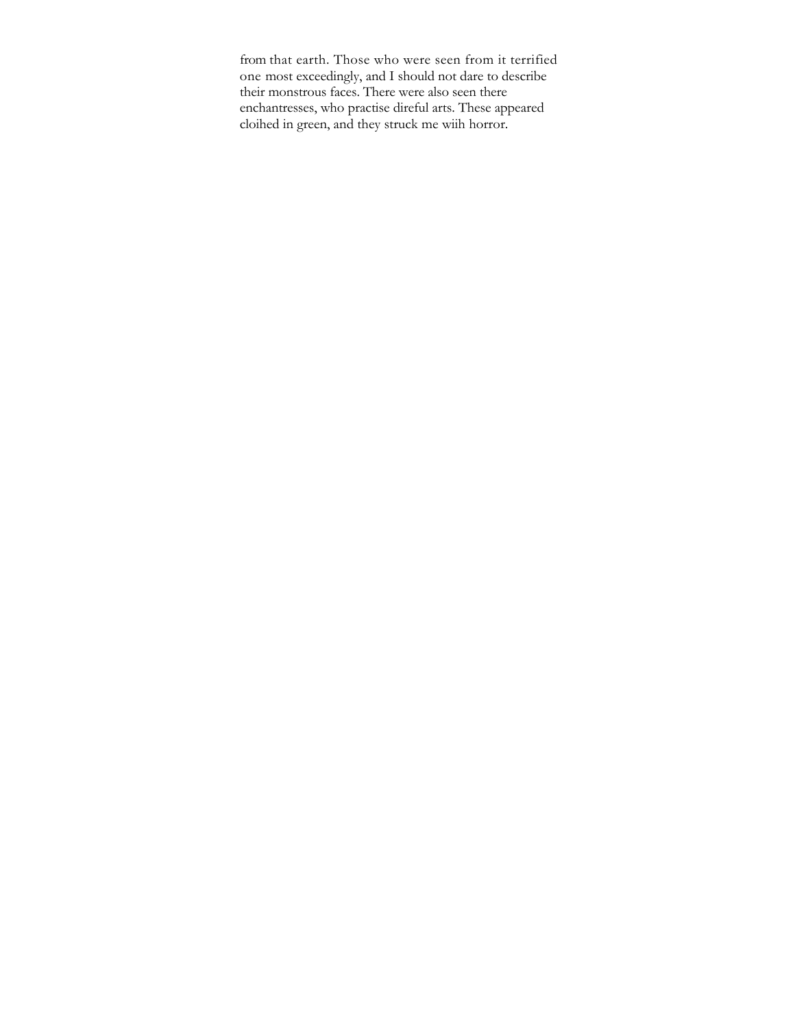from that earth. Those who were seen from it terrified one most exceedingly, and I should not dare to describe their monstrous faces. There were also seen there enchantresses, who practise direful arts. These appeared cloihed in green, and they struck me wiih horror.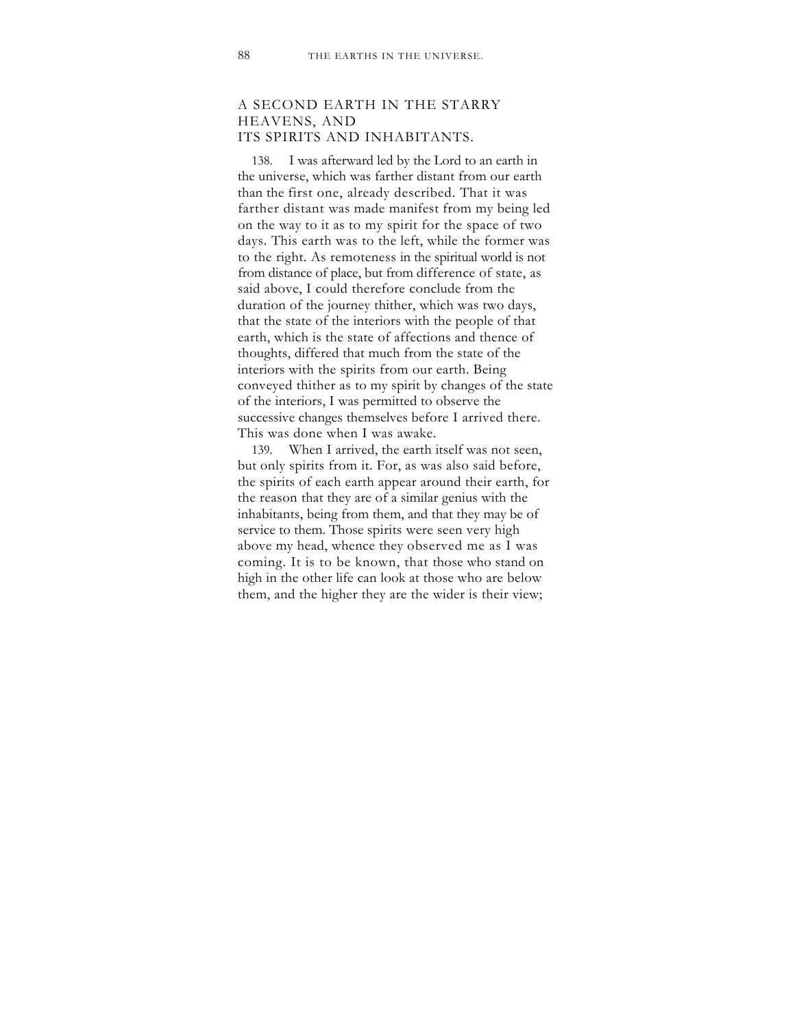# A SECOND EARTH IN THE STARRY HEAVENS, AND ITS SPIRITS AND INHABITANTS.

I was afterward led by the Lord to an earth in the universe, which was farther distant from our earth than the first one, already described. That it was farther distant was made manifest from my being led on the way to it as to my spirit for the space of two days. This earth was to the left, while the former was to the right. As remoteness in the spiritual world is not from distance of place, but from difference of state, as said above, I could therefore conclude from the duration of the journey thither, which was two days, that the state of the interiors with the people of that earth, which is the state of affections and thence of thoughts, differed that much from the state of the interiors with the spirits from our earth. Being conveyed thither as to my spirit by changes of the state of the interiors, I was permitted to observe the successive changes themselves before I arrived there. This was done when I was awake.

139. When I arrived, the earth itself was not seen, but only spirits from it. For, as was also said before, the spirits of each earth appear around their earth, for the reason that they are of a similar genius with the inhabitants, being from them, and that they may be of service to them. Those spirits were seen very high above my head, whence they observed me as I was coming. It is to be known, that those who stand on high in the other life can look at those who are below them, and the higher they are the wider is their view;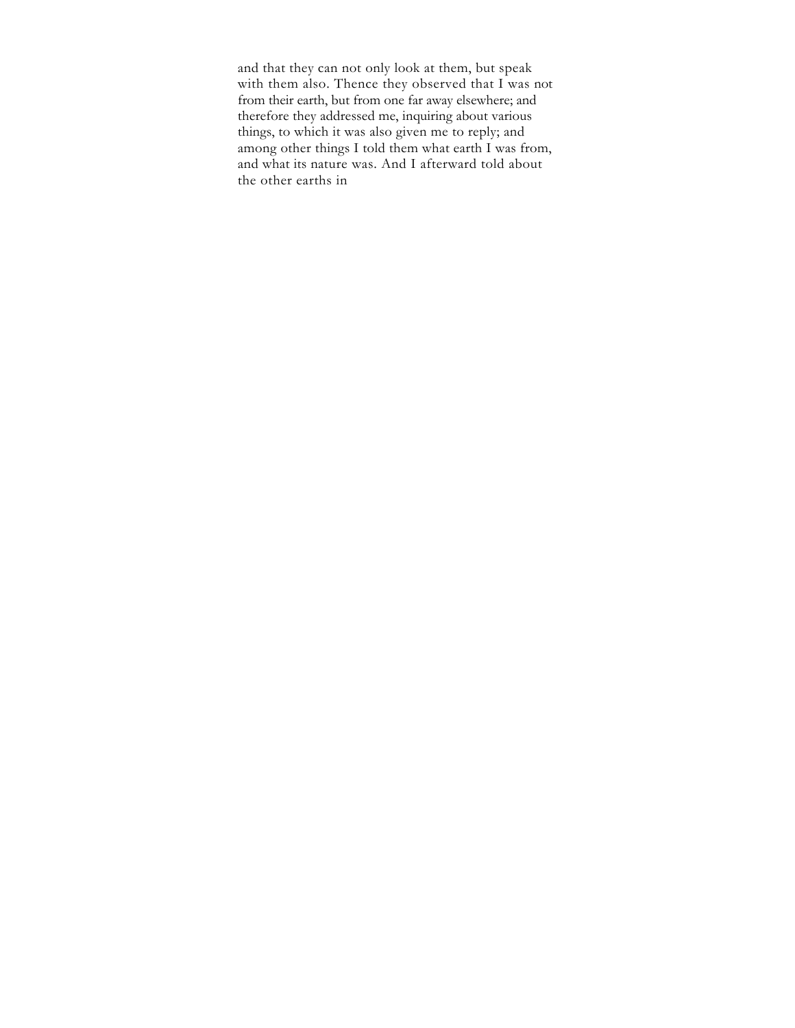and that they can not only look at them, but speak with them also. Thence they observed that I was not from their earth, but from one far away elsewhere; and therefore they addressed me, inquiring about various things, to which it was also given me to reply; and among other things I told them what earth I was from, and what its nature was. And I afterward told about the other earths in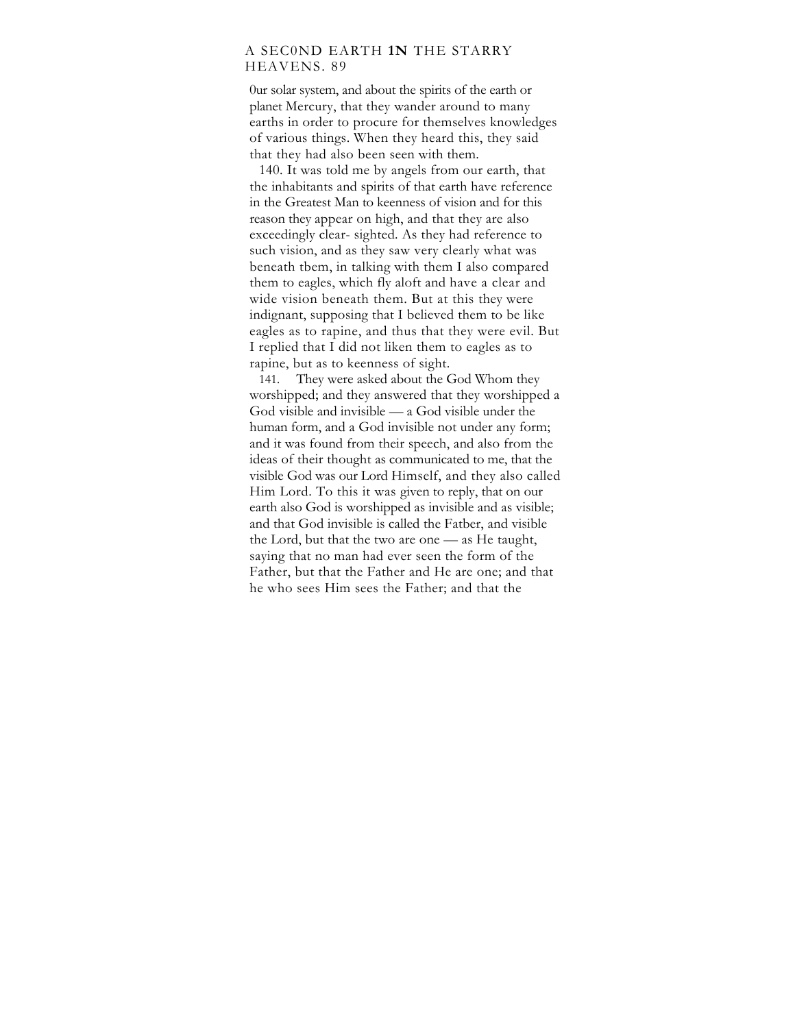#### A SEC0ND EARTH **1N** THE STARRY HEAVENS. 89

0ur solar system, and about the spirits of the earth or planet Mercury, that they wander around to many earths in order to procure for themselves knowledges of various things. When they heard this, they said that they had also been seen with them.

140. It was told me by angels from our earth, that the inhabitants and spirits of that earth have reference in the Greatest Man to keenness of vision and for this reason they appear on high, and that they are also exceedingly clear- sighted. As they had reference to such vision, and as they saw very clearly what was beneath tbem, in talking with them I also compared them to eagles, which fly aloft and have a clear and wide vision beneath them. But at this they were indignant, supposing that I believed them to be like eagles as to rapine, and thus that they were evil. But I replied that I did not liken them to eagles as to rapine, but as to keenness of sight.

141. They were asked about the God Whom they worshipped; and they answered that they worshipped a God visible and invisible — a God visible under the human form, and a God invisible not under any form; and it was found from their speech, and also from the ideas of their thought as communicated to me, that the visible God was our Lord Himself, and they also called Him Lord. To this it was given to reply, that on our earth also God is worshipped as invisible and as visible; and that God invisible is called the Fatber, and visible the Lord, but that the two are one — as He taught, saying that no man had ever seen the form of the Father, but that the Father and He are one; and that he who sees Him sees the Father; and that the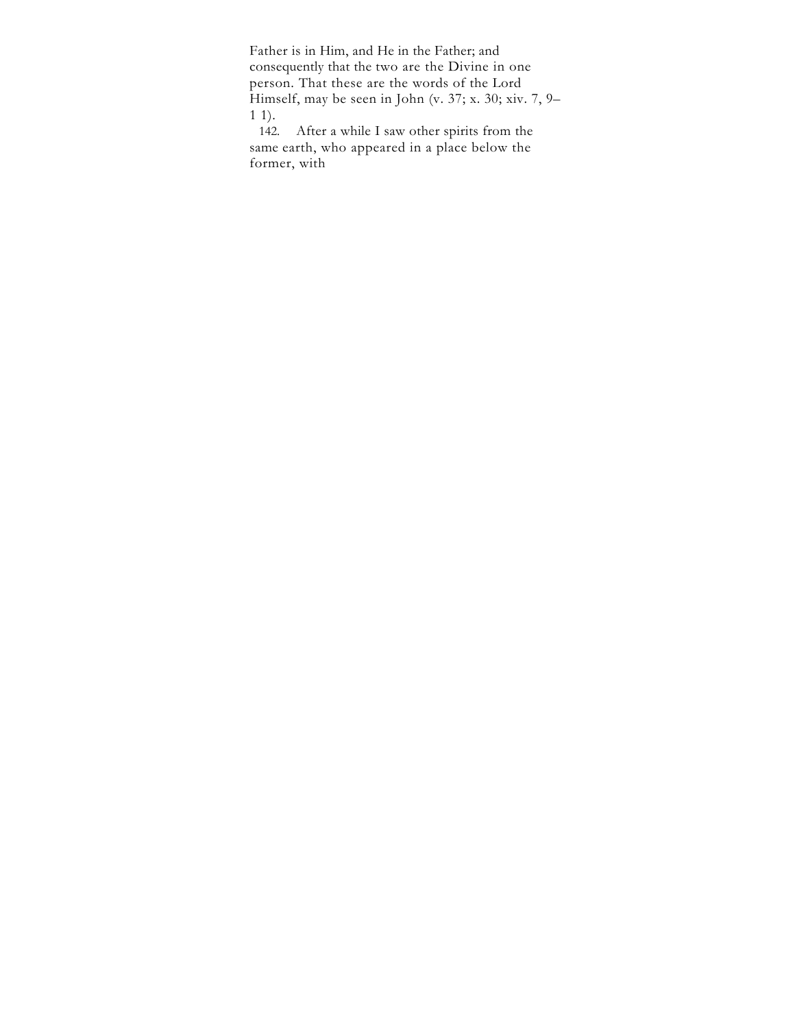Father is in Him, and He in the Father; and consequently that the two are the Divine in one person. That these are the words of the Lord Himself, may be seen in John (v. 37; x. 30; xiv. 7, 9– 1 1).

142. After a while I saw other spirits from the same earth, who appeared in a place below the former, with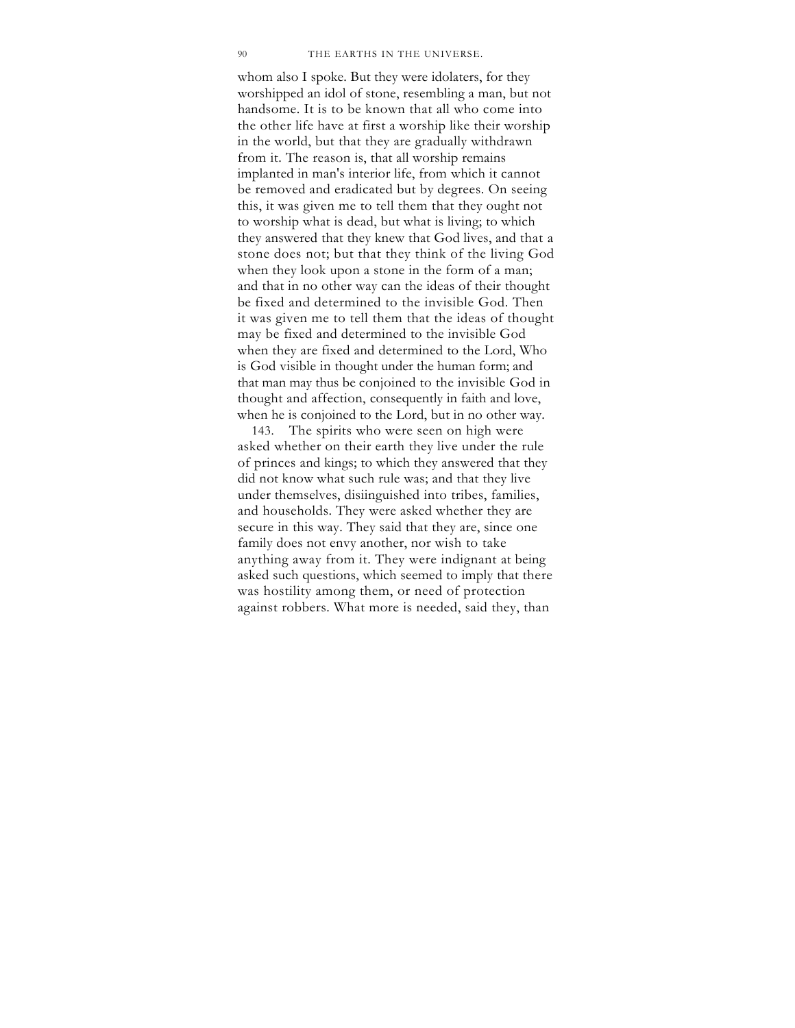whom also I spoke. But they were idolaters, for they worshipped an idol of stone, resembling a man, but not handsome. It is to be known that all who come into the other life have at first a worship like their worship in the world, but that they are gradually withdrawn from it. The reason is, that all worship remains implanted in man's interior life, from which it cannot be removed and eradicated but by degrees. On seeing this, it was given me to tell them that they ought not to worship what is dead, but what is living; to which they answered that they knew that God lives, and that a stone does not; but that they think of the living God when they look upon a stone in the form of a man; and that in no other way can the ideas of their thought be fixed and determined to the invisible God. Then it was given me to tell them that the ideas of thought may be fixed and determined to the invisible God when they are fixed and determined to the Lord, Who is God visible in thought under the human form; and that man may thus be conjoined to the invisible God in thought and affection, consequently in faith and love, when he is conjoined to the Lord, but in no other way.

143. The spirits who were seen on high were asked whether on their earth they live under the rule of princes and kings; to which they answered that they did not know what such rule was; and that they live under themselves, disiinguished into tribes, families, and households. They were asked whether they are secure in this way. They said that they are, since one family does not envy another, nor wish to take anything away from it. They were indignant at being asked such questions, which seemed to imply that there was hostility among them, or need of protection against robbers. What more is needed, said they, than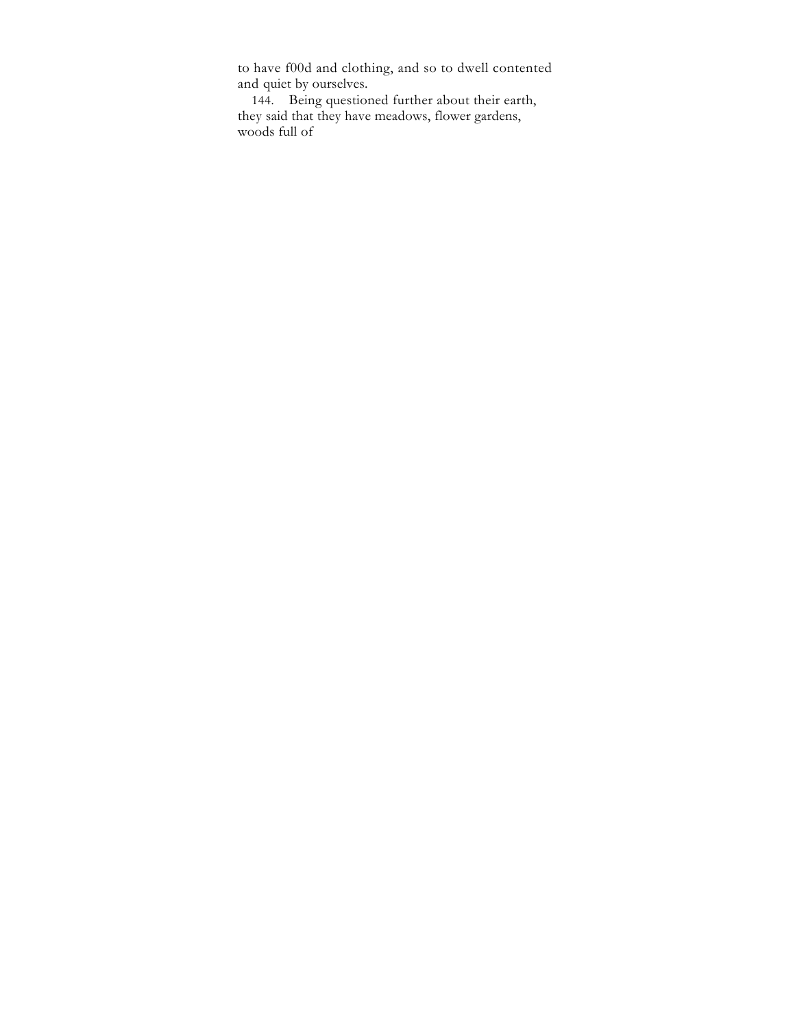to have f00d and clothing, and so to dwell contented and quiet by ourselves.

144. Being questioned further about their earth, they said that they have meadows, flower gardens, woods full of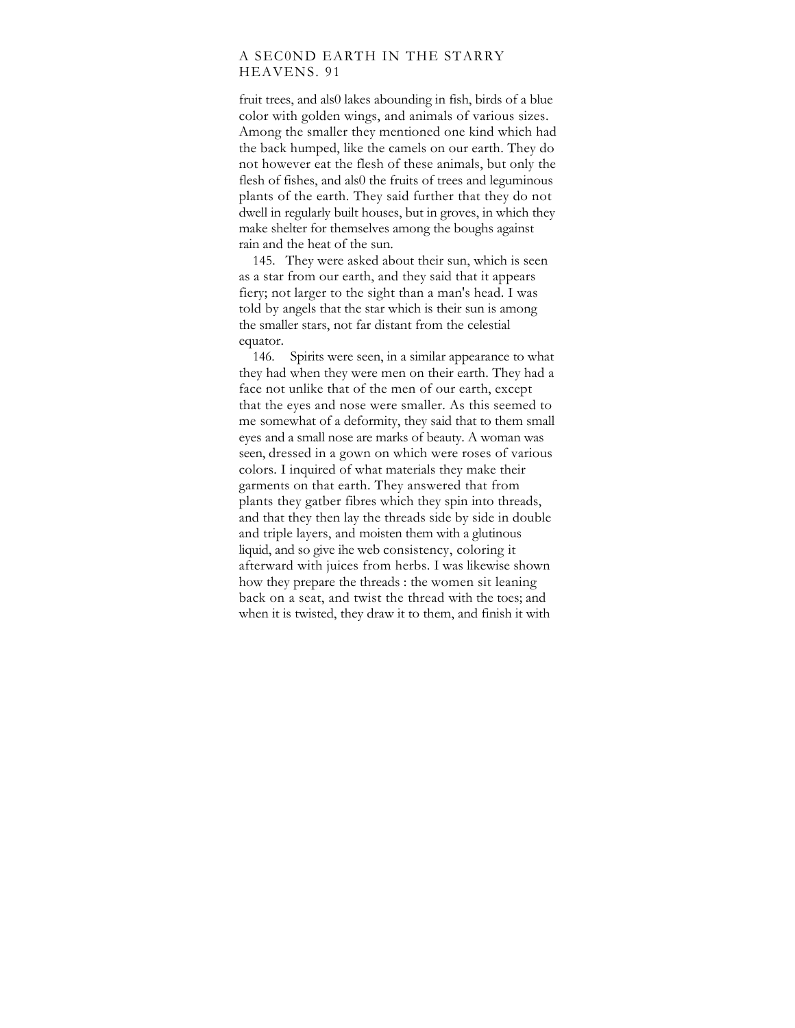## A SEC0ND EARTH IN THE STARRY HEAVENS. 91

fruit trees, and als0 lakes abounding in fish, birds of a blue color with golden wings, and animals of various sizes. Among the smaller they mentioned one kind which had the back humped, like the camels on our earth. They do not however eat the flesh of these animals, but only the flesh of fishes, and als0 the fruits of trees and leguminous plants of the earth. They said further that they do not dwell in regularly built houses, but in groves, in which they make shelter for themselves among the boughs against rain and the heat of the sun.

145. They were asked about their sun, which is seen as a star from our earth, and they said that it appears fiery; not larger to the sight than a man's head. I was told by angels that the star which is their sun is among the smaller stars, not far distant from the celestial equator.

146. Spirits were seen, in a similar appearance to what they had when they were men on their earth. They had a face not unlike that of the men of our earth, except that the eyes and nose were smaller. As this seemed to me somewhat of a deformity, they said that to them small eyes and a small nose are marks of beauty. A woman was seen, dressed in a gown on which were roses of various colors. I inquired of what materials they make their garments on that earth. They answered that from plants they gatber fibres which they spin into threads, and that they then lay the threads side by side in double and triple layers, and moisten them with a glutinous liquid, and so give ihe web consistency, coloring it afterward with juices from herbs. I was likewise shown how they prepare the threads : the women sit leaning back on a seat, and twist the thread with the toes; and when it is twisted, they draw it to them, and finish it with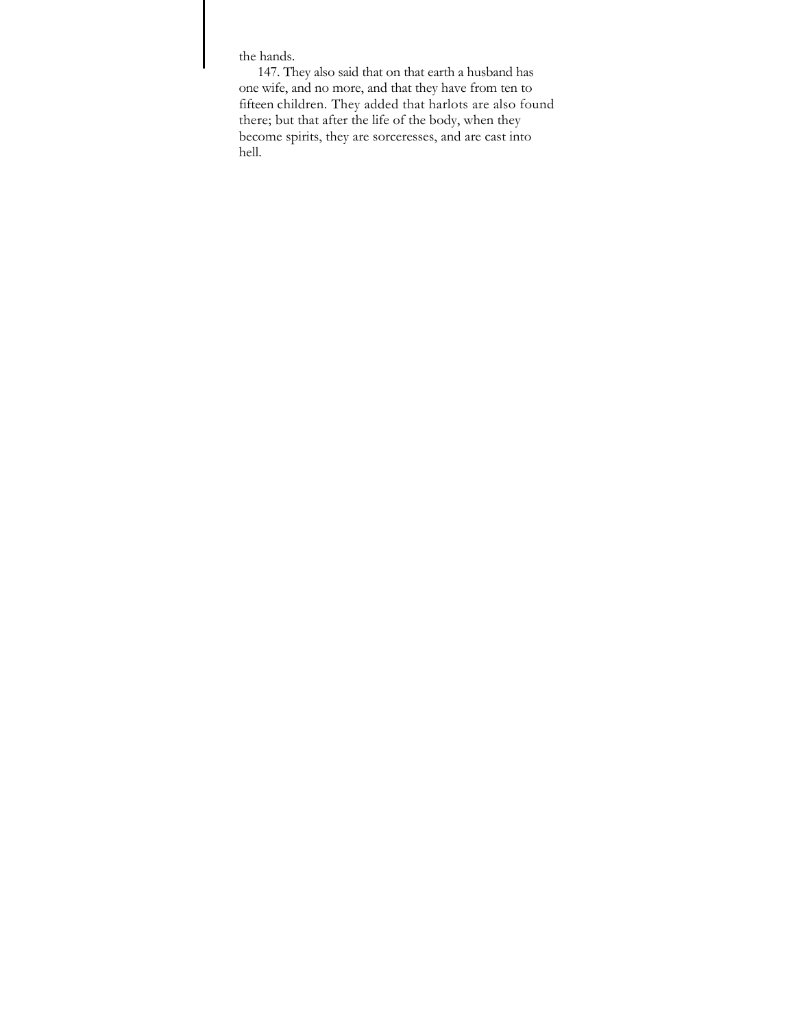the hands.

147. They also said that on that earth a husband has one wife, and no more, and that they have from ten to fifteen children. They added that harlots are also found there; but that after the life of the body, when they become spirits, they are sorceresses, and are cast into hell.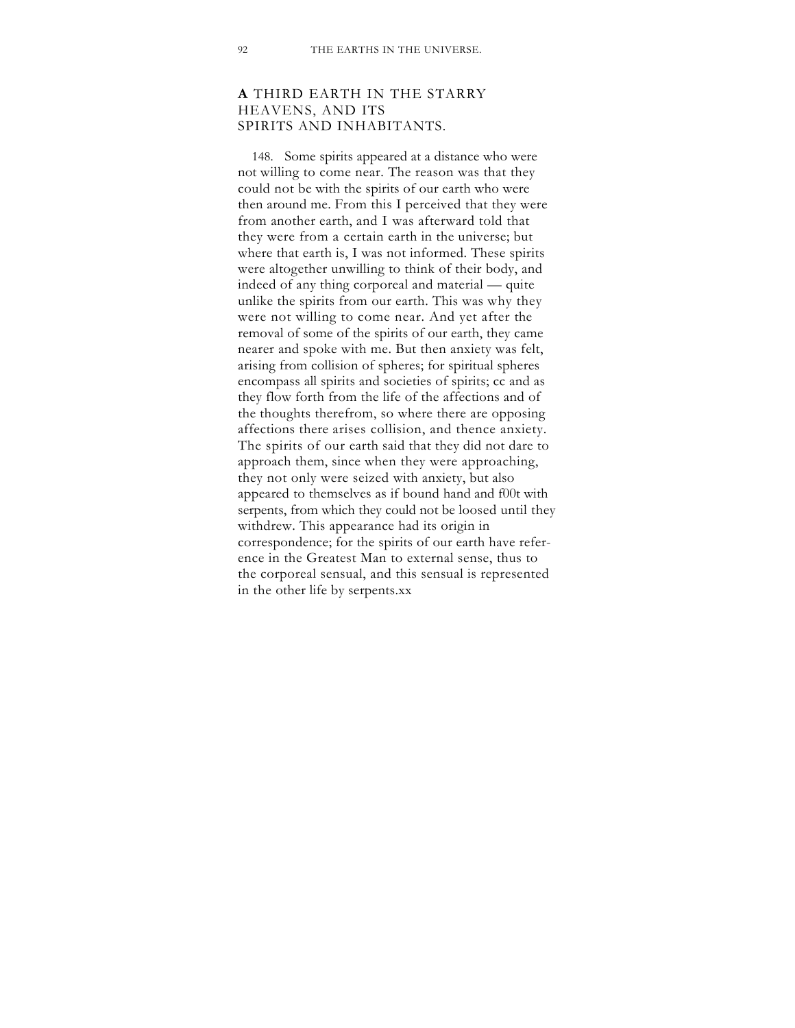# **A** THIRD EARTH IN THE STARRY HEAVENS, AND ITS SPIRITS AND INHABITANTS.

148. Some spirits appeared at a distance who were not willing to come near. The reason was that they could not be with the spirits of our earth who were then around me. From this I perceived that they were from another earth, and I was afterward told that they were from a certain earth in the universe; but where that earth is, I was not informed. These spirits were altogether unwilling to think of their body, and indeed of any thing corporeal and material — quite unlike the spirits from our earth. This was why they were not willing to come near. And yet after the removal of some of the spirits of our earth, they came nearer and spoke with me. But then anxiety was felt, arising from collision of spheres; for spiritual spheres encompass all spirits and societies of spirits; cc and as they flow forth from the life of the affections and of the thoughts therefrom, so where there are opposing affections there arises collision, and thence anxiety. The spirits of our earth said that they did not dare to approach them, since when they were approaching, they not only were seized with anxiety, but also appeared to themselves as if bound hand and f00t with serpents, from which they could not be loosed until they withdrew. This appearance had its origin in correspondence; for the spirits of our earth have reference in the Greatest Man to external sense, thus to the corporeal sensual, and this sensual is represented in the other life by serpents.xx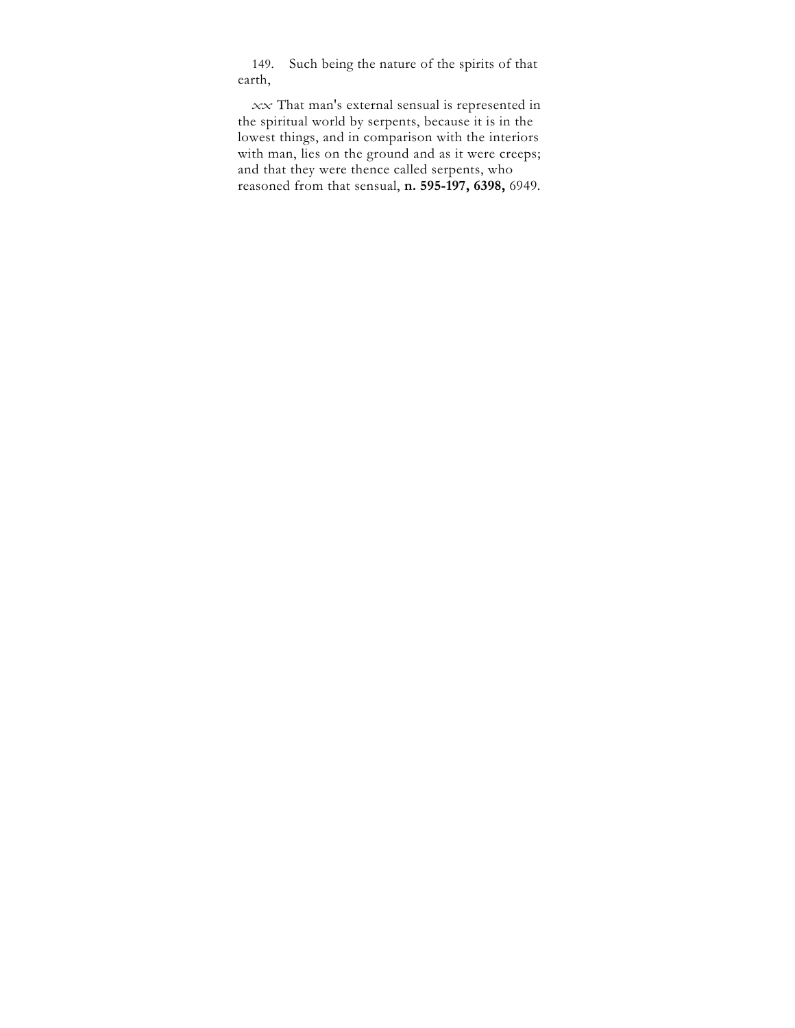149. Such being the nature of the spirits of that earth,

*xx* That man's external sensual is represented in the spiritual world by serpents, because it is in the lowest things, and in comparison with the interiors with man, lies on the ground and as it were creeps; and that they were thence called serpents, who reasoned from that sensual, **n. 595-197, 6398,** 6949.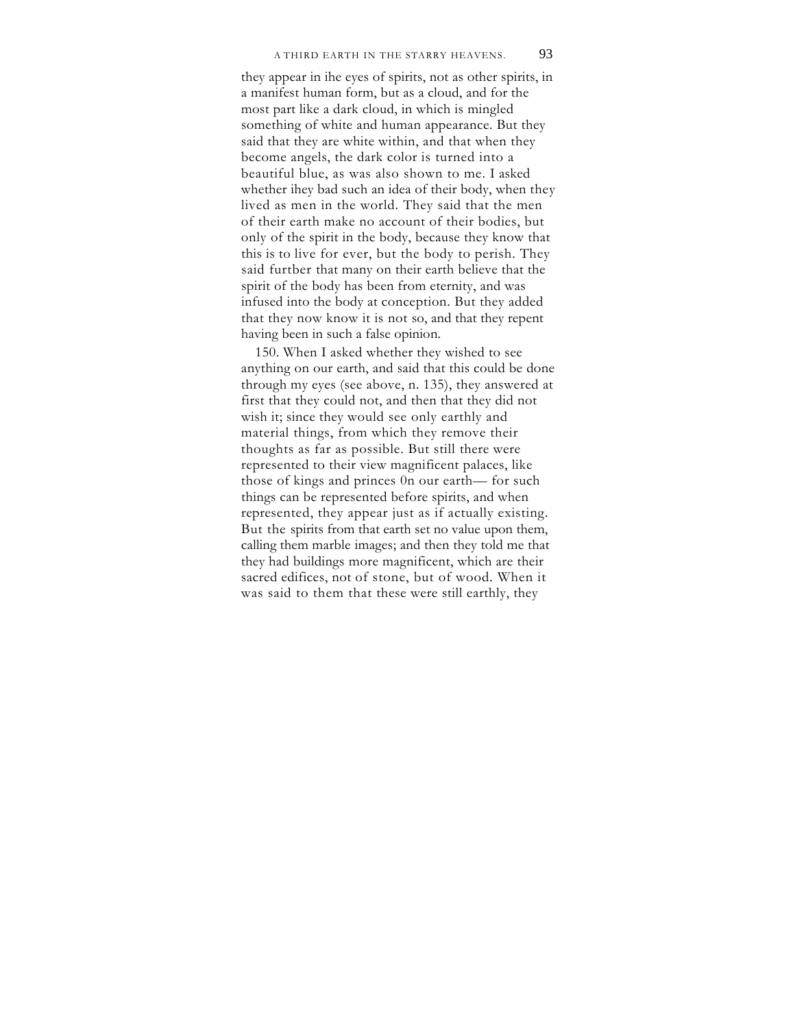they appear in ihe eyes of spirits, not as other spirits, in a manifest human form, but as a cloud, and for the most part like a dark cloud, in which is mingled something of white and human appearance. But they said that they are white within, and that when they become angels, the dark color is turned into a beautiful blue, as was also shown to me. I asked whether ihey bad such an idea of their body, when they lived as men in the world. They said that the men of their earth make no account of their bodies, but only of the spirit in the body, because they know that this is to live for ever, but the body to perish. They said furtber that many on their earth believe that the spirit of the body has been from eternity, and was infused into the body at conception. But they added that they now know it is not so, and that they repent having been in such a false opinion.

150. When I asked whether they wished to see anything on our earth, and said that this could be done through my eyes (see above, n. 135), they answered at first that they could not, and then that they did not wish it; since they would see only earthly and material things, from which they remove their thoughts as far as possible. But still there were represented to their view magnificent palaces, like those of kings and princes 0n our earth— for such things can be represented before spirits, and when represented, they appear just as if actually existing. But the spirits from that earth set no value upon them, calling them marble images; and then they told me that they had buildings more magnificent, which are their sacred edifices, not of stone, but of wood. When it was said to them that these were still earthly, they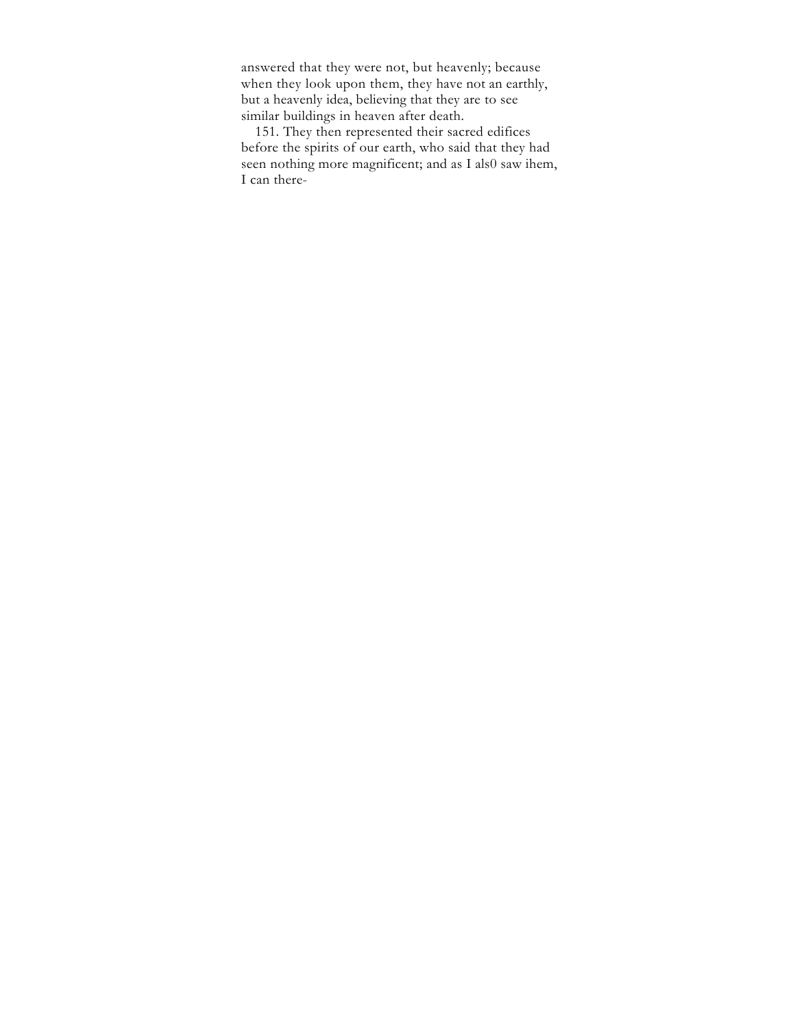answered that they were not, but heavenly; because when they look upon them, they have not an earthly, but a heavenly idea, believing that they are to see similar buildings in heaven after death.

151. They then represented their sacred edifices before the spirits of our earth, who said that they had seen nothing more magnificent; and as I als0 saw ihem, I can there-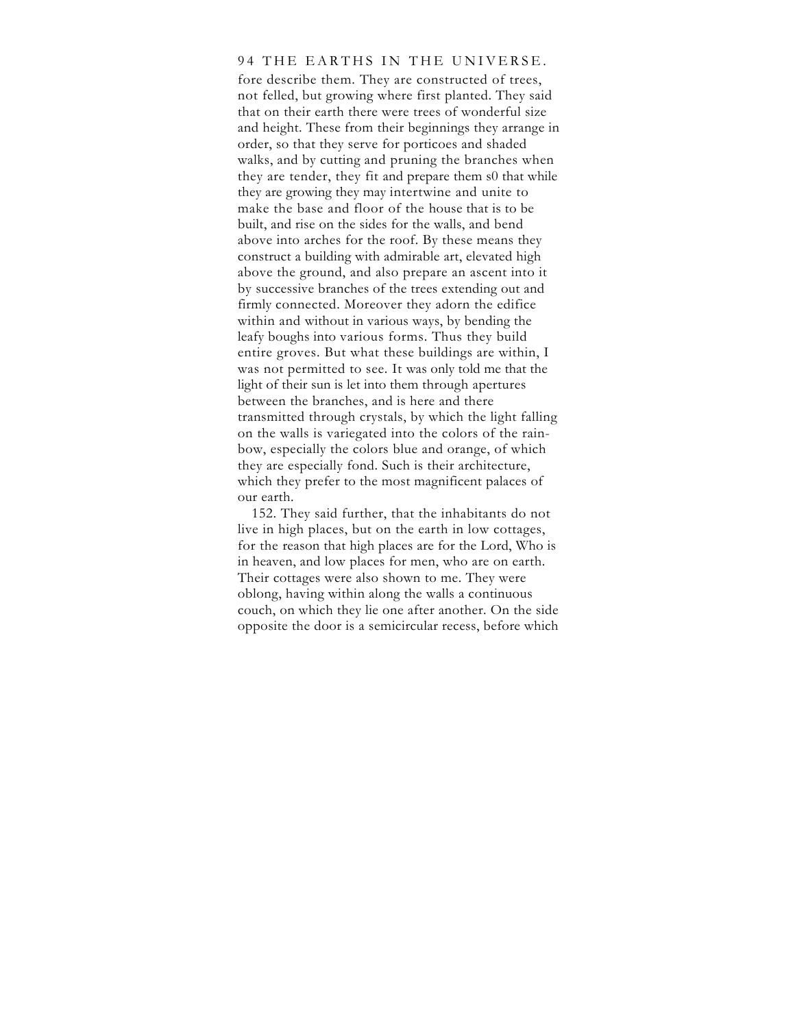### 94 THE EARTHS IN THE UNIVERSE.

fore describe them. They are constructed of trees, not felled, but growing where first planted. They said that on their earth there were trees of wonderful size and height. These from their beginnings they arrange in order, so that they serve for porticoes and shaded walks, and by cutting and pruning the branches when they are tender, they fit and prepare them s0 that while they are growing they may intertwine and unite to make the base and floor of the house that is to be built, and rise on the sides for the walls, and bend above into arches for the roof. By these means they construct a building with admirable art, elevated high above the ground, and also prepare an ascent into it by successive branches of the trees extending out and firmly connected. Moreover they adorn the edifice within and without in various ways, by bending the leafy boughs into various forms. Thus they build entire groves. But what these buildings are within, I was not permitted to see. It was only told me that the light of their sun is let into them through apertures between the branches, and is here and there transmitted through crystals, by which the light falling on the walls is variegated into the colors of the rainbow, especially the colors blue and orange, of which they are especially fond. Such is their architecture, which they prefer to the most magnificent palaces of our earth.

152. They said further, that the inhabitants do not live in high places, but on the earth in low cottages, for the reason that high places are for the Lord, Who is in heaven, and low places for men, who are on earth. Their cottages were also shown to me. They were oblong, having within along the walls a continuous couch, on which they lie one after another. On the side opposite the door is a semicircular recess, before which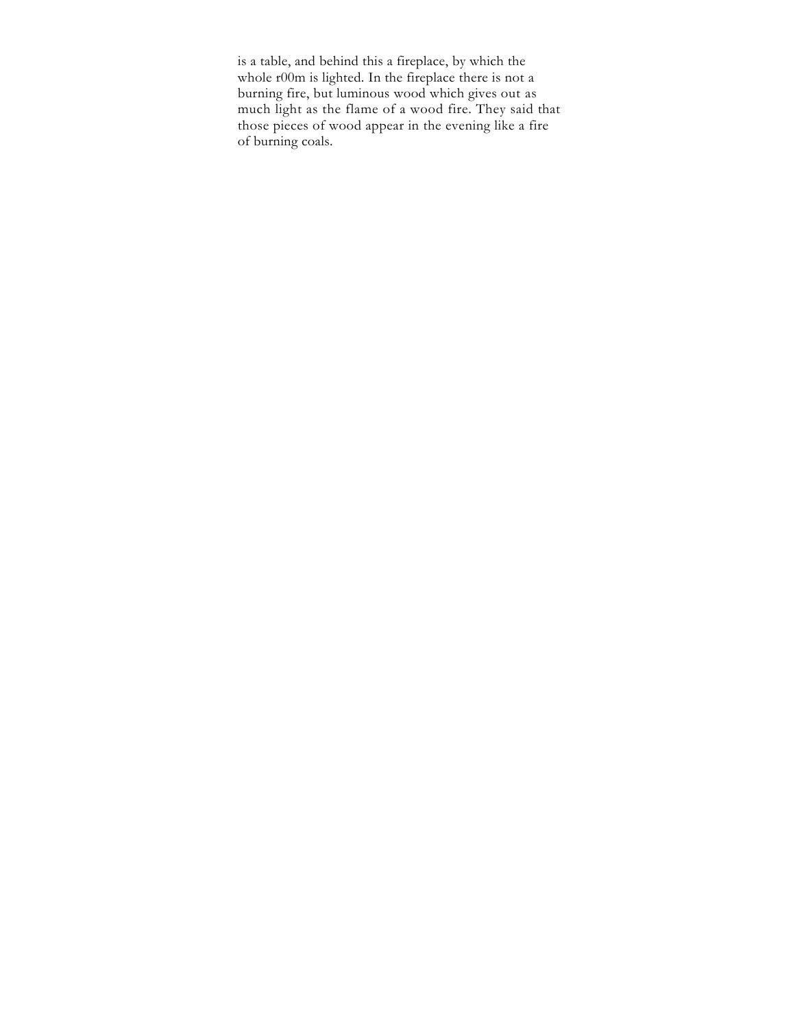is a table, and behind this a fireplace, by which the whole r00m is lighted. In the fireplace there is not a burning fire, but luminous wood which gives out as much light as the flame of a wood fire. They said that those pieces of wood appear in the evening like a fire of burning coals.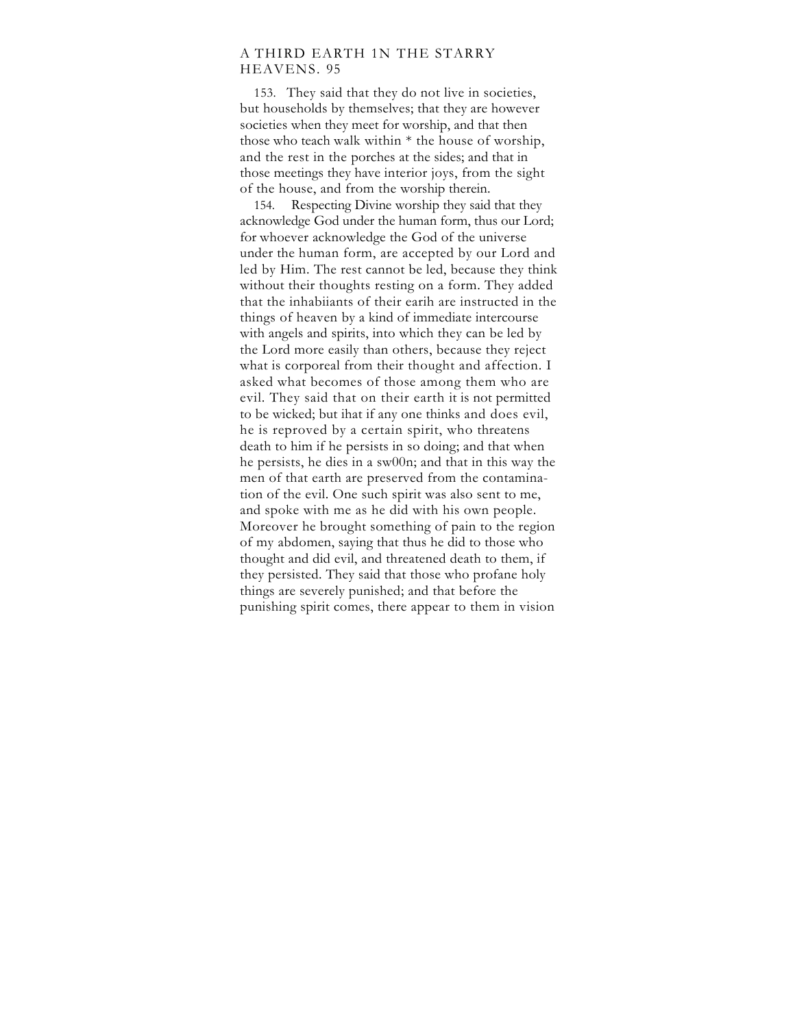# A THIRD EARTH 1N THE STARRY HEAVENS. 95

153. They said that they do not live in societies, but households by themselves; that they are however societies when they meet for worship, and that then those who teach walk within \* the house of worship, and the rest in the porches at the sides; and that in those meetings they have interior joys, from the sight of the house, and from the worship therein.

154. Respecting Divine worship they said that they acknowledge God under the human form, thus our Lord; for whoever acknowledge the God of the universe under the human form, are accepted by our Lord and led by Him. The rest cannot be led, because they think without their thoughts resting on a form. They added that the inhabiiants of their earih are instructed in the things of heaven by a kind of immediate intercourse with angels and spirits, into which they can be led by the Lord more easily than others, because they reject what is corporeal from their thought and affection. I asked what becomes of those among them who are evil. They said that on their earth it is not permitted to be wicked; but ihat if any one thinks and does evil, he is reproved by a certain spirit, who threatens death to him if he persists in so doing; and that when he persists, he dies in a sw00n; and that in this way the men of that earth are preserved from the contamination of the evil. One such spirit was also sent to me, and spoke with me as he did with his own people. Moreover he brought something of pain to the region of my abdomen, saying that thus he did to those who thought and did evil, and threatened death to them, if they persisted. They said that those who profane holy things are severely punished; and that before the punishing spirit comes, there appear to them in vision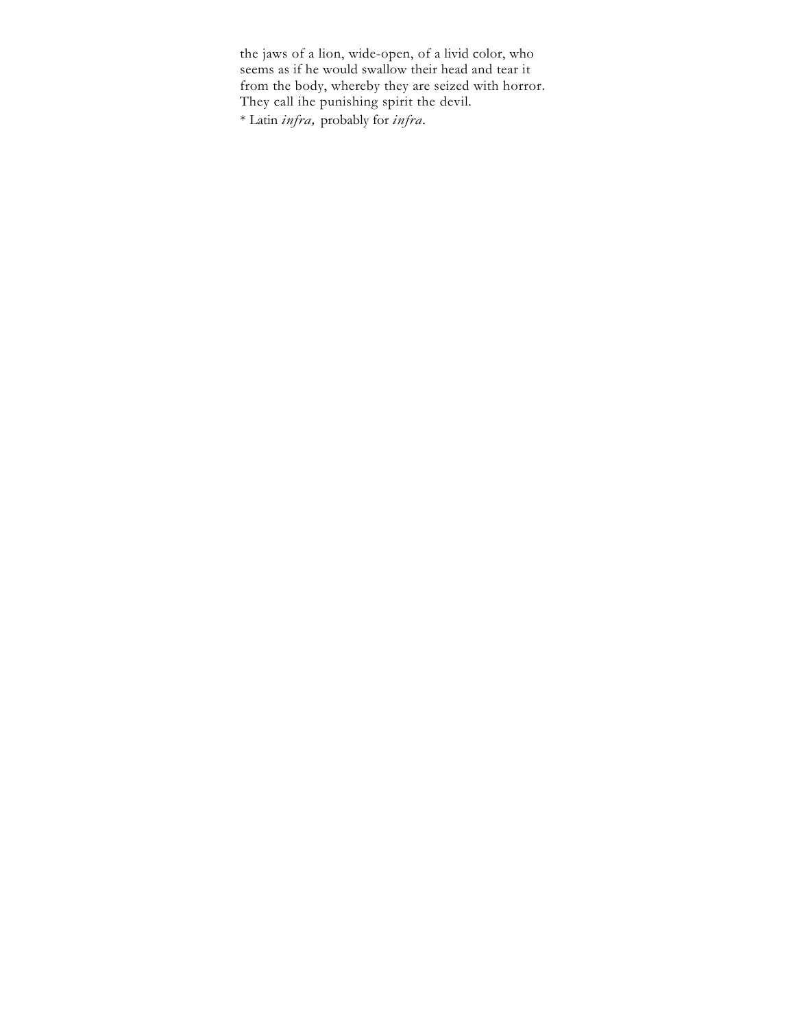the jaws of a lion, wide-open, of a livid color, who seems as if he would swallow their head and tear it from the body, whereby they are seized with horror. They call ihe punishing spirit the devil. \* Latin *infra,* probably for *infra.*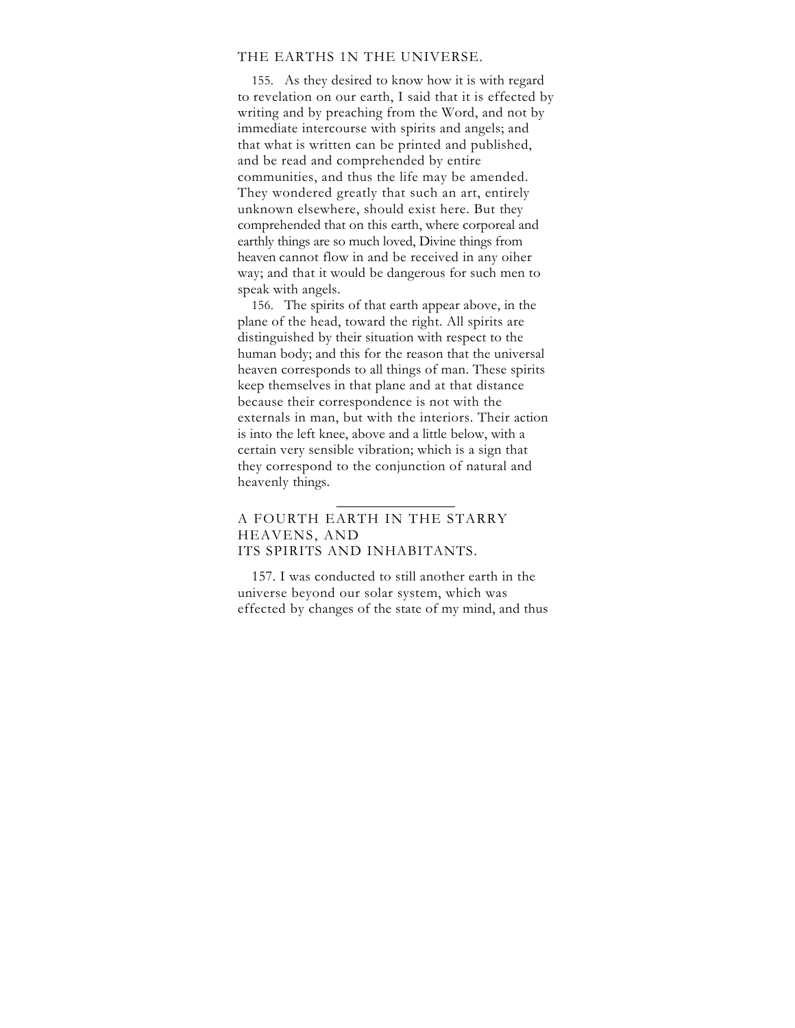### THE EARTHS 1N THE UNIVERSE.

155. As they desired to know how it is with regard to revelation on our earth, I said that it is effected by writing and by preaching from the Word, and not by immediate intercourse with spirits and angels; and that what is written can be printed and published, and be read and comprehended by entire communities, and thus the life may be amended. They wondered greatly that such an art, entirely unknown elsewhere, should exist here. But they comprehended that on this earth, where corporeal and earthly things are so much loved, Divine things from heaven cannot flow in and be received in any oiher way; and that it would be dangerous for such men to speak with angels.

156. The spirits of that earth appear above, in the plane of the head, toward the right. All spirits are distinguished by their situation with respect to the human body; and this for the reason that the universal heaven corresponds to all things of man. These spirits keep themselves in that plane and at that distance because their correspondence is not with the externals in man, but with the interiors. Their action is into the left knee, above and a little below, with a certain very sensible vibration; which is a sign that they correspond to the conjunction of natural and heavenly things.

### A FOURTH EARTH IN THE STARRY HEAVENS, AND ITS SPIRITS AND INHABITANTS.

157. I was conducted to still another earth in the universe beyond our solar system, which was effected by changes of the state of my mind, and thus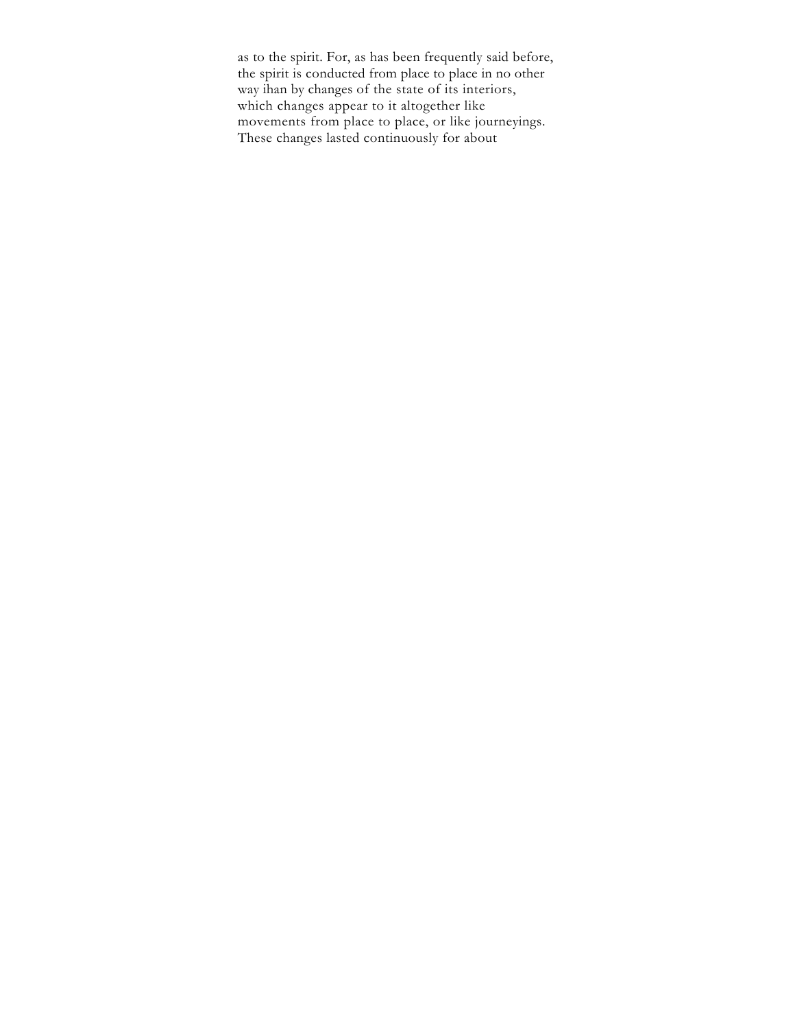as to the spirit. For, as has been frequently said before, the spirit is conducted from place to place in no other way ihan by changes of the state of its interiors, which changes appear to it altogether like movements from place to place, or like journeyings. These changes lasted continuously for about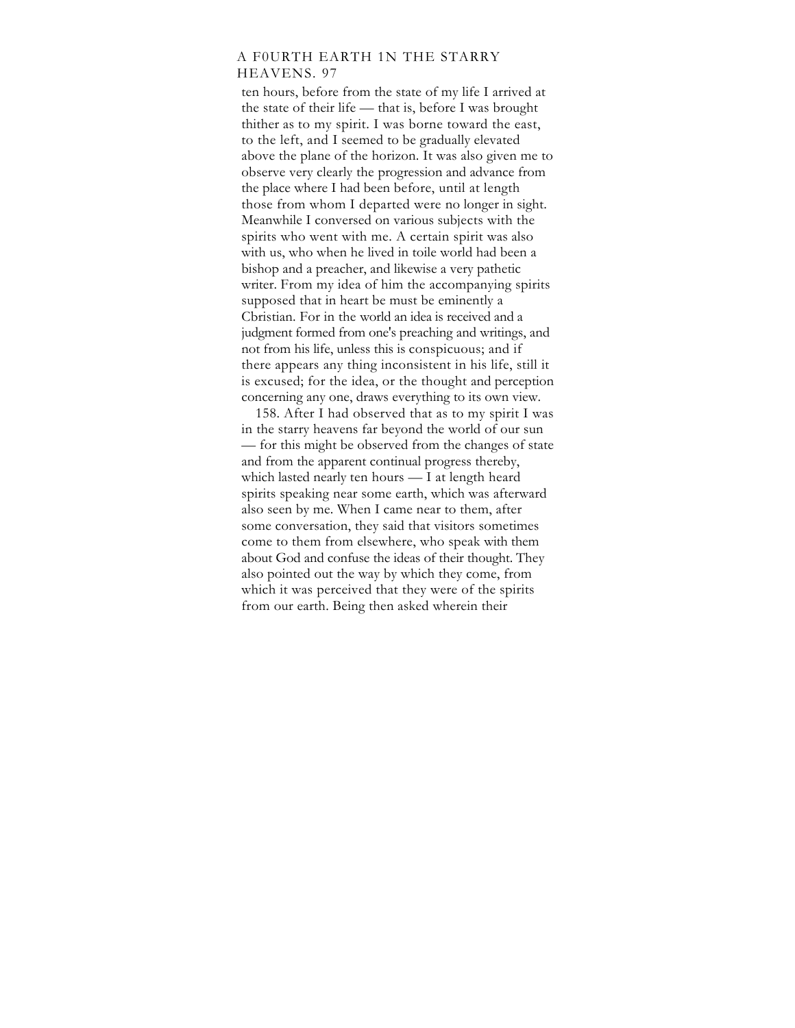# A F0URTH EARTH 1N THE STARRY HEAVENS. 97

ten hours, before from the state of my life I arrived at the state of their life — that is, before I was brought thither as to my spirit. I was borne toward the east, to the left, and I seemed to be gradually elevated above the plane of the horizon. It was also given me to observe very clearly the progression and advance from the place where I had been before, until at length those from whom I departed were no longer in sight. Meanwhile I conversed on various subjects with the spirits who went with me. A certain spirit was also with us, who when he lived in toile world had been a bishop and a preacher, and likewise a very pathetic writer. From my idea of him the accompanying spirits supposed that in heart be must be eminently a Cbristian. For in the world an idea is received and a judgment formed from one's preaching and writings, and not from his life, unless this is conspicuous; and if there appears any thing inconsistent in his life, still it is excused; for the idea, or the thought and perception concerning any one, draws everything to its own view.

158. After I had observed that as to my spirit I was in the starry heavens far beyond the world of our sun — for this might be observed from the changes of state and from the apparent continual progress thereby, which lasted nearly ten hours — I at length heard spirits speaking near some earth, which was afterward also seen by me. When I came near to them, after some conversation, they said that visitors sometimes come to them from elsewhere, who speak with them about God and confuse the ideas of their thought. They also pointed out the way by which they come, from which it was perceived that they were of the spirits from our earth. Being then asked wherein their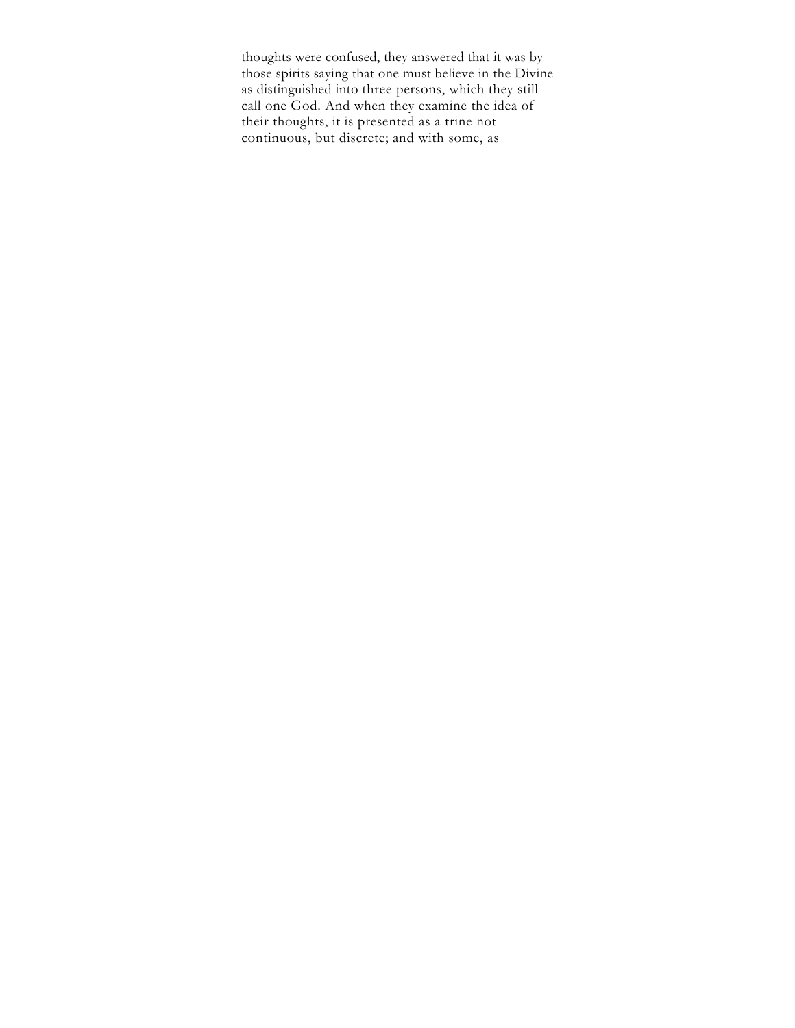thoughts were confused, they answered that it was by those spirits saying that one must believe in the Divine as distinguished into three persons, which they still call one God. And when they examine the idea of their thoughts, it is presented as a trine not continuous, but discrete; and with some, as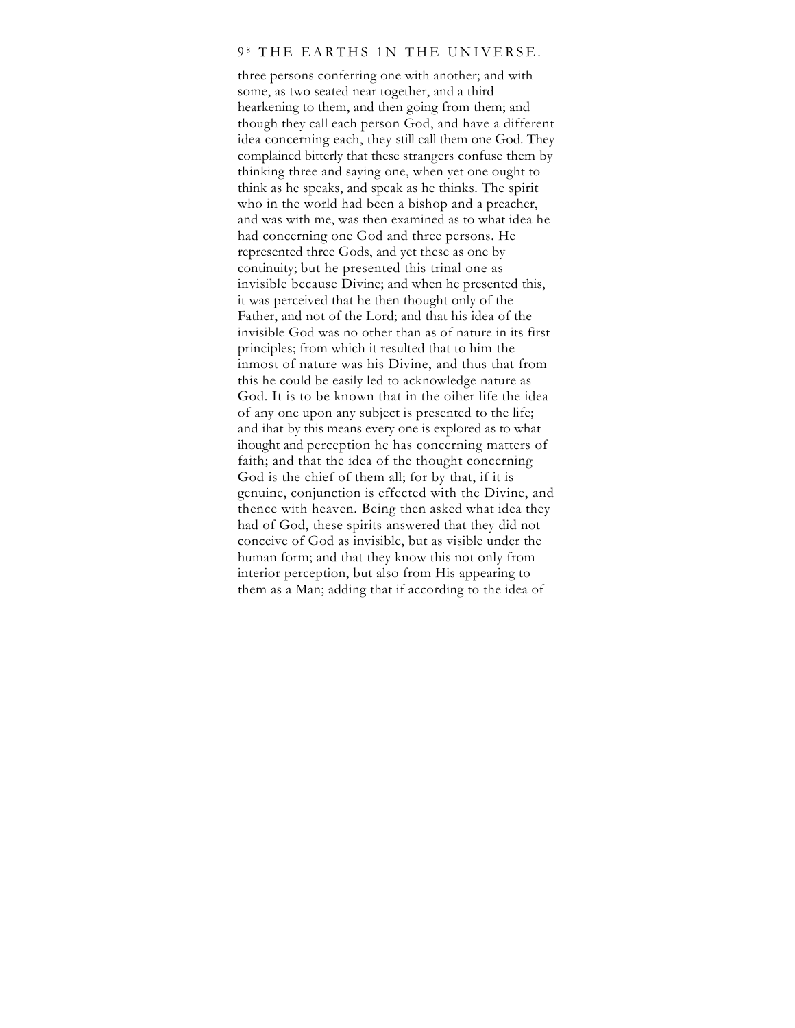#### 98 THE EARTHS 1N THE UNIVERSE.

three persons conferring one with another; and with some, as two seated near together, and a third hearkening to them, and then going from them; and though they call each person God, and have a different idea concerning each, they still call them one God. They complained bitterly that these strangers confuse them by thinking three and saying one, when yet one ought to think as he speaks, and speak as he thinks. The spirit who in the world had been a bishop and a preacher, and was with me, was then examined as to what idea he had concerning one God and three persons. He represented three Gods, and yet these as one by continuity; but he presented this trinal one as invisible because Divine; and when he presented this, it was perceived that he then thought only of the Father, and not of the Lord; and that his idea of the invisible God was no other than as of nature in its first principles; from which it resulted that to him the inmost of nature was his Divine, and thus that from this he could be easily led to acknowledge nature as God. It is to be known that in the oiher life the idea of any one upon any subject is presented to the life; and ihat by this means every one is explored as to what ihought and perception he has concerning matters of faith; and that the idea of the thought concerning God is the chief of them all; for by that, if it is genuine, conjunction is effected with the Divine, and thence with heaven. Being then asked what idea they had of God, these spirits answered that they did not conceive of God as invisible, but as visible under the human form; and that they know this not only from interior perception, but also from His appearing to them as a Man; adding that if according to the idea of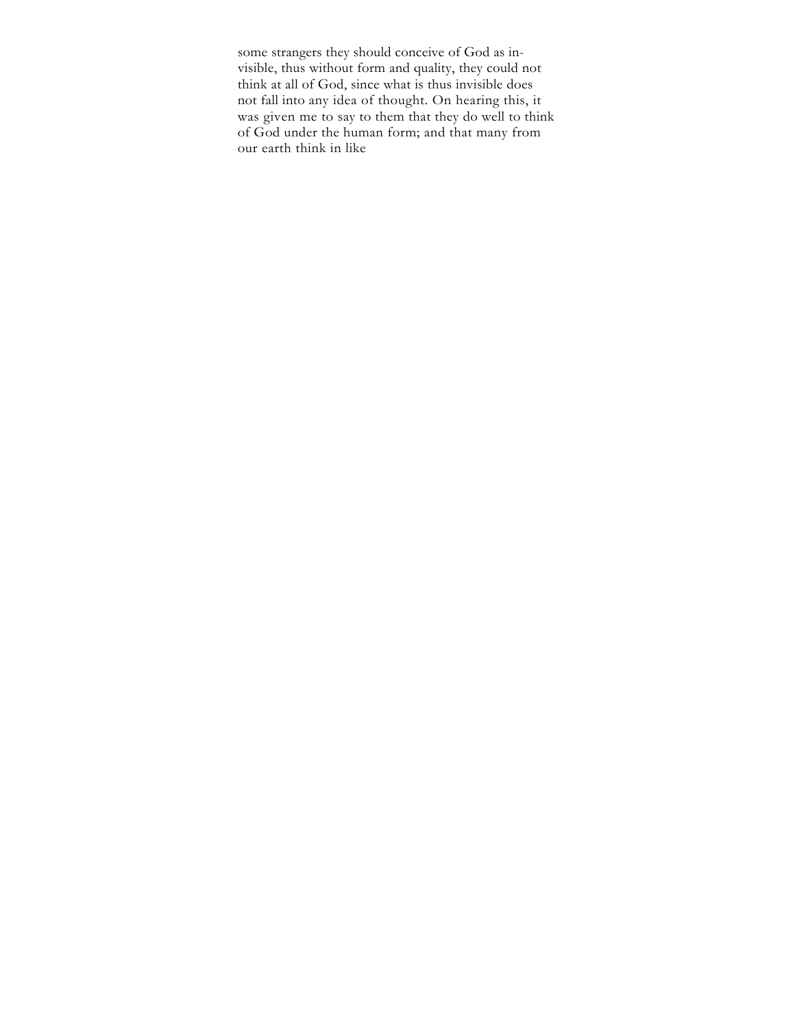some strangers they should conceive of God as invisible, thus without form and quality, they could not think at all of God, since what is thus invisible does not fall into any idea of thought. On hearing this, it was given me to say to them that they do well to think of God under the human form; and that many from our earth think in like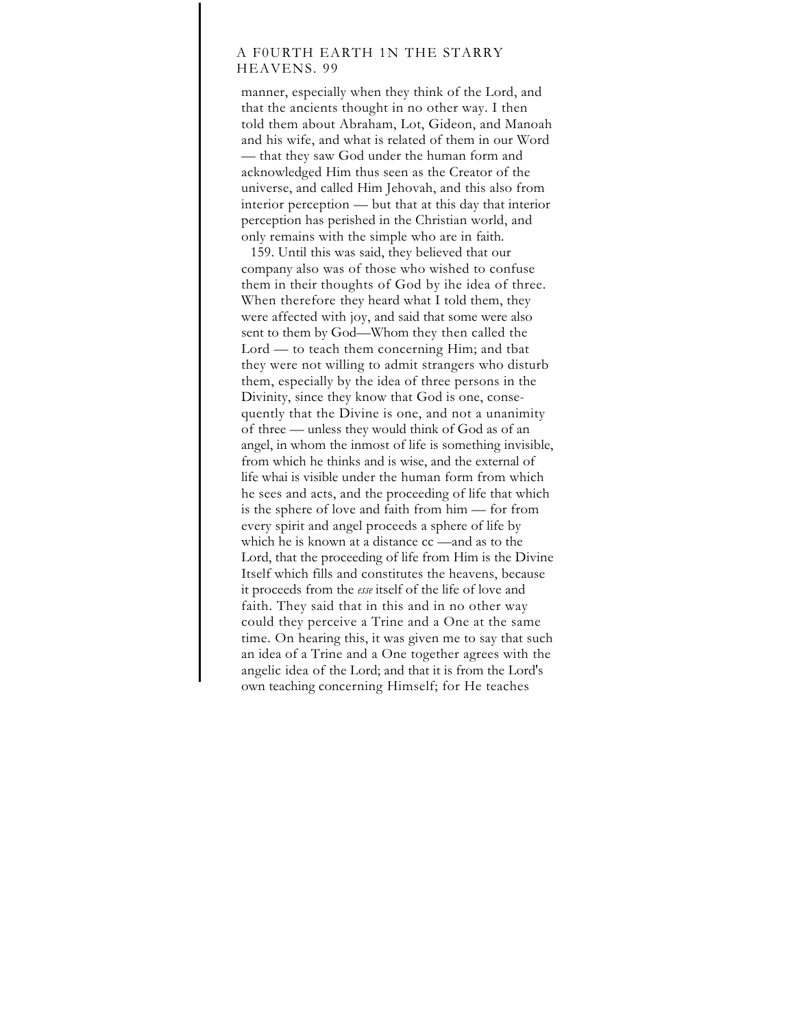# A F0URTH EARTH 1N THE STARRY HEAVENS. 99

manner, especially when they think of the Lord, and that the ancients thought in no other way. I then told them about Abraham, Lot, Gideon, and Manoah and his wife, and what is related of them in our Word — that they saw God under the human form and acknowledged Him thus seen as the Creator of the universe, and called Him Jehovah, and this also from interior perception — but that at this day that interior perception has perished in the Christian world, and only remains with the simple who are in faith.

159. Until this was said, they believed that our company also was of those who wished to confuse them in their thoughts of God by ihe idea of three. When therefore they heard what I told them, they were affected with joy, and said that some were also sent to them by God—Whom they then called the Lord — to teach them concerning Him; and tbat they were not willing to admit strangers who disturb them, especially by the idea of three persons in the Divinity, since they know that God is one, consequently that the Divine is one, and not a unanimity of three — unless they would think of God as of an angel, in whom the inmost of life is something invisible, from which he thinks and is wise, and the external of life whai is visible under the human form from which he sees and acts, and the proceeding of life that which is the sphere of love and faith from him — for from every spirit and angel proceeds a sphere of life by which he is known at a distance cc —and as to the Lord, that the proceeding of life from Him is the Divine Itself which fills and constitutes the heavens, because it proceeds from the *esse* itself of the life of love and faith. They said that in this and in no other way could they perceive a Trine and a One at the same time. On hearing this, it was given me to say that such an idea of a Trine and a One together agrees with the angelic idea of the Lord; and that it is from the Lord's own teaching concerning Himself; for He teaches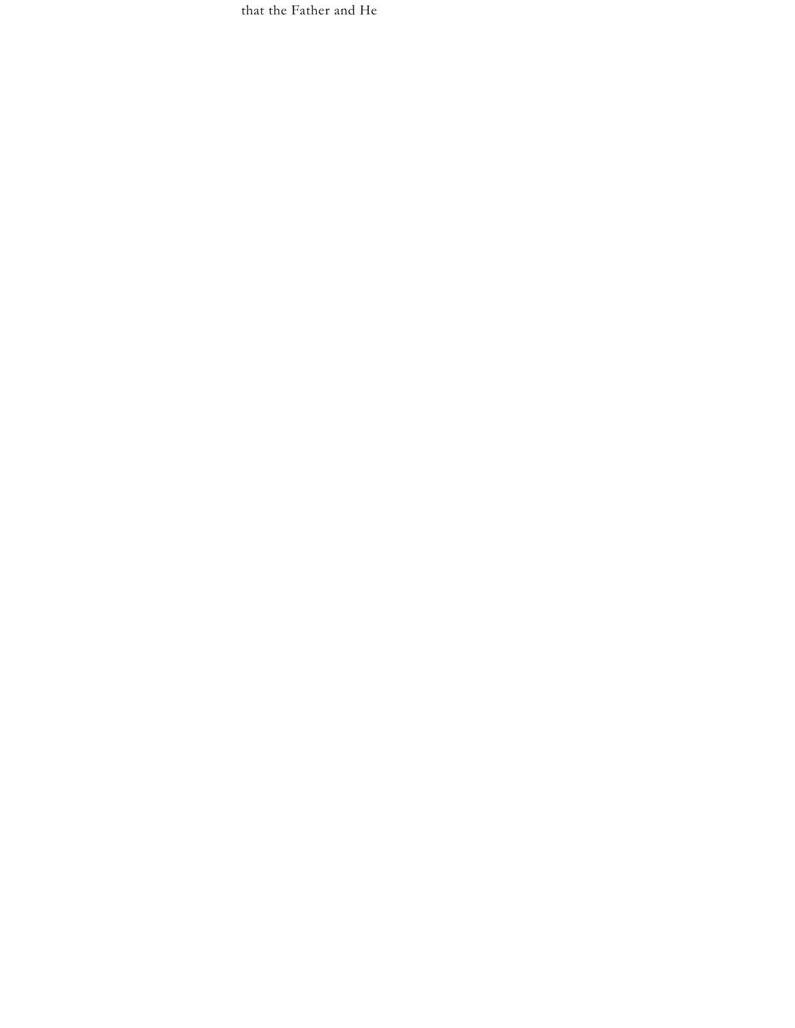that the Father and He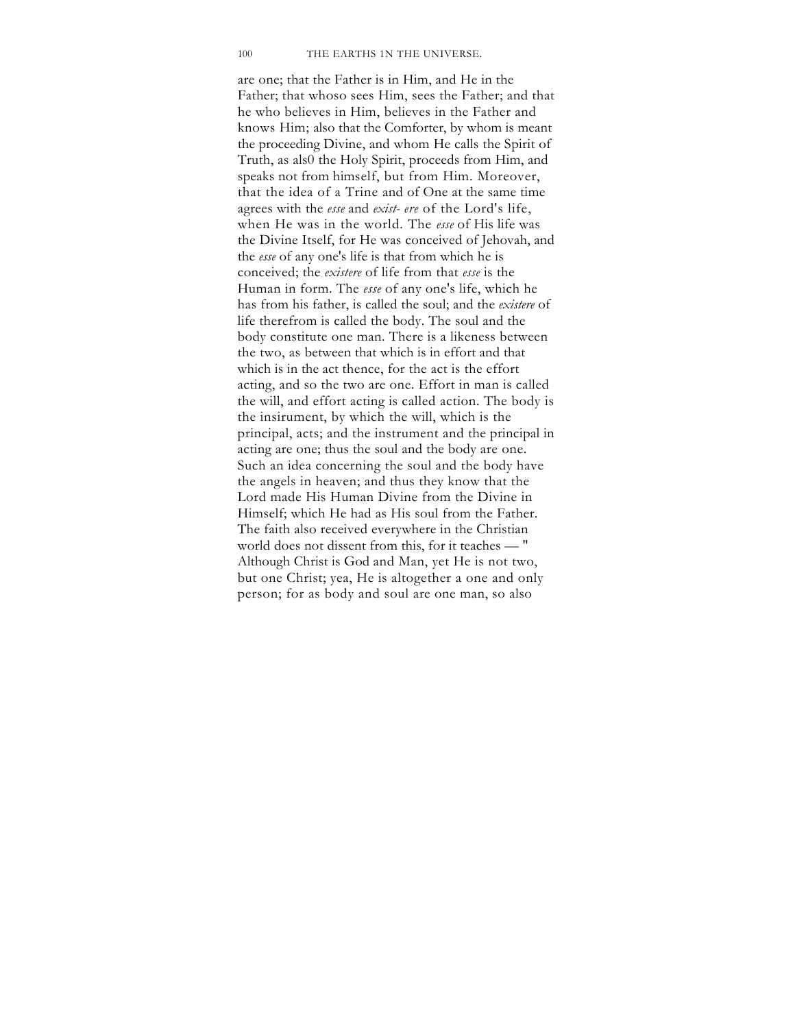#### 100 THE EARTHS 1N THE UNIVERSE.

are one; that the Father is in Him, and He in the Father; that whoso sees Him, sees the Father; and that he who believes in Him, believes in the Father and knows Him; also that the Comforter, by whom is meant the proceeding Divine, and whom He calls the Spirit of Truth, as als0 the Holy Spirit, proceeds from Him, and speaks not from himself, but from Him. Moreover, that the idea of a Trine and of One at the same time agrees with the *esse* and *exist- ere* of the Lord's life, when He was in the world. The *esse* of His life was the Divine Itself, for He was conceived of Jehovah, and the *esse* of any one's life is that from which he is conceived; the *existere* of life from that *esse* is the Human in form. The *esse* of any one's life, which he has from his father, is called the soul; and the *existere* of life therefrom is called the body. The soul and the body constitute one man. There is a likeness between the two, as between that which is in effort and that which is in the act thence, for the act is the effort acting, and so the two are one. Effort in man is called the will, and effort acting is called action. The body is the insirument, by which the will, which is the principal, acts; and the instrument and the principal in acting are one; thus the soul and the body are one. Such an idea concerning the soul and the body have the angels in heaven; and thus they know that the Lord made His Human Divine from the Divine in Himself; which He had as His soul from the Father. The faith also received everywhere in the Christian world does not dissent from this, for it teaches — " Although Christ is God and Man, yet He is not two, but one Christ; yea, He is altogether a one and only person; for as body and soul are one man, so also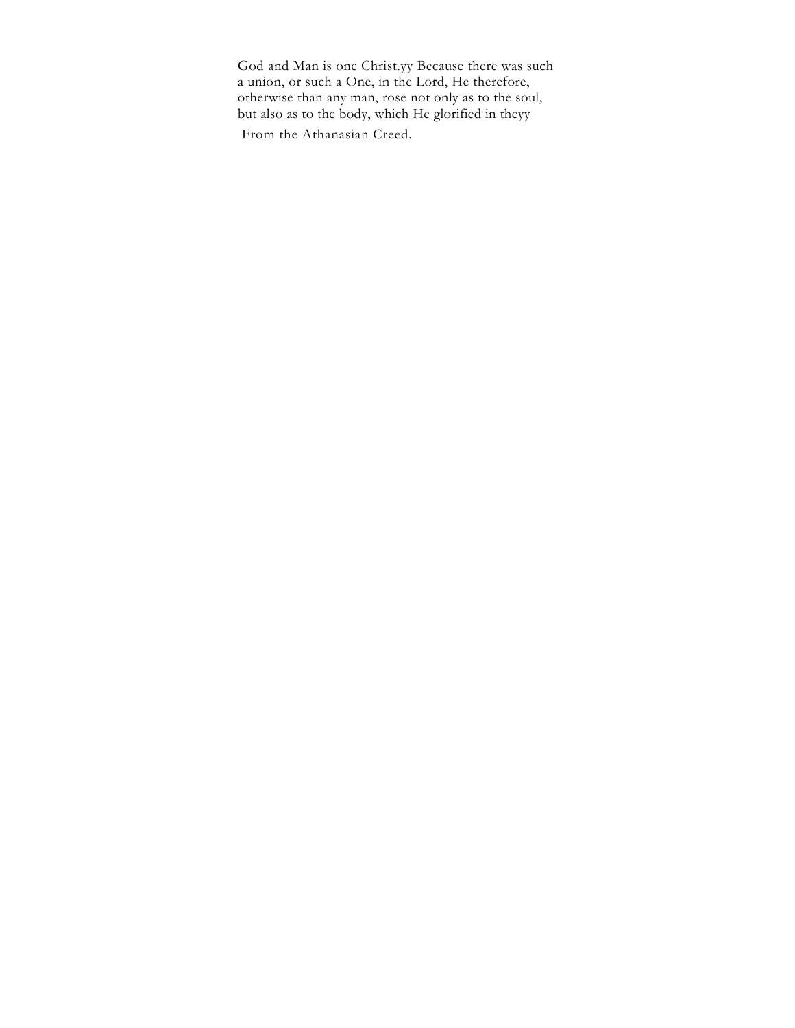God and Man is one Christ.yy Because there was such a union, or such a One, in the Lord, He therefore, otherwise than any man, rose not only as to the soul, but also as to the body, which He glorified in theyy

From the Athanasian Creed.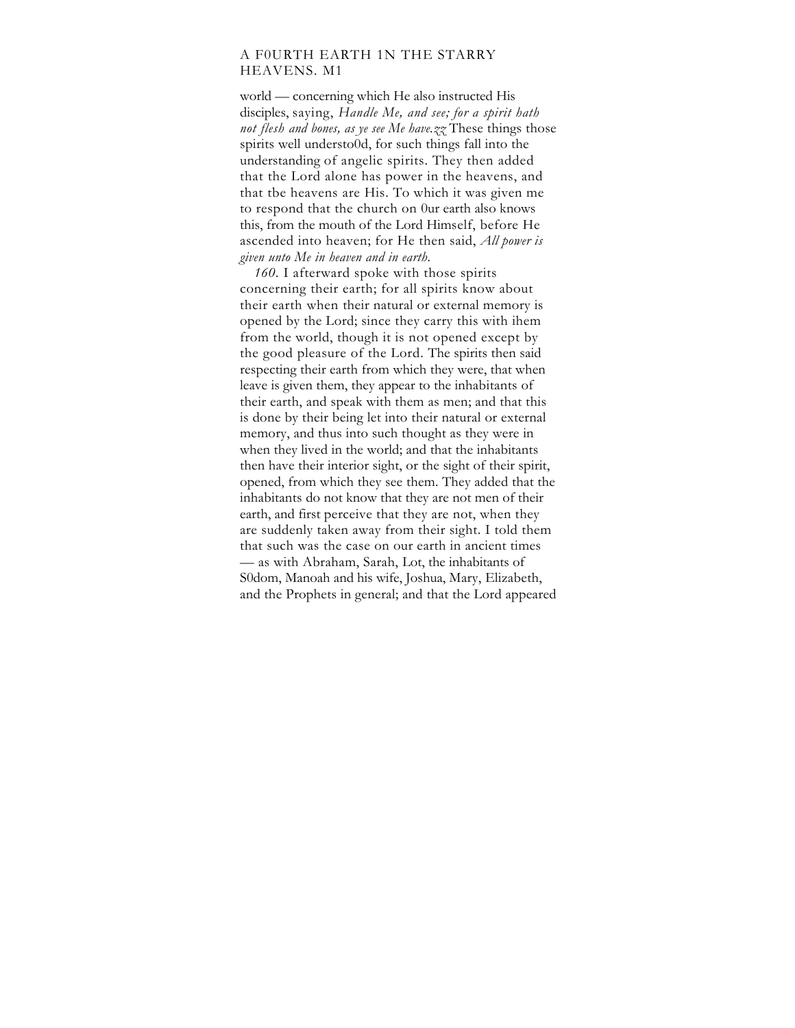### A F0URTH EARTH 1N THE STARRY HEAVENS. M1

world — concerning which He also instructed His disciples, saying, *Handle Me, and see; for a spirit hath not flesh and bones, as ye see Me have.zz* These things those spirits well understo0d, for such things fall into the understanding of angelic spirits. They then added that the Lord alone has power in the heavens, and that tbe heavens are His. To which it was given me to respond that the church on 0ur earth also knows this, from the mouth of the Lord Himself, before He ascended into heaven; for He then said, *All power is given unto Me in heaven and in earth.* 

*160.* I afterward spoke with those spirits concerning their earth; for all spirits know about their earth when their natural or external memory is opened by the Lord; since they carry this with ihem from the world, though it is not opened except by the good pleasure of the Lord. The spirits then said respecting their earth from which they were, that when leave is given them, they appear to the inhabitants of their earth, and speak with them as men; and that this is done by their being let into their natural or external memory, and thus into such thought as they were in when they lived in the world; and that the inhabitants then have their interior sight, or the sight of their spirit, opened, from which they see them. They added that the inhabitants do not know that they are not men of their earth, and first perceive that they are not, when they are suddenly taken away from their sight. I told them that such was the case on our earth in ancient times — as with Abraham, Sarah, Lot, the inhabitants of S0dom, Manoah and his wife, Joshua, Mary, Elizabeth, and the Prophets in general; and that the Lord appeared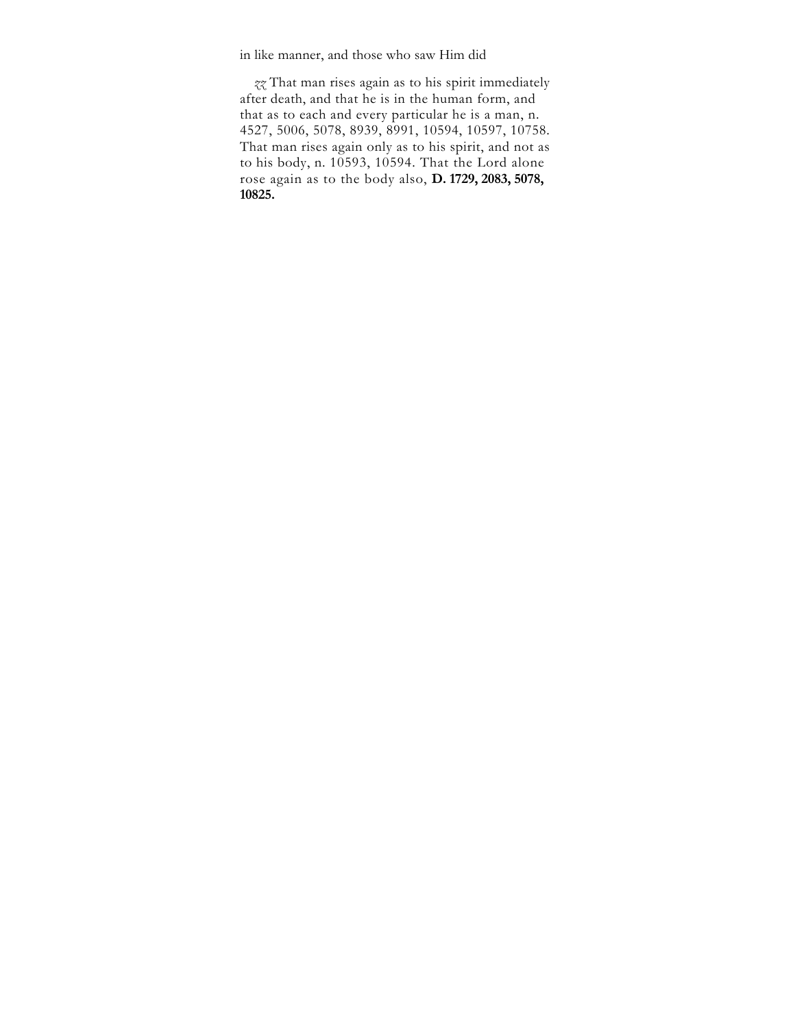in like manner, and those who saw Him did

*zz* That man rises again as to his spirit immediately after death, and that he is in the human form, and that as to each and every particular he is a man, n. 4527, 5006, 5078, 8939, 8991, 10594, 10597, 10758. That man rises again only as to his spirit, and not as to his body, n. 10593, 10594. That the Lord alone rose again as to the body also, **D. 1729, 2083, 5078, 10825.**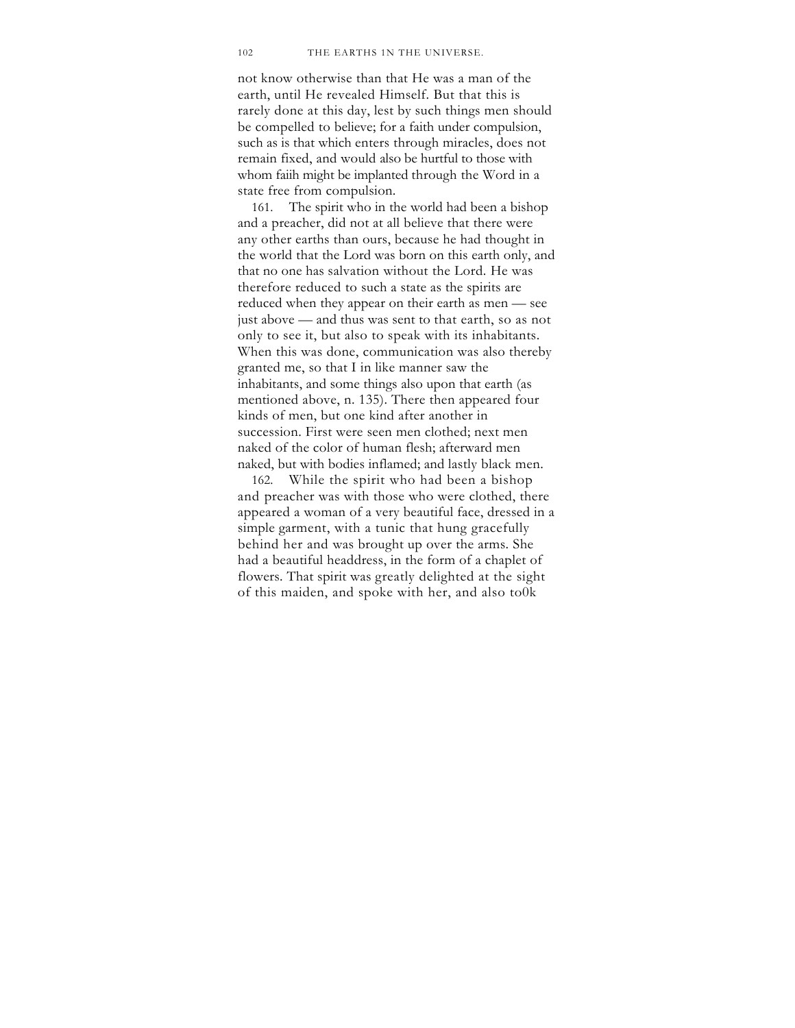#### 102 THE EARTHS 1N THE UNIVERSE.

not know otherwise than that He was a man of the earth, until He revealed Himself. But that this is rarely done at this day, lest by such things men should be compelled to believe; for a faith under compulsion, such as is that which enters through miracles, does not remain fixed, and would also be hurtful to those with whom faiih might be implanted through the Word in a state free from compulsion.

161. The spirit who in the world had been a bishop and a preacher, did not at all believe that there were any other earths than ours, because he had thought in the world that the Lord was born on this earth only, and that no one has salvation without the Lord. He was therefore reduced to such a state as the spirits are reduced when they appear on their earth as men — see just above — and thus was sent to that earth, so as not only to see it, but also to speak with its inhabitants. When this was done, communication was also thereby granted me, so that I in like manner saw the inhabitants, and some things also upon that earth (as mentioned above, n. 135). There then appeared four kinds of men, but one kind after another in succession. First were seen men clothed; next men naked of the color of human flesh; afterward men naked, but with bodies inflamed; and lastly black men.

162. While the spirit who had been a bishop and preacher was with those who were clothed, there appeared a woman of a very beautiful face, dressed in a simple garment, with a tunic that hung gracefully behind her and was brought up over the arms. She had a beautiful headdress, in the form of a chaplet of flowers. That spirit was greatly delighted at the sight of this maiden, and spoke with her, and also to0k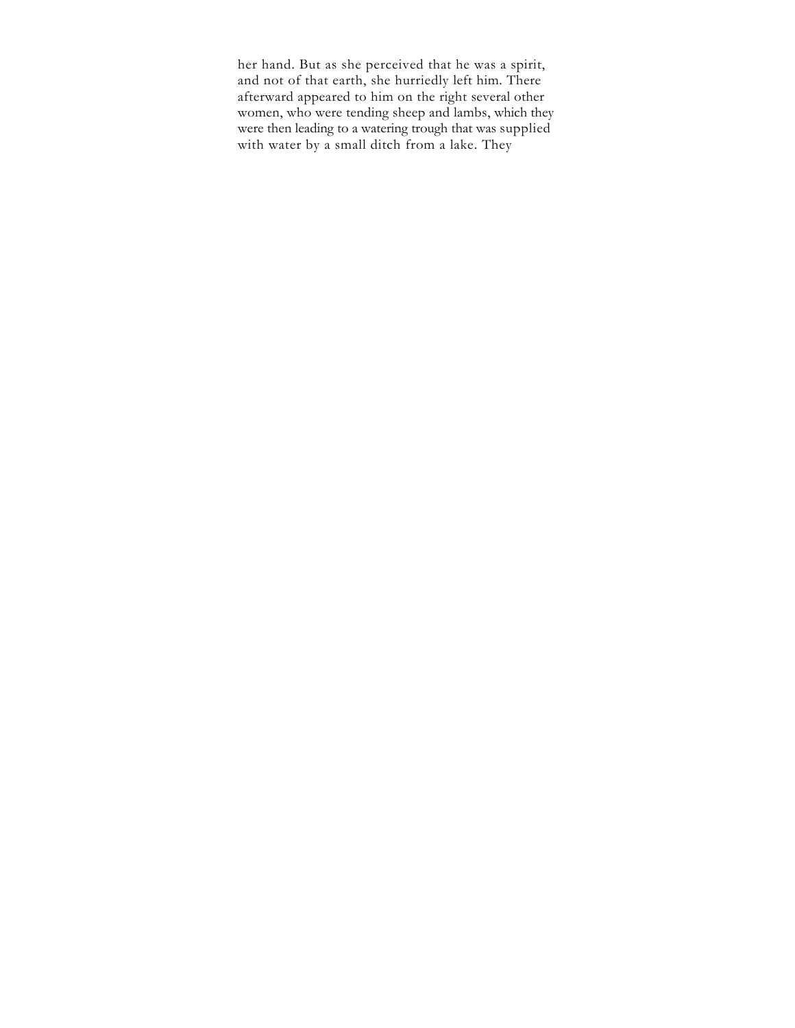her hand. But as she perceived that he was a spirit, and not of that earth, she hurriedly left him. There afterward appeared to him on the right several other women, who were tending sheep and lambs, which they were then leading to a watering trough that was supplied with water by a small ditch from a lake. They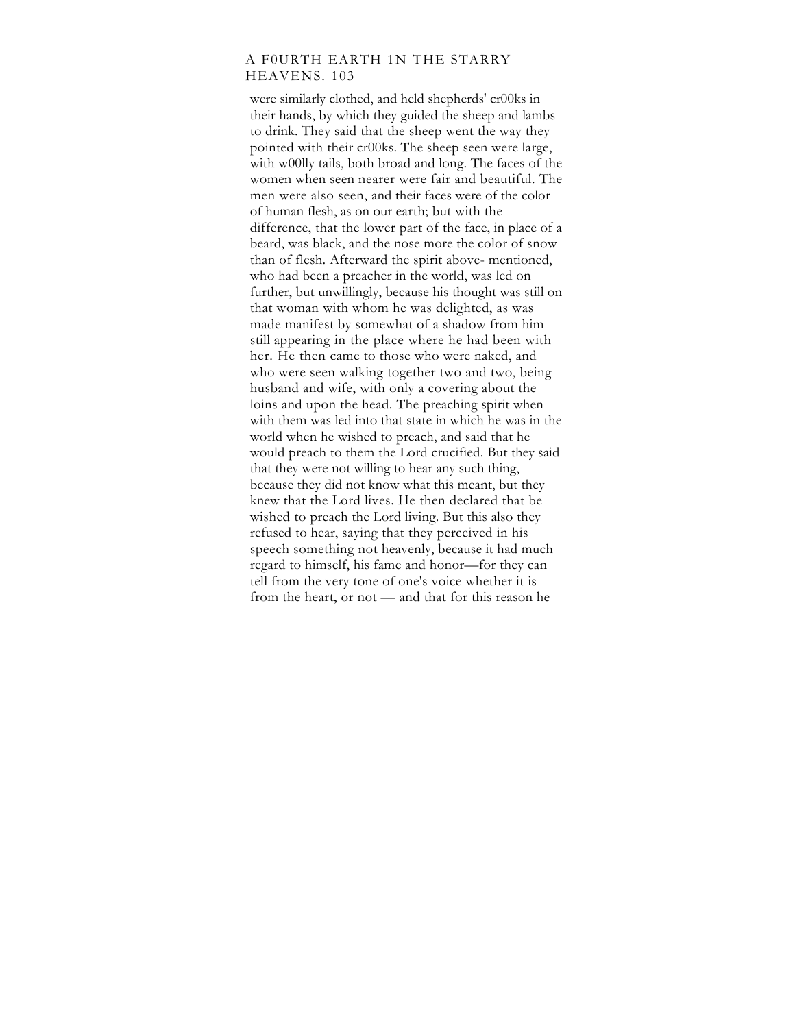### A F0URTH EARTH 1N THE STARRY HEAVENS. 103

were similarly clothed, and held shepherds' cr00ks in their hands, by which they guided the sheep and lambs to drink. They said that the sheep went the way they pointed with their cr00ks. The sheep seen were large, with w00lly tails, both broad and long. The faces of the women when seen nearer were fair and beautiful. The men were also seen, and their faces were of the color of human flesh, as on our earth; but with the difference, that the lower part of the face, in place of a beard, was black, and the nose more the color of snow than of flesh. Afterward the spirit above- mentioned, who had been a preacher in the world, was led on further, but unwillingly, because his thought was still on that woman with whom he was delighted, as was made manifest by somewhat of a shadow from him still appearing in the place where he had been with her. He then came to those who were naked, and who were seen walking together two and two, being husband and wife, with only a covering about the loins and upon the head. The preaching spirit when with them was led into that state in which he was in the world when he wished to preach, and said that he would preach to them the Lord crucified. But they said that they were not willing to hear any such thing, because they did not know what this meant, but they knew that the Lord lives. He then declared that be wished to preach the Lord living. But this also they refused to hear, saying that they perceived in his speech something not heavenly, because it had much regard to himself, his fame and honor—for they can tell from the very tone of one's voice whether it is from the heart, or not — and that for this reason he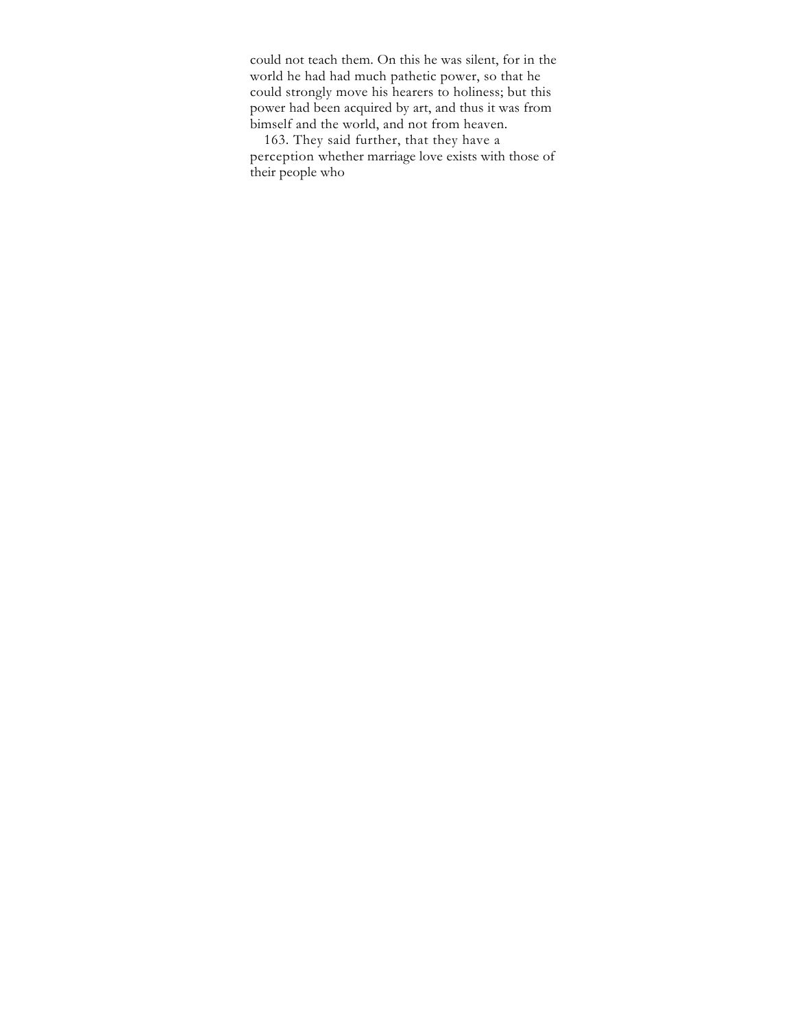could not teach them. On this he was silent, for in the world he had had much pathetic power, so that he could strongly move his hearers to holiness; but this power had been acquired by art, and thus it was from bimself and the world, and not from heaven.

163. They said further, that they have a perception whether marriage love exists with those of their people who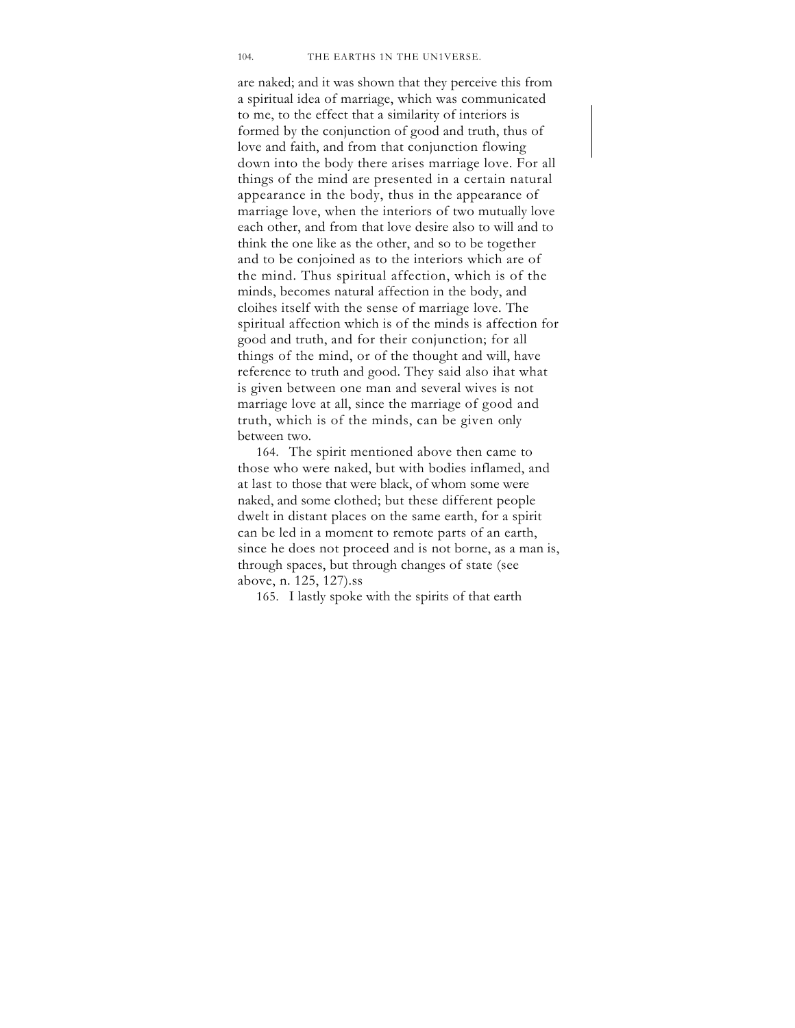are naked; and it was shown that they perceive this from a spiritual idea of marriage, which was communicated to me, to the effect that a similarity of interiors is formed by the conjunction of good and truth, thus of love and faith, and from that conjunction flowing down into the body there arises marriage love. For all things of the mind are presented in a certain natural appearance in the body, thus in the appearance of marriage love, when the interiors of two mutually love each other, and from that love desire also to will and to think the one like as the other, and so to be together and to be conjoined as to the interiors which are of the mind. Thus spiritual affection, which is of the minds, becomes natural affection in the body, and cloihes itself with the sense of marriage love. The spiritual affection which is of the minds is affection for good and truth, and for their conjunction; for all things of the mind, or of the thought and will, have reference to truth and good. They said also ihat what is given between one man and several wives is not marriage love at all, since the marriage of good and truth, which is of the minds, can be given only between two.

164. The spirit mentioned above then came to those who were naked, but with bodies inflamed, and at last to those that were black, of whom some were naked, and some clothed; but these different people dwelt in distant places on the same earth, for a spirit can be led in a moment to remote parts of an earth, since he does not proceed and is not borne, as a man is, through spaces, but through changes of state (see above, n. 125, 127).ss

165. I lastly spoke with the spirits of that earth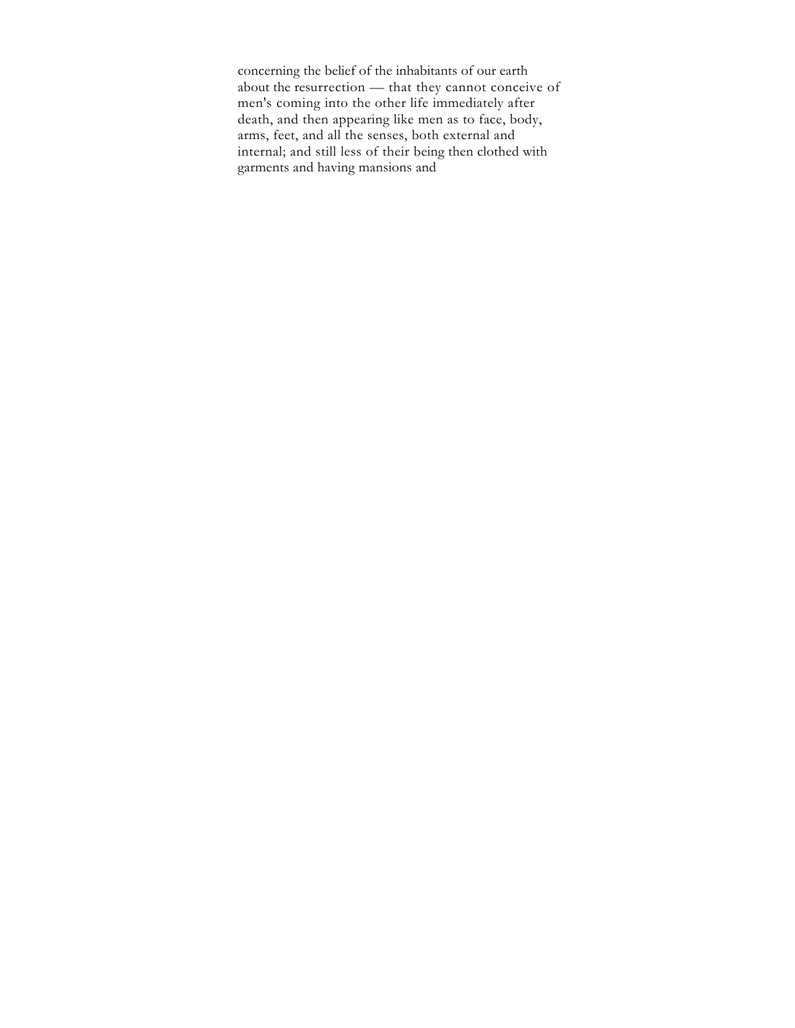concerning the belief of the inhabitants of our earth about the resurrection — that they cannot conceive of men's coming into the other life immediately after death, and then appearing like men as to face, body, arms, feet, and all the senses, both external and internal; and still less of their being then clothed with garments and having mansions and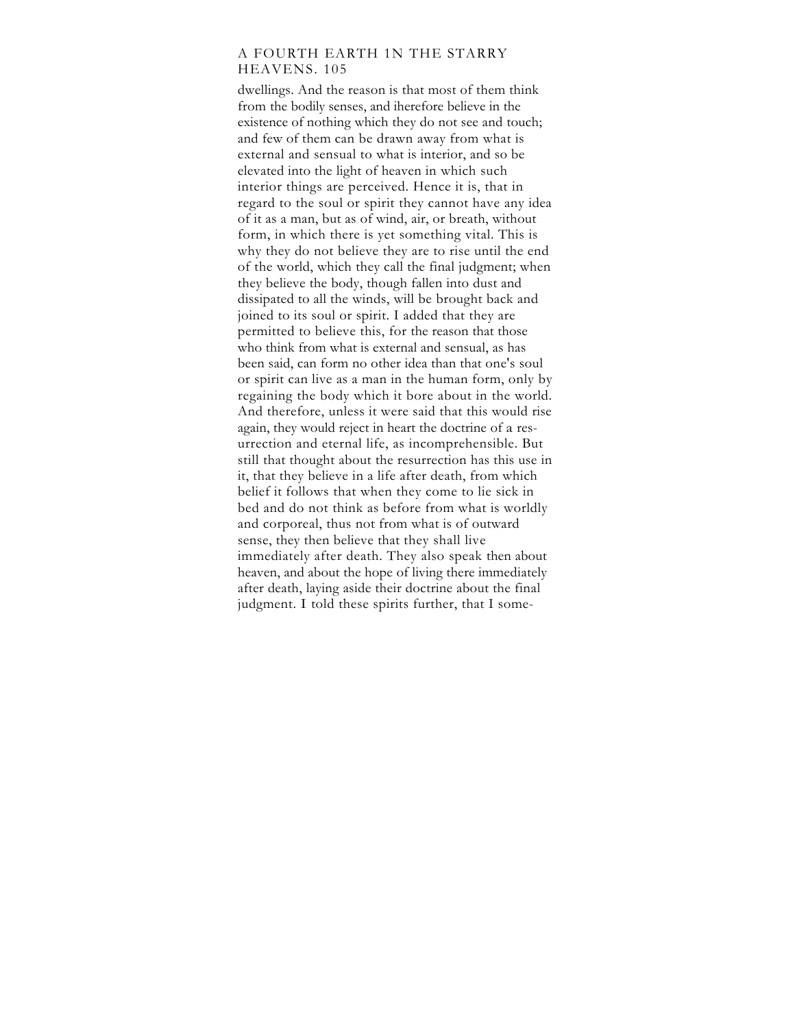# A FOURTH EARTH 1N THE STARRY HEAVENS. 105

dwellings. And the reason is that most of them think from the bodily senses, and iherefore believe in the existence of nothing which they do not see and touch; and few of them can be drawn away from what is external and sensual to what is interior, and so be elevated into the light of heaven in which such interior things are perceived. Hence it is, that in regard to the soul or spirit they cannot have any idea of it as a man, but as of wind, air, or breath, without form, in which there is yet something vital. This is why they do not believe they are to rise until the end of the world, which they call the final judgment; when they believe the body, though fallen into dust and dissipated to all the winds, will be brought back and joined to its soul or spirit. I added that they are permitted to believe this, for the reason that those who think from what is external and sensual, as has been said, can form no other idea than that one's soul or spirit can live as a man in the human form, only by regaining the body which it bore about in the world. And therefore, unless it were said that this would rise again, they would reject in heart the doctrine of a resurrection and eternal life, as incomprehensible. But still that thought about the resurrection has this use in it, that they believe in a life after death, from which belief it follows that when they come to lie sick in bed and do not think as before from what is worldly and corporeal, thus not from what is of outward sense, they then believe that they shall live immediately after death. They also speak then about heaven, and about the hope of living there immediately after death, laying aside their doctrine about the final judgment. I told these spirits further, that I some-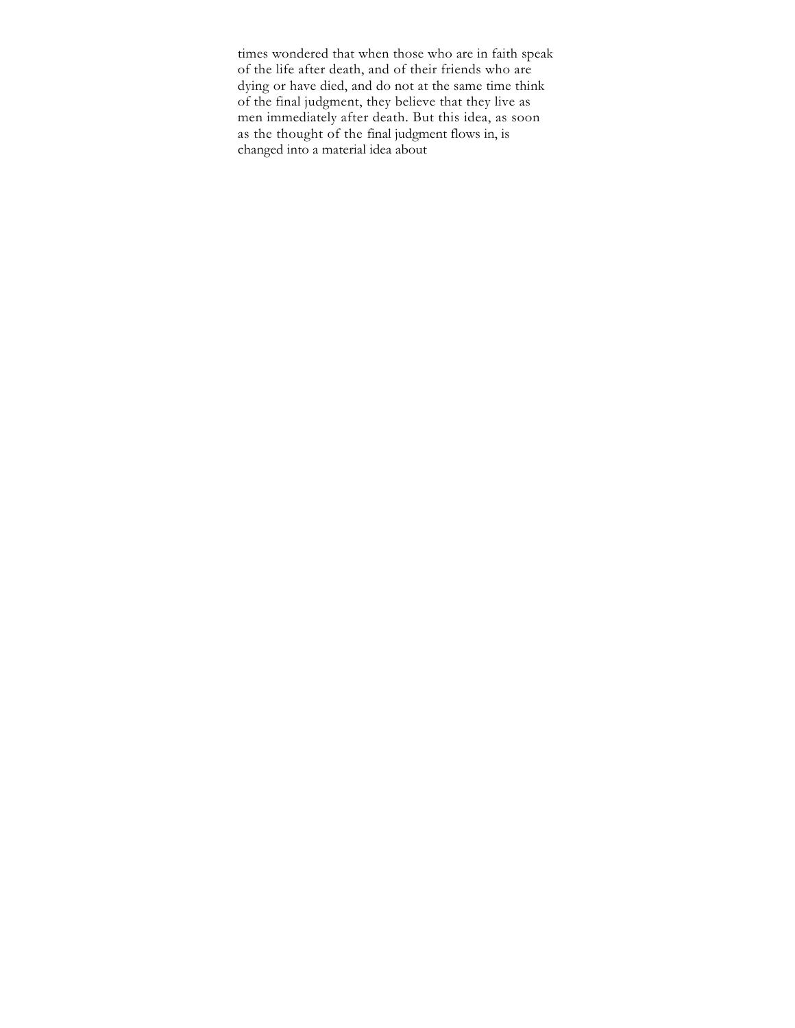times wondered that when those who are in faith speak of the life after death, and of their friends who are dying or have died, and do not at the same time think of the final judgment, they believe that they live as men immediately after death. But this idea, as soon as the thought of the final judgment flows in, is changed into a material idea about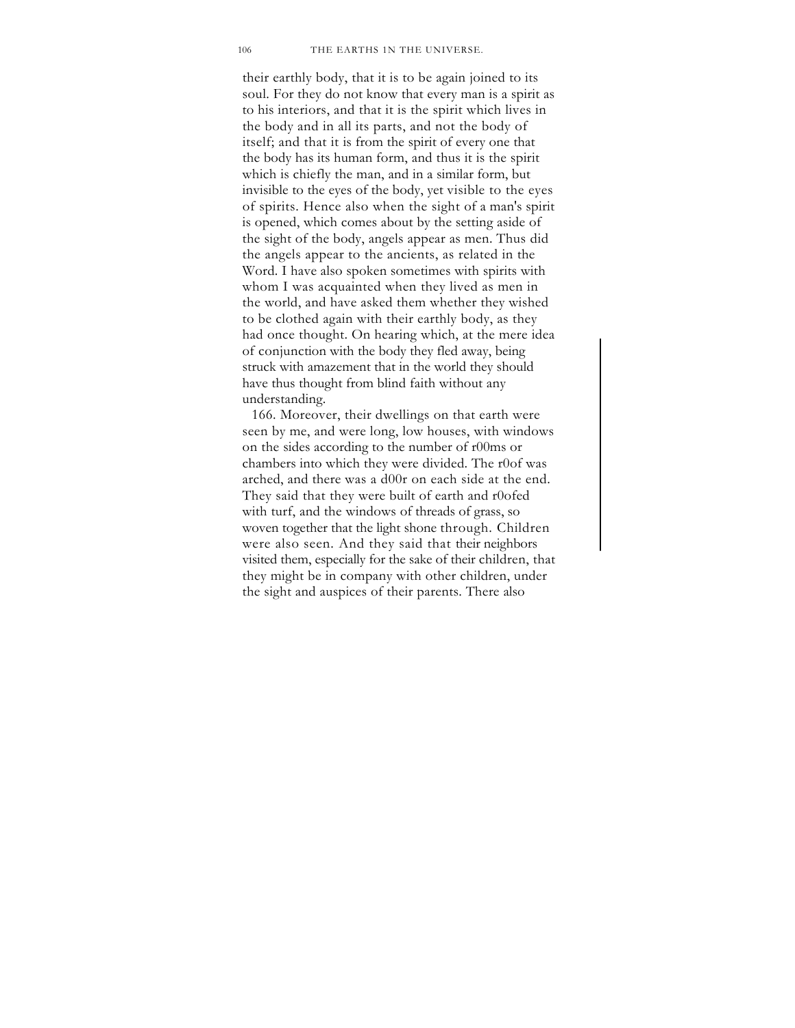their earthly body, that it is to be again joined to its soul. For they do not know that every man is a spirit as to his interiors, and that it is the spirit which lives in the body and in all its parts, and not the body of itself; and that it is from the spirit of every one that the body has its human form, and thus it is the spirit which is chiefly the man, and in a similar form, but invisible to the eyes of the body, yet visible to the eyes of spirits. Hence also when the sight of a man's spirit is opened, which comes about by the setting aside of the sight of the body, angels appear as men. Thus did the angels appear to the ancients, as related in the Word. I have also spoken sometimes with spirits with whom I was acquainted when they lived as men in the world, and have asked them whether they wished to be clothed again with their earthly body, as they had once thought. On hearing which, at the mere idea of conjunction with the body they fled away, being struck with amazement that in the world they should have thus thought from blind faith without any understanding.

166. Moreover, their dwellings on that earth were seen by me, and were long, low houses, with windows on the sides according to the number of r00ms or chambers into which they were divided. The r0of was arched, and there was a d00r on each side at the end. They said that they were built of earth and r0ofed with turf, and the windows of threads of grass, so woven together that the light shone through. Children were also seen. And they said that their neighbors visited them, especially for the sake of their children, that they might be in company with other children, under the sight and auspices of their parents. There also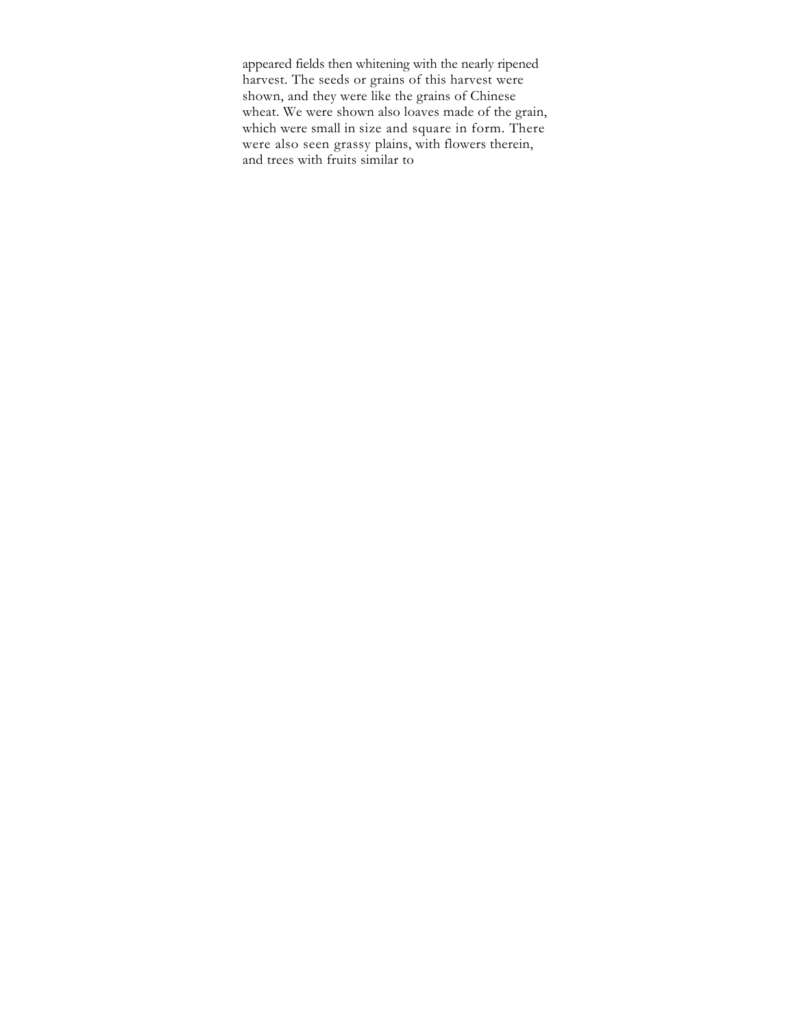appeared fields then whitening with the nearly ripened harvest. The seeds or grains of this harvest were shown, and they were like the grains of Chinese wheat. We were shown also loaves made of the grain, which were small in size and square in form. There were also seen grassy plains, with flowers therein, and trees with fruits similar to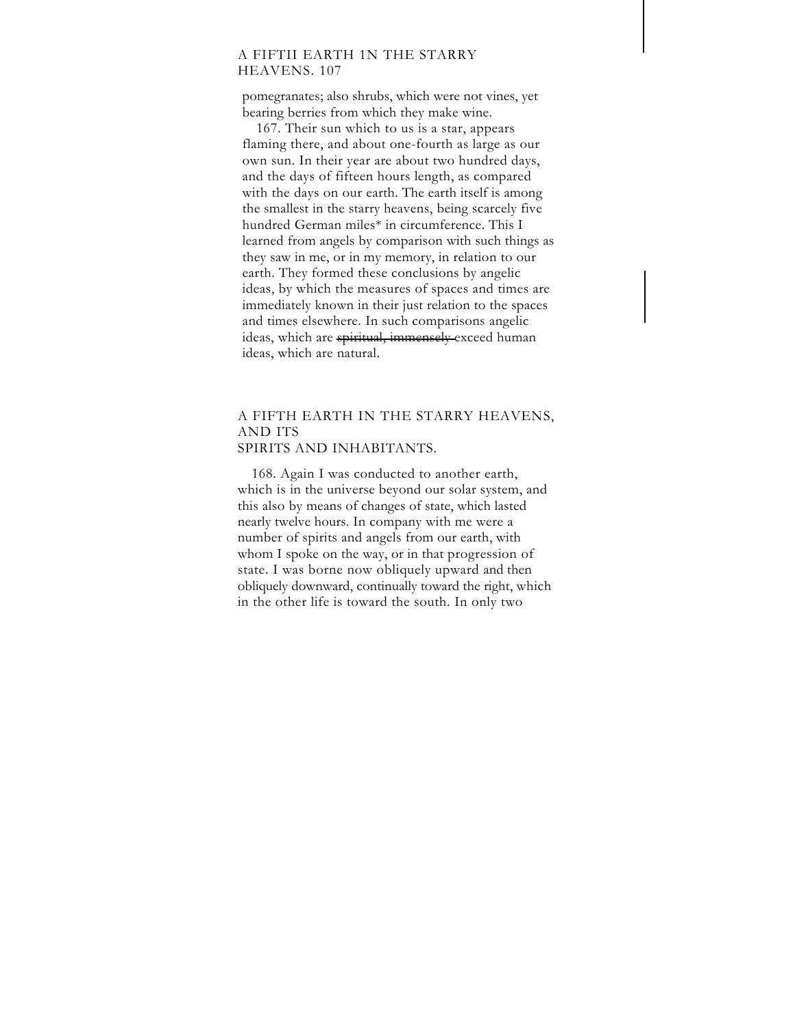### A FIFTII EARTH 1N THE STARRY HEAVENS. 107

pomegranates; also shrubs, which were not vines, yet bearing berries from which they make wine.

167. Their sun which to us is a star, appears flaming there, and about one-fourth as large as our own sun. In their year are about two hundred days, and the days of fifteen hours length, as compared with the days on our earth. The earth itself is among the smallest in the starry heavens, being scarcely five hundred German miles\* in circumference. This I learned from angels by comparison with such things as they saw in me, or in my memory, in relation to our earth. They formed these conclusions by angelic ideas, by which the measures of spaces and times are immediately known in their just relation to the spaces and times elsewhere. In such comparisons angelic ideas, which are spiritual, immensely exceed human ideas, which are natural.

### A FIFTH EARTH IN THE STARRY HEAVENS, AND ITS SPIRITS AND INHABITANTS.

168. Again I was conducted to another earth, which is in the universe beyond our solar system, and this also by means of changes of state, which lasted nearly twelve hours. In company with me were a number of spirits and angels from our earth, with whom I spoke on the way, or in that progression of state. I was borne now obliquely upward and then obliquely downward, continually toward the right, which in the other life is toward the south. In only two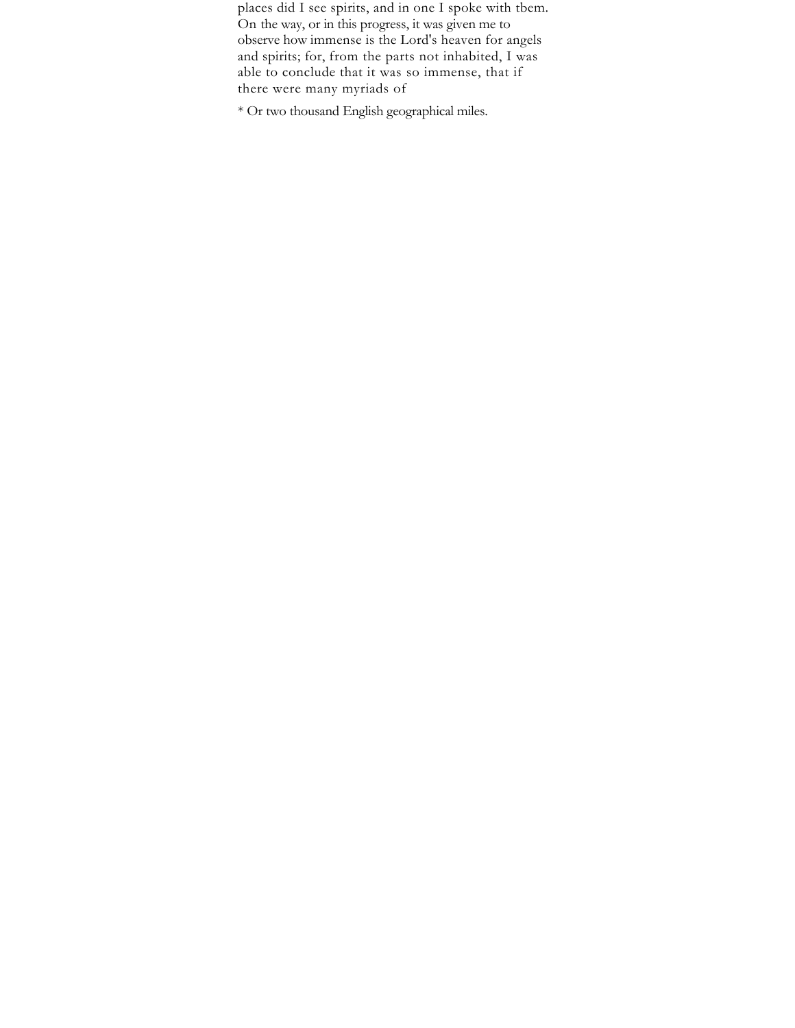places did I see spirits, and in one I spoke with tbem. On the way, or in this progress, it was given me to observe how immense is the Lord's heaven for angels and spirits; for, from the parts not inhabited, I was able to conclude that it was so immense, that if there were many myriads of

\* Or two thousand English geographical miles.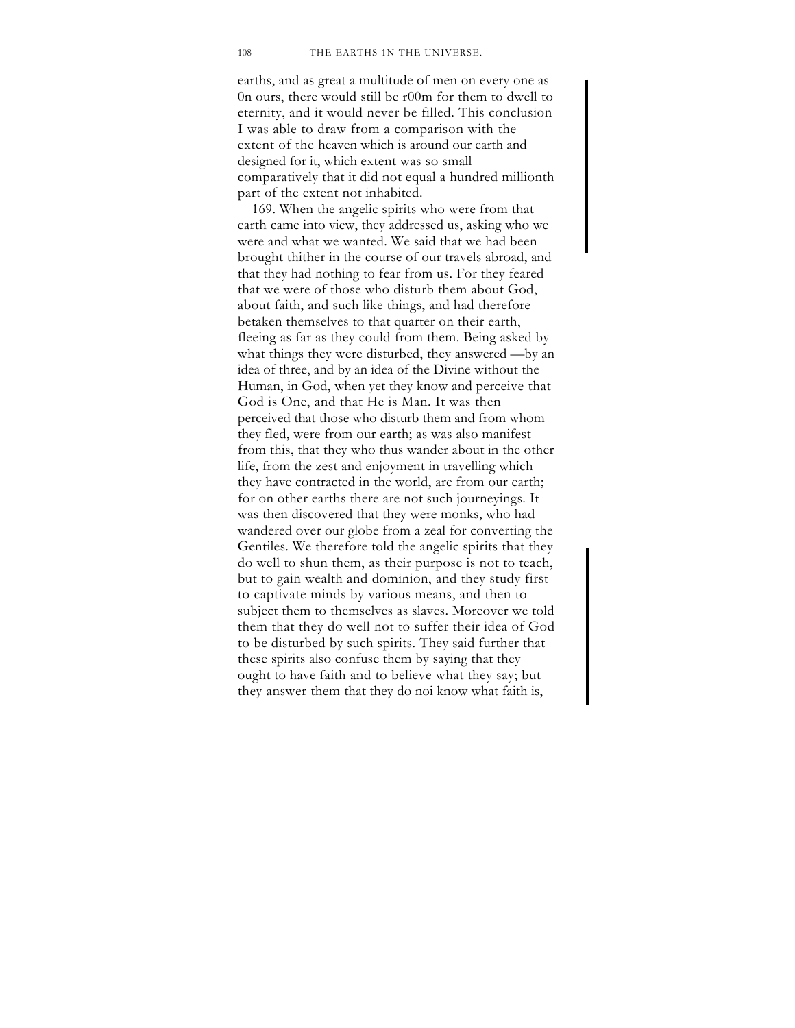earths, and as great a multitude of men on every one as 0n ours, there would still be r00m for them to dwell to eternity, and it would never be filled. This conclusion I was able to draw from a comparison with the extent of the heaven which is around our earth and designed for it, which extent was so small comparatively that it did not equal a hundred millionth part of the extent not inhabited.

169. When the angelic spirits who were from that earth came into view, they addressed us, asking who we were and what we wanted. We said that we had been brought thither in the course of our travels abroad, and that they had nothing to fear from us. For they feared that we were of those who disturb them about God, about faith, and such like things, and had therefore betaken themselves to that quarter on their earth, fleeing as far as they could from them. Being asked by what things they were disturbed, they answered —by an idea of three, and by an idea of the Divine without the Human, in God, when yet they know and perceive that God is One, and that He is Man. It was then perceived that those who disturb them and from whom they fled, were from our earth; as was also manifest from this, that they who thus wander about in the other life, from the zest and enjoyment in travelling which they have contracted in the world, are from our earth; for on other earths there are not such journeyings. It was then discovered that they were monks, who had wandered over our globe from a zeal for converting the Gentiles. We therefore told the angelic spirits that they do well to shun them, as their purpose is not to teach, but to gain wealth and dominion, and they study first to captivate minds by various means, and then to subject them to themselves as slaves. Moreover we told them that they do well not to suffer their idea of God to be disturbed by such spirits. They said further that these spirits also confuse them by saying that they ought to have faith and to believe what they say; but they answer them that they do noi know what faith is,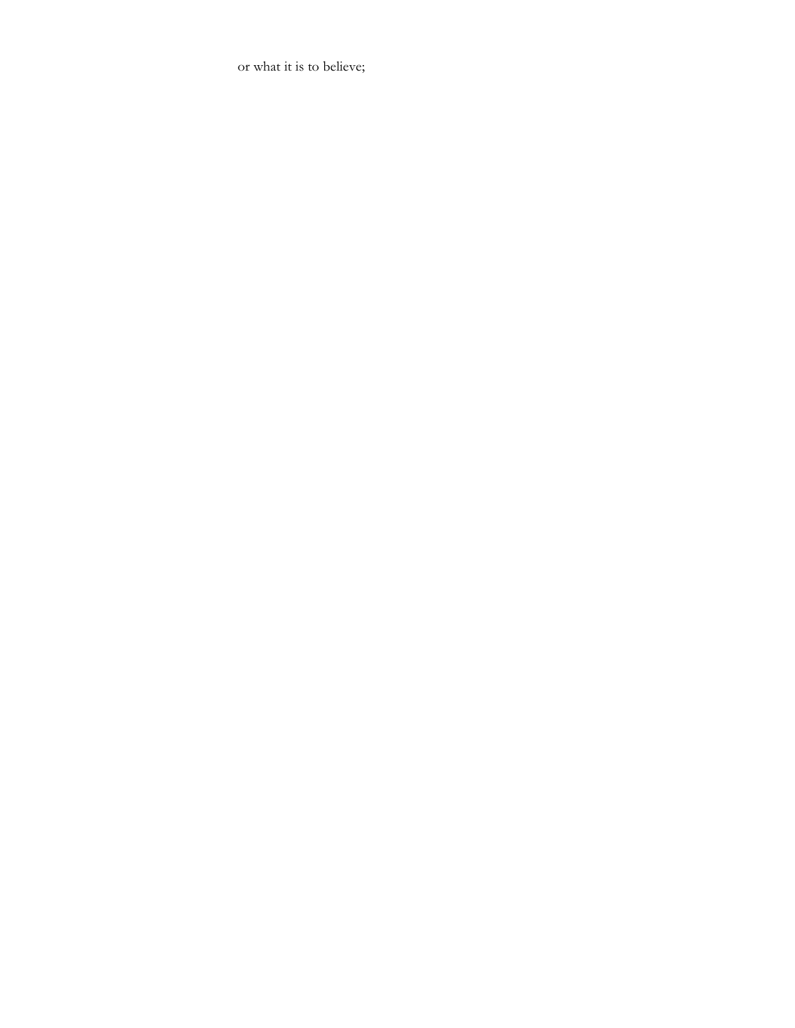or what it is to believe;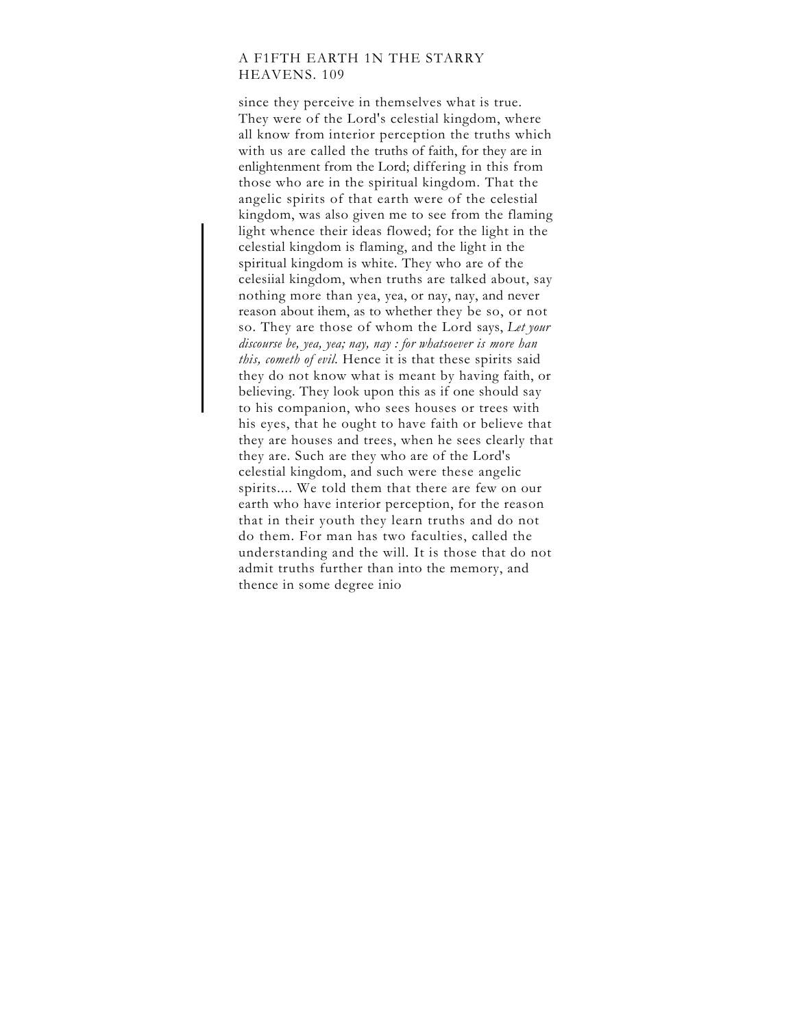## A F1FTH EARTH 1N THE STARRY HEAVENS. 109

since they perceive in themselves what is true. They were of the Lord's celestial kingdom, where all know from interior perception the truths which with us are called the truths of faith, for they are in enlightenment from the Lord; differing in this from those who are in the spiritual kingdom. That the angelic spirits of that earth were of the celestial kingdom, was also given me to see from the flaming light whence their ideas flowed; for the light in the celestial kingdom is flaming, and the light in the spiritual kingdom is white. They who are of the celesiial kingdom, when truths are talked about, say nothing more than yea, yea, or nay, nay, and never reason about ihem, as to whether they be so, or not so. They are those of whom the Lord says, *Let your discourse be, yea, yea; nay, nay : for whatsoever is more han this, cometh of evil.* Hence it is that these spirits said they do not know what is meant by having faith, or believing. They look upon this as if one should say to his companion, who sees houses or trees with his eyes, that he ought to have faith or believe that they are houses and trees, when he sees clearly that they are. Such are they who are of the Lord's celestial kingdom, and such were these angelic spirits.... We told them that there are few on our earth who have interior perception, for the reason that in their youth they learn truths and do not do them. For man has two faculties, called the understanding and the will. It is those that do not admit truths further than into the memory, and thence in some degree inio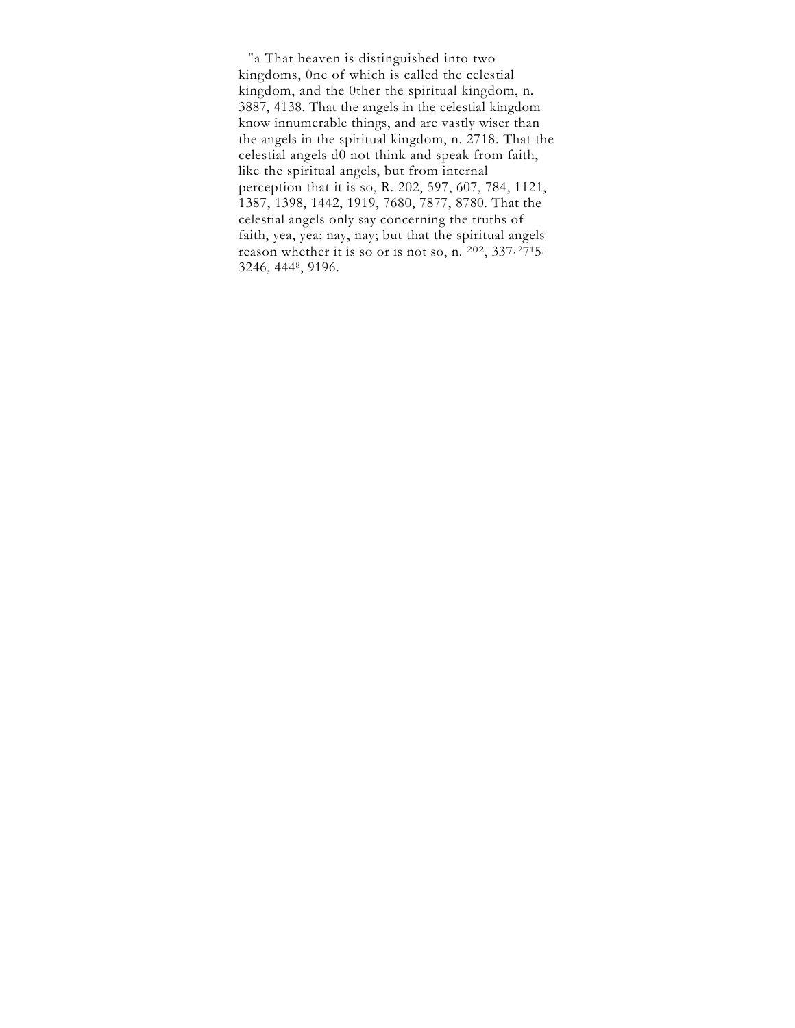"a That heaven is distinguished into two kingdoms, 0ne of which is called the celestial kingdom, and the 0ther the spiritual kingdom, n. 3887, 4138. That the angels in the celestial kingdom know innumerable things, and are vastly wiser than the angels in the spiritual kingdom, n. 2718. That the celestial angels d0 not think and speak from faith, like the spiritual angels, but from internal perception that it is so, R. 202, 597, 607, 784, 1121, 1387, 1398, 1442, 1919, 7680, 7877, 8780. That the celestial angels only say concerning the truths of faith, yea, yea; nay, nay; but that the spiritual angels reason whether it is so or is not so, n. 202, 337, 2715, 3246, 4448, 9196.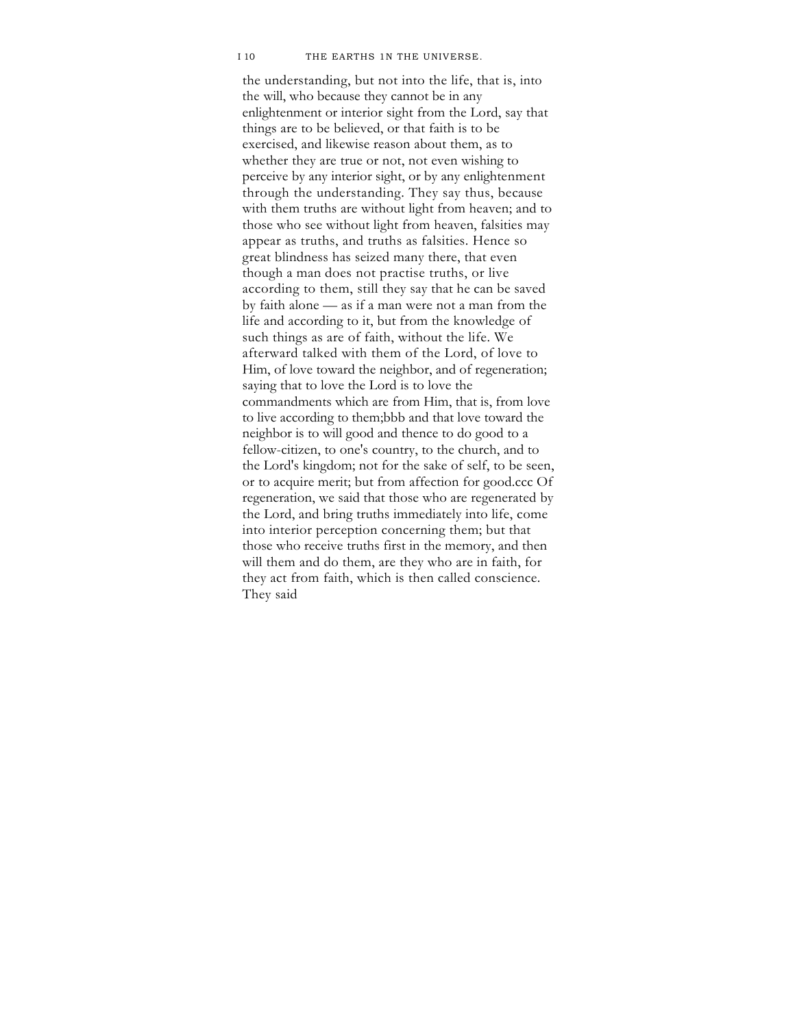### I 10 THE EARTHS 1N THE UNIVERSE.

the understanding, but not into the life, that is, into the will, who because they cannot be in any enlightenment or interior sight from the Lord, say that things are to be believed, or that faith is to be exercised, and likewise reason about them, as to whether they are true or not, not even wishing to perceive by any interior sight, or by any enlightenment through the understanding. They say thus, because with them truths are without light from heaven; and to those who see without light from heaven, falsities may appear as truths, and truths as falsities. Hence so great blindness has seized many there, that even though a man does not practise truths, or live according to them, still they say that he can be saved by faith alone — as if a man were not a man from the life and according to it, but from the knowledge of such things as are of faith, without the life. We afterward talked with them of the Lord, of love to Him, of love toward the neighbor, and of regeneration; saying that to love the Lord is to love the commandments which are from Him, that is, from love to live according to them;bbb and that love toward the neighbor is to will good and thence to do good to a fellow-citizen, to one's country, to the church, and to the Lord's kingdom; not for the sake of self, to be seen, or to acquire merit; but from affection for good.ccc Of regeneration, we said that those who are regenerated by the Lord, and bring truths immediately into life, come into interior perception concerning them; but that those who receive truths first in the memory, and then will them and do them, are they who are in faith, for they act from faith, which is then called conscience. They said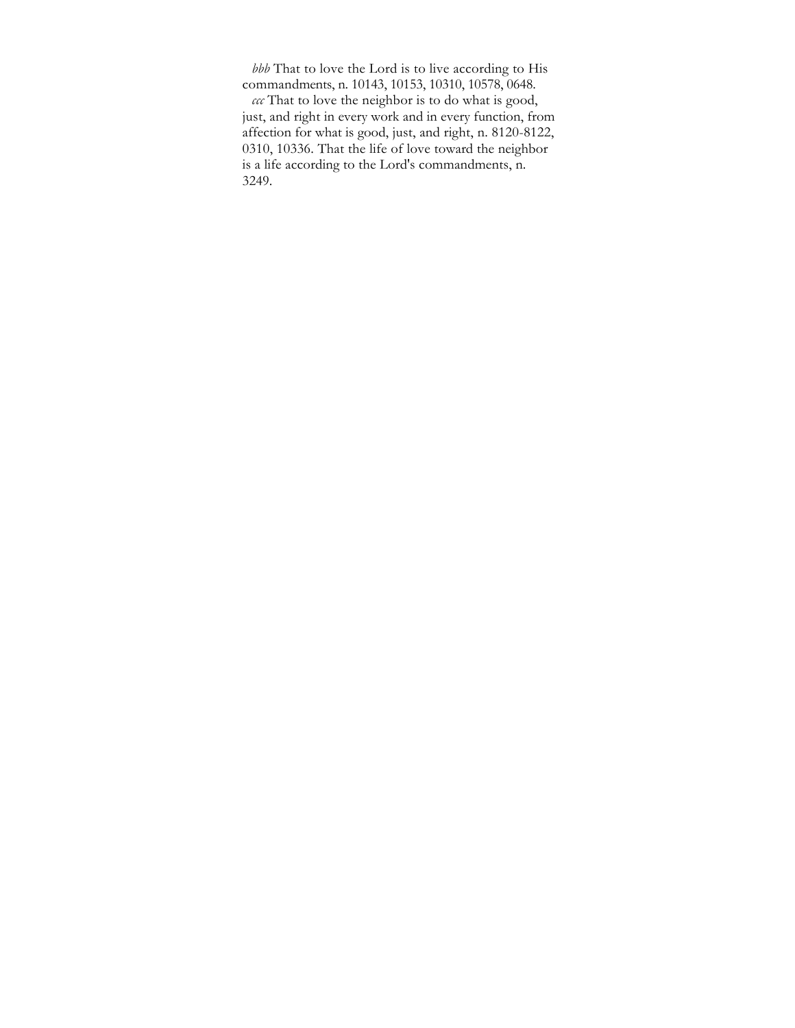*bbb* That to love the Lord is to live according to His commandments, n. 10143, 10153, 10310, 10578, 0648.

*ccc* That to love the neighbor is to do what is good, just, and right in every work and in every function, from affection for what is good, just, and right, n. 8120-8122, 0310, 10336. That the life of love toward the neighbor is a life according to the Lord's commandments, n. 3249.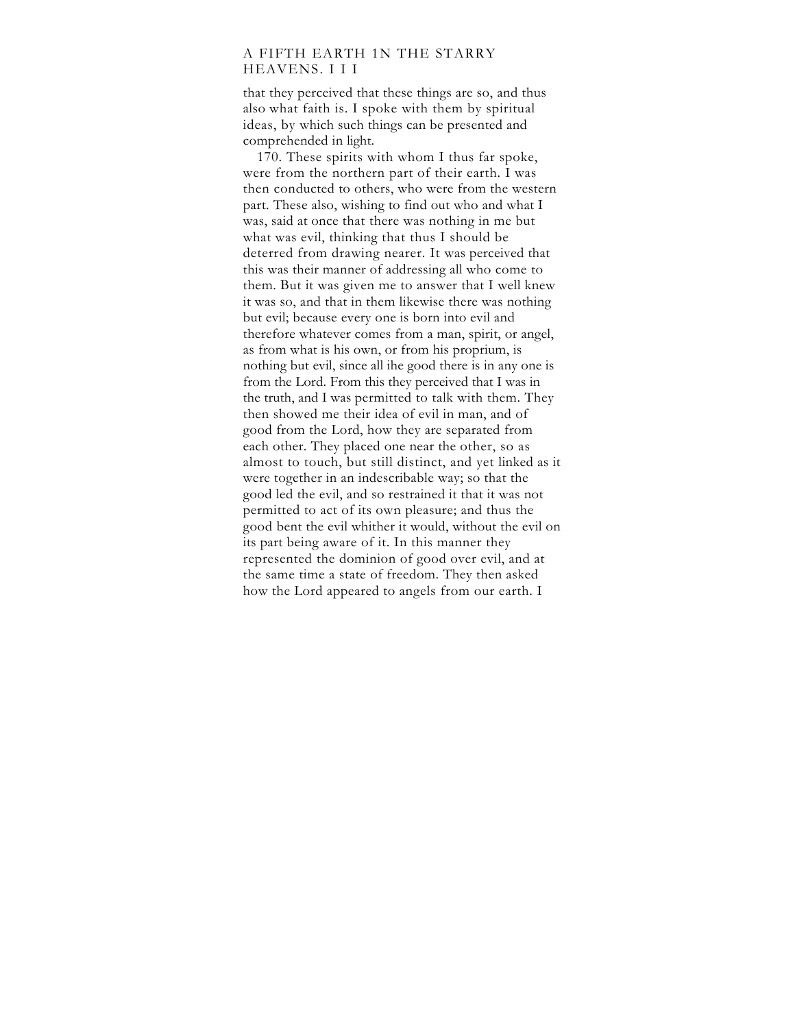# A FIFTH EARTH 1N THE STARRY HEAVENS. I I I

that they perceived that these things are so, and thus also what faith is. I spoke with them by spiritual ideas, by which such things can be presented and comprehended in light.

170. These spirits with whom I thus far spoke, were from the northern part of their earth. I was then conducted to others, who were from the western part. These also, wishing to find out who and what I was, said at once that there was nothing in me but what was evil, thinking that thus I should be deterred from drawing nearer. It was perceived that this was their manner of addressing all who come to them. But it was given me to answer that I well knew it was so, and that in them likewise there was nothing but evil; because every one is born into evil and therefore whatever comes from a man, spirit, or angel, as from what is his own, or from his proprium, is nothing but evil, since all ihe good there is in any one is from the Lord. From this they perceived that I was in the truth, and I was permitted to talk with them. They then showed me their idea of evil in man, and of good from the Lord, how they are separated from each other. They placed one near the other, so as almost to touch, but still distinct, and yet linked as it were together in an indescribable way; so that the good led the evil, and so restrained it that it was not permitted to act of its own pleasure; and thus the good bent the evil whither it would, without the evil on its part being aware of it. In this manner they represented the dominion of good over evil, and at the same time a state of freedom. They then asked how the Lord appeared to angels from our earth. I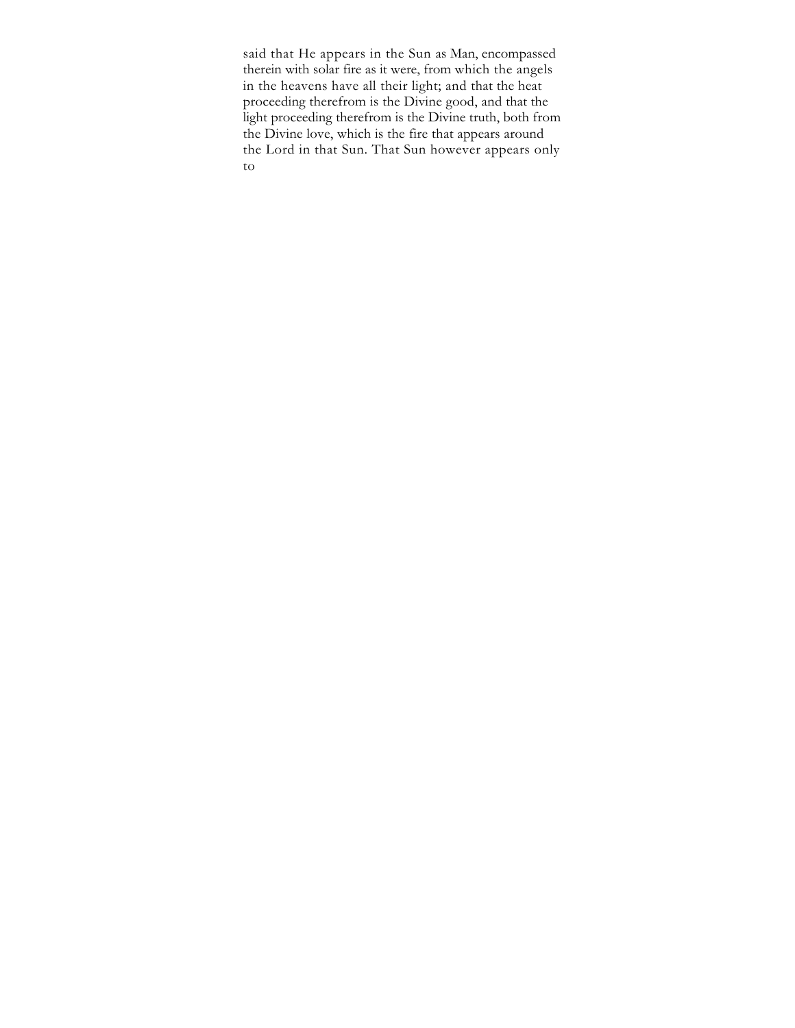said that He appears in the Sun as Man, encompassed therein with solar fire as it were, from which the angels in the heavens have all their light; and that the heat proceeding therefrom is the Divine good, and that the light proceeding therefrom is the Divine truth, both from the Divine love, which is the fire that appears around the Lord in that Sun. That Sun however appears only to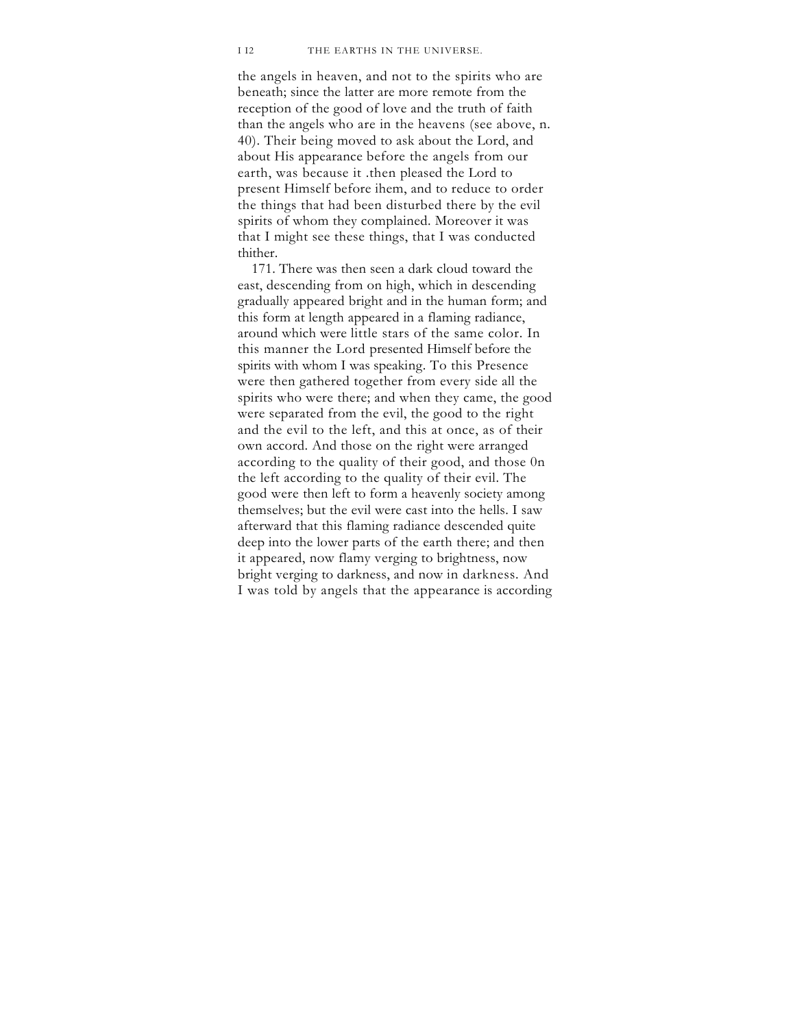### I I2 THE EARTHS IN THE UNIVERSE.

the angels in heaven, and not to the spirits who are beneath; since the latter are more remote from the reception of the good of love and the truth of faith than the angels who are in the heavens (see above, n. 40). Their being moved to ask about the Lord, and about His appearance before the angels from our earth, was because it .then pleased the Lord to present Himself before ihem, and to reduce to order the things that had been disturbed there by the evil spirits of whom they complained. Moreover it was that I might see these things, that I was conducted thither.

171. There was then seen a dark cloud toward the east, descending from on high, which in descending gradually appeared bright and in the human form; and this form at length appeared in a flaming radiance, around which were little stars of the same color. In this manner the Lord presented Himself before the spirits with whom I was speaking. To this Presence were then gathered together from every side all the spirits who were there; and when they came, the good were separated from the evil, the good to the right and the evil to the left, and this at once, as of their own accord. And those on the right were arranged according to the quality of their good, and those 0n the left according to the quality of their evil. The good were then left to form a heavenly society among themselves; but the evil were cast into the hells. I saw afterward that this flaming radiance descended quite deep into the lower parts of the earth there; and then it appeared, now flamy verging to brightness, now bright verging to darkness, and now in darkness. And I was told by angels that the appearance is according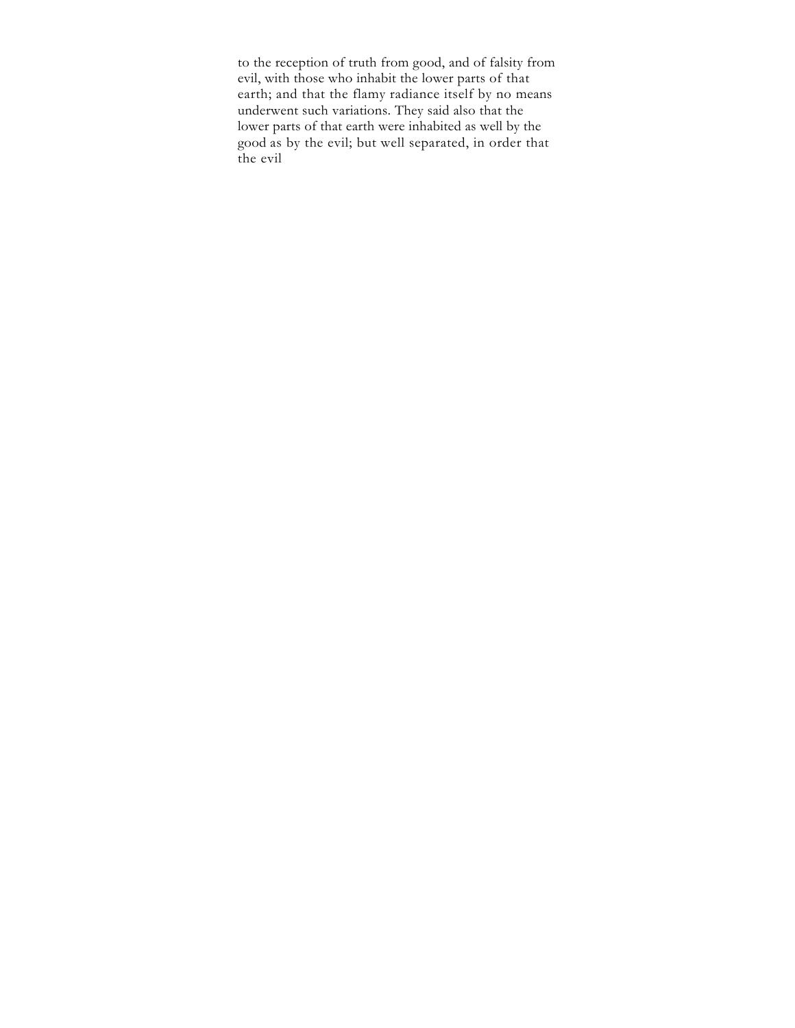to the reception of truth from good, and of falsity from evil, with those who inhabit the lower parts of that earth; and that the flamy radiance itself by no means underwent such variations. They said also that the lower parts of that earth were inhabited as well by the good as by the evil; but well separated, in order that the evil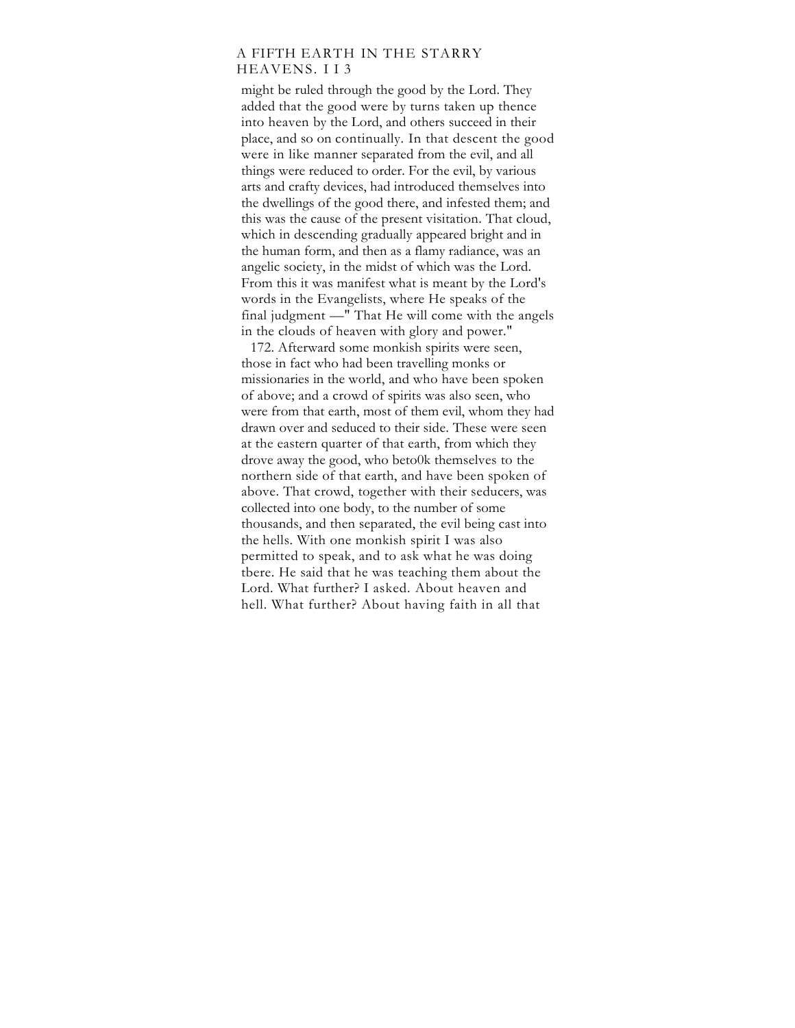# A FIFTH EARTH IN THE STARRY HEAVENS. I I 3

might be ruled through the good by the Lord. They added that the good were by turns taken up thence into heaven by the Lord, and others succeed in their place, and so on continually. In that descent the good were in like manner separated from the evil, and all things were reduced to order. For the evil, by various arts and crafty devices, had introduced themselves into the dwellings of the good there, and infested them; and this was the cause of the present visitation. That cloud, which in descending gradually appeared bright and in the human form, and then as a flamy radiance, was an angelic society, in the midst of which was the Lord. From this it was manifest what is meant by the Lord's words in the Evangelists, where He speaks of the final judgment —" That He will come with the angels in the clouds of heaven with glory and power."

172. Afterward some monkish spirits were seen, those in fact who had been travelling monks or missionaries in the world, and who have been spoken of above; and a crowd of spirits was also seen, who were from that earth, most of them evil, whom they had drawn over and seduced to their side. These were seen at the eastern quarter of that earth, from which they drove away the good, who beto0k themselves to the northern side of that earth, and have been spoken of above. That crowd, together with their seducers, was collected into one body, to the number of some thousands, and then separated, the evil being cast into the hells. With one monkish spirit I was also permitted to speak, and to ask what he was doing tbere. He said that he was teaching them about the Lord. What further? I asked. About heaven and hell. What further? About having faith in all that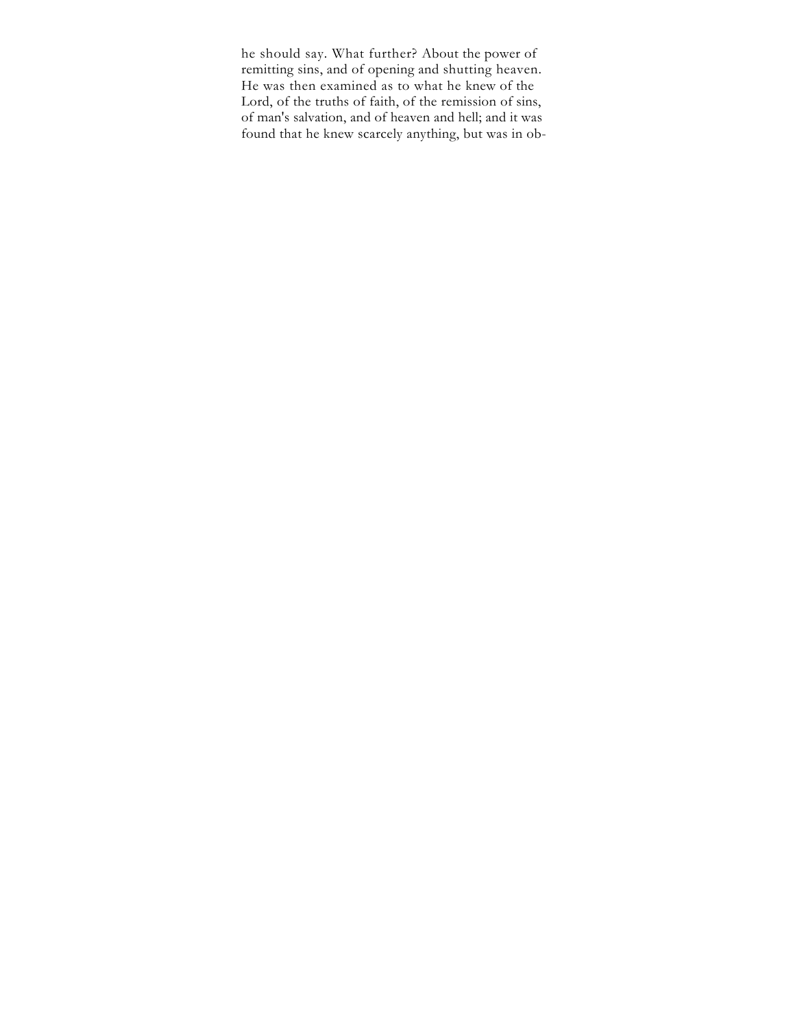he should say. What further? About the power of remitting sins, and of opening and shutting heaven. He was then examined as to what he knew of the Lord, of the truths of faith, of the remission of sins, of man's salvation, and of heaven and hell; and it was found that he knew scarcely anything, but was in ob-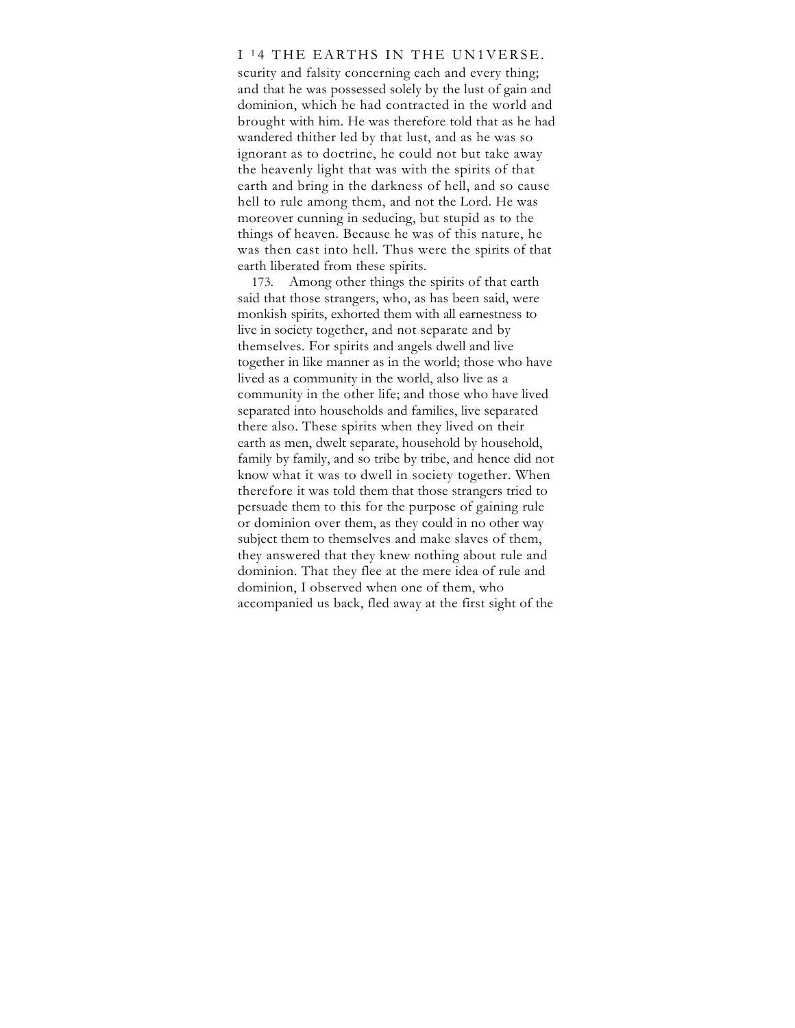#### I 1 4 THE EARTHS IN THE UN1VERSE.

scurity and falsity concerning each and every thing; and that he was possessed solely by the lust of gain and dominion, which he had contracted in the world and brought with him. He was therefore told that as he had wandered thither led by that lust, and as he was so ignorant as to doctrine, he could not but take away the heavenly light that was with the spirits of that earth and bring in the darkness of hell, and so cause hell to rule among them, and not the Lord. He was moreover cunning in seducing, but stupid as to the things of heaven. Because he was of this nature, he was then cast into hell. Thus were the spirits of that earth liberated from these spirits.

173. Among other things the spirits of that earth said that those strangers, who, as has been said, were monkish spirits, exhorted them with all earnestness to live in society together, and not separate and by themselves. For spirits and angels dwell and live together in like manner as in the world; those who have lived as a community in the world, also live as a community in the other life; and those who have lived separated into households and families, live separated there also. These spirits when they lived on their earth as men, dwelt separate, household by household, family by family, and so tribe by tribe, and hence did not know what it was to dwell in society together. When therefore it was told them that those strangers tried to persuade them to this for the purpose of gaining rule or dominion over them, as they could in no other way subject them to themselves and make slaves of them, they answered that they knew nothing about rule and dominion. That they flee at the mere idea of rule and dominion, I observed when one of them, who accompanied us back, fled away at the first sight of the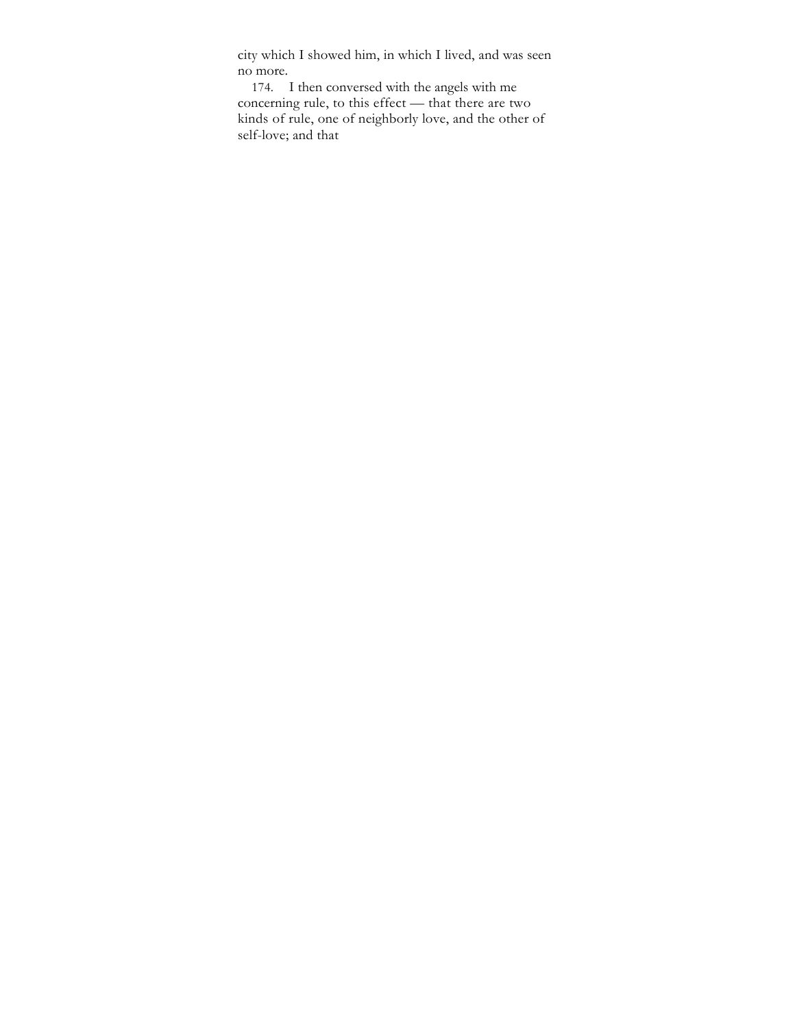city which I showed him, in which I lived, and was seen no more.

174. I then conversed with the angels with me concerning rule, to this effect — that there are two kinds of rule, one of neighborly love, and the other of self-love; and that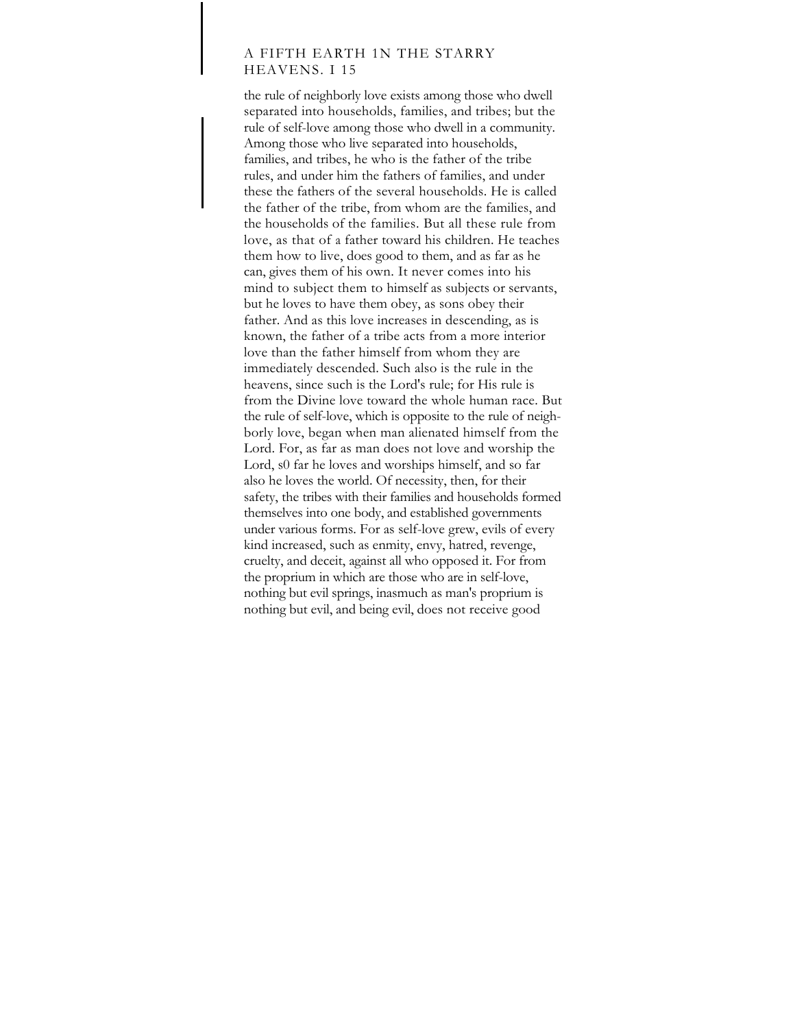## A FIFTH EARTH 1N THE STARRY HEAVENS. I 15

the rule of neighborly love exists among those who dwell separated into households, families, and tribes; but the rule of self-love among those who dwell in a community. Among those who live separated into households, families, and tribes, he who is the father of the tribe rules, and under him the fathers of families, and under these the fathers of the several households. He is called the father of the tribe, from whom are the families, and the households of the families. But all these rule from love, as that of a father toward his children. He teaches them how to live, does good to them, and as far as he can, gives them of his own. It never comes into his mind to subject them to himself as subjects or servants, but he loves to have them obey, as sons obey their father. And as this love increases in descending, as is known, the father of a tribe acts from a more interior love than the father himself from whom they are immediately descended. Such also is the rule in the heavens, since such is the Lord's rule; for His rule is from the Divine love toward the whole human race. But the rule of self-love, which is opposite to the rule of neighborly love, began when man alienated himself from the Lord. For, as far as man does not love and worship the Lord, s0 far he loves and worships himself, and so far also he loves the world. Of necessity, then, for their safety, the tribes with their families and households formed themselves into one body, and established governments under various forms. For as self-love grew, evils of every kind increased, such as enmity, envy, hatred, revenge, cruelty, and deceit, against all who opposed it. For from the proprium in which are those who are in self-love, nothing but evil springs, inasmuch as man's proprium is nothing but evil, and being evil, does not receive good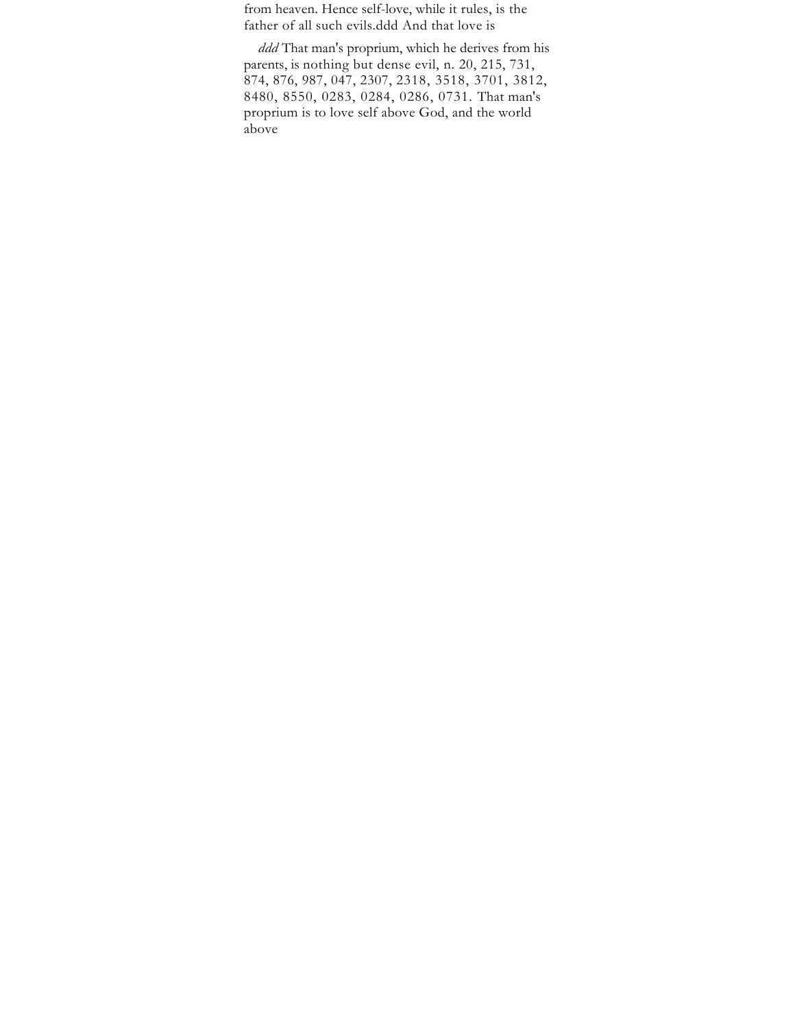from heaven. Hence self-love, while it rules, is the father of all such evils.ddd And that love is

*ddd* That man's proprium, which he derives from his parents, is nothing but dense evil, n. 20, 215, 731, 874, 876, 987, 047, 2307, 2318, 3518, 3701, 3812, 8480, 8550, 0283, 0284, 0286, 0731. That man's proprium is to love self above God, and the world above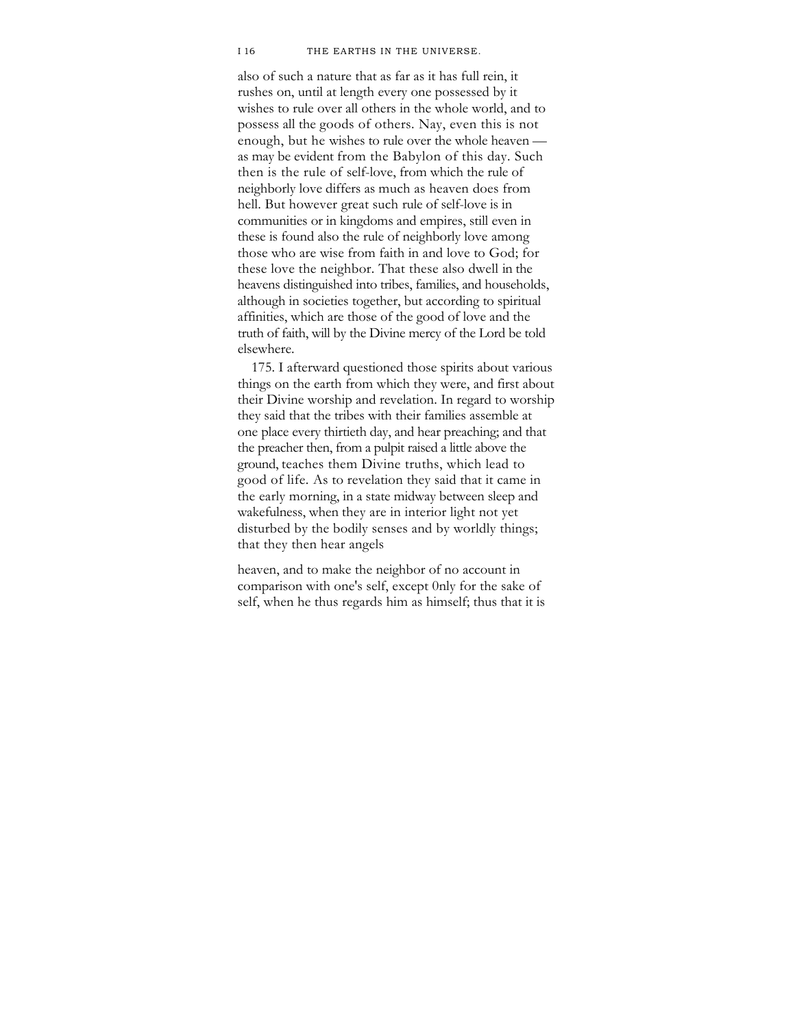#### I 16 THE EARTHS IN THE UNIVERSE.

also of such a nature that as far as it has full rein, it rushes on, until at length every one possessed by it wishes to rule over all others in the whole world, and to possess all the goods of others. Nay, even this is not enough, but he wishes to rule over the whole heaven as may be evident from the Babylon of this day. Such then is the rule of self-love, from which the rule of neighborly love differs as much as heaven does from hell. But however great such rule of self-love is in communities or in kingdoms and empires, still even in these is found also the rule of neighborly love among those who are wise from faith in and love to God; for these love the neighbor. That these also dwell in the heavens distinguished into tribes, families, and households, although in societies together, but according to spiritual affinities, which are those of the good of love and the truth of faith, will by the Divine mercy of the Lord be told elsewhere.

175. I afterward questioned those spirits about various things on the earth from which they were, and first about their Divine worship and revelation. In regard to worship they said that the tribes with their families assemble at one place every thirtieth day, and hear preaching; and that the preacher then, from a pulpit raised a little above the ground, teaches them Divine truths, which lead to good of life. As to revelation they said that it came in the early morning, in a state midway between sleep and wakefulness, when they are in interior light not yet disturbed by the bodily senses and by worldly things; that they then hear angels

heaven, and to make the neighbor of no account in comparison with one's self, except 0nly for the sake of self, when he thus regards him as himself; thus that it is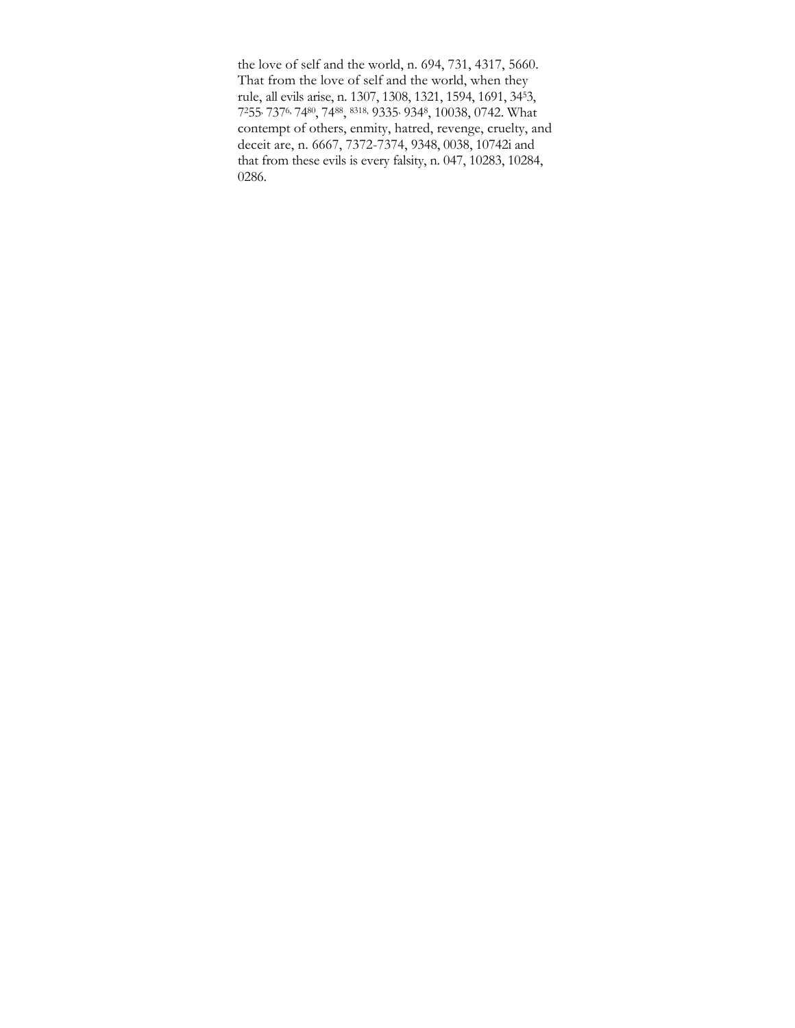the love of self and the world, n. 694, 731, 4317, 5660. That from the love of self and the world, when they rule, all evils arise, n. 1307, 1308, 1321, 1594, 1691, 3453, 7255, 7376, 7480, 7488, 8318, 9335, 9348, 10038, 0742. What contempt of others, enmity, hatred, revenge, cruelty, and deceit are, n. 6667, 7372-7374, 9348, 0038, 10742i and that from these evils is every falsity, n. 047, 10283, 10284, 0286.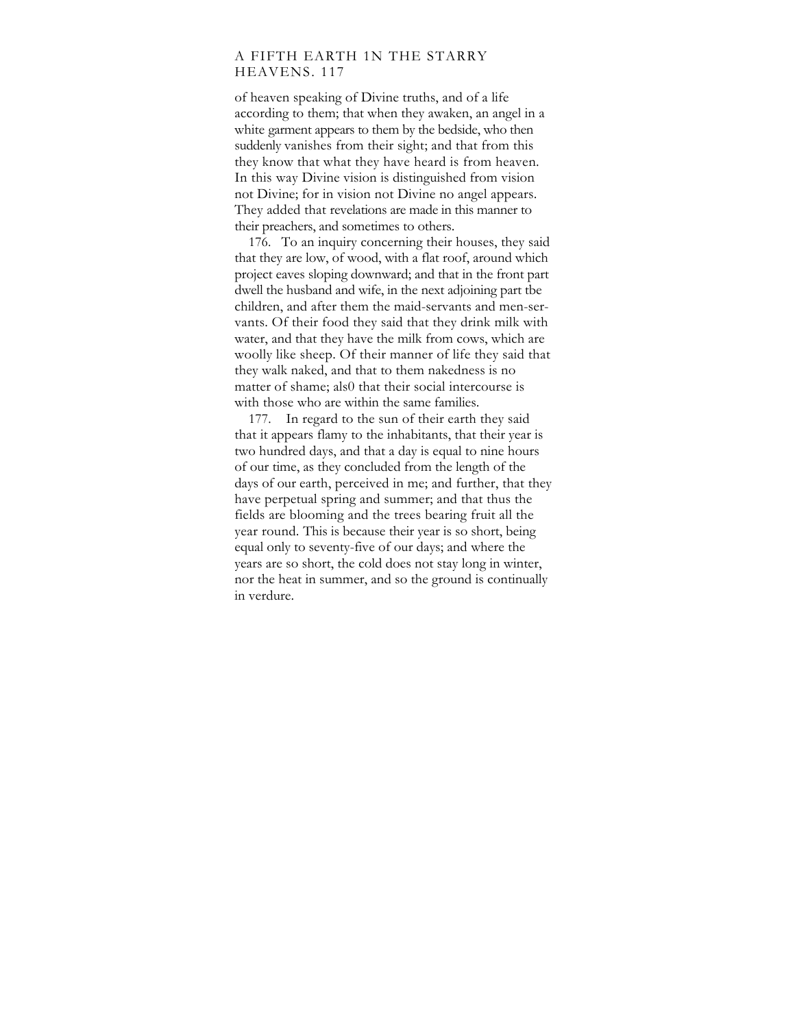## A FIFTH EARTH 1N THE STARRY HEAVENS. 117

of heaven speaking of Divine truths, and of a life according to them; that when they awaken, an angel in a white garment appears to them by the bedside, who then suddenly vanishes from their sight; and that from this they know that what they have heard is from heaven. In this way Divine vision is distinguished from vision not Divine; for in vision not Divine no angel appears. They added that revelations are made in this manner to their preachers, and sometimes to others.

176. To an inquiry concerning their houses, they said that they are low, of wood, with a flat roof, around which project eaves sloping downward; and that in the front part dwell the husband and wife, in the next adjoining part tbe children, and after them the maid-servants and men-servants. Of their food they said that they drink milk with water, and that they have the milk from cows, which are woolly like sheep. Of their manner of life they said that they walk naked, and that to them nakedness is no matter of shame; als0 that their social intercourse is with those who are within the same families.

177. In regard to the sun of their earth they said that it appears flamy to the inhabitants, that their year is two hundred days, and that a day is equal to nine hours of our time, as they concluded from the length of the days of our earth, perceived in me; and further, that they have perpetual spring and summer; and that thus the fields are blooming and the trees bearing fruit all the year round. This is because their year is so short, being equal only to seventy-five of our days; and where the years are so short, the cold does not stay long in winter, nor the heat in summer, and so the ground is continually in verdure.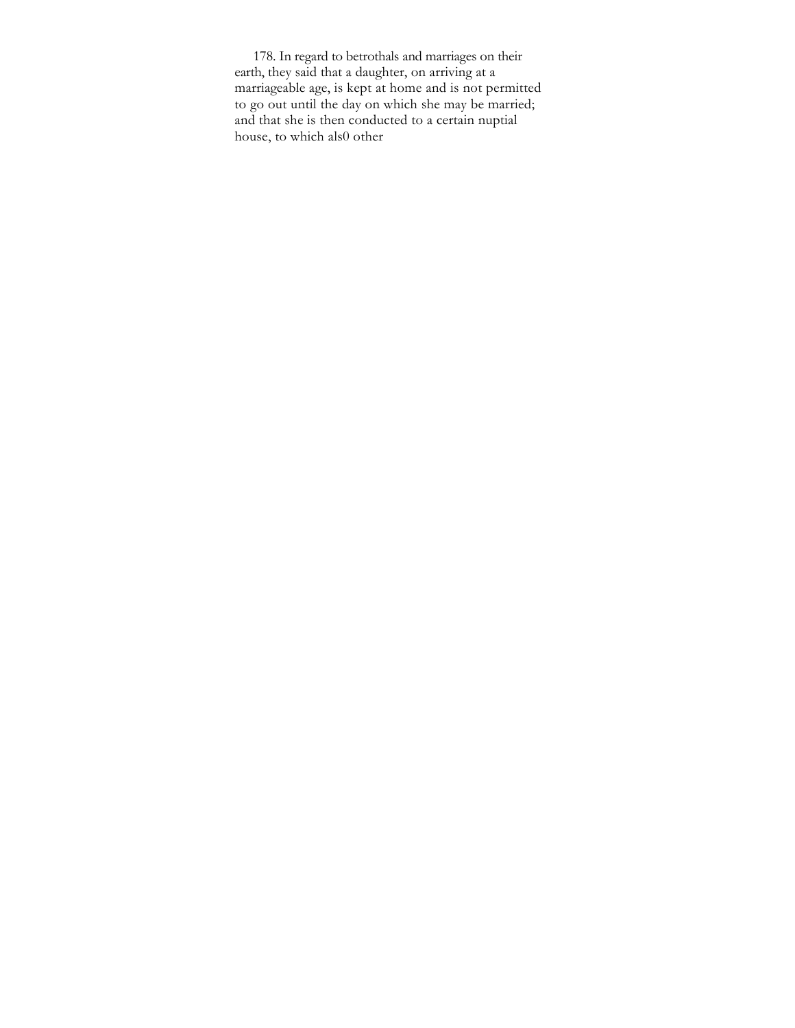178. In regard to betrothals and marriages on their earth, they said that a daughter, on arriving at a marriageable age, is kept at home and is not permitted to go out until the day on which she may be married; and that she is then conducted to a certain nuptial house, to which als0 other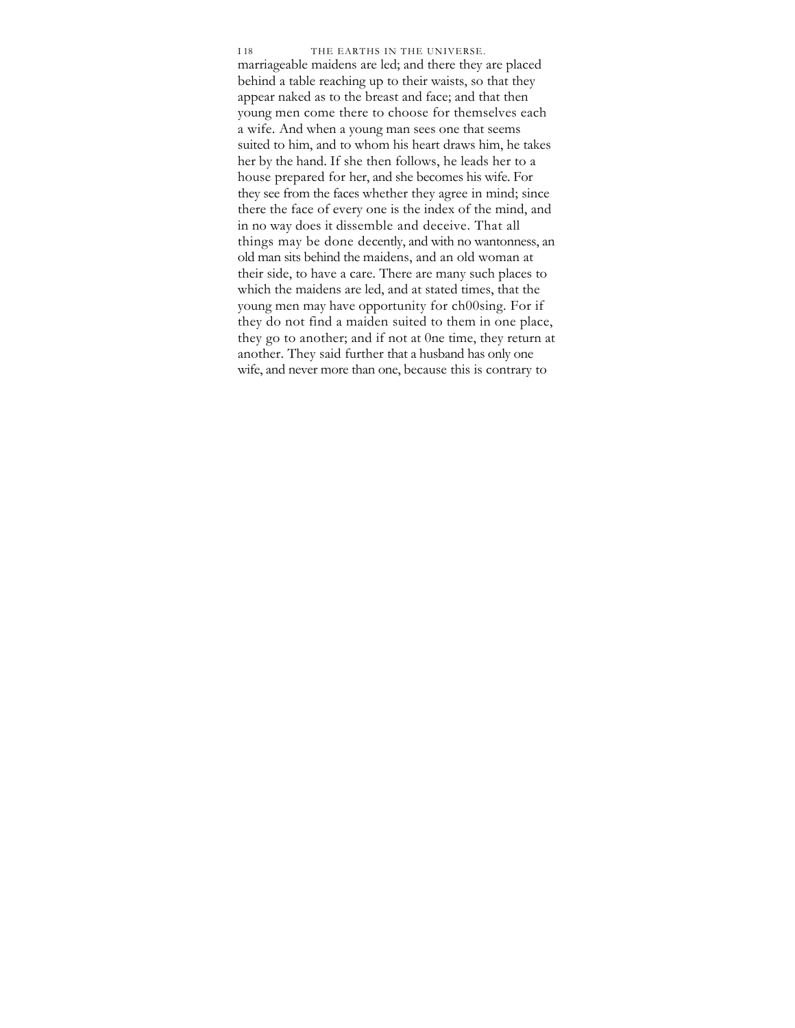marriageable maidens are led; and there they are placed behind a table reaching up to their waists, so that they appear naked as to the breast and face; and that then young men come there to choose for themselves each a wife. And when a young man sees one that seems suited to him, and to whom his heart draws him, he takes her by the hand. If she then follows, he leads her to a house prepared for her, and she becomes his wife. For they see from the faces whether they agree in mind; since there the face of every one is the index of the mind, and in no way does it dissemble and deceive. That all things may be done decently, and with no wantonness, an old man sits behind the maidens, and an old woman at their side, to have a care. There are many such places to which the maidens are led, and at stated times, that the young men may have opportunity for ch00sing. For if they do not find a maiden suited to them in one place, they go to another; and if not at 0ne time, they return at another. They said further that a husband has only one wife, and never more than one, because this is contrary to I 18 THE EARTHS IN THE UNIVERSE.